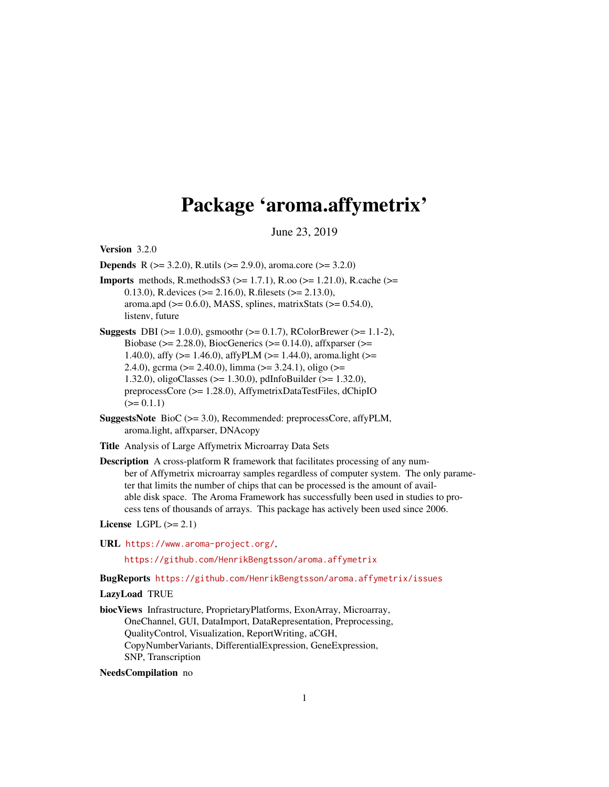# Package 'aroma.affymetrix'

June 23, 2019

<span id="page-0-0"></span>Version 3.2.0

**Depends** R ( $>= 3.2.0$ ), R.utils ( $>= 2.9.0$ ), aroma.core ( $>= 3.2.0$ )

- **Imports** methods, R.methodsS3 ( $>= 1.7.1$ ), R.oo ( $>= 1.21.0$ ), R.cache ( $>=$ 0.13.0), R.devices ( $> = 2.16.0$ ), R.filesets ( $> = 2.13.0$ ), aroma.apd ( $>= 0.6.0$ ), MASS, splines, matrixStats ( $>= 0.54.0$ ), listenv, future
- **Suggests** DBI ( $>= 1.0.0$ ), gsmoothr ( $>= 0.1.7$ ), RColorBrewer ( $>= 1.1-2$ ), Biobase ( $>= 2.28.0$ ), BiocGenerics ( $>= 0.14.0$ ), affxparser ( $>=$ 1.40.0), affy (>= 1.46.0), affyPLM (>= 1.44.0), aroma.light (>= 2.4.0), gcrma ( $> = 2.40.0$ ), limma ( $> = 3.24.1$ ), oligo ( $> =$ 1.32.0), oligoClasses (>= 1.30.0), pdInfoBuilder (>= 1.32.0), preprocessCore (>= 1.28.0), AffymetrixDataTestFiles, dChipIO  $(>= 0.1.1)$
- SuggestsNote BioC (>= 3.0), Recommended: preprocessCore, affyPLM, aroma.light, affxparser, DNAcopy
- Title Analysis of Large Affymetrix Microarray Data Sets
- Description A cross-platform R framework that facilitates processing of any number of Affymetrix microarray samples regardless of computer system. The only parameter that limits the number of chips that can be processed is the amount of available disk space. The Aroma Framework has successfully been used in studies to process tens of thousands of arrays. This package has actively been used since 2006.
- License LGPL  $(>= 2.1)$
- URL <https://www.aroma-project.org/>,

<https://github.com/HenrikBengtsson/aroma.affymetrix>

# BugReports <https://github.com/HenrikBengtsson/aroma.affymetrix/issues>

LazyLoad TRUE

biocViews Infrastructure, ProprietaryPlatforms, ExonArray, Microarray, OneChannel, GUI, DataImport, DataRepresentation, Preprocessing, QualityControl, Visualization, ReportWriting, aCGH, CopyNumberVariants, DifferentialExpression, GeneExpression, SNP, Transcription

#### NeedsCompilation no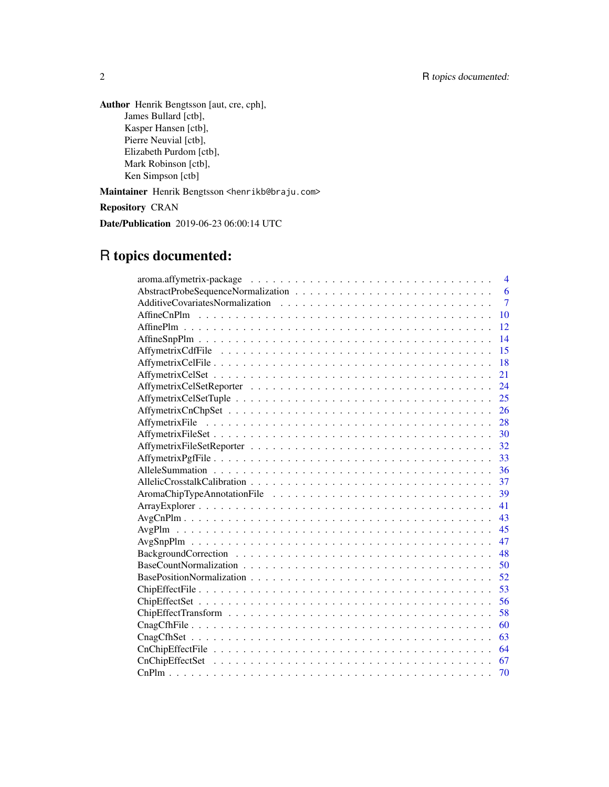Author Henrik Bengtsson [aut, cre, cph], James Bullard [ctb], Kasper Hansen [ctb], Pierre Neuvial [ctb], Elizabeth Purdom [ctb], Mark Robinson [ctb], Ken Simpson [ctb]

Maintainer Henrik Bengtsson <henrikb@braju.com>

Repository CRAN

Date/Publication 2019-06-23 06:00:14 UTC

# R topics documented:

| $\overline{4}$ |
|----------------|
| 6              |
| $\overline{7}$ |
| 10             |
| 12             |
| 14             |
| 15             |
| 18             |
| 21             |
| 24             |
| 25             |
| 26             |
| 28             |
|                |
|                |
| 33             |
| 36             |
| 37             |
| 39             |
| 41             |
| 43             |
| 45             |
| 47             |
| 48             |
| 50             |
| 52             |
| 53             |
|                |
| 58             |
| 60             |
| 63             |
| 64             |
| 67             |
| 70             |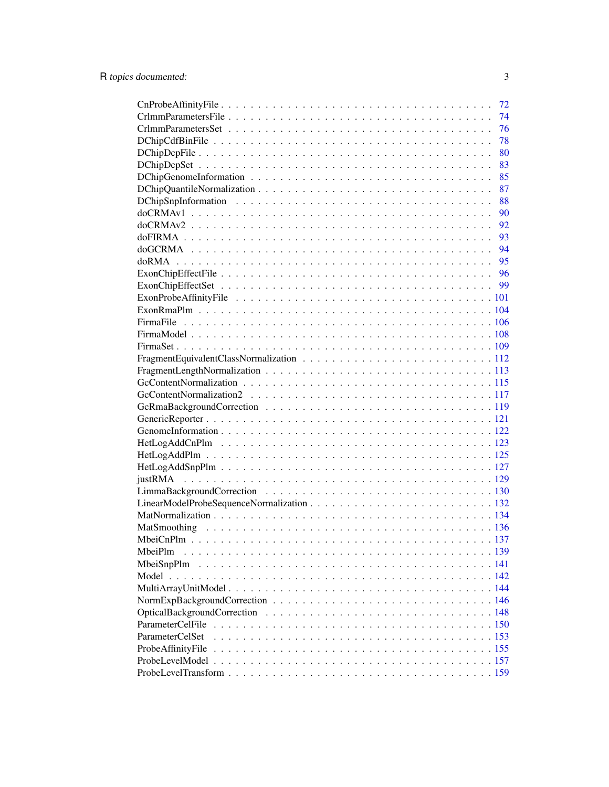|                        | 72 |
|------------------------|----|
|                        | 74 |
|                        | 76 |
|                        | 78 |
|                        | 80 |
|                        | 83 |
|                        | 85 |
|                        | 87 |
|                        | 88 |
|                        | 90 |
|                        | 92 |
|                        |    |
|                        |    |
|                        |    |
|                        |    |
|                        |    |
|                        |    |
|                        |    |
|                        |    |
|                        |    |
|                        |    |
|                        |    |
|                        |    |
|                        |    |
|                        |    |
|                        |    |
|                        |    |
|                        |    |
|                        |    |
|                        |    |
|                        |    |
|                        |    |
|                        |    |
|                        |    |
|                        |    |
|                        |    |
|                        |    |
| MbeiPlm                |    |
|                        |    |
|                        |    |
|                        |    |
|                        |    |
|                        |    |
| ParameterCelFile       |    |
| <b>ParameterCelSet</b> |    |
| ProbeAffinityFile      |    |
|                        |    |
|                        |    |
|                        |    |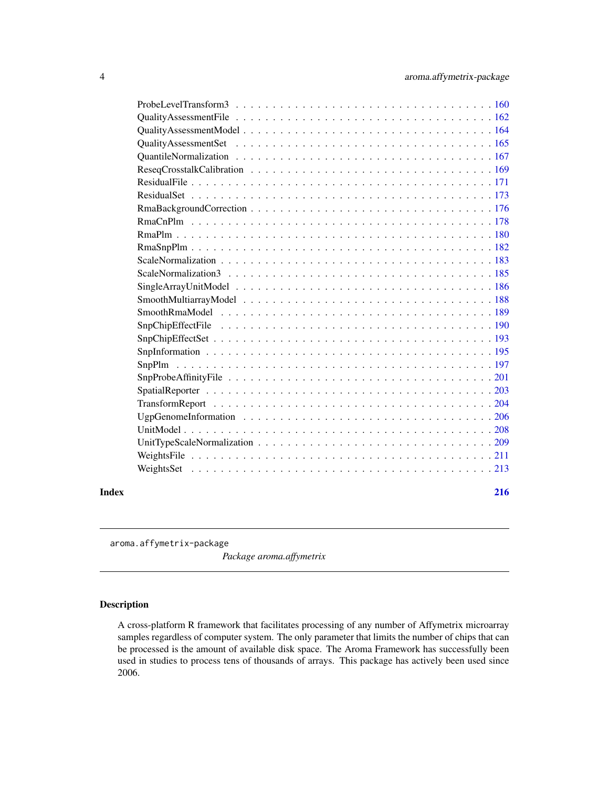<span id="page-3-0"></span>

| Index | 216 |
|-------|-----|
|       |     |
|       |     |
|       |     |
|       |     |
|       |     |
|       |     |
|       |     |
|       |     |
|       |     |
|       |     |
|       |     |
|       |     |
|       |     |
|       |     |
|       |     |
|       |     |
|       |     |
|       |     |
|       |     |
|       |     |
|       |     |
|       |     |
|       |     |
|       |     |
|       |     |
|       |     |
|       |     |
|       |     |
|       |     |
|       |     |

aroma.affymetrix-package

*Package aroma.affymetrix*

# Description

A cross-platform R framework that facilitates processing of any number of Affymetrix microarray samples regardless of computer system. The only parameter that limits the number of chips that can be processed is the amount of available disk space. The Aroma Framework has successfully been used in studies to process tens of thousands of arrays. This package has actively been used since 2006.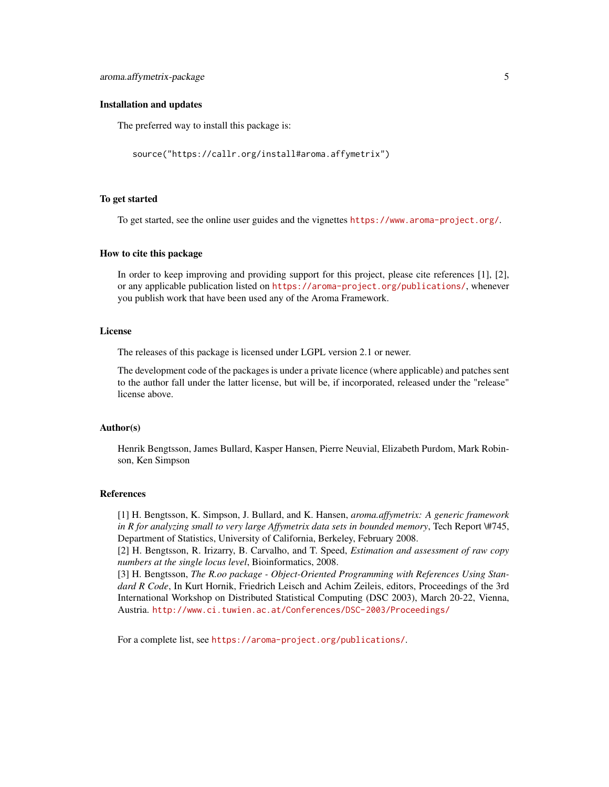#### Installation and updates

The preferred way to install this package is:

```
source("https://callr.org/install#aroma.affymetrix")
```
#### To get started

To get started, see the online user guides and the vignettes <https://www.aroma-project.org/>.

#### How to cite this package

In order to keep improving and providing support for this project, please cite references [1], [2], or any applicable publication listed on <https://aroma-project.org/publications/>, whenever you publish work that have been used any of the Aroma Framework.

#### **License**

The releases of this package is licensed under LGPL version 2.1 or newer.

The development code of the packages is under a private licence (where applicable) and patches sent to the author fall under the latter license, but will be, if incorporated, released under the "release" license above.

#### Author(s)

Henrik Bengtsson, James Bullard, Kasper Hansen, Pierre Neuvial, Elizabeth Purdom, Mark Robinson, Ken Simpson

#### References

[1] H. Bengtsson, K. Simpson, J. Bullard, and K. Hansen, *aroma.affymetrix: A generic framework in R for analyzing small to very large Affymetrix data sets in bounded memory*, Tech Report \#745, Department of Statistics, University of California, Berkeley, February 2008.

[2] H. Bengtsson, R. Irizarry, B. Carvalho, and T. Speed, *Estimation and assessment of raw copy numbers at the single locus level*, Bioinformatics, 2008.

[3] H. Bengtsson, *The R.oo package - Object-Oriented Programming with References Using Standard R Code*, In Kurt Hornik, Friedrich Leisch and Achim Zeileis, editors, Proceedings of the 3rd International Workshop on Distributed Statistical Computing (DSC 2003), March 20-22, Vienna, Austria. <http://www.ci.tuwien.ac.at/Conferences/DSC-2003/Proceedings/>

For a complete list, see <https://aroma-project.org/publications/>.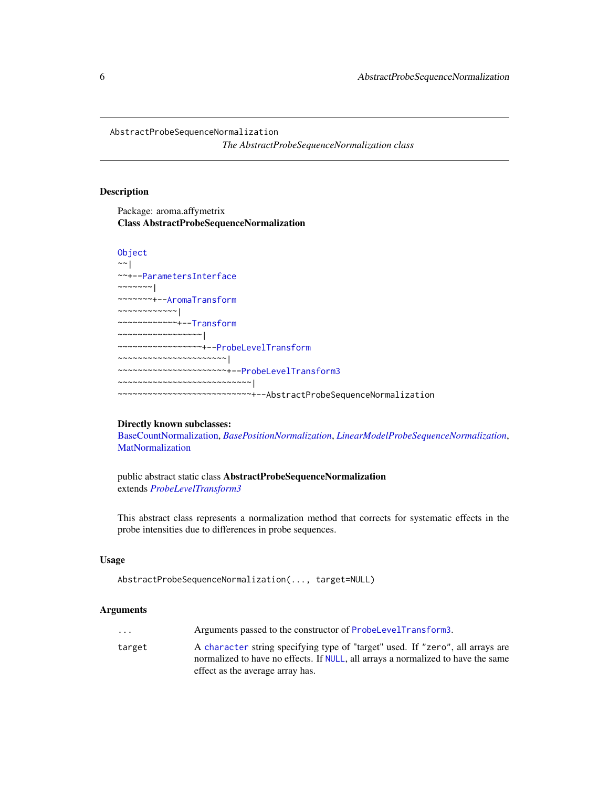<span id="page-5-0"></span>AbstractProbeSequenceNormalization

*The AbstractProbeSequenceNormalization class*

# **Description**

Package: aroma.affymetrix Class AbstractProbeSequenceNormalization

# [Object](#page-0-0)

```
~~|
~~+--ParametersInterface
\sim ~~~~~~ |
~~~~~~~+--AromaTransform
~~~~~~~~~~~~|
~~~~~~~~~~~~+--Transform
  ~~~~~~~~~~~~~~~~~|
  ~~~~~~~~~~~~~~~~~+--ProbeLevelTransform
~~~~~~~~~~~~~~~~~~~~~~|
  ~~~~~~~~~~~~~~~~~~~~~~+--ProbeLevelTransform3
   ~~~~~~~~~~~~~~~~~~~~~~~~~~~|
 ~~~~~~~~~~~~~~~~~~~~~~~~~~~+--AbstractProbeSequenceNormalization
```
#### Directly known subclasses:

[BaseCountNormalization,](#page-49-1) *[BasePositionNormalization](#page-51-1)*, *[LinearModelProbeSequenceNormalization](#page-131-1)*, **[MatNormalization](#page-133-1)** 

public abstract static class AbstractProbeSequenceNormalization extends *[ProbeLevelTransform3](#page-159-1)*

This abstract class represents a normalization method that corrects for systematic effects in the probe intensities due to differences in probe sequences.

#### Usage

```
AbstractProbeSequenceNormalization(..., target=NULL)
```
#### Arguments

| $\cdot$ $\cdot$ $\cdot$ | Arguments passed to the constructor of ProbeLevelTransform3.                                                                                                       |
|-------------------------|--------------------------------------------------------------------------------------------------------------------------------------------------------------------|
| target                  | A character string specifying type of "target" used. If "zero", all arrays are<br>normalized to have no effects. If NULL, all arrays a normalized to have the same |
|                         | effect as the average array has.                                                                                                                                   |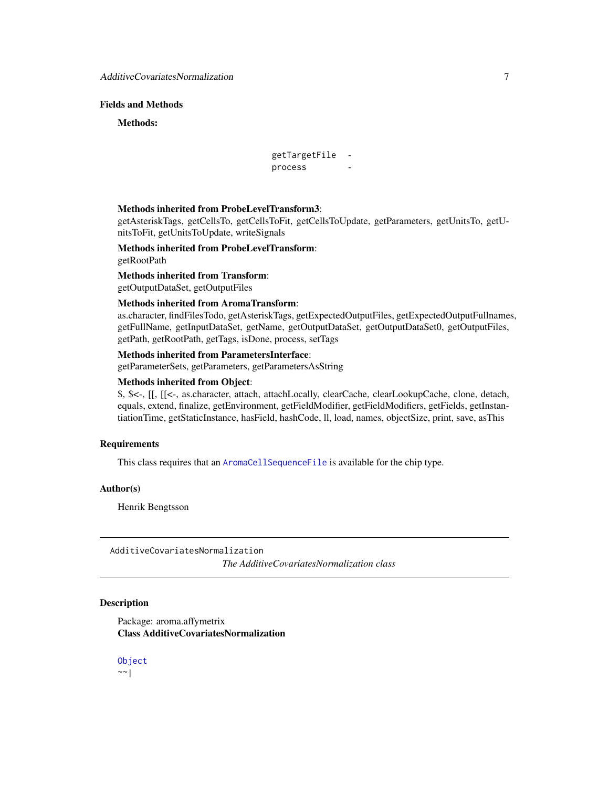# <span id="page-6-0"></span>Fields and Methods

Methods:

```
getTargetFile -
process
```
#### Methods inherited from ProbeLevelTransform3:

getAsteriskTags, getCellsTo, getCellsToFit, getCellsToUpdate, getParameters, getUnitsTo, getUnitsToFit, getUnitsToUpdate, writeSignals

Methods inherited from ProbeLevelTransform: getRootPath

Methods inherited from Transform: getOutputDataSet, getOutputFiles

# Methods inherited from AromaTransform:

as.character, findFilesTodo, getAsteriskTags, getExpectedOutputFiles, getExpectedOutputFullnames, getFullName, getInputDataSet, getName, getOutputDataSet, getOutputDataSet0, getOutputFiles, getPath, getRootPath, getTags, isDone, process, setTags

# Methods inherited from ParametersInterface:

getParameterSets, getParameters, getParametersAsString

# Methods inherited from Object:

\$, \$<-, [[, [[<-, as.character, attach, attachLocally, clearCache, clearLookupCache, clone, detach, equals, extend, finalize, getEnvironment, getFieldModifier, getFieldModifiers, getFields, getInstantiationTime, getStaticInstance, hasField, hashCode, ll, load, names, objectSize, print, save, asThis

#### Requirements

This class requires that an [AromaCellSequenceFile](#page-0-0) is available for the chip type.

# Author(s)

Henrik Bengtsson

AdditiveCovariatesNormalization

*The AdditiveCovariatesNormalization class*

#### **Description**

Package: aroma.affymetrix Class AdditiveCovariatesNormalization

[Object](#page-0-0)  $~\sim~$ |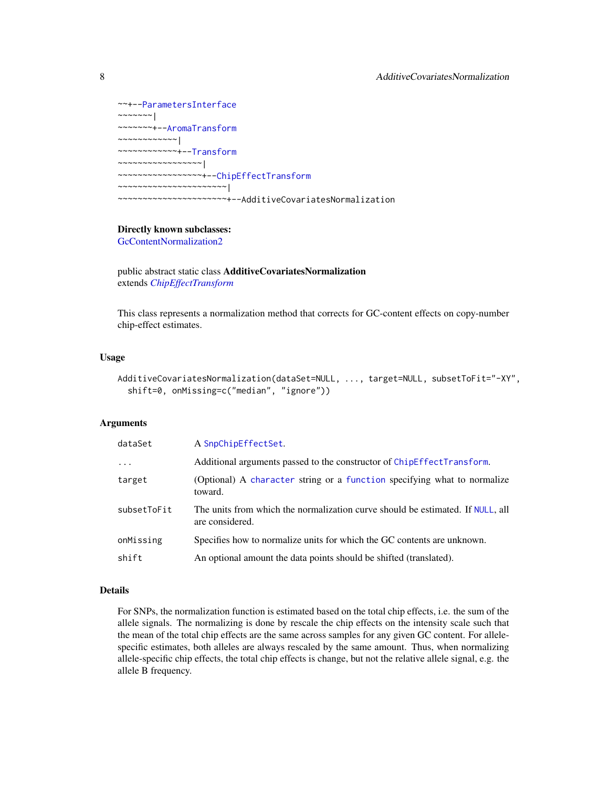```
~~+--ParametersInterface
~~~~~~~|
~~~~~~~+--AromaTransform
~~~~~~~~~~~~|
~~~~~~~~~~~~+--Transform
~~~~~~~~~~~~~~~~~|
~~~~~~~~~~~~~~~~~+--ChipEffectTransform
~~~~~~~~~~~~~~~~~~~~~~|
  ~~~~~~~~~~~~~~~~~~~~~~+--AdditiveCovariatesNormalization
```
# Directly known subclasses:

[GcContentNormalization2](#page-116-1)

public abstract static class AdditiveCovariatesNormalization extends *[ChipEffectTransform](#page-57-1)*

This class represents a normalization method that corrects for GC-content effects on copy-number chip-effect estimates.

#### Usage

```
AdditiveCovariatesNormalization(dataSet=NULL, ..., target=NULL, subsetToFit="-XY",
  shift=0, onMissing=c("median", "ignore"))
```
#### Arguments

| dataSet     | A SnpChipEffectSet.                                                                               |
|-------------|---------------------------------------------------------------------------------------------------|
| $\cdots$    | Additional arguments passed to the constructor of ChipEffectTransform.                            |
| target      | (Optional) A character string or a function specifying what to normalize<br>toward.               |
| subsetToFit | The units from which the normalization curve should be estimated. If NULL, all<br>are considered. |
| onMissing   | Specifies how to normalize units for which the GC contents are unknown.                           |
| shift       | An optional amount the data points should be shifted (translated).                                |

# Details

For SNPs, the normalization function is estimated based on the total chip effects, i.e. the sum of the allele signals. The normalizing is done by rescale the chip effects on the intensity scale such that the mean of the total chip effects are the same across samples for any given GC content. For allelespecific estimates, both alleles are always rescaled by the same amount. Thus, when normalizing allele-specific chip effects, the total chip effects is change, but not the relative allele signal, e.g. the allele B frequency.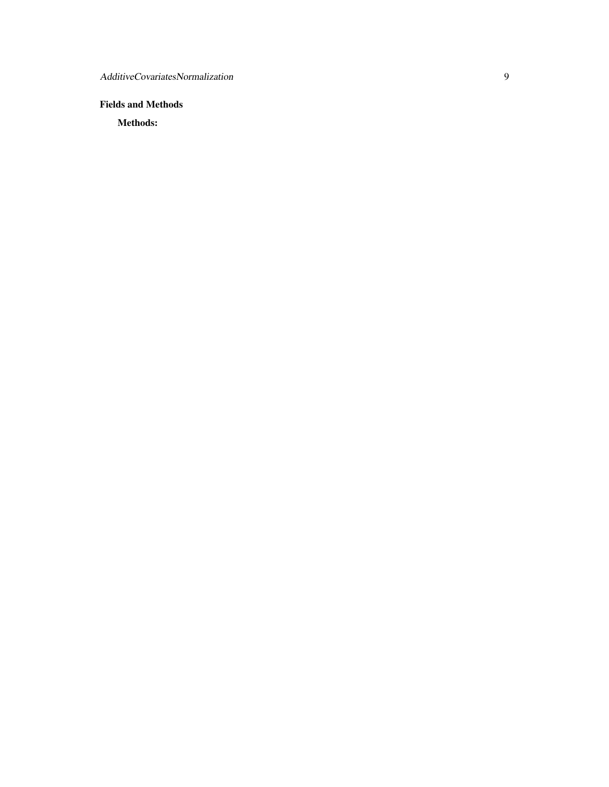# Fields and Methods

Methods: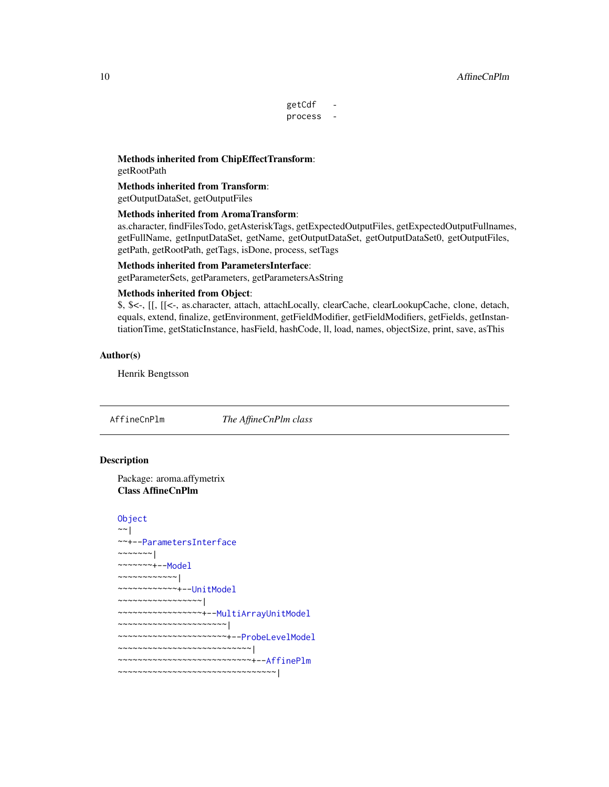#### <span id="page-9-0"></span>10 AffineCnPlm

getCdf process -

Methods inherited from ChipEffectTransform: getRootPath

Methods inherited from Transform: getOutputDataSet, getOutputFiles

#### Methods inherited from AromaTransform:

as.character, findFilesTodo, getAsteriskTags, getExpectedOutputFiles, getExpectedOutputFullnames, getFullName, getInputDataSet, getName, getOutputDataSet, getOutputDataSet0, getOutputFiles, getPath, getRootPath, getTags, isDone, process, setTags

# Methods inherited from ParametersInterface:

getParameterSets, getParameters, getParametersAsString

#### Methods inherited from Object:

\$, \$<-, [[, [[<-, as.character, attach, attachLocally, clearCache, clearLookupCache, clone, detach, equals, extend, finalize, getEnvironment, getFieldModifier, getFieldModifiers, getFields, getInstantiationTime, getStaticInstance, hasField, hashCode, ll, load, names, objectSize, print, save, asThis

# Author(s)

Henrik Bengtsson

<span id="page-9-1"></span>AffineCnPlm *The AffineCnPlm class*

#### Description

Package: aroma.affymetrix Class AffineCnPlm

# [Object](#page-0-0)

```
~~|
~~+--ParametersInterface
~~~~~~~|~~~~~~~+--Model
~~~~~~~~~~~~|
~~~~~~~~~~~~+--UnitModel
~~~~~~~~~~~~~~~~~|
~~~~~~~~~~~~~~~~~+--MultiArrayUnitModel
~~~~~~~~~~~~~~~~~~~~~~|
~~~~~~~~~~~~~~~~~~~~~~+--ProbeLevelModel
~~~~~~~~~~~~~~~~~~~~~~~~~~~|
~~~~~~~~~~~~~~~~~~~~~~~~~~~+--AffinePlm
~~~~~~~~~~~~~~~~~~~~~~~~~~~~~~~~|
```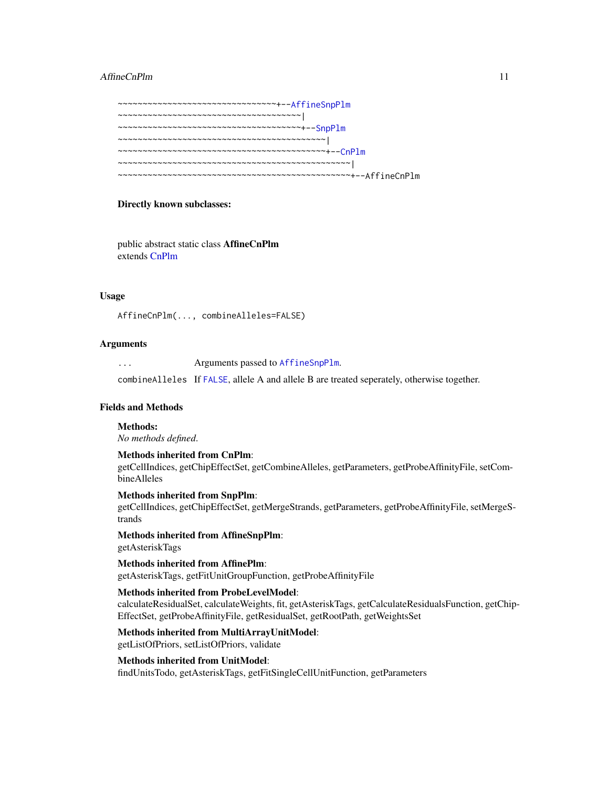#### AffineCnPlm 11

~~~~~~~~~~~~~~~~~~~~~~~~~~~~~~~~+-[-AffineSnpPlm](#page-13-1) ~~~~~~~~~~~~~~~~~~~~~~~~~~~~~~~~~~~~~| ~~~~~~~~~~~~~~~~~~~~~~~~~~~~~~~~~~~~~+-[-SnpPlm](#page-196-1) ~~~~~~~~~~~~~~~~~~~~~~~~~~~~~~~~~~~~~~~~~~| ~~~~~~~~~~~~~~~~~~~~~~~~~~~~~~~~~~~~~~~~~~+-[-CnPlm](#page-69-1) ~~~~~~~~~~~~~~~~~~~~~~~~~~~~~~~~~~~~~~~~~~~~~~~| ~~~~~~~~~~~~~~~~~~~~~~~~~~~~~~~~~~~~~~~~~~~~~~~+--AffineCnPlm

#### Directly known subclasses:

public abstract static class AffineCnPlm extends [CnPlm](#page-69-1)

#### Usage

AffineCnPlm(..., combineAlleles=FALSE)

#### Arguments

... Arguments passed to [AffineSnpPlm](#page-13-1). combineAlleles If [FALSE](#page-0-0), allele A and allele B are treated seperately, otherwise together.

# Fields and Methods

Methods:

*No methods defined*.

Methods inherited from CnPlm: getCellIndices, getChipEffectSet, getCombineAlleles, getParameters, getProbeAffinityFile, setCombineAlleles

Methods inherited from SnpPlm: getCellIndices, getChipEffectSet, getMergeStrands, getParameters, getProbeAffinityFile, setMergeStrands

Methods inherited from AffineSnpPlm: getAsteriskTags

Methods inherited from AffinePlm: getAsteriskTags, getFitUnitGroupFunction, getProbeAffinityFile

#### Methods inherited from ProbeLevelModel:

calculateResidualSet, calculateWeights, fit, getAsteriskTags, getCalculateResidualsFunction, getChip-EffectSet, getProbeAffinityFile, getResidualSet, getRootPath, getWeightsSet

Methods inherited from MultiArrayUnitModel:

getListOfPriors, setListOfPriors, validate

Methods inherited from UnitModel:

findUnitsTodo, getAsteriskTags, getFitSingleCellUnitFunction, getParameters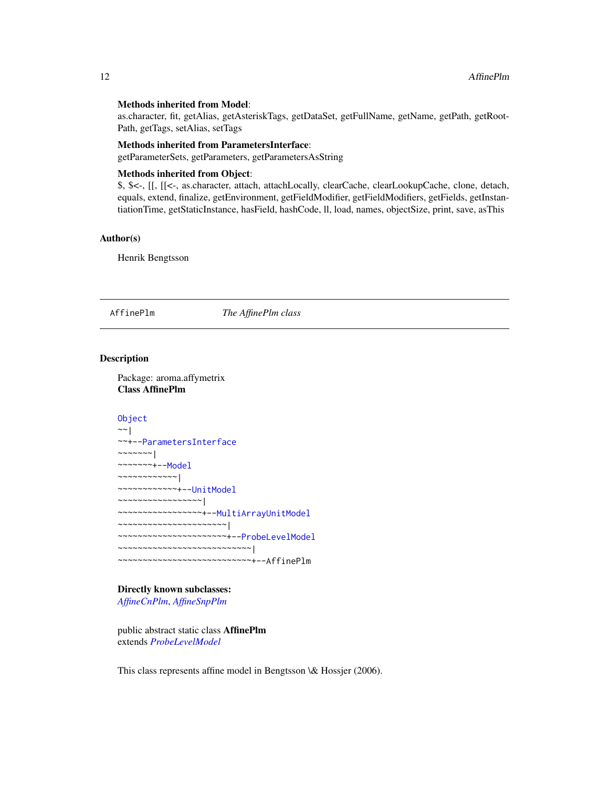#### <span id="page-11-0"></span>Methods inherited from Model:

as.character, fit, getAlias, getAsteriskTags, getDataSet, getFullName, getName, getPath, getRoot-Path, getTags, setAlias, setTags

# Methods inherited from ParametersInterface:

getParameterSets, getParameters, getParametersAsString

# Methods inherited from Object:

\$, \$<-, [[, [[<-, as.character, attach, attachLocally, clearCache, clearLookupCache, clone, detach, equals, extend, finalize, getEnvironment, getFieldModifier, getFieldModifiers, getFields, getInstantiationTime, getStaticInstance, hasField, hashCode, ll, load, names, objectSize, print, save, asThis

#### Author(s)

Henrik Bengtsson

<span id="page-11-1"></span>AffinePlm *The AffinePlm class*

#### Description

Package: aroma.affymetrix Class AffinePlm

```
Object
~~|
~~+--ParametersInterface
~\sim~\sim~\sim~\sim~\sim~~~~~~~~+--Model
~~~~~~~~~~~~|
~~~~~~~~~~~~+--UnitModel
~~~~~~~~~~~~~~~~~|
~~~~~~~~~~~~~~~~~+--MultiArrayUnitModel
~~~~~~~~~~~~~~~~~~~~~~|
~~~~~~~~~~~~~~~~~~~~~~+--ProbeLevelModel
~~~~~~~~~~~~~~~~~~~~~~~~~~~|
~~~~~~~~~~~~~~~~~~~~~~~~~~~+--AffinePlm
```
### Directly known subclasses:

*[AffineCnPlm](#page-9-1)*, *[AffineSnpPlm](#page-13-1)*

public abstract static class AffinePlm extends *[ProbeLevelModel](#page-156-1)*

This class represents affine model in Bengtsson \& Hossjer (2006).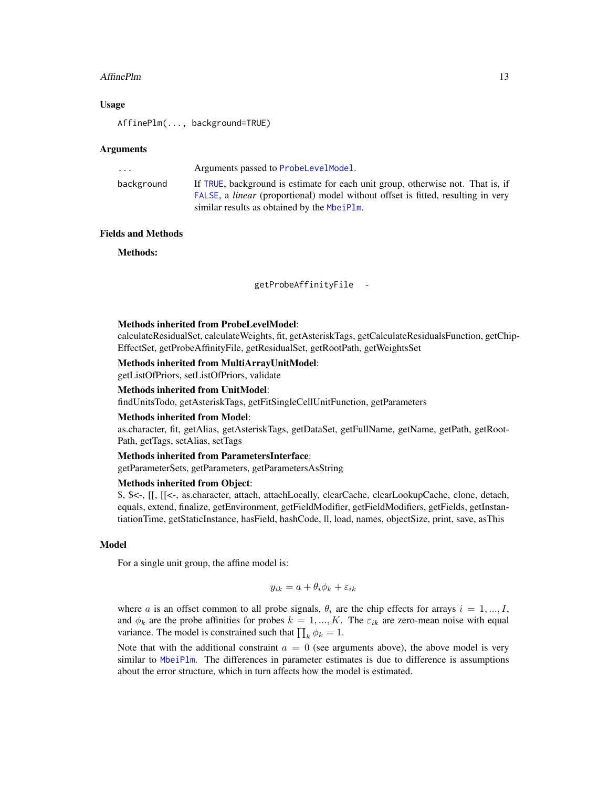#### AffinePlm 13

#### Usage

AffinePlm(..., background=TRUE)

#### Arguments

| If TRUE, background is estimate for each unit group, otherwise not. That is, if<br>background                                          |  |
|----------------------------------------------------------------------------------------------------------------------------------------|--|
| FALSE, a <i>linear</i> (proportional) model without offset is fitted, resulting in very<br>similar results as obtained by the MbeiPlm. |  |

# Fields and Methods

Methods:

getProbeAffinityFile -

# Methods inherited from ProbeLevelModel:

calculateResidualSet, calculateWeights, fit, getAsteriskTags, getCalculateResidualsFunction, getChip-EffectSet, getProbeAffinityFile, getResidualSet, getRootPath, getWeightsSet

#### Methods inherited from MultiArrayUnitModel:

getListOfPriors, setListOfPriors, validate

#### Methods inherited from UnitModel:

findUnitsTodo, getAsteriskTags, getFitSingleCellUnitFunction, getParameters

#### Methods inherited from Model:

as.character, fit, getAlias, getAsteriskTags, getDataSet, getFullName, getName, getPath, getRoot-Path, getTags, setAlias, setTags

# Methods inherited from ParametersInterface:

getParameterSets, getParameters, getParametersAsString

#### Methods inherited from Object:

\$, \$<-, [[, [[<-, as.character, attach, attachLocally, clearCache, clearLookupCache, clone, detach, equals, extend, finalize, getEnvironment, getFieldModifier, getFieldModifiers, getFields, getInstantiationTime, getStaticInstance, hasField, hashCode, ll, load, names, objectSize, print, save, asThis

#### Model

For a single unit group, the affine model is:

$$
y_{ik} = a + \theta_i \phi_k + \varepsilon_{ik}
$$

where a is an offset common to all probe signals,  $\theta_i$  are the chip effects for arrays  $i = 1, ..., I$ , and  $\phi_k$  are the probe affinities for probes  $k = 1, ..., K$ . The  $\varepsilon_{ik}$  are zero-mean noise with equal variance. The model is constrained such that  $\prod_k \phi_k = 1$ .

Note that with the additional constraint  $a = 0$  (see arguments above), the above model is very similar to [MbeiPlm](#page-138-1). The differences in parameter estimates is due to difference is assumptions about the error structure, which in turn affects how the model is estimated.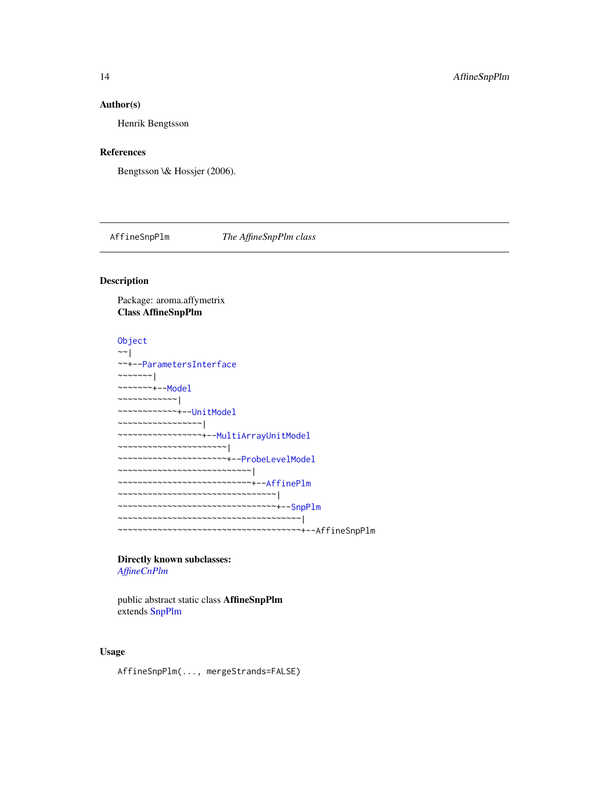#### <span id="page-13-0"></span>Author(s)

Henrik Bengtsson

#### References

Bengtsson \& Hossjer (2006).

<span id="page-13-1"></span>AffineSnpPlm *The AffineSnpPlm class*

# Description

Package: aroma.affymetrix Class AffineSnpPlm

```
Object
~\sim~|
~~+--ParametersInterface
~~~~~~~|~~~~~~~+--Model
~~~~~~~~~~~~|
~~~~~~~~~~~~+--UnitModel
~~~~~~~~~~~~~~~~~|
~~~~~~~~~~~~~~~~~+--MultiArrayUnitModel
~~~~~~~~~~~~~~~~~~~~~~|
~~~~~~~~~~~~~~~~~~~~~~+--ProbeLevelModel
~~~~~~~~~~~~~~~~~~~~~~~~~~~|
~~~~~~~~~~~~~~~~~~~~~~~~~~~+--AffinePlm
~~~~~~~~~~~~~~~~~~~~~~~~~~~~~~~
~~~~~~~~~~~~~~~~~~~~~~~~~~~~~~~~+--SnpPlm
~~~~~~~~~~~~~~~~~~~~~~~~~~~~~~~~~~~~~|
~~~~~~~~~~~~~~~~~~~~~~~~~~~~~~~~~~~~~+--AffineSnpPlm
```
Directly known subclasses: *[AffineCnPlm](#page-9-1)*

public abstract static class AffineSnpPlm extends [SnpPlm](#page-196-1)

# Usage

AffineSnpPlm(..., mergeStrands=FALSE)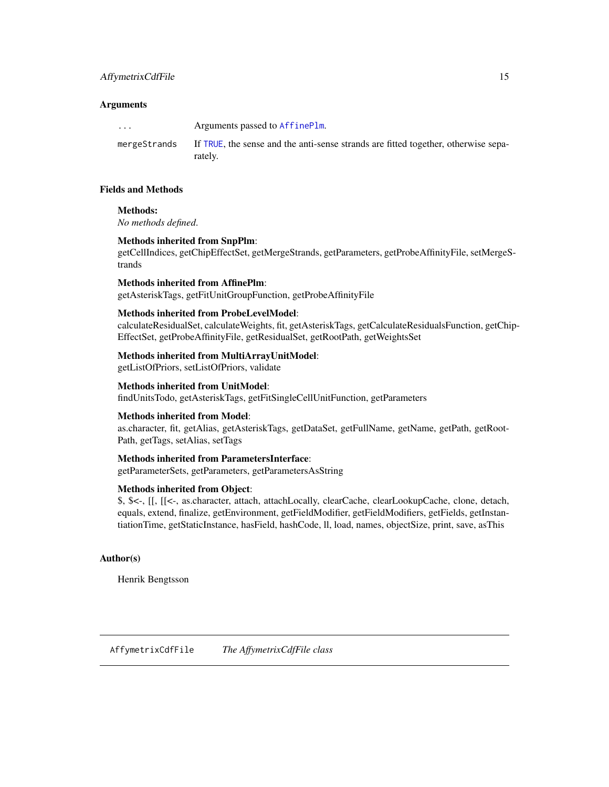# <span id="page-14-0"></span>AffymetrixCdfFile 15

### Arguments

... Arguments passed to [AffinePlm](#page-11-1). mergeStrands If [TRUE](#page-0-0), the sense and the anti-sense strands are fitted together, otherwise separately.

#### Fields and Methods

#### Methods:

*No methods defined*.

#### Methods inherited from SnpPlm:

getCellIndices, getChipEffectSet, getMergeStrands, getParameters, getProbeAffinityFile, setMergeStrands

## Methods inherited from AffinePlm:

getAsteriskTags, getFitUnitGroupFunction, getProbeAffinityFile

#### Methods inherited from ProbeLevelModel:

calculateResidualSet, calculateWeights, fit, getAsteriskTags, getCalculateResidualsFunction, getChip-EffectSet, getProbeAffinityFile, getResidualSet, getRootPath, getWeightsSet

#### Methods inherited from MultiArrayUnitModel:

getListOfPriors, setListOfPriors, validate

#### Methods inherited from UnitModel:

findUnitsTodo, getAsteriskTags, getFitSingleCellUnitFunction, getParameters

#### Methods inherited from Model:

as.character, fit, getAlias, getAsteriskTags, getDataSet, getFullName, getName, getPath, getRoot-Path, getTags, setAlias, setTags

#### Methods inherited from ParametersInterface:

getParameterSets, getParameters, getParametersAsString

#### Methods inherited from Object:

\$, \$<-, [[, [[<-, as.character, attach, attachLocally, clearCache, clearLookupCache, clone, detach, equals, extend, finalize, getEnvironment, getFieldModifier, getFieldModifiers, getFields, getInstantiationTime, getStaticInstance, hasField, hashCode, ll, load, names, objectSize, print, save, asThis

#### Author(s)

<span id="page-14-1"></span>Henrik Bengtsson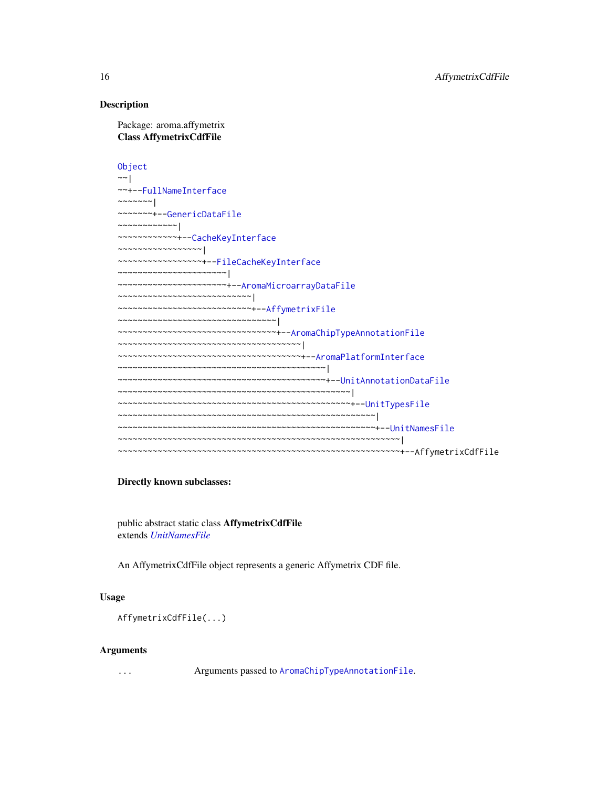#### Description

Package: aroma.affymetrix Class AffymetrixCdfFile

[Object](#page-0-0)  $~\sim~$ | ~~+-[-FullNameInterface](#page-0-0)  $~\sim$   $~\sim$   $~\sim$   $~\sim$   $~\sim$   $~\sim$   $~\sim$ ~~~~~~~+-[-GenericDataFile](#page-0-0) ~~~~~~~~~~~~| ~~~~~~~~~~~~+-[-CacheKeyInterface](#page-0-0) ~~~~~~~~~~~~~~~~~| ~~~~~~~~~~~~~~~~~+-[-FileCacheKeyInterface](#page-0-0) ~~~~~~~~~~~~~~~~~~~~~~| ~~~~~~~~~~~~~~~~~~~~~~+-[-AromaMicroarrayDataFile](#page-0-0) ~~~~~~~~~~~~~~~~~~~~~~~~~~~| ~~~~~~~~~~~~~~~~~~~~~~~~~~~+-[-AffymetrixFile](#page-27-1) ~~~~~~~~~~~~~~~~~~~~~~~~~~~~~~~~| ~~~~~~~~~~~~~~~~~~~~~~~~~~~~~~~~+-[-AromaChipTypeAnnotationFile](#page-38-1) ~~~~~~~~~~~~~~~~~~~~~~~~~~~~~~~~~~~~~| ~~~~~~~~~~~~~~~~~~~~~~~~~~~~~~~~~~~~~+-[-AromaPlatformInterface](#page-0-0) ~~~~~~~~~~~~~~~~~~~~~~~~~~~~~~~~~~~~~~~~~~| ~~~~~~~~~~~~~~~~~~~~~~~~~~~~~~~~~~~~~~~~~~+-[-UnitAnnotationDataFile](#page-0-0) ~~~~~~~~~~~~~~~~~~~~~~~~~~~~~~~~~~~~~~~~~~~~~~~| ~~~~~~~~~~~~~~~~~~~~~~~~~~~~~~~~~~~~~~~~~~~~~~~+-[-UnitTypesFile](#page-0-0) ~~~~~~~~~~~~~~~~~~~~~~~~~~~~~~~~~~~~~~~~~~~~~~~~~~~~| ~~~~~~~~~~~~~~~~~~~~~~~~~~~~~~~~~~~~~~~~~~~~~~~~~~~~+-[-UnitNamesFile](#page-0-0) ~~~~~~~~~~~~~~~~~~~~~~~~~~~~~~~~~~~~~~~~~~~~~~~~~~~~~~~~~| ~~~~~~~~~~~~~~~~~~~~~~~~~~~~~~~~~~~~~~~~~~~~~~~~~~~~~~~~~+--AffymetrixCdfFile

#### Directly known subclasses:

public abstract static class AffymetrixCdfFile extends *[UnitNamesFile](#page-0-0)*

An AffymetrixCdfFile object represents a generic Affymetrix CDF file.

#### Usage

AffymetrixCdfFile(...)

#### Arguments

... Arguments passed to [AromaChipTypeAnnotationFile](#page-38-1).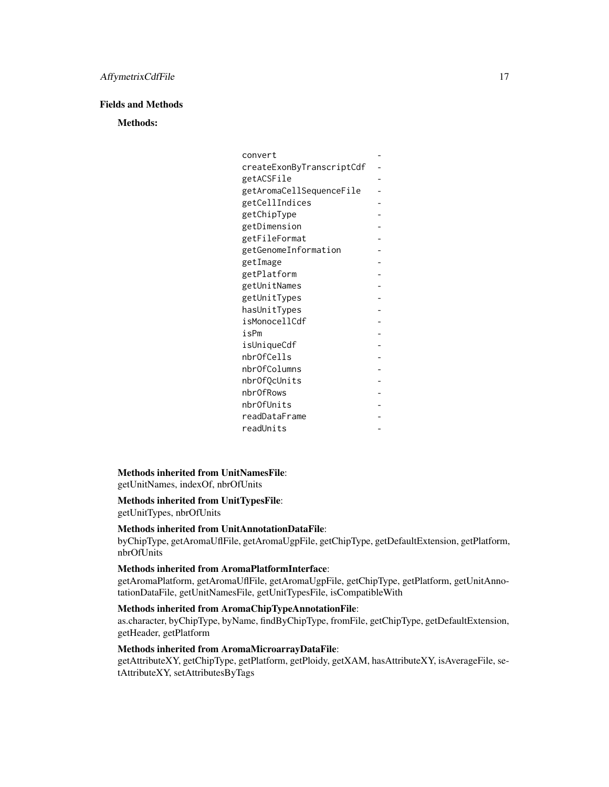# Fields and Methods

Methods:

| convert                   |                |
|---------------------------|----------------|
| createExonByTranscriptCdf |                |
| getACSFile                |                |
| getAromaCellSequenceFile  |                |
| getCellIndices            |                |
| getChipType               |                |
| getDimension              |                |
| getFileFormat             |                |
| getGenomeInformation      |                |
| getImage                  |                |
| getPlatform               |                |
| getUnitNames              |                |
| getUnitTypes              |                |
| hasUnitTypes              |                |
| isMonocellCdf             |                |
| isPm                      |                |
| isUniqueCdf               |                |
| nbr0fCells                |                |
| nbrOfColumns              |                |
| nbrOfQcUnits              | $\overline{a}$ |
| nbr0fRows                 |                |
| nbr0fUnits                |                |
| readDataFrame             |                |
| readUnits                 |                |

#### Methods inherited from UnitNamesFile:

getUnitNames, indexOf, nbrOfUnits

Methods inherited from UnitTypesFile:

getUnitTypes, nbrOfUnits

# Methods inherited from UnitAnnotationDataFile:

byChipType, getAromaUflFile, getAromaUgpFile, getChipType, getDefaultExtension, getPlatform, nbrOfUnits

# Methods inherited from AromaPlatformInterface:

getAromaPlatform, getAromaUflFile, getAromaUgpFile, getChipType, getPlatform, getUnitAnnotationDataFile, getUnitNamesFile, getUnitTypesFile, isCompatibleWith

# Methods inherited from AromaChipTypeAnnotationFile:

as.character, byChipType, byName, findByChipType, fromFile, getChipType, getDefaultExtension, getHeader, getPlatform

# Methods inherited from AromaMicroarrayDataFile:

getAttributeXY, getChipType, getPlatform, getPloidy, getXAM, hasAttributeXY, isAverageFile, setAttributeXY, setAttributesByTags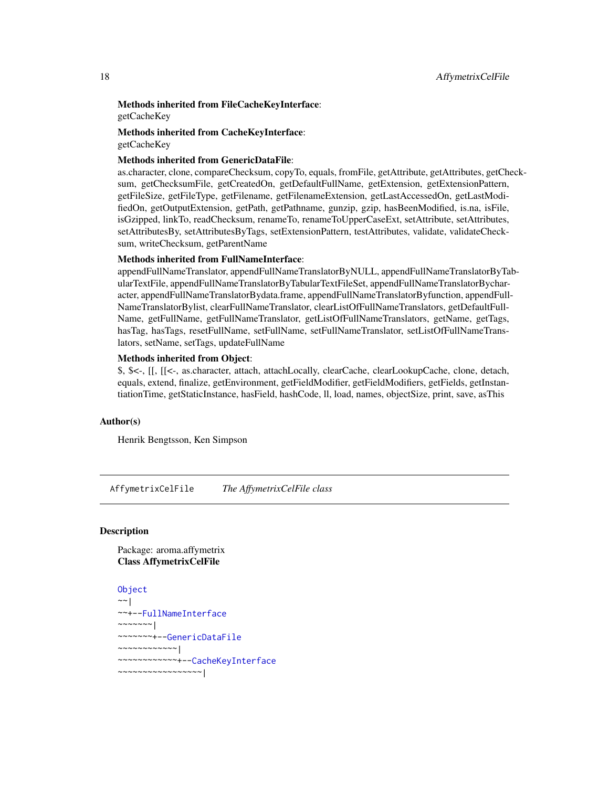#### <span id="page-17-0"></span>Methods inherited from FileCacheKeyInterface: getCacheKey

# Methods inherited from CacheKeyInterface: getCacheKey

#### Methods inherited from GenericDataFile:

as.character, clone, compareChecksum, copyTo, equals, fromFile, getAttribute, getAttributes, getChecksum, getChecksumFile, getCreatedOn, getDefaultFullName, getExtension, getExtensionPattern, getFileSize, getFileType, getFilename, getFilenameExtension, getLastAccessedOn, getLastModifiedOn, getOutputExtension, getPath, getPathname, gunzip, gzip, hasBeenModified, is.na, isFile, isGzipped, linkTo, readChecksum, renameTo, renameToUpperCaseExt, setAttribute, setAttributes, setAttributesBy, setAttributesByTags, setExtensionPattern, testAttributes, validate, validateChecksum, writeChecksum, getParentName

#### Methods inherited from FullNameInterface:

appendFullNameTranslator, appendFullNameTranslatorByNULL, appendFullNameTranslatorByTabularTextFile, appendFullNameTranslatorByTabularTextFileSet, appendFullNameTranslatorBycharacter, appendFullNameTranslatorBydata.frame, appendFullNameTranslatorByfunction, appendFull-NameTranslatorBylist, clearFullNameTranslator, clearListOfFullNameTranslators, getDefaultFull-Name, getFullName, getFullNameTranslator, getListOfFullNameTranslators, getName, getTags, hasTag, hasTags, resetFullName, setFullName, setFullNameTranslator, setListOfFullNameTranslators, setName, setTags, updateFullName

#### Methods inherited from Object:

\$, \$<-, [[, [[<-, as.character, attach, attachLocally, clearCache, clearLookupCache, clone, detach, equals, extend, finalize, getEnvironment, getFieldModifier, getFieldModifiers, getFields, getInstantiationTime, getStaticInstance, hasField, hashCode, ll, load, names, objectSize, print, save, asThis

# Author(s)

Henrik Bengtsson, Ken Simpson

<span id="page-17-1"></span>AffymetrixCelFile *The AffymetrixCelFile class*

# **Description**

Package: aroma.affymetrix Class AffymetrixCelFile

```
Object
~~|
~~+--FullNameInterface
~\sim ~\sim ~\sim ~\sim ~\sim ~\sim ~\sim~~~~~~~+--GenericDataFile
~~~~~~~~~~~~|
~~~~~~~~~~~~+--CacheKeyInterface
~~~~~~~~~~~~~~~~~|
```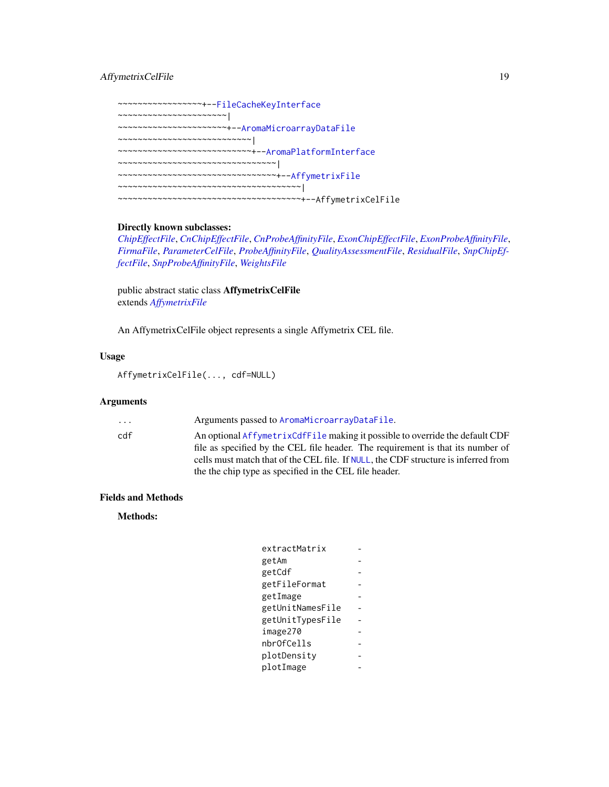# AffymetrixCelFile 19

~~~~~~~~~~~~~~~~~+-[-FileCacheKeyInterface](#page-0-0) ~~~~~~~~~~~~~~~~~~~~~~| ~~~~~~~~~~~~~~~~~~~~~~+-[-AromaMicroarrayDataFile](#page-0-0) ~~~~~~~~~~~~~~~~~~~~~~~~~~~| ~~~~~~~~~~~~~~~~~~~~~~~~~~~+-[-AromaPlatformInterface](#page-0-0) ~~~~~~~~~~~~~~~~~~~~~~~~~~~~~~~~| ~~~~~~~~~~~~~~~~~~~~~~~~~~~~~~~~+-[-AffymetrixFile](#page-27-1) ~~~~~~~~~~~~~~~~~~~~~~~~~~~~~~~~~~~~~| ~~~~~~~~~~~~~~~~~~~~~~~~~~~~~~~~~~~~~+--AffymetrixCelFile

### Directly known subclasses:

*[ChipEffectFile](#page-52-1)*, *[CnChipEffectFile](#page-63-1)*, *[CnProbeAffinityFile](#page-71-1)*, *[ExonChipEffectFile](#page-95-1)*, *[ExonProbeAffinityFile](#page-100-1)*, *[FirmaFile](#page-105-1)*, *[ParameterCelFile](#page-149-1)*, *[ProbeAffinityFile](#page-154-1)*, *[QualityAssessmentFile](#page-161-1)*, *[ResidualFile](#page-170-1)*, *[SnpChipEf](#page-189-1)[fectFile](#page-189-1)*, *[SnpProbeAffinityFile](#page-200-1)*, *[WeightsFile](#page-210-1)*

public abstract static class AffymetrixCelFile extends *[AffymetrixFile](#page-27-1)*

An AffymetrixCelFile object represents a single Affymetrix CEL file.

#### Usage

AffymetrixCelFile(..., cdf=NULL)

#### Arguments

... Arguments passed to [AromaMicroarrayDataFile](#page-0-0).

cdf An optional [AffymetrixCdfFile](#page-14-1) making it possible to override the default CDF file as specified by the CEL file header. The requirement is that its number of cells must match that of the CEL file. If [NULL](#page-0-0), the CDF structure is inferred from the the chip type as specified in the CEL file header.

# Fields and Methods

Methods:

| extractMatrix    |  |
|------------------|--|
| getAm            |  |
| getCdf           |  |
| getFileFormat    |  |
| getImage         |  |
| getUnitNamesFile |  |
| getUnitTypesFile |  |
| image270         |  |
| nbrOfCells       |  |
| plotDensity      |  |
| plotImage        |  |
|                  |  |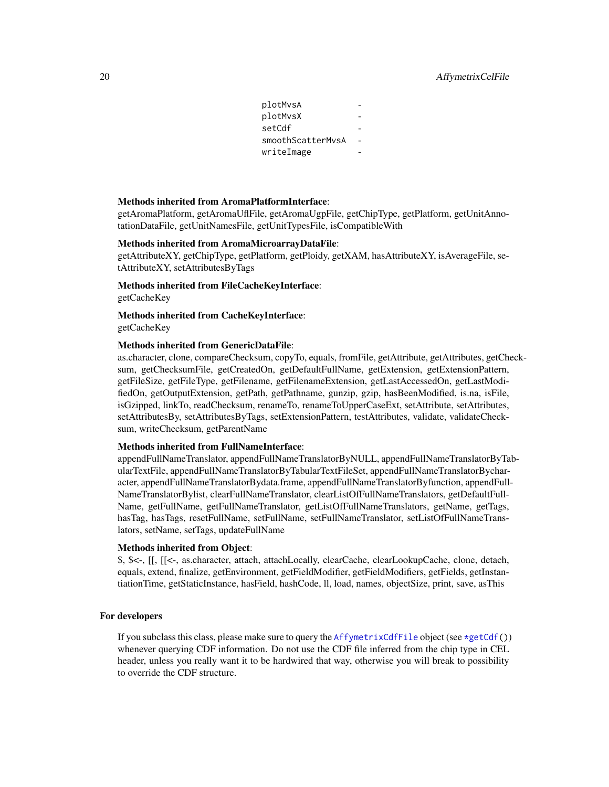# 20 20 AffymetrixCelFile

| plotMvsA          |  |
|-------------------|--|
| plotMvsX          |  |
| setCdf            |  |
| smoothScatterMvsA |  |
| writeImage        |  |
|                   |  |

#### Methods inherited from AromaPlatformInterface:

getAromaPlatform, getAromaUflFile, getAromaUgpFile, getChipType, getPlatform, getUnitAnnotationDataFile, getUnitNamesFile, getUnitTypesFile, isCompatibleWith

#### Methods inherited from AromaMicroarrayDataFile:

getAttributeXY, getChipType, getPlatform, getPloidy, getXAM, hasAttributeXY, isAverageFile, setAttributeXY, setAttributesByTags

Methods inherited from FileCacheKeyInterface:

getCacheKey

Methods inherited from CacheKeyInterface: getCacheKey

#### Methods inherited from GenericDataFile:

as.character, clone, compareChecksum, copyTo, equals, fromFile, getAttribute, getAttributes, getChecksum, getChecksumFile, getCreatedOn, getDefaultFullName, getExtension, getExtensionPattern, getFileSize, getFileType, getFilename, getFilenameExtension, getLastAccessedOn, getLastModifiedOn, getOutputExtension, getPath, getPathname, gunzip, gzip, hasBeenModified, is.na, isFile, isGzipped, linkTo, readChecksum, renameTo, renameToUpperCaseExt, setAttribute, setAttributes, setAttributesBy, setAttributesByTags, setExtensionPattern, testAttributes, validate, validateChecksum, writeChecksum, getParentName

#### Methods inherited from FullNameInterface:

appendFullNameTranslator, appendFullNameTranslatorByNULL, appendFullNameTranslatorByTabularTextFile, appendFullNameTranslatorByTabularTextFileSet, appendFullNameTranslatorBycharacter, appendFullNameTranslatorBydata.frame, appendFullNameTranslatorByfunction, appendFull-NameTranslatorBylist, clearFullNameTranslator, clearListOfFullNameTranslators, getDefaultFull-Name, getFullName, getFullNameTranslator, getListOfFullNameTranslators, getName, getTags, hasTag, hasTags, resetFullName, setFullName, setFullNameTranslator, setListOfFullNameTranslators, setName, setTags, updateFullName

#### Methods inherited from Object:

\$, \$<-, [[, [[<-, as.character, attach, attachLocally, clearCache, clearLookupCache, clone, detach, equals, extend, finalize, getEnvironment, getFieldModifier, getFieldModifiers, getFields, getInstantiationTime, getStaticInstance, hasField, hashCode, ll, load, names, objectSize, print, save, asThis

#### For developers

If you subclass this class, please make sure to query the [AffymetrixCdfFile](#page-14-1) object (see [\\*getCdf\(](#page-0-0))) whenever querying CDF information. Do not use the CDF file inferred from the chip type in CEL header, unless you really want it to be hardwired that way, otherwise you will break to possibility to override the CDF structure.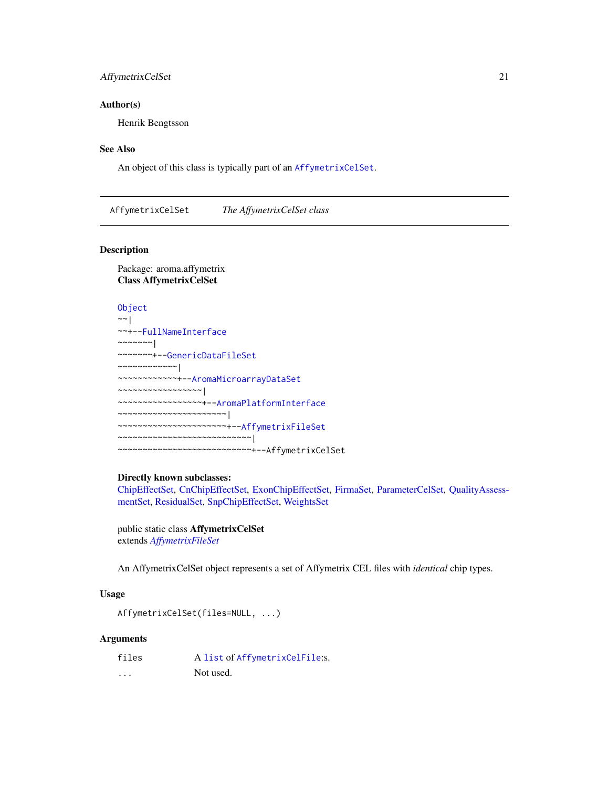# <span id="page-20-0"></span>AffymetrixCelSet 21

#### Author(s)

Henrik Bengtsson

#### See Also

An object of this class is typically part of an [AffymetrixCelSet](#page-20-1).

<span id="page-20-1"></span>AffymetrixCelSet *The AffymetrixCelSet class*

#### Description

Package: aroma.affymetrix Class AffymetrixCelSet

# [Object](#page-0-0)

```
~\sim~~~+--FullNameInterface
~\sim ~\sim ~\sim ~\sim ~\sim ~\sim ~\sim~~~~~~~+--GenericDataFileSet
~~~~~~~~~~~~|
~~~~~~~~~~~~+--AromaMicroarrayDataSet
~~~~~~~~~~~~~~~~~|
~~~~~~~~~~~~~~~~~+--AromaPlatformInterface
~~~~~~~~~~~~~~~~~~~~~~|
~~~~~~~~~~~~~~~~~~~~~~+--AffymetrixFileSet
~~~~~~~~~~~~~~~~~~~~~~~~~~~|
~~~~~~~~~~~~~~~~~~~~~~~~~~~+--AffymetrixCelSet
```
#### Directly known subclasses:

[ChipEffectSet,](#page-55-1) [CnChipEffectSet,](#page-66-1) [ExonChipEffectSet,](#page-98-1) [FirmaSet,](#page-108-1) [ParameterCelSet,](#page-152-1) [QualityAssess](#page-164-1)[mentSet,](#page-164-1) [ResidualSet,](#page-172-1) [SnpChipEffectSet,](#page-192-1) [WeightsSet](#page-212-1)

public static class AffymetrixCelSet extends *[AffymetrixFileSet](#page-29-1)*

An AffymetrixCelSet object represents a set of Affymetrix CEL files with *identical* chip types.

# Usage

```
AffymetrixCelSet(files=NULL, ...)
```
# Arguments

| files | A list of AffymetrixCelFile:s. |
|-------|--------------------------------|
| .     | Not used.                      |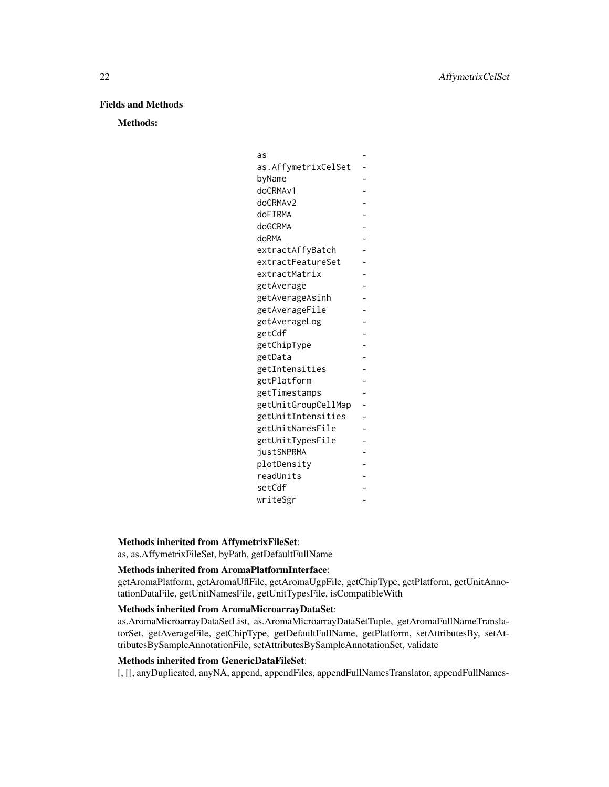# Fields and Methods

Methods:

| as                   |                |
|----------------------|----------------|
| as.AffymetrixCelSet  |                |
| byName               |                |
| doCRMA <sub>v1</sub> |                |
| doCRMA <sub>v2</sub> |                |
| doFIRMA              |                |
| doGCRMA              |                |
| doRMA                |                |
| extractAffyBatch     |                |
| extractFeatureSet    |                |
| extractMatrix        |                |
| getAverage           |                |
| getAverageAsinh      |                |
| getAverageFile       |                |
| getAverageLog        |                |
| getCdf               |                |
| getChipType          |                |
| getData              |                |
| getIntensities       |                |
| getPlatform          |                |
| getTimestamps        |                |
| getUnitGroupCellMap  | $\overline{a}$ |
| getUnitIntensities   |                |
| getUnitNamesFile     |                |
| getUnitTypesFile     |                |
| justSNPRMA           |                |
| plotDensity          |                |
| readUnits            |                |
| setCdf               |                |
| writeSgr             |                |

## Methods inherited from AffymetrixFileSet:

as, as.AffymetrixFileSet, byPath, getDefaultFullName

# Methods inherited from AromaPlatformInterface:

getAromaPlatform, getAromaUflFile, getAromaUgpFile, getChipType, getPlatform, getUnitAnnotationDataFile, getUnitNamesFile, getUnitTypesFile, isCompatibleWith

# Methods inherited from AromaMicroarrayDataSet:

as.AromaMicroarrayDataSetList, as.AromaMicroarrayDataSetTuple, getAromaFullNameTranslatorSet, getAverageFile, getChipType, getDefaultFullName, getPlatform, setAttributesBy, setAttributesBySampleAnnotationFile, setAttributesBySampleAnnotationSet, validate

# Methods inherited from GenericDataFileSet:

[, [[, anyDuplicated, anyNA, append, appendFiles, appendFullNamesTranslator, appendFullNames-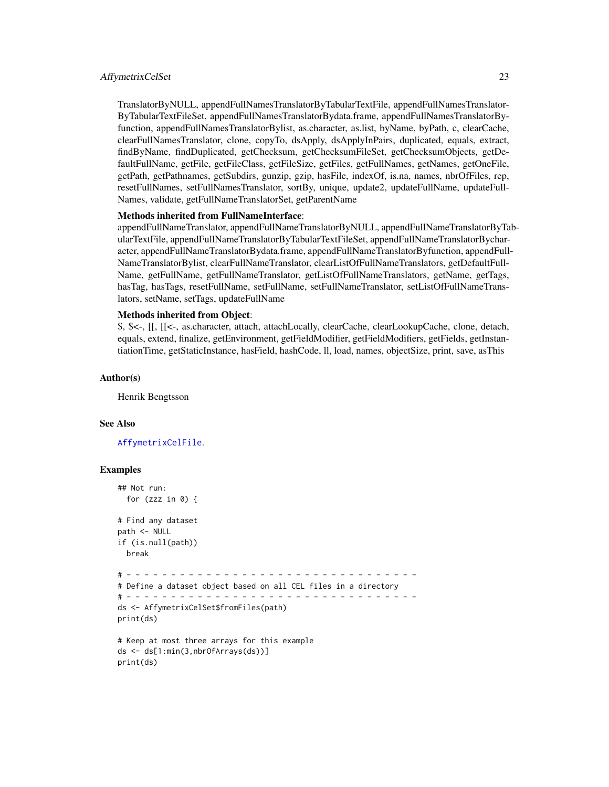#### AffymetrixCelSet 23

TranslatorByNULL, appendFullNamesTranslatorByTabularTextFile, appendFullNamesTranslator-ByTabularTextFileSet, appendFullNamesTranslatorBydata.frame, appendFullNamesTranslatorByfunction, appendFullNamesTranslatorBylist, as.character, as.list, byName, byPath, c, clearCache, clearFullNamesTranslator, clone, copyTo, dsApply, dsApplyInPairs, duplicated, equals, extract, findByName, findDuplicated, getChecksum, getChecksumFileSet, getChecksumObjects, getDefaultFullName, getFile, getFileClass, getFileSize, getFiles, getFullNames, getNames, getOneFile, getPath, getPathnames, getSubdirs, gunzip, gzip, hasFile, indexOf, is.na, names, nbrOfFiles, rep, resetFullNames, setFullNamesTranslator, sortBy, unique, update2, updateFullName, updateFull-Names, validate, getFullNameTranslatorSet, getParentName

#### Methods inherited from FullNameInterface:

appendFullNameTranslator, appendFullNameTranslatorByNULL, appendFullNameTranslatorByTabularTextFile, appendFullNameTranslatorByTabularTextFileSet, appendFullNameTranslatorBycharacter, appendFullNameTranslatorBydata.frame, appendFullNameTranslatorByfunction, appendFull-NameTranslatorBylist, clearFullNameTranslator, clearListOfFullNameTranslators, getDefaultFull-Name, getFullName, getFullNameTranslator, getListOfFullNameTranslators, getName, getTags, hasTag, hasTags, resetFullName, setFullName, setFullNameTranslator, setListOfFullNameTranslators, setName, setTags, updateFullName

#### Methods inherited from Object:

\$, \$<-, [[, [[<-, as.character, attach, attachLocally, clearCache, clearLookupCache, clone, detach, equals, extend, finalize, getEnvironment, getFieldModifier, getFieldModifiers, getFields, getInstantiationTime, getStaticInstance, hasField, hashCode, ll, load, names, objectSize, print, save, asThis

#### Author(s)

Henrik Bengtsson

#### See Also

[AffymetrixCelFile](#page-17-1).

#### Examples

```
## Not run:
 for (zzz in \theta) {
# Find any dataset
path <- NULL
if (is.null(path))
 break
# - - - - - - - - - - - - - - - - - - - - - - - - - - - - - - - - -
# Define a dataset object based on all CEL files in a directory
# - - - - - - - - - - - - - - - - - - - - - - - - - - - - - - - - -
ds <- AffymetrixCelSet$fromFiles(path)
print(ds)
# Keep at most three arrays for this example
ds <- ds[1:min(3,nbrOfArrays(ds))]
print(ds)
```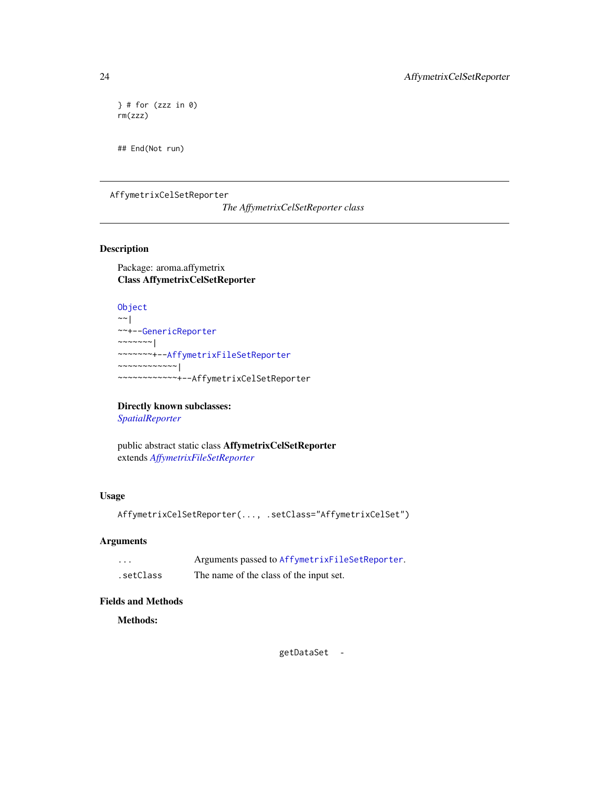```
\} # for (zzz in 0)
rm(zzz)
```
## End(Not run)

<span id="page-23-1"></span>AffymetrixCelSetReporter

*The AffymetrixCelSetReporter class*

# Description

Package: aroma.affymetrix Class AffymetrixCelSetReporter

```
Object
~\sim~|
~~+--GenericReporter
~~~~~~~|~~~~~~~+--AffymetrixFileSetReporter
~~~~~~~~~~~~|
~~~~~~~~~~~~+--AffymetrixCelSetReporter
```
# Directly known subclasses:

*[SpatialReporter](#page-202-1)*

public abstract static class AffymetrixCelSetReporter extends *[AffymetrixFileSetReporter](#page-31-1)*

# Usage

```
AffymetrixCelSetReporter(..., .setClass="AffymetrixCelSet")
```
# Arguments

| $\cdots$  | Arguments passed to AffymetrixFileSetReporter. |
|-----------|------------------------------------------------|
| .setClass | The name of the class of the input set.        |

# Fields and Methods

Methods:

getDataSet -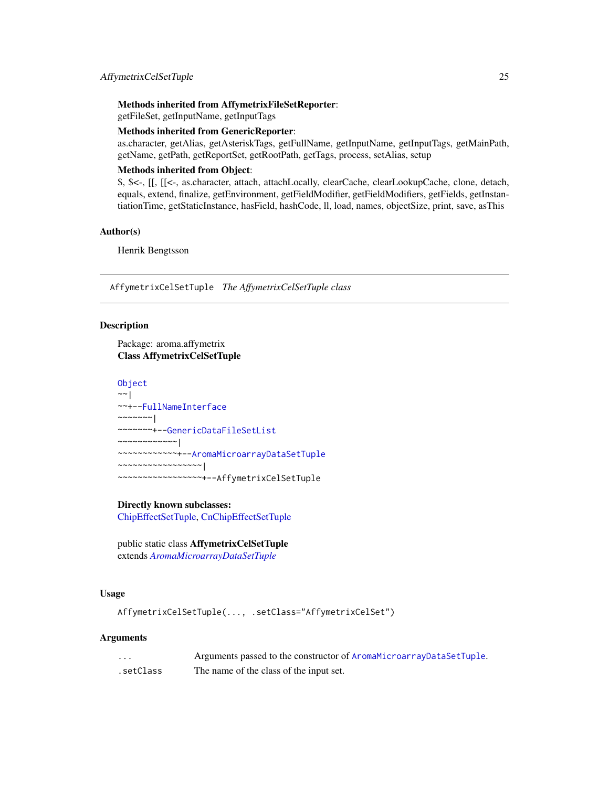# <span id="page-24-0"></span>Methods inherited from AffymetrixFileSetReporter:

getFileSet, getInputName, getInputTags

# Methods inherited from GenericReporter:

as.character, getAlias, getAsteriskTags, getFullName, getInputName, getInputTags, getMainPath, getName, getPath, getReportSet, getRootPath, getTags, process, setAlias, setup

# Methods inherited from Object:

\$, \$<-, [[, [[<-, as.character, attach, attachLocally, clearCache, clearLookupCache, clone, detach, equals, extend, finalize, getEnvironment, getFieldModifier, getFieldModifiers, getFields, getInstantiationTime, getStaticInstance, hasField, hashCode, ll, load, names, objectSize, print, save, asThis

#### Author(s)

Henrik Bengtsson

AffymetrixCelSetTuple *The AffymetrixCelSetTuple class*

### Description

Package: aroma.affymetrix Class AffymetrixCelSetTuple

```
Object
```
 $~\sim~$ | ~~+-[-FullNameInterface](#page-0-0) ~~~~~~~ $|$ ~~~~~~~+-[-GenericDataFileSetList](#page-0-0) ~~~~~~~~~~~~| ~~~~~~~~~~~~+-[-AromaMicroarrayDataSetTuple](#page-0-0) ~~~~~~~~~~~~~~~~~| ~~~~~~~~~~~~~~~~~+--AffymetrixCelSetTuple

# Directly known subclasses:

[ChipEffectSetTuple,](#page-0-0) [CnChipEffectSetTuple](#page-0-0)

public static class AffymetrixCelSetTuple extends *[AromaMicroarrayDataSetTuple](#page-0-0)*

# Usage

```
AffymetrixCelSetTuple(..., .setClass="AffymetrixCelSet")
```
#### Arguments

| $\cdots$  | Arguments passed to the constructor of AromaMicroarrayDataSetTuple. |
|-----------|---------------------------------------------------------------------|
| .setClass | The name of the class of the input set.                             |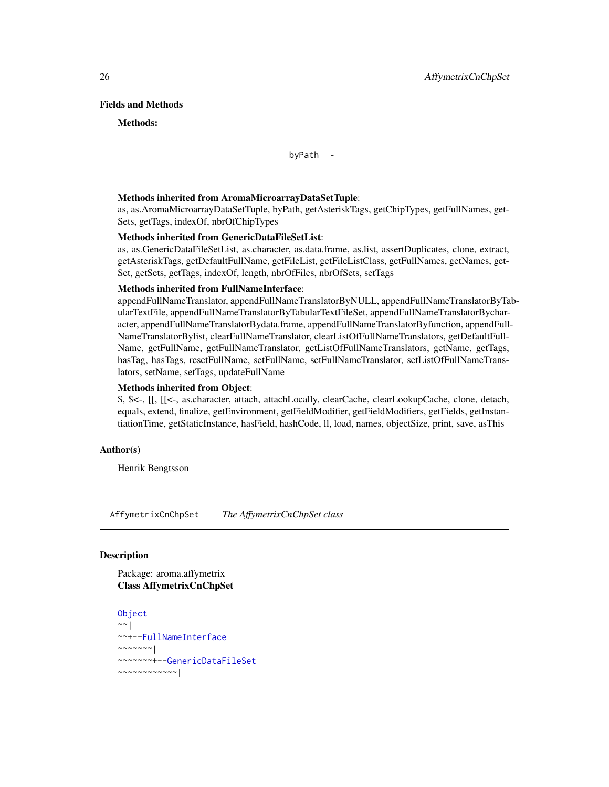### <span id="page-25-0"></span>Fields and Methods

#### Methods:

byPath -

#### Methods inherited from AromaMicroarrayDataSetTuple:

as, as.AromaMicroarrayDataSetTuple, byPath, getAsteriskTags, getChipTypes, getFullNames, get-Sets, getTags, indexOf, nbrOfChipTypes

#### Methods inherited from GenericDataFileSetList:

as, as.GenericDataFileSetList, as.character, as.data.frame, as.list, assertDuplicates, clone, extract, getAsteriskTags, getDefaultFullName, getFileList, getFileListClass, getFullNames, getNames, get-Set, getSets, getTags, indexOf, length, nbrOfFiles, nbrOfSets, setTags

# Methods inherited from FullNameInterface:

appendFullNameTranslator, appendFullNameTranslatorByNULL, appendFullNameTranslatorByTabularTextFile, appendFullNameTranslatorByTabularTextFileSet, appendFullNameTranslatorBycharacter, appendFullNameTranslatorBydata.frame, appendFullNameTranslatorByfunction, appendFull-NameTranslatorBylist, clearFullNameTranslator, clearListOfFullNameTranslators, getDefaultFull-Name, getFullName, getFullNameTranslator, getListOfFullNameTranslators, getName, getTags, hasTag, hasTags, resetFullName, setFullName, setFullNameTranslator, setListOfFullNameTranslators, setName, setTags, updateFullName

# Methods inherited from Object:

\$, \$<-, [[, [[<-, as.character, attach, attachLocally, clearCache, clearLookupCache, clone, detach, equals, extend, finalize, getEnvironment, getFieldModifier, getFieldModifiers, getFields, getInstantiationTime, getStaticInstance, hasField, hashCode, ll, load, names, objectSize, print, save, asThis

#### Author(s)

Henrik Bengtsson

<span id="page-25-1"></span>AffymetrixCnChpSet *The AffymetrixCnChpSet class*

#### Description

Package: aroma.affymetrix Class AffymetrixCnChpSet

```
Object
~~|
~~+--FullNameInterface
~~~~~~~|
~~~~~~~+--GenericDataFileSet
~~~~~~~~~~~~|
```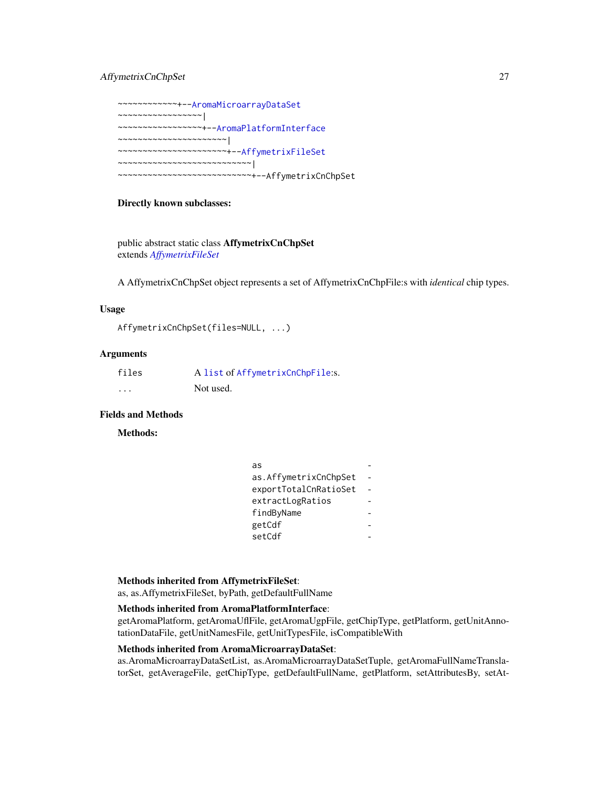# AffymetrixCnChpSet 27

~~~~~~~~~~~~+-[-AromaMicroarrayDataSet](#page-0-0) ~~~~~~~~~~~~~~~~~| ~~~~~~~~~~~~~~~~~+-[-AromaPlatformInterface](#page-0-0) ~~~~~~~~~~~~~~~~~~~~~~| ~~~~~~~~~~~~~~~~~~~~~~+-[-AffymetrixFileSet](#page-29-1) ~~~~~~~~~~~~~~~~~~~~~~~~~~~| ~~~~~~~~~~~~~~~~~~~~~~~~~~~+--AffymetrixCnChpSet

# Directly known subclasses:

public abstract static class AffymetrixCnChpSet extends *[AffymetrixFileSet](#page-29-1)*

A AffymetrixCnChpSet object represents a set of AffymetrixCnChpFile:s with *identical* chip types.

#### Usage

```
AffymetrixCnChpSet(files=NULL, ...)
```
#### Arguments

| files    | A list of AffymetrixCnChpFile:s. |
|----------|----------------------------------|
| $\cdots$ | Not used.                        |

# Fields and Methods

# Methods:

| as                    |  |
|-----------------------|--|
| as.AffymetrixCnChpSet |  |
| exportTotalCnRatioSet |  |
| extractLogRatios      |  |
| findByName            |  |
| getCdf                |  |
| setCdf                |  |

#### Methods inherited from AffymetrixFileSet:

as, as.AffymetrixFileSet, byPath, getDefaultFullName

# Methods inherited from AromaPlatformInterface:

getAromaPlatform, getAromaUflFile, getAromaUgpFile, getChipType, getPlatform, getUnitAnnotationDataFile, getUnitNamesFile, getUnitTypesFile, isCompatibleWith

#### Methods inherited from AromaMicroarrayDataSet:

as.AromaMicroarrayDataSetList, as.AromaMicroarrayDataSetTuple, getAromaFullNameTranslatorSet, getAverageFile, getChipType, getDefaultFullName, getPlatform, setAttributesBy, setAt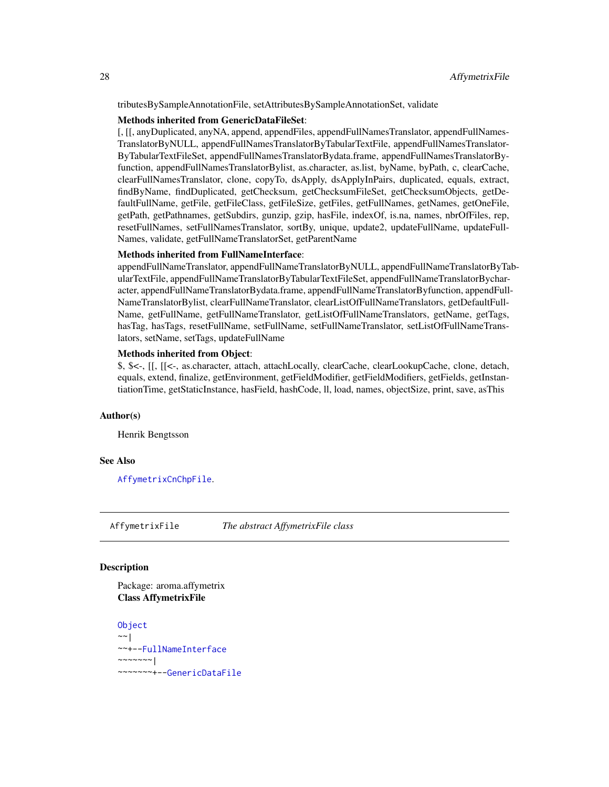<span id="page-27-0"></span>tributesBySampleAnnotationFile, setAttributesBySampleAnnotationSet, validate

#### Methods inherited from GenericDataFileSet:

[, [[, anyDuplicated, anyNA, append, appendFiles, appendFullNamesTranslator, appendFullNames-TranslatorByNULL, appendFullNamesTranslatorByTabularTextFile, appendFullNamesTranslator-ByTabularTextFileSet, appendFullNamesTranslatorBydata.frame, appendFullNamesTranslatorByfunction, appendFullNamesTranslatorBylist, as.character, as.list, byName, byPath, c, clearCache, clearFullNamesTranslator, clone, copyTo, dsApply, dsApplyInPairs, duplicated, equals, extract, findByName, findDuplicated, getChecksum, getChecksumFileSet, getChecksumObjects, getDefaultFullName, getFile, getFileClass, getFileSize, getFiles, getFullNames, getNames, getOneFile, getPath, getPathnames, getSubdirs, gunzip, gzip, hasFile, indexOf, is.na, names, nbrOfFiles, rep, resetFullNames, setFullNamesTranslator, sortBy, unique, update2, updateFullName, updateFull-Names, validate, getFullNameTranslatorSet, getParentName

#### Methods inherited from FullNameInterface:

appendFullNameTranslator, appendFullNameTranslatorByNULL, appendFullNameTranslatorByTabularTextFile, appendFullNameTranslatorByTabularTextFileSet, appendFullNameTranslatorBycharacter, appendFullNameTranslatorBydata.frame, appendFullNameTranslatorByfunction, appendFull-NameTranslatorBylist, clearFullNameTranslator, clearListOfFullNameTranslators, getDefaultFull-Name, getFullName, getFullNameTranslator, getListOfFullNameTranslators, getName, getTags, hasTag, hasTags, resetFullName, setFullName, setFullNameTranslator, setListOfFullNameTranslators, setName, setTags, updateFullName

#### Methods inherited from Object:

\$, \$<-, [[, [[<-, as.character, attach, attachLocally, clearCache, clearLookupCache, clone, detach, equals, extend, finalize, getEnvironment, getFieldModifier, getFieldModifiers, getFields, getInstantiationTime, getStaticInstance, hasField, hashCode, ll, load, names, objectSize, print, save, asThis

#### Author(s)

Henrik Bengtsson

#### See Also

[AffymetrixCnChpFile](#page-0-0).

<span id="page-27-1"></span>AffymetrixFile *The abstract AffymetrixFile class*

# Description

Package: aroma.affymetrix Class AffymetrixFile

**[Object](#page-0-0)**  $\sim$   $\sim$  | ~~+-[-FullNameInterface](#page-0-0)  $~\sim$   $~\sim$   $~\sim$   $~\sim$   $~\sim$   $~\sim$   $~\sim$ ~~~~~~~+-[-GenericDataFile](#page-0-0)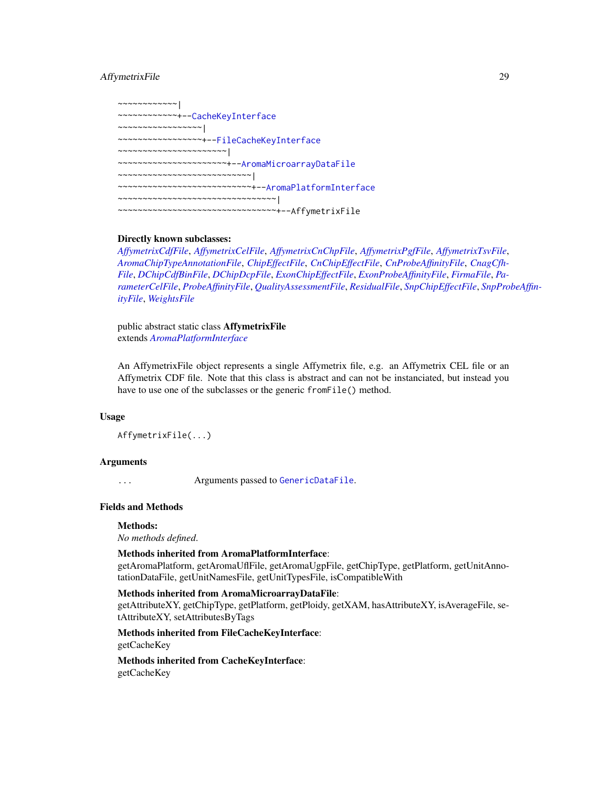# AffymetrixFile 29

~~~~~~~~~~~~| ~~~~~~~~~~~~+-[-CacheKeyInterface](#page-0-0) ~~~~~~~~~~~~~~~~~| ~~~~~~~~~~~~~~~~~+-[-FileCacheKeyInterface](#page-0-0) ~~~~~~~~~~~~~~~~~~~~~~| ~~~~~~~~~~~~~~~~~~~~~~+-[-AromaMicroarrayDataFile](#page-0-0) ~~~~~~~~~~~~~~~~~~~~~~~~~~~| ~~~~~~~~~~~~~~~~~~~~~~~~~~~+-[-AromaPlatformInterface](#page-0-0) ~~~~~~~~~~~~~~~~~~~~~~~~~~~~~~~~| ~~~~~~~~~~~~~~~~~~~~~~~~~~~~~~~~+--AffymetrixFile

# Directly known subclasses:

*[AffymetrixCdfFile](#page-14-1)*, *[AffymetrixCelFile](#page-17-1)*, *[AffymetrixCnChpFile](#page-0-0)*, *[AffymetrixPgfFile](#page-32-1)*, *[AffymetrixTsvFile](#page-0-0)*, *[AromaChipTypeAnnotationFile](#page-38-1)*, *[ChipEffectFile](#page-52-1)*, *[CnChipEffectFile](#page-63-1)*, *[CnProbeAffinityFile](#page-71-1)*, *[CnagCfh-](#page-59-1)[File](#page-59-1)*, *[DChipCdfBinFile](#page-77-1)*, *[DChipDcpFile](#page-79-1)*, *[ExonChipEffectFile](#page-95-1)*, *[ExonProbeAffinityFile](#page-100-1)*, *[FirmaFile](#page-105-1)*, *[Pa](#page-149-1)[rameterCelFile](#page-149-1)*, *[ProbeAffinityFile](#page-154-1)*, *[QualityAssessmentFile](#page-161-1)*, *[ResidualFile](#page-170-1)*, *[SnpChipEffectFile](#page-189-1)*, *[SnpPro](#page-200-1)beAffin[ityFile](#page-200-1)*, *[WeightsFile](#page-210-1)*

public abstract static class AffymetrixFile extends *[AromaPlatformInterface](#page-0-0)*

An AffymetrixFile object represents a single Affymetrix file, e.g. an Affymetrix CEL file or an Affymetrix CDF file. Note that this class is abstract and can not be instanciated, but instead you have to use one of the subclasses or the generic fromFile() method.

#### Usage

```
AffymetrixFile(...)
```
#### Arguments

... Arguments passed to [GenericDataFile](#page-0-0).

# Fields and Methods

#### Methods:

*No methods defined*.

#### Methods inherited from AromaPlatformInterface:

getAromaPlatform, getAromaUflFile, getAromaUgpFile, getChipType, getPlatform, getUnitAnnotationDataFile, getUnitNamesFile, getUnitTypesFile, isCompatibleWith

#### Methods inherited from AromaMicroarrayDataFile:

getAttributeXY, getChipType, getPlatform, getPloidy, getXAM, hasAttributeXY, isAverageFile, setAttributeXY, setAttributesByTags

# Methods inherited from FileCacheKeyInterface: getCacheKey

Methods inherited from CacheKeyInterface: getCacheKey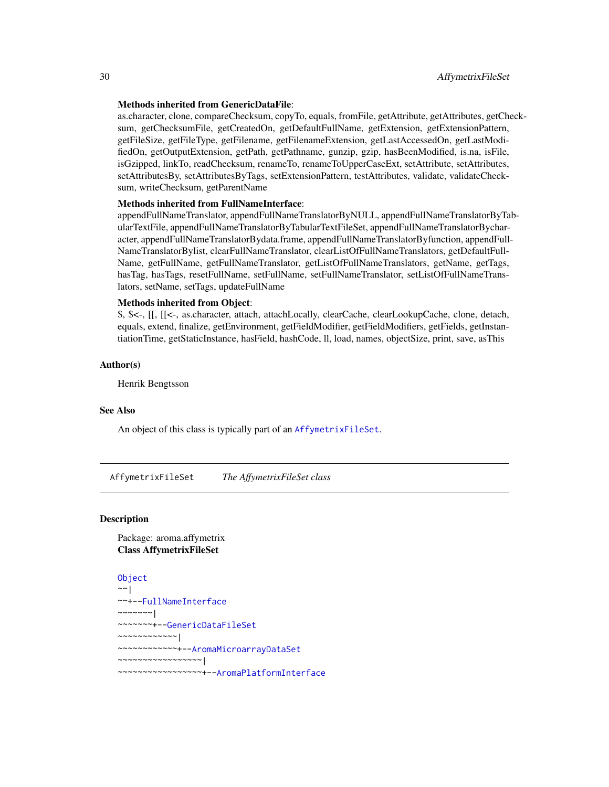#### <span id="page-29-0"></span>Methods inherited from GenericDataFile:

as.character, clone, compareChecksum, copyTo, equals, fromFile, getAttribute, getAttributes, getChecksum, getChecksumFile, getCreatedOn, getDefaultFullName, getExtension, getExtensionPattern, getFileSize, getFileType, getFilename, getFilenameExtension, getLastAccessedOn, getLastModifiedOn, getOutputExtension, getPath, getPathname, gunzip, gzip, hasBeenModified, is.na, isFile, isGzipped, linkTo, readChecksum, renameTo, renameToUpperCaseExt, setAttribute, setAttributes, setAttributesBy, setAttributesByTags, setExtensionPattern, testAttributes, validate, validateChecksum, writeChecksum, getParentName

#### Methods inherited from FullNameInterface:

appendFullNameTranslator, appendFullNameTranslatorByNULL, appendFullNameTranslatorByTabularTextFile, appendFullNameTranslatorByTabularTextFileSet, appendFullNameTranslatorBycharacter, appendFullNameTranslatorBydata.frame, appendFullNameTranslatorByfunction, appendFull-NameTranslatorBylist, clearFullNameTranslator, clearListOfFullNameTranslators, getDefaultFull-Name, getFullName, getFullNameTranslator, getListOfFullNameTranslators, getName, getTags, hasTag, hasTags, resetFullName, setFullName, setFullNameTranslator, setListOfFullNameTranslators, setName, setTags, updateFullName

# Methods inherited from Object:

\$, \$<-, [[, [[<-, as.character, attach, attachLocally, clearCache, clearLookupCache, clone, detach, equals, extend, finalize, getEnvironment, getFieldModifier, getFieldModifiers, getFields, getInstantiationTime, getStaticInstance, hasField, hashCode, ll, load, names, objectSize, print, save, asThis

#### Author(s)

Henrik Bengtsson

# See Also

An object of this class is typically part of an [AffymetrixFileSet](#page-29-1).

<span id="page-29-1"></span>AffymetrixFileSet *The AffymetrixFileSet class*

#### **Description**

Package: aroma.affymetrix Class AffymetrixFileSet

```
Object
~~|
~~+--FullNameInterface
~\sim ~\sim ~\sim ~\sim ~\sim ~\sim ~\sim~~~~~~~+--GenericDataFileSet
~~~~~~~~~~~~|
~~~~~~~~~~~~+--AromaMicroarrayDataSet
 ~~~~~~~~~~~~~~~~~|
 ~~~~~~~~~~~~~~~~~+--AromaPlatformInterface
```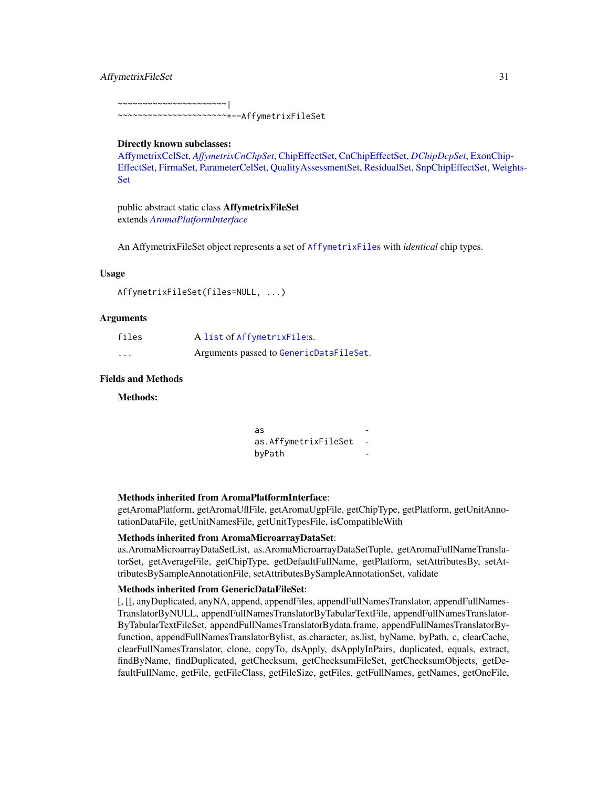#### AffymetrixFileSet 31

~~~~~~~~~~~~~~~~~~~~~~|

~~~~~~~~~~~~~~~~~~~~~~+--AffymetrixFileSet

#### Directly known subclasses:

[AffymetrixCelSet,](#page-20-1) *[AffymetrixCnChpSet](#page-25-1)*, [ChipEffectSet,](#page-55-1) [CnChipEffectSet,](#page-66-1) *[DChipDcpSet](#page-82-1)*, [ExonChip](#page-98-1)-[EffectSet,](#page-98-1) [FirmaSet,](#page-108-1) [ParameterCelSet,](#page-152-1) [QualityAssessmentSet,](#page-164-1) [ResidualSet,](#page-172-1) [SnpChipEffectSet,](#page-192-1) [Weig](#page-212-1)hts-[Set](#page-212-1)

public abstract static class AffymetrixFileSet extends *[AromaPlatformInterface](#page-0-0)*

An AffymetrixFileSet object represents a set of [AffymetrixFile](#page-27-1)s with *identical* chip types.

#### Usage

```
AffymetrixFileSet(files=NULL, ...)
```
#### Arguments

| files    | A list of AffymetrixFile:s.             |
|----------|-----------------------------------------|
| $\cdots$ | Arguments passed to GenericDataFileSet. |

# Fields and Methods

Methods:

| as                   |  |
|----------------------|--|
| as.AffymetrixFileSet |  |
| byPath               |  |

#### Methods inherited from AromaPlatformInterface:

getAromaPlatform, getAromaUflFile, getAromaUgpFile, getChipType, getPlatform, getUnitAnnotationDataFile, getUnitNamesFile, getUnitTypesFile, isCompatibleWith

#### Methods inherited from AromaMicroarrayDataSet:

as.AromaMicroarrayDataSetList, as.AromaMicroarrayDataSetTuple, getAromaFullNameTranslatorSet, getAverageFile, getChipType, getDefaultFullName, getPlatform, setAttributesBy, setAttributesBySampleAnnotationFile, setAttributesBySampleAnnotationSet, validate

#### Methods inherited from GenericDataFileSet:

[, [[, anyDuplicated, anyNA, append, appendFiles, appendFullNamesTranslator, appendFullNames-TranslatorByNULL, appendFullNamesTranslatorByTabularTextFile, appendFullNamesTranslator-ByTabularTextFileSet, appendFullNamesTranslatorBydata.frame, appendFullNamesTranslatorByfunction, appendFullNamesTranslatorBylist, as.character, as.list, byName, byPath, c, clearCache, clearFullNamesTranslator, clone, copyTo, dsApply, dsApplyInPairs, duplicated, equals, extract, findByName, findDuplicated, getChecksum, getChecksumFileSet, getChecksumObjects, getDefaultFullName, getFile, getFileClass, getFileSize, getFiles, getFullNames, getNames, getOneFile,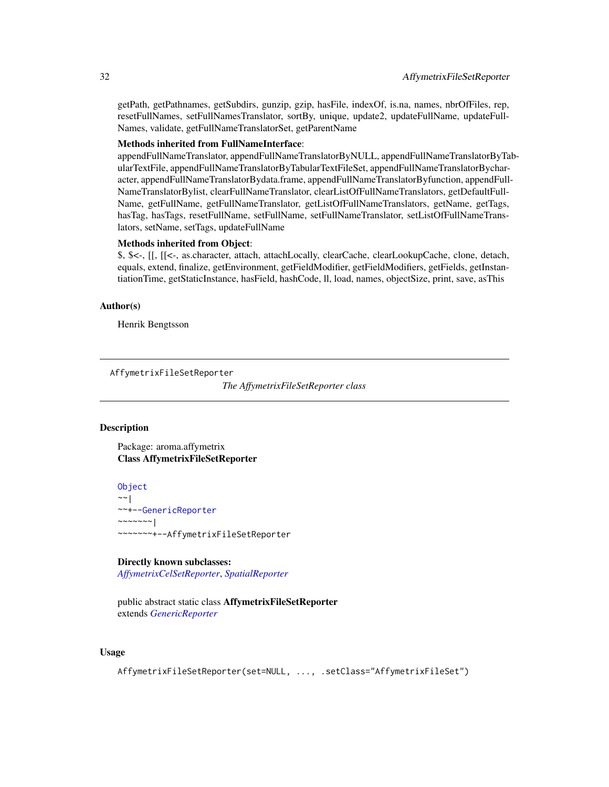getPath, getPathnames, getSubdirs, gunzip, gzip, hasFile, indexOf, is.na, names, nbrOfFiles, rep, resetFullNames, setFullNamesTranslator, sortBy, unique, update2, updateFullName, updateFull-Names, validate, getFullNameTranslatorSet, getParentName

#### Methods inherited from FullNameInterface:

appendFullNameTranslator, appendFullNameTranslatorByNULL, appendFullNameTranslatorByTabularTextFile, appendFullNameTranslatorByTabularTextFileSet, appendFullNameTranslatorBycharacter, appendFullNameTranslatorBydata.frame, appendFullNameTranslatorByfunction, appendFull-NameTranslatorBylist, clearFullNameTranslator, clearListOfFullNameTranslators, getDefaultFull-Name, getFullName, getFullNameTranslator, getListOfFullNameTranslators, getName, getTags, hasTag, hasTags, resetFullName, setFullName, setFullNameTranslator, setListOfFullNameTranslators, setName, setTags, updateFullName

#### Methods inherited from Object:

\$, \$<-, [[, [[<-, as.character, attach, attachLocally, clearCache, clearLookupCache, clone, detach, equals, extend, finalize, getEnvironment, getFieldModifier, getFieldModifiers, getFields, getInstantiationTime, getStaticInstance, hasField, hashCode, ll, load, names, objectSize, print, save, asThis

#### Author(s)

Henrik Bengtsson

<span id="page-31-1"></span>AffymetrixFileSetReporter

*The AffymetrixFileSetReporter class*

#### Description

Package: aroma.affymetrix Class AffymetrixFileSetReporter

[Object](#page-0-0) ~~| ~~+-[-GenericReporter](#page-120-1)  $\sim$   $\sim$   $\sim$   $\sim$   $\sim$   $\sim$   $\sim$   $\sim$ ~~~~~~~+--AffymetrixFileSetReporter

#### Directly known subclasses:

*[AffymetrixCelSetReporter](#page-23-1)*, *[SpatialReporter](#page-202-1)*

public abstract static class AffymetrixFileSetReporter extends *[GenericReporter](#page-120-1)*

# Usage

AffymetrixFileSetReporter(set=NULL, ..., .setClass="AffymetrixFileSet")

<span id="page-31-0"></span>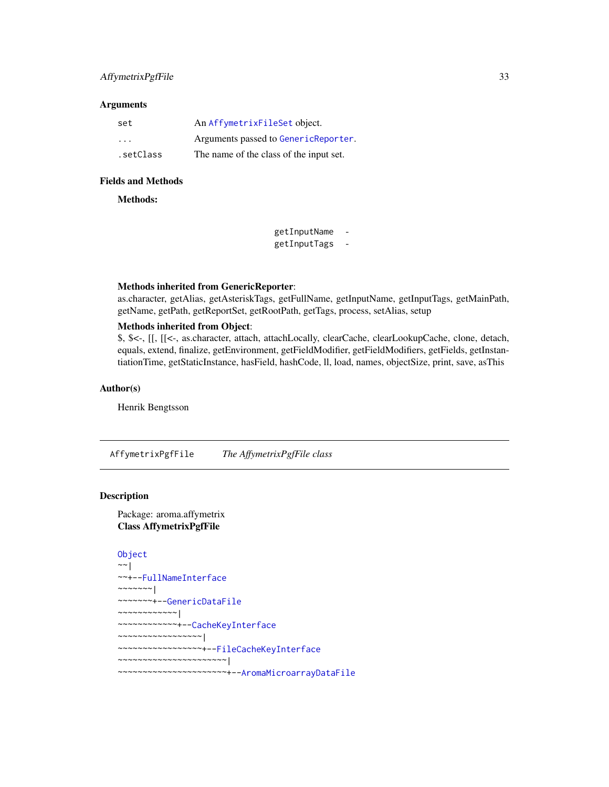# <span id="page-32-0"></span>AffymetrixPgfFile 33

# Arguments

| set       | An AffymetrixFileSet object.            |
|-----------|-----------------------------------------|
| .         | Arguments passed to GenericReporter.    |
| .setClass | The name of the class of the input set. |

#### Fields and Methods

Methods:

getInputName getInputTags -

# Methods inherited from GenericReporter:

as.character, getAlias, getAsteriskTags, getFullName, getInputName, getInputTags, getMainPath, getName, getPath, getReportSet, getRootPath, getTags, process, setAlias, setup

# Methods inherited from Object:

\$, \$<-, [[, [[<-, as.character, attach, attachLocally, clearCache, clearLookupCache, clone, detach, equals, extend, finalize, getEnvironment, getFieldModifier, getFieldModifiers, getFields, getInstantiationTime, getStaticInstance, hasField, hashCode, ll, load, names, objectSize, print, save, asThis

# Author(s)

Henrik Bengtsson

<span id="page-32-1"></span>AffymetrixPgfFile *The AffymetrixPgfFile class*

# Description

Package: aroma.affymetrix Class AffymetrixPgfFile

```
Object
~\sim |
~~+--FullNameInterface
~~~~~~~\vert~~~~~~~+--GenericDataFile
~~~~~~~~~~~~|
~~~~~~~~~~~~+--CacheKeyInterface
~~~~~~~~~~~~~~~~~|
~~~~~~~~~~~~~~~~~+--FileCacheKeyInterface
~~~~~~~~~~~~~~~~~~~~~~|
~~~~~~~~~~~~~~~~~~~~~~+--AromaMicroarrayDataFile
```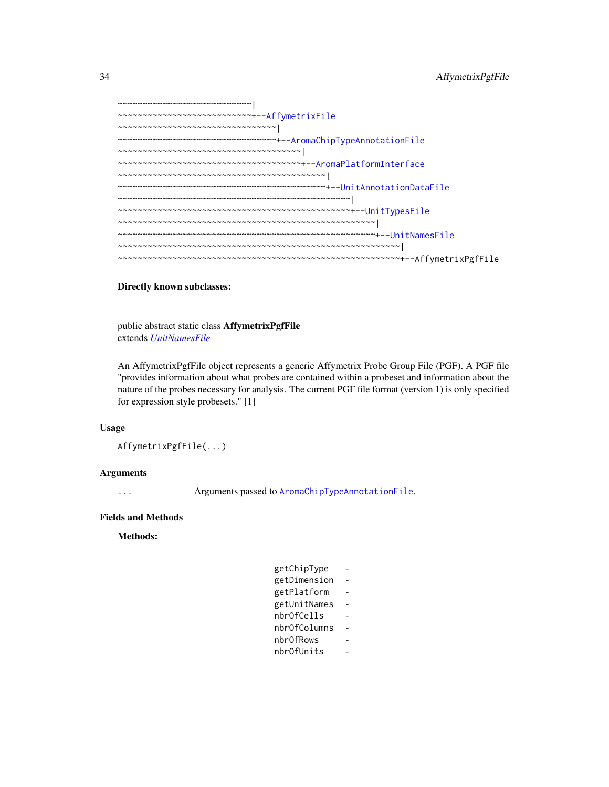| $\leadsto\hspace{-0.2em}\sim\hspace{-0.2em}\sim\hspace{-0.2em}\sim\hspace{-0.2em}\sim\hspace{-0.2em}\sim\hspace{-0.2em}\sim\hspace{-0.2em}\sim\hspace{-0.2em}\sim\hspace{-0.2em}\sim\hspace{-0.2em}\sim\hspace{-0.2em}\sim\hspace{-0.2em}\sim\hspace{-0.2em}\sim\hspace{-0.2em}\sim\hspace{-0.2em}\sim\hspace{-0.2em}\sim\hspace{-0.2em}\sim\hspace{-0.2em}\sim\hspace{-0.2em}\sim\hspace{-0.2em}\sim\hspace{-0.2em}\sim$ |
|---------------------------------------------------------------------------------------------------------------------------------------------------------------------------------------------------------------------------------------------------------------------------------------------------------------------------------------------------------------------------------------------------------------------------|
| ~~~~~~~~~~~~~~~~~~~~~~~~~~+--AffymetrixFile                                                                                                                                                                                                                                                                                                                                                                               |
| $\mathcal{N}$ $\mathcal{N}$ $\mathcal{N}$ $\mathcal{N}$ $\mathcal{N}$ $\mathcal{N}$ $\mathcal{N}$ $\mathcal{N}$ $\mathcal{N}$ $\mathcal{N}$ $\mathcal{N}$ $\mathcal{N}$ $\mathcal{N}$ $\mathcal{N}$ $\mathcal{N}$ $\mathcal{N}$ $\mathcal{N}$ $\mathcal{N}$ $\mathcal{N}$ $\mathcal{N}$ $\mathcal{N}$ $\mathcal{N}$ $\mathcal{N}$ $\mathcal{N}$ $\mathcal{$                                                               |
| ~~~~~~~~~~~~~~~~~~~~~~~~~~~~~~~+--AromaChipTypeAnnotationFile                                                                                                                                                                                                                                                                                                                                                             |
| ~~~~~~~~~~~~~~~~~~~~~~~~~~~~~~~~~~~~~~                                                                                                                                                                                                                                                                                                                                                                                    |
| ~~~~~~~~~~~~~~~~~~~~~~~~~~~~~~~~~~~~+--AromaPlatformInterface                                                                                                                                                                                                                                                                                                                                                             |
|                                                                                                                                                                                                                                                                                                                                                                                                                           |
|                                                                                                                                                                                                                                                                                                                                                                                                                           |
|                                                                                                                                                                                                                                                                                                                                                                                                                           |
|                                                                                                                                                                                                                                                                                                                                                                                                                           |
|                                                                                                                                                                                                                                                                                                                                                                                                                           |
|                                                                                                                                                                                                                                                                                                                                                                                                                           |
|                                                                                                                                                                                                                                                                                                                                                                                                                           |
|                                                                                                                                                                                                                                                                                                                                                                                                                           |
|                                                                                                                                                                                                                                                                                                                                                                                                                           |

# Directly known subclasses:

public abstract static class AffymetrixPgfFile extends *[UnitNamesFile](#page-0-0)*

An AffymetrixPgfFile object represents a generic Affymetrix Probe Group File (PGF). A PGF file "provides information about what probes are contained within a probeset and information about the nature of the probes necessary for analysis. The current PGF file format (version 1) is only specified for expression style probesets." [1]

# Usage

```
AffymetrixPgfFile(...)
```
# Arguments

... Arguments passed to [AromaChipTypeAnnotationFile](#page-38-1).

## Fields and Methods

Methods:

| getChipType  |  |
|--------------|--|
| getDimension |  |
| getPlatform  |  |
| getUnitNames |  |
| nbrOfCells   |  |
| nbrOfColumns |  |
| nbr0fRows    |  |
| nbrOfUnits   |  |
|              |  |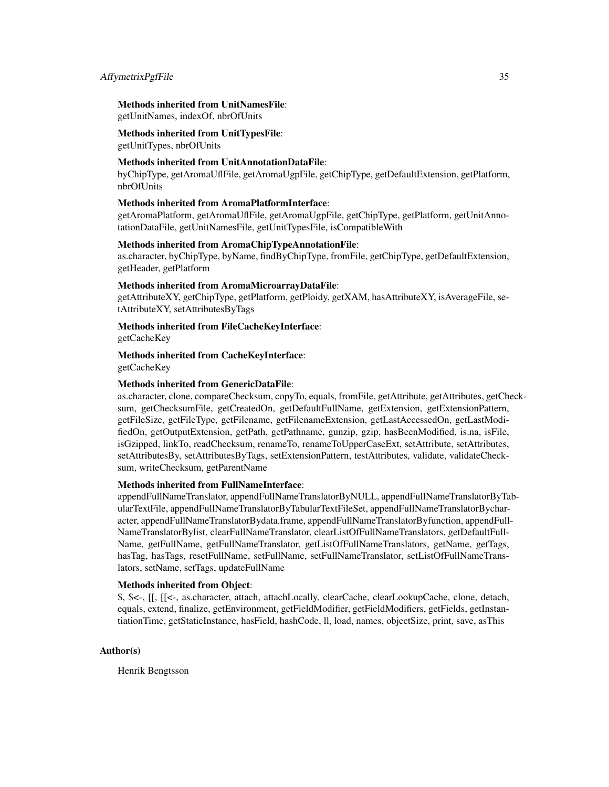#### AffymetrixPgfFile 35

#### Methods inherited from UnitNamesFile:

getUnitNames, indexOf, nbrOfUnits

#### Methods inherited from UnitTypesFile:

getUnitTypes, nbrOfUnits

#### Methods inherited from UnitAnnotationDataFile:

byChipType, getAromaUflFile, getAromaUgpFile, getChipType, getDefaultExtension, getPlatform, nbrOfUnits

## Methods inherited from AromaPlatformInterface:

getAromaPlatform, getAromaUflFile, getAromaUgpFile, getChipType, getPlatform, getUnitAnnotationDataFile, getUnitNamesFile, getUnitTypesFile, isCompatibleWith

#### Methods inherited from AromaChipTypeAnnotationFile:

as.character, byChipType, byName, findByChipType, fromFile, getChipType, getDefaultExtension, getHeader, getPlatform

#### Methods inherited from AromaMicroarrayDataFile:

getAttributeXY, getChipType, getPlatform, getPloidy, getXAM, hasAttributeXY, isAverageFile, setAttributeXY, setAttributesByTags

#### Methods inherited from FileCacheKeyInterface:

getCacheKey

Methods inherited from CacheKeyInterface: getCacheKey

#### Methods inherited from GenericDataFile:

as.character, clone, compareChecksum, copyTo, equals, fromFile, getAttribute, getAttributes, getChecksum, getChecksumFile, getCreatedOn, getDefaultFullName, getExtension, getExtensionPattern, getFileSize, getFileType, getFilename, getFilenameExtension, getLastAccessedOn, getLastModifiedOn, getOutputExtension, getPath, getPathname, gunzip, gzip, hasBeenModified, is.na, isFile, isGzipped, linkTo, readChecksum, renameTo, renameToUpperCaseExt, setAttribute, setAttributes, setAttributesBy, setAttributesByTags, setExtensionPattern, testAttributes, validate, validateChecksum, writeChecksum, getParentName

#### Methods inherited from FullNameInterface:

appendFullNameTranslator, appendFullNameTranslatorByNULL, appendFullNameTranslatorByTabularTextFile, appendFullNameTranslatorByTabularTextFileSet, appendFullNameTranslatorBycharacter, appendFullNameTranslatorBydata.frame, appendFullNameTranslatorByfunction, appendFull-NameTranslatorBylist, clearFullNameTranslator, clearListOfFullNameTranslators, getDefaultFull-Name, getFullName, getFullNameTranslator, getListOfFullNameTranslators, getName, getTags, hasTag, hasTags, resetFullName, setFullName, setFullNameTranslator, setListOfFullNameTranslators, setName, setTags, updateFullName

#### Methods inherited from Object:

\$, \$<-, [[, [[<-, as.character, attach, attachLocally, clearCache, clearLookupCache, clone, detach, equals, extend, finalize, getEnvironment, getFieldModifier, getFieldModifiers, getFields, getInstantiationTime, getStaticInstance, hasField, hashCode, ll, load, names, objectSize, print, save, asThis

#### Author(s)

Henrik Bengtsson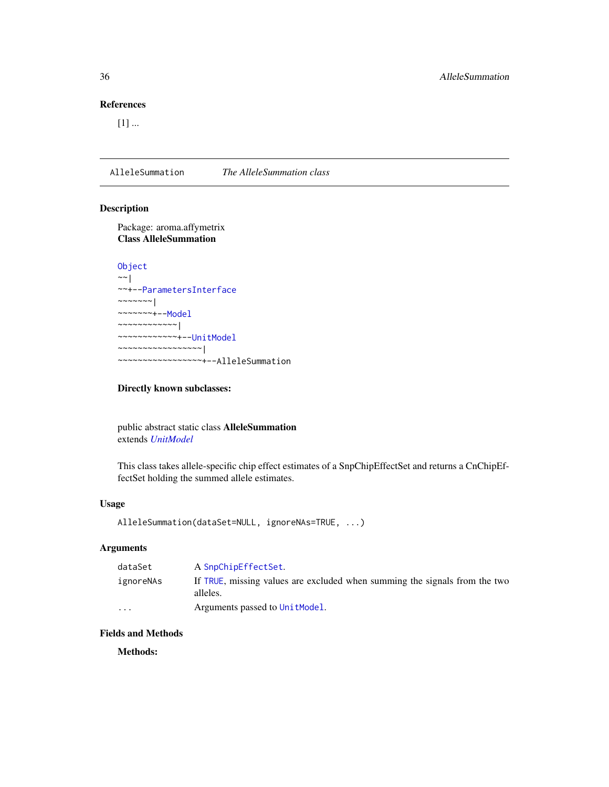# <span id="page-35-0"></span>References

 $[1]$  ...

AlleleSummation *The AlleleSummation class*

#### Description

Package: aroma.affymetrix Class AlleleSummation

```
Object
~\sim~~~+--ParametersInterface
~~~~~~~|~~~~~~~+--Model
~~~~~~~~~~~~|
~~~~~~~~~~~~+--UnitModel
~~~~~~~~~~~~~~~~~|
~~~~~~~~~~~~~~~~~+--AlleleSummation
```
# Directly known subclasses:

public abstract static class AlleleSummation extends *[UnitModel](#page-207-1)*

This class takes allele-specific chip effect estimates of a SnpChipEffectSet and returns a CnChipEffectSet holding the summed allele estimates.

# Usage

```
AlleleSummation(dataSet=NULL, ignoreNAs=TRUE, ...)
```
# Arguments

| dataSet   | A SnpChipEffectSet.                                                                    |
|-----------|----------------------------------------------------------------------------------------|
| ignoreNAs | If TRUE, missing values are excluded when summing the signals from the two<br>alleles. |
| $\cdot$   | Arguments passed to Unit Model.                                                        |

# Fields and Methods

Methods: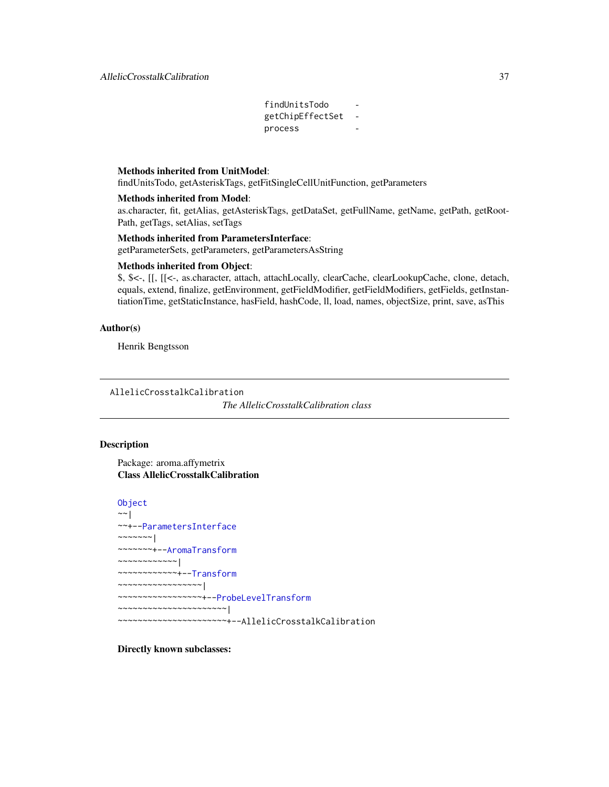findUnitsTodo getChipEffectSet process

# Methods inherited from UnitModel:

findUnitsTodo, getAsteriskTags, getFitSingleCellUnitFunction, getParameters

#### Methods inherited from Model:

as.character, fit, getAlias, getAsteriskTags, getDataSet, getFullName, getName, getPath, getRoot-Path, getTags, setAlias, setTags

#### Methods inherited from ParametersInterface:

getParameterSets, getParameters, getParametersAsString

# Methods inherited from Object:

\$, \$<-, [[, [[<-, as.character, attach, attachLocally, clearCache, clearLookupCache, clone, detach, equals, extend, finalize, getEnvironment, getFieldModifier, getFieldModifiers, getFields, getInstantiationTime, getStaticInstance, hasField, hashCode, ll, load, names, objectSize, print, save, asThis

#### Author(s)

Henrik Bengtsson

AllelicCrosstalkCalibration

*The AllelicCrosstalkCalibration class*

#### Description

Package: aroma.affymetrix Class AllelicCrosstalkCalibration

```
Object
~\sim |
~~+--ParametersInterface
~~~~~~~|~~~~~~~+--AromaTransform
~~~~~~~~~~~~|
~~~~~~~~~~~~+--Transform
~~~~~~~~~~~~~~~~~|
 ~~~~~~~~~~~~~~~~~+--ProbeLevelTransform
 ~~~~~~~~~~~~~~~~~~~~~~|
~~~~~~~~~~~~~~~~~~~~~~+--AllelicCrosstalkCalibration
```
Directly known subclasses: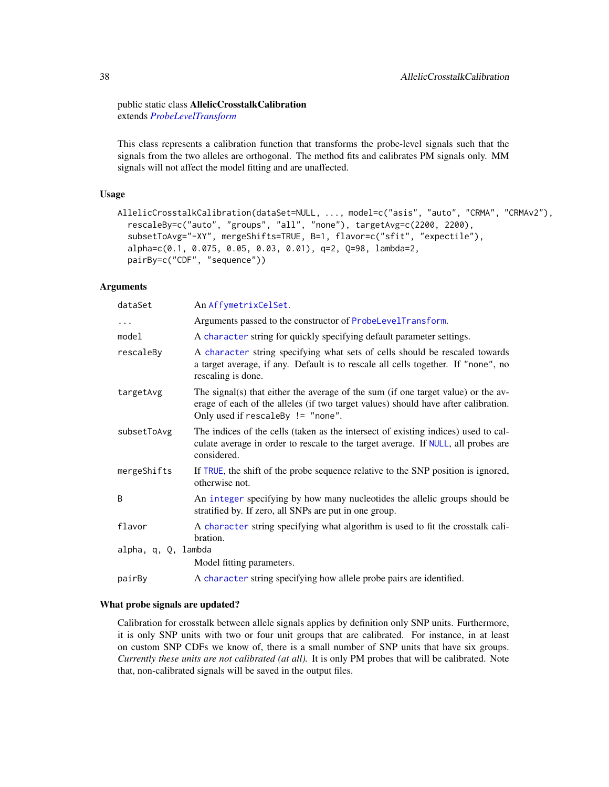#### public static class AllelicCrosstalkCalibration extends *[ProbeLevelTransform](#page-158-0)*

This class represents a calibration function that transforms the probe-level signals such that the signals from the two alleles are orthogonal. The method fits and calibrates PM signals only. MM signals will not affect the model fitting and are unaffected.

# Usage

```
AllelicCrosstalkCalibration(dataSet=NULL, ..., model=c("asis", "auto", "CRMA", "CRMAv2"),
  rescaleBy=c("auto", "groups", "all", "none"), targetAvg=c(2200, 2200),
  subsetToAvg="-XY", mergeShifts=TRUE, B=1, flavor=c("sfit", "expectile"),
  alpha=c(0.1, 0.075, 0.05, 0.03, 0.01), q=2, Q=98, lambda=2,
 pairBy=c("CDF", "sequence"))
```
# Arguments

| dataSet             | An AffymetrixCelSet.                                                                                                                                                                                         |
|---------------------|--------------------------------------------------------------------------------------------------------------------------------------------------------------------------------------------------------------|
| $\cdots$            | Arguments passed to the constructor of ProbeLevelTransform.                                                                                                                                                  |
| model               | A character string for quickly specifying default parameter settings.                                                                                                                                        |
| rescaleBy           | A character string specifying what sets of cells should be rescaled towards<br>a target average, if any. Default is to rescale all cells together. If "none", no<br>rescaling is done.                       |
| targetAvg           | The signal(s) that either the average of the sum (if one target value) or the av-<br>erage of each of the alleles (if two target values) should have after calibration.<br>Only used if rescaleBy != "none". |
| subsetToAvg         | The indices of the cells (taken as the intersect of existing indices) used to cal-<br>culate average in order to rescale to the target average. If NULL, all probes are<br>considered.                       |
| mergeShifts         | If TRUE, the shift of the probe sequence relative to the SNP position is ignored,<br>otherwise not.                                                                                                          |
| B                   | An integer specifying by how many nucleotides the allelic groups should be<br>stratified by. If zero, all SNPs are put in one group.                                                                         |
| flavor              | A character string specifying what algorithm is used to fit the crosstalk cali-<br>bration.                                                                                                                  |
| alpha, q, Q, lambda |                                                                                                                                                                                                              |
|                     | Model fitting parameters.                                                                                                                                                                                    |
| pairBy              | A character string specifying how allele probe pairs are identified.                                                                                                                                         |

#### What probe signals are updated?

Calibration for crosstalk between allele signals applies by definition only SNP units. Furthermore, it is only SNP units with two or four unit groups that are calibrated. For instance, in at least on custom SNP CDFs we know of, there is a small number of SNP units that have six groups. *Currently these units are not calibrated (at all).* It is only PM probes that will be calibrated. Note that, non-calibrated signals will be saved in the output files.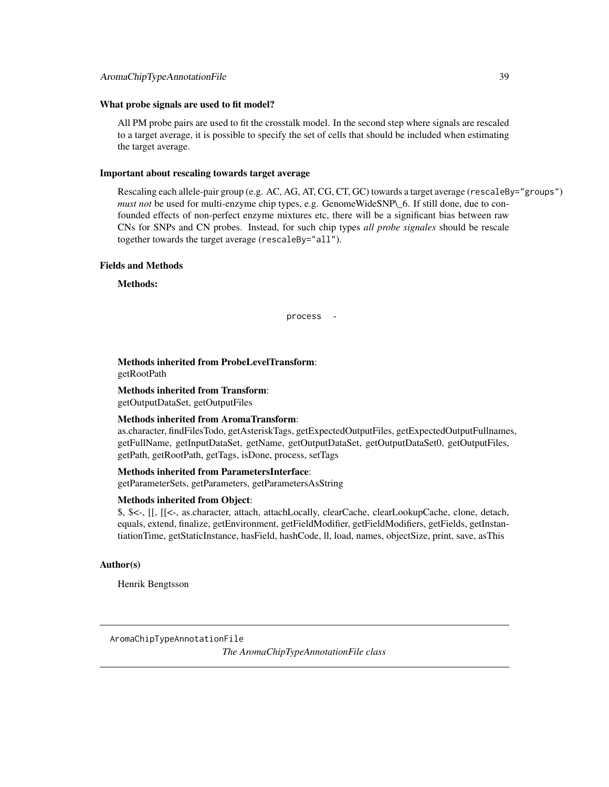#### What probe signals are used to fit model?

All PM probe pairs are used to fit the crosstalk model. In the second step where signals are rescaled to a target average, it is possible to specify the set of cells that should be included when estimating the target average.

#### Important about rescaling towards target average

Rescaling each allele-pair group (e.g. AC, AG, AT, CG, CT, GC) towards a target average (rescaleBy="groups") *must not* be used for multi-enzyme chip types, e.g. GenomeWideSNP\\_6. If still done, due to confounded effects of non-perfect enzyme mixtures etc, there will be a significant bias between raw CNs for SNPs and CN probes. Instead, for such chip types *all probe signales* should be rescale together towards the target average (rescaleBy="all").

#### Fields and Methods

Methods:

process -

# Methods inherited from ProbeLevelTransform:

getRootPath

Methods inherited from Transform: getOutputDataSet, getOutputFiles

#### Methods inherited from AromaTransform:

as.character, findFilesTodo, getAsteriskTags, getExpectedOutputFiles, getExpectedOutputFullnames, getFullName, getInputDataSet, getName, getOutputDataSet, getOutputDataSet0, getOutputFiles, getPath, getRootPath, getTags, isDone, process, setTags

#### Methods inherited from ParametersInterface:

getParameterSets, getParameters, getParametersAsString

#### Methods inherited from Object:

\$, \$<-, [[, [[<-, as.character, attach, attachLocally, clearCache, clearLookupCache, clone, detach, equals, extend, finalize, getEnvironment, getFieldModifier, getFieldModifiers, getFields, getInstantiationTime, getStaticInstance, hasField, hashCode, ll, load, names, objectSize, print, save, asThis

#### Author(s)

Henrik Bengtsson

AromaChipTypeAnnotationFile

*The AromaChipTypeAnnotationFile class*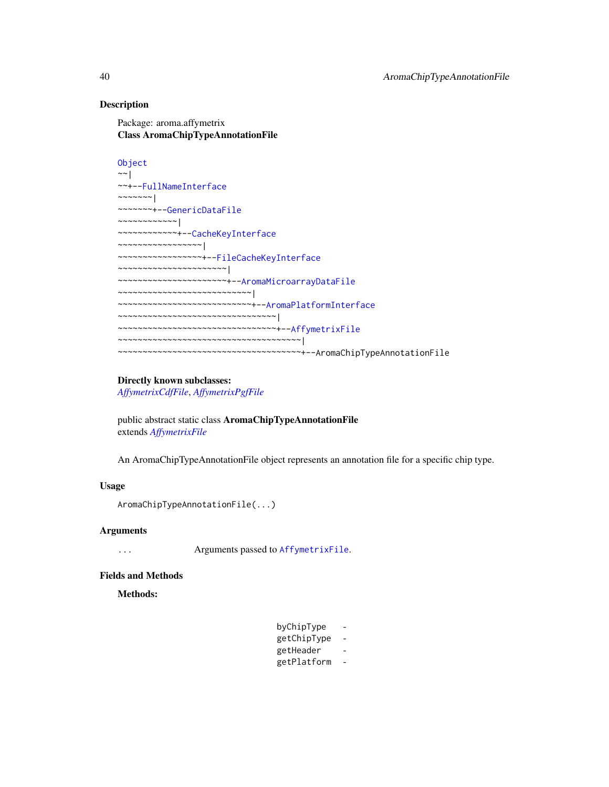# Description

Package: aroma.affymetrix Class AromaChipTypeAnnotationFile

```
Object
~\sim~~~+--FullNameInterface
~~~~~~~|~~~~~~~+--GenericDataFile
~~~~~~~~~~~~|
~~~~~~~~~~~~+--CacheKeyInterface
~~~~~~~~~~~~~~~~~|
~~~~~~~~~~~~~~~~~+--FileCacheKeyInterface
 ~~~~~~~~~~~~~~~~~~~~~~|
~~~~~~~~~~~~~~~~~~~~~~+--AromaMicroarrayDataFile
~~~~~~~~~~~~~~~~~~~~~~~~~~~|
~~~~~~~~~~~~~~~~~~~~~~~~~~~+--AromaPlatformInterface
~~~~~~~~~~~~~~~~~~~~~~~~~~~~~~~
~~~~~~~~~~~~~~~~~~~~~~~~~~~~~~~~+--AffymetrixFile
~~~~~~~~~~~~~~~~~~~~~~~~~~~~~~~~~~~~~
~~~~~~~~~~~~~~~~~~~~~~~~~~~~~~~~~~~~~+--AromaChipTypeAnnotationFile
```
#### Directly known subclasses:

*[AffymetrixCdfFile](#page-14-0)*, *[AffymetrixPgfFile](#page-32-0)*

public abstract static class AromaChipTypeAnnotationFile extends *[AffymetrixFile](#page-27-0)*

An AromaChipTypeAnnotationFile object represents an annotation file for a specific chip type.

# Usage

```
AromaChipTypeAnnotationFile(...)
```
#### Arguments

... Arguments passed to [AffymetrixFile](#page-27-0).

#### Fields and Methods

Methods:

| byChipType  |   |
|-------------|---|
| getChipType |   |
| getHeader   | - |
| getPlatform |   |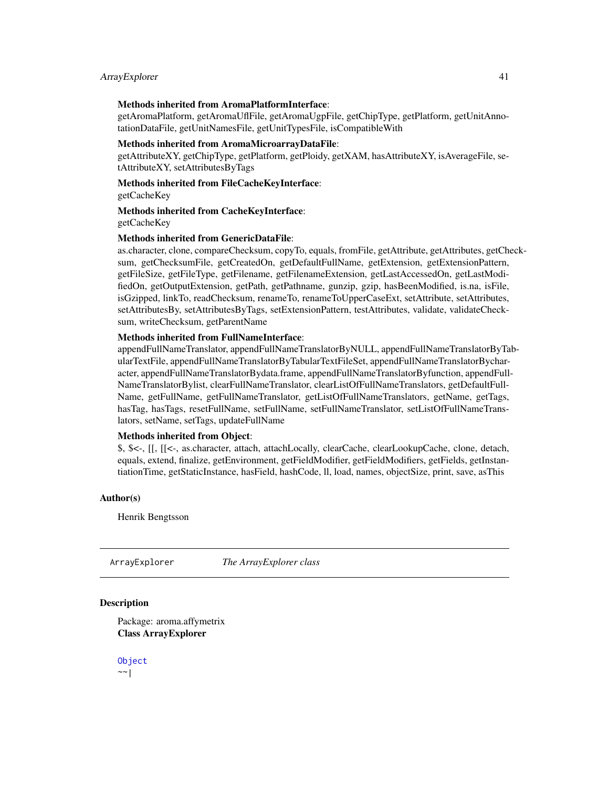#### ArrayExplorer 41

#### Methods inherited from AromaPlatformInterface:

getAromaPlatform, getAromaUflFile, getAromaUgpFile, getChipType, getPlatform, getUnitAnnotationDataFile, getUnitNamesFile, getUnitTypesFile, isCompatibleWith

#### Methods inherited from AromaMicroarrayDataFile:

getAttributeXY, getChipType, getPlatform, getPloidy, getXAM, hasAttributeXY, isAverageFile, setAttributeXY, setAttributesByTags

#### Methods inherited from FileCacheKeyInterface:

getCacheKey

# Methods inherited from CacheKeyInterface:

getCacheKey

#### Methods inherited from GenericDataFile:

as.character, clone, compareChecksum, copyTo, equals, fromFile, getAttribute, getAttributes, getChecksum, getChecksumFile, getCreatedOn, getDefaultFullName, getExtension, getExtensionPattern, getFileSize, getFileType, getFilename, getFilenameExtension, getLastAccessedOn, getLastModifiedOn, getOutputExtension, getPath, getPathname, gunzip, gzip, hasBeenModified, is.na, isFile, isGzipped, linkTo, readChecksum, renameTo, renameToUpperCaseExt, setAttribute, setAttributes, setAttributesBy, setAttributesByTags, setExtensionPattern, testAttributes, validate, validateChecksum, writeChecksum, getParentName

#### Methods inherited from FullNameInterface:

appendFullNameTranslator, appendFullNameTranslatorByNULL, appendFullNameTranslatorByTabularTextFile, appendFullNameTranslatorByTabularTextFileSet, appendFullNameTranslatorBycharacter, appendFullNameTranslatorBydata.frame, appendFullNameTranslatorByfunction, appendFull-NameTranslatorBylist, clearFullNameTranslator, clearListOfFullNameTranslators, getDefaultFull-Name, getFullName, getFullNameTranslator, getListOfFullNameTranslators, getName, getTags, hasTag, hasTags, resetFullName, setFullName, setFullNameTranslator, setListOfFullNameTranslators, setName, setTags, updateFullName

# Methods inherited from Object:

\$, \$<-, [[, [[<-, as.character, attach, attachLocally, clearCache, clearLookupCache, clone, detach, equals, extend, finalize, getEnvironment, getFieldModifier, getFieldModifiers, getFields, getInstantiationTime, getStaticInstance, hasField, hashCode, ll, load, names, objectSize, print, save, asThis

#### Author(s)

Henrik Bengtsson

ArrayExplorer *The ArrayExplorer class*

#### **Description**

Package: aroma.affymetrix Class ArrayExplorer

[Object](#page-0-0) ~~|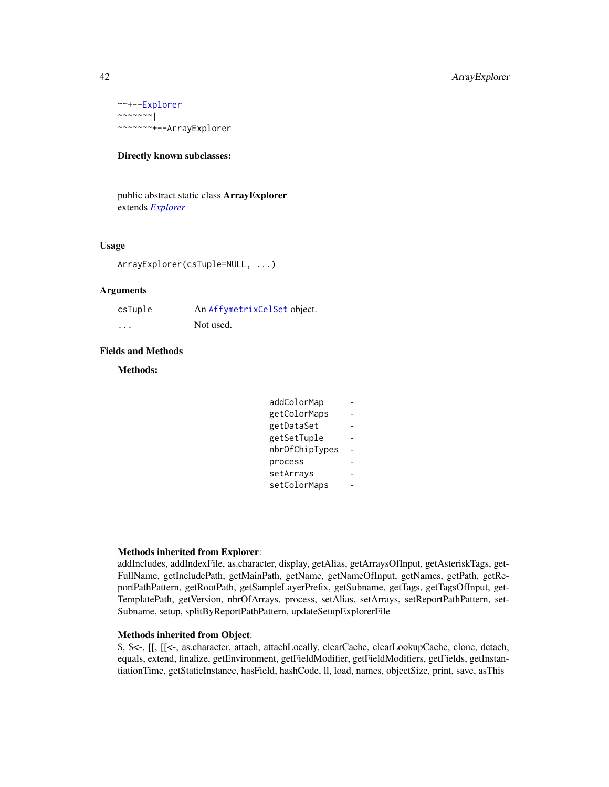~~+-[-Explorer](#page-0-0)  $\sim$ ~~~~~| ~~~~~~~+--ArrayExplorer

# Directly known subclasses:

public abstract static class ArrayExplorer extends *[Explorer](#page-0-0)*

# Usage

ArrayExplorer(csTuple=NULL, ...)

# Arguments

| csTuple  | An AffymetrixCelSet object. |
|----------|-----------------------------|
| $\cdots$ | Not used.                   |

#### Fields and Methods

#### Methods:

| addColorMap    |  |
|----------------|--|
| getColorMaps   |  |
| getDataSet     |  |
| getSetTuple    |  |
| nbrOfChipTypes |  |
| process        |  |
| setArrays      |  |
| setColorMaps   |  |
|                |  |

# Methods inherited from Explorer:

addIncludes, addIndexFile, as.character, display, getAlias, getArraysOfInput, getAsteriskTags, get-FullName, getIncludePath, getMainPath, getName, getNameOfInput, getNames, getPath, getReportPathPattern, getRootPath, getSampleLayerPrefix, getSubname, getTags, getTagsOfInput, get-TemplatePath, getVersion, nbrOfArrays, process, setAlias, setArrays, setReportPathPattern, set-Subname, setup, splitByReportPathPattern, updateSetupExplorerFile

# Methods inherited from Object:

\$, \$<-, [[, [[<-, as.character, attach, attachLocally, clearCache, clearLookupCache, clone, detach, equals, extend, finalize, getEnvironment, getFieldModifier, getFieldModifiers, getFields, getInstantiationTime, getStaticInstance, hasField, hashCode, ll, load, names, objectSize, print, save, asThis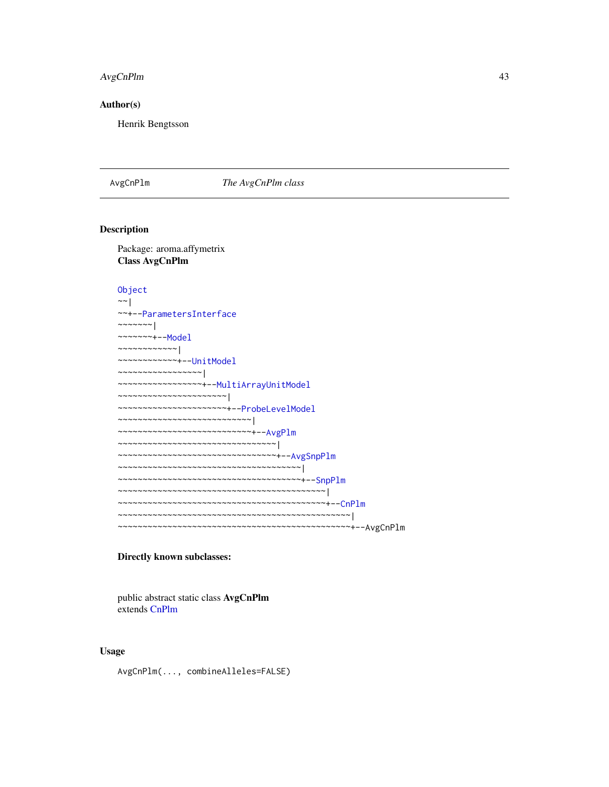# AvgCnPlm 43

#### Author(s)

Henrik Bengtsson

<span id="page-42-0"></span>AvgCnPlm *The AvgCnPlm class*

# Description

Package: aroma.affymetrix Class AvgCnPlm

```
Object
~\sim~~~+--ParametersInterface
~~~~~~~|
~~~~~~~+--Model
~~~~~~~~~~~~|
~~~~~~~~~~~~+--UnitModel
~~~~~~~~~~~~~~~~~|
 ~~~~~~~~~~~~~~~~~+--MultiArrayUnitModel
~~~~~~~~~~~~~~~~~~~~~~|
~~~~~~~~~~~~~~~~~~~~~~+--ProbeLevelModel
~~~~~~~~~~~~~~~~~~~~~~~~~~~|
~~~~~~~~~~~~~~~~~~~~~~~~~~~+--AvgPlm
~~~~~~~~~~~~~~~~~~~~~~~~~~~~~~~~|
~~~~~~~~~~~~~~~~~~~~~~~~~~~~~~~~+--AvgSnpPlm
~~~~~~~~~~~~~~~~~~~~~~~~~~~~~~~~~~~~~|
~~~~~~~~~~~~~~~~~~~~~~~~~~~~~~~~~~~~~+--SnpPlm
~~~~~~~~~~~~~~~~~~~~~~~~~~~~~~~~~~~~~~~~~~|
~~~~~~~~~~~~~~~~~~~~~~~~~~~~~~~~~~~~~~~~~~+--CnPlm
~~~~~~~~~~~~~~~~~~~~~~~~~~~~~~~~~~~~~~~~~~~~~~~|
~~~~~~~~~~~~~~~~~~~~~~~~~~~~~~~~~~~~~~~~~~~~~~~+--AvgCnPlm
```
# Directly known subclasses:

public abstract static class AvgCnPlm extends [CnPlm](#page-69-0)

# Usage

AvgCnPlm(..., combineAlleles=FALSE)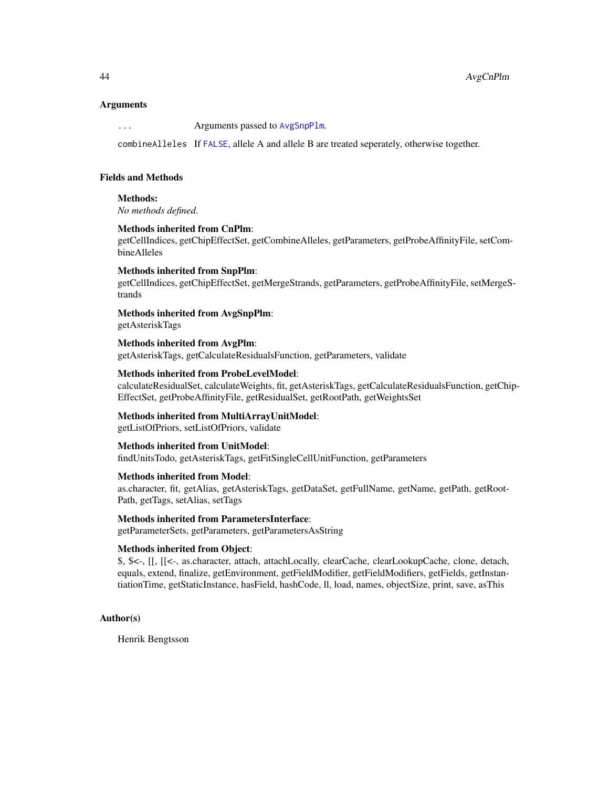#### Arguments

... Arguments passed to [AvgSnpPlm](#page-46-0).

combineAlleles If [FALSE](#page-0-0), allele A and allele B are treated seperately, otherwise together.

#### Fields and Methods

Methods:

*No methods defined*.

# Methods inherited from CnPlm:

getCellIndices, getChipEffectSet, getCombineAlleles, getParameters, getProbeAffinityFile, setCombineAlleles

#### Methods inherited from SnpPlm:

getCellIndices, getChipEffectSet, getMergeStrands, getParameters, getProbeAffinityFile, setMergeStrands

# Methods inherited from AvgSnpPlm:

getAsteriskTags

Methods inherited from AvgPlm: getAsteriskTags, getCalculateResidualsFunction, getParameters, validate

#### Methods inherited from ProbeLevelModel:

calculateResidualSet, calculateWeights, fit, getAsteriskTags, getCalculateResidualsFunction, getChip-EffectSet, getProbeAffinityFile, getResidualSet, getRootPath, getWeightsSet

#### Methods inherited from MultiArrayUnitModel:

getListOfPriors, setListOfPriors, validate

#### Methods inherited from UnitModel:

findUnitsTodo, getAsteriskTags, getFitSingleCellUnitFunction, getParameters

# Methods inherited from Model:

as.character, fit, getAlias, getAsteriskTags, getDataSet, getFullName, getName, getPath, getRoot-Path, getTags, setAlias, setTags

Methods inherited from ParametersInterface:

getParameterSets, getParameters, getParametersAsString

#### Methods inherited from Object:

\$, \$<-, [[, [[<-, as.character, attach, attachLocally, clearCache, clearLookupCache, clone, detach, equals, extend, finalize, getEnvironment, getFieldModifier, getFieldModifiers, getFields, getInstantiationTime, getStaticInstance, hasField, hashCode, ll, load, names, objectSize, print, save, asThis

# Author(s)

Henrik Bengtsson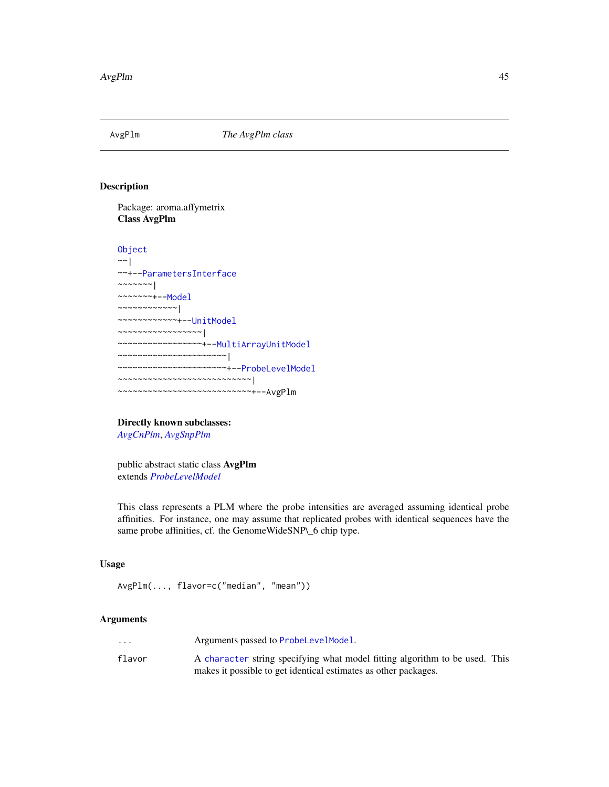<span id="page-44-0"></span>

# Description

Package: aroma.affymetrix Class AvgPlm

```
Object
~\sim |
~~+--ParametersInterface
~~~~~~~\vert~~~~~~~+--Model
~~~~~~~~~~~~|
~~~~~~~~~~~~+--UnitModel
~~~~~~~~~~~~~~~~~|
~~~~~~~~~~~~~~~~~+--MultiArrayUnitModel
~~~~~~~~~~~~~~~~~~~~~~|
~~~~~~~~~~~~~~~~~~~~~~+--ProbeLevelModel
~~~~~~~~~~~~~~~~~~~~~~~~~~~|
~~~~~~~~~~~~~~~~~~~~~~~~~~~+--AvgPlm
```
Directly known subclasses: *[AvgCnPlm](#page-42-0)*, *[AvgSnpPlm](#page-46-0)*

public abstract static class AvgPlm extends *[ProbeLevelModel](#page-156-0)*

This class represents a PLM where the probe intensities are averaged assuming identical probe affinities. For instance, one may assume that replicated probes with identical sequences have the same probe affinities, cf. the GenomeWideSNP\\_6 chip type.

# Usage

```
AvgPlm(..., flavor=c("median", "mean"))
```
# Arguments

| $\cdot$ $\cdot$ $\cdot$ | Arguments passed to ProbeLevelModel.                                        |  |
|-------------------------|-----------------------------------------------------------------------------|--|
| flavor                  | A character string specifying what model fitting algorithm to be used. This |  |
|                         | makes it possible to get identical estimates as other packages.             |  |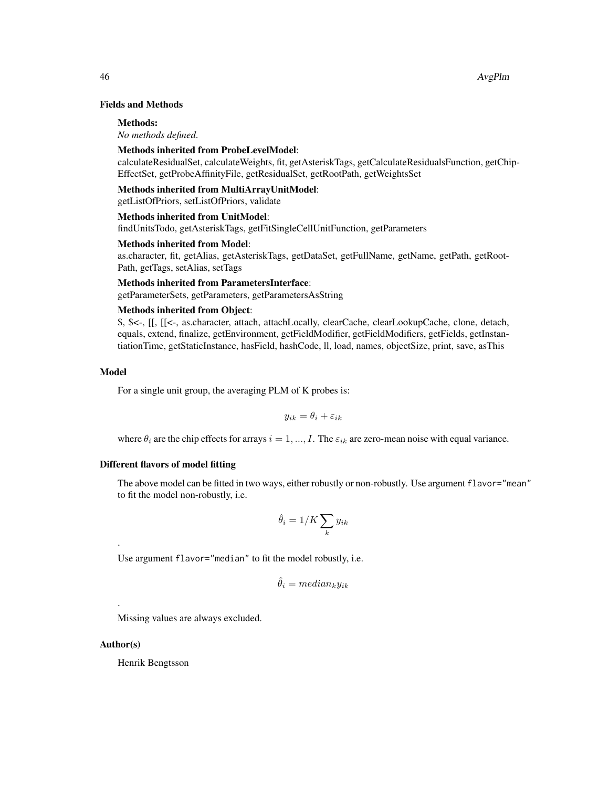# Fields and Methods

#### Methods:

*No methods defined*.

#### Methods inherited from ProbeLevelModel:

calculateResidualSet, calculateWeights, fit, getAsteriskTags, getCalculateResidualsFunction, getChip-EffectSet, getProbeAffinityFile, getResidualSet, getRootPath, getWeightsSet

#### Methods inherited from MultiArrayUnitModel:

getListOfPriors, setListOfPriors, validate

#### Methods inherited from UnitModel:

findUnitsTodo, getAsteriskTags, getFitSingleCellUnitFunction, getParameters

# Methods inherited from Model:

as.character, fit, getAlias, getAsteriskTags, getDataSet, getFullName, getName, getPath, getRoot-Path, getTags, setAlias, setTags

#### Methods inherited from ParametersInterface:

getParameterSets, getParameters, getParametersAsString

# Methods inherited from Object:

\$, \$<-, [[, [[<-, as.character, attach, attachLocally, clearCache, clearLookupCache, clone, detach, equals, extend, finalize, getEnvironment, getFieldModifier, getFieldModifiers, getFields, getInstantiationTime, getStaticInstance, hasField, hashCode, ll, load, names, objectSize, print, save, asThis

#### Model

For a single unit group, the averaging PLM of K probes is:

$$
y_{ik} = \theta_i + \varepsilon_{ik}
$$

where  $\theta_i$  are the chip effects for arrays  $i = 1, ..., I$ . The  $\varepsilon_{ik}$  are zero-mean noise with equal variance.

# Different flavors of model fitting

The above model can be fitted in two ways, either robustly or non-robustly. Use argument flavor="mean" to fit the model non-robustly, i.e.

$$
\hat{\theta}_i = 1/K \sum_k y_{ik}
$$

Use argument flavor="median" to fit the model robustly, i.e.

$$
\hat{\theta}_i = median_k y_{ik}
$$

Missing values are always excluded.

#### Author(s)

.

.

Henrik Bengtsson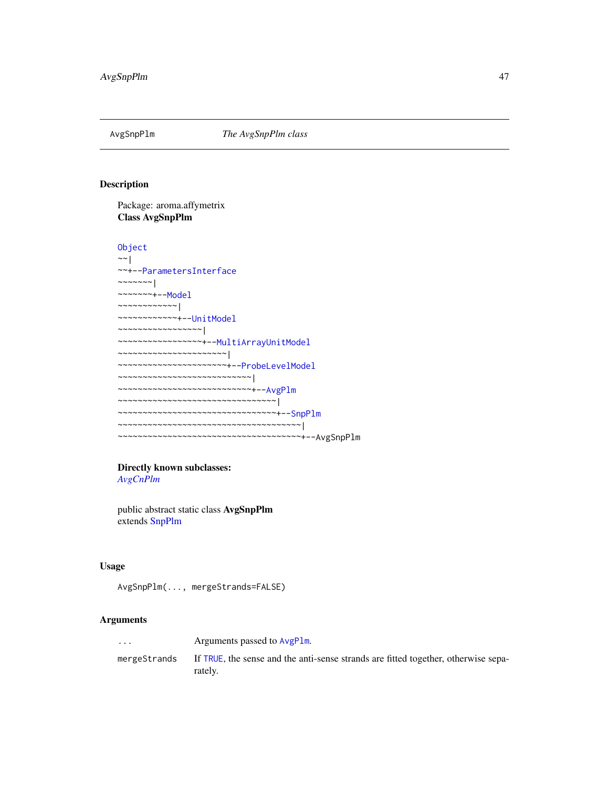<span id="page-46-0"></span>

# Description

Package: aroma.affymetrix Class AvgSnpPlm

```
Object
~\sim~~~+--ParametersInterface
~~~~~~~|~~~~~~~+--Model
~~~~~~~~~~~~|
~~~~~~~~~~~~+--UnitModel
~~~~~~~~~~~~~~~~~|
~~~~~~~~~~~~~~~~~+--MultiArrayUnitModel
~~~~~~~~~~~~~~~~~~~~~~|
~~~~~~~~~~~~~~~~~~~~~~+--ProbeLevelModel
~~~~~~~~~~~~~~~~~~~~~~~~~~~|
~~~~~~~~~~~~~~~~~~~~~~~~~~~+--AvgPlm
~~~~~~~~~~~~~~~~~~~~~~~~~~~~~~~~|
~~~~~~~~~~~~~~~~~~~~~~~~~~~~~~~~+--SnpPlm
~~~~~~~~~~~~~~~~~~~~~~~~~~~~~~~~~~~~~|
~~~~~~~~~~~~~~~~~~~~~~~~~~~~~~~~~~~~~+--AvgSnpPlm
```
# Directly known subclasses:

*[AvgCnPlm](#page-42-0)*

public abstract static class AvgSnpPlm extends [SnpPlm](#page-196-0)

# Usage

AvgSnpPlm(..., mergeStrands=FALSE)

# Arguments

... Arguments passed to [AvgPlm](#page-44-0). mergeStrands If [TRUE](#page-0-0), the sense and the anti-sense strands are fitted together, otherwise separately.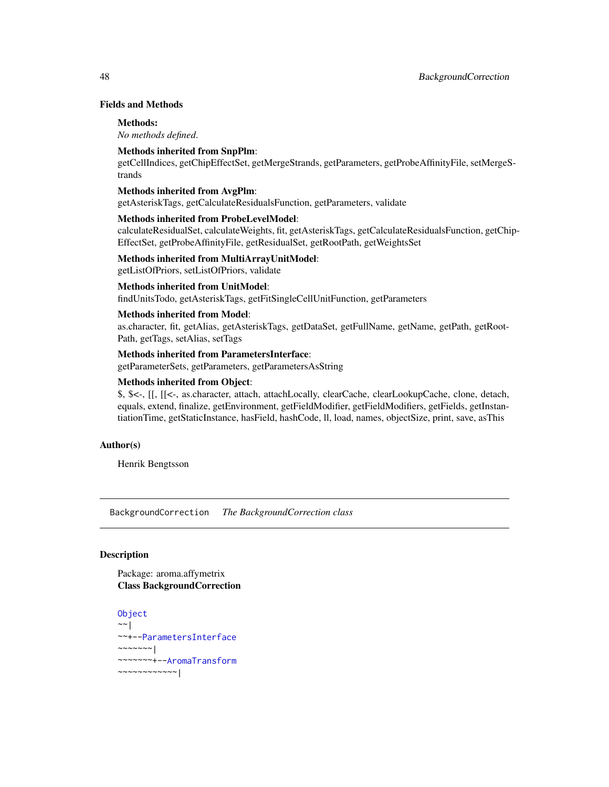# Fields and Methods

#### Methods:

*No methods defined*.

# Methods inherited from SnpPlm:

getCellIndices, getChipEffectSet, getMergeStrands, getParameters, getProbeAffinityFile, setMergeStrands

#### Methods inherited from AvgPlm:

getAsteriskTags, getCalculateResidualsFunction, getParameters, validate

# Methods inherited from ProbeLevelModel:

calculateResidualSet, calculateWeights, fit, getAsteriskTags, getCalculateResidualsFunction, getChip-EffectSet, getProbeAffinityFile, getResidualSet, getRootPath, getWeightsSet

# Methods inherited from MultiArrayUnitModel:

getListOfPriors, setListOfPriors, validate

# Methods inherited from UnitModel:

findUnitsTodo, getAsteriskTags, getFitSingleCellUnitFunction, getParameters

#### Methods inherited from Model:

as.character, fit, getAlias, getAsteriskTags, getDataSet, getFullName, getName, getPath, getRoot-Path, getTags, setAlias, setTags

# Methods inherited from ParametersInterface:

getParameterSets, getParameters, getParametersAsString

# Methods inherited from Object:

\$, \$<-, [[, [[<-, as.character, attach, attachLocally, clearCache, clearLookupCache, clone, detach, equals, extend, finalize, getEnvironment, getFieldModifier, getFieldModifiers, getFields, getInstantiationTime, getStaticInstance, hasField, hashCode, ll, load, names, objectSize, print, save, asThis

#### Author(s)

Henrik Bengtsson

BackgroundCorrection *The BackgroundCorrection class*

# Description

Package: aroma.affymetrix Class BackgroundCorrection

```
Object
~~|
~~+--ParametersInterface
~~~~~~~|~~~~~~~+--AromaTransform
~~~~~~~~~~~~|
```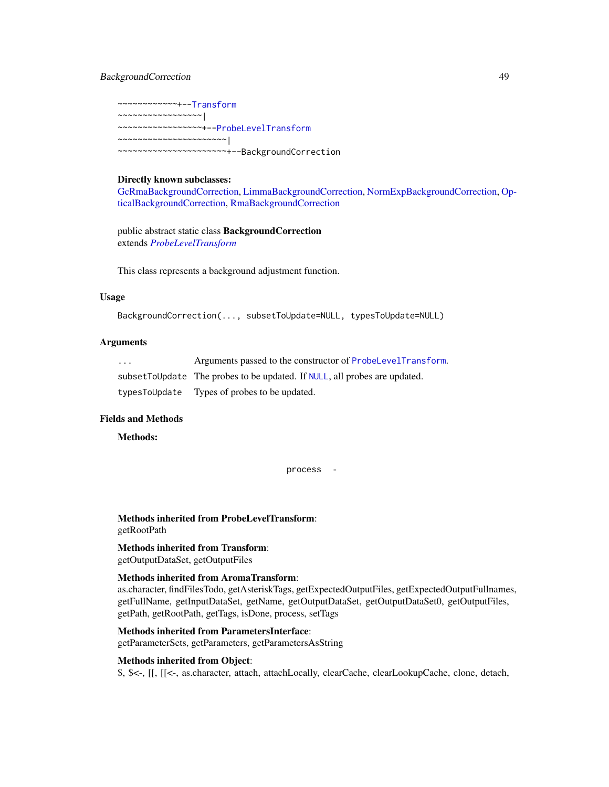# BackgroundCorrection 49

~~~~~~~~~~~~+-[-Transform](#page-0-0) ~~~~~~~~~~~~~~~~~| ~~~~~~~~~~~~~~~~~+-[-ProbeLevelTransform](#page-158-0) ~~~~~~~~~~~~~~~~~~~~~~| ~~~~~~~~~~~~~~~~~~~~~~+--BackgroundCorrection

# Directly known subclasses:

[GcRmaBackgroundCorrection,](#page-118-0) [LimmaBackgroundCorrection,](#page-129-0) [NormExpBackgroundCorrection,](#page-145-0) [Op](#page-147-0)[ticalBackgroundCorrection,](#page-147-0) [RmaBackgroundCorrection](#page-175-0)

public abstract static class BackgroundCorrection extends *[ProbeLevelTransform](#page-158-0)*

This class represents a background adjustment function.

#### Usage

```
BackgroundCorrection(..., subsetToUpdate=NULL, typesToUpdate=NULL)
```
# Arguments

| $\cdot$ $\cdot$ $\cdot$ | Arguments passed to the constructor of ProbeLevelTransform.                 |
|-------------------------|-----------------------------------------------------------------------------|
|                         | subset To Update The probes to be updated. If NULL, all probes are updated. |
| typesToUpdate           | Types of probes to be updated.                                              |

#### Fields and Methods

Methods:

```
process -
```
Methods inherited from ProbeLevelTransform: getRootPath

# Methods inherited from Transform: getOutputDataSet, getOutputFiles

#### Methods inherited from AromaTransform:

as.character, findFilesTodo, getAsteriskTags, getExpectedOutputFiles, getExpectedOutputFullnames, getFullName, getInputDataSet, getName, getOutputDataSet, getOutputDataSet0, getOutputFiles, getPath, getRootPath, getTags, isDone, process, setTags

#### Methods inherited from ParametersInterface:

getParameterSets, getParameters, getParametersAsString

#### Methods inherited from Object:

\$, \$<-, [[, [[<-, as.character, attach, attachLocally, clearCache, clearLookupCache, clone, detach,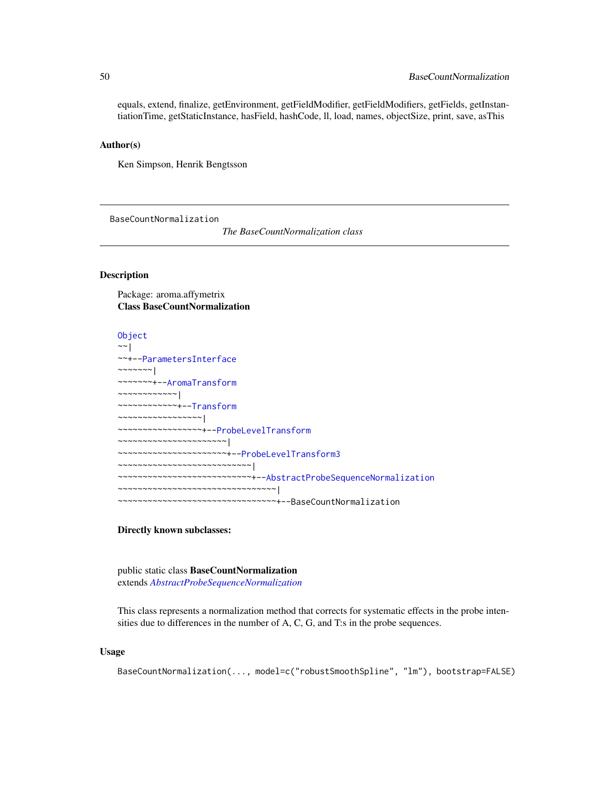equals, extend, finalize, getEnvironment, getFieldModifier, getFieldModifiers, getFields, getInstantiationTime, getStaticInstance, hasField, hashCode, ll, load, names, objectSize, print, save, asThis

#### Author(s)

Ken Simpson, Henrik Bengtsson

BaseCountNormalization

*The BaseCountNormalization class*

#### Description

Package: aroma.affymetrix Class BaseCountNormalization

#### [Object](#page-0-0)

 $~\sim~$ ~~+-[-ParametersInterface](#page-0-0) ~~~~~~~| ~~~~~~~+-[-AromaTransform](#page-0-0) ~~~~~~~~~~~~| ~~~~~~~~~~~~+-[-Transform](#page-0-0) ~~~~~~~~~~~~~~~~~| ~~~~~~~~~~~~~~~~~+-[-ProbeLevelTransform](#page-158-0) ~~~~~~~~~~~~~~~~~~~~~~| ~~~~~~~~~~~~~~~~~~~~~~+-[-ProbeLevelTransform3](#page-159-0) ~~~~~~~~~~~~~~~~~~~~~~~~~~~| ~~~~~~~~~~~~~~~~~~~~~~~~~~~+-[-AbstractProbeSequenceNormalization](#page-5-0) ~~~~~~~~~~~~~~~~~~~~~~~~~~~~~~~~| ~~~~~~~~~~~~~~~~~~~~~~~~~~~~~~~~+--BaseCountNormalization

# Directly known subclasses:

public static class BaseCountNormalization extends *[AbstractProbeSequenceNormalization](#page-5-0)*

This class represents a normalization method that corrects for systematic effects in the probe intensities due to differences in the number of A, C, G, and T:s in the probe sequences.

#### Usage

BaseCountNormalization(..., model=c("robustSmoothSpline", "lm"), bootstrap=FALSE)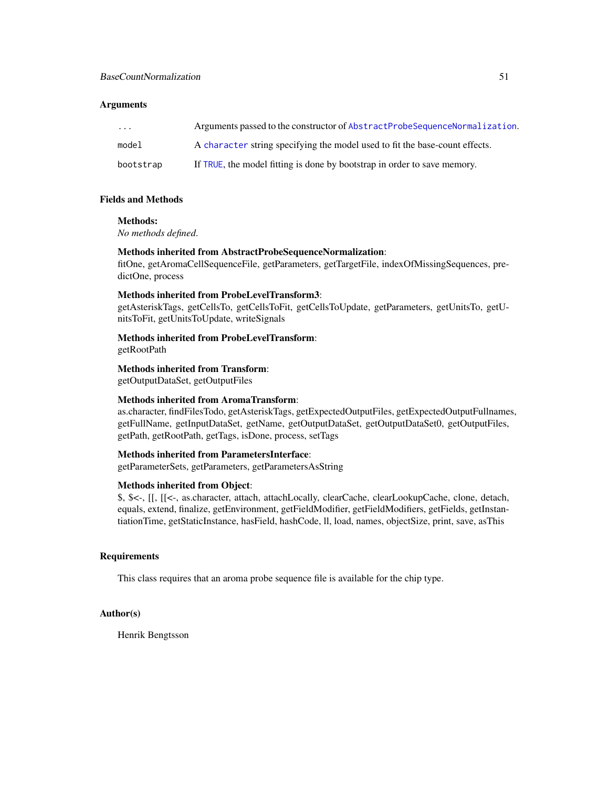#### **Arguments**

| $\cdots$  | Arguments passed to the constructor of AbstractProbeSequenceNormalization.  |
|-----------|-----------------------------------------------------------------------------|
| model     | A character string specifying the model used to fit the base-count effects. |
| bootstrap | If TRUE, the model fitting is done by bootstrap in order to save memory.    |

#### Fields and Methods

# Methods:

*No methods defined*.

# Methods inherited from AbstractProbeSequenceNormalization:

fitOne, getAromaCellSequenceFile, getParameters, getTargetFile, indexOfMissingSequences, predictOne, process

# Methods inherited from ProbeLevelTransform3:

getAsteriskTags, getCellsTo, getCellsToFit, getCellsToUpdate, getParameters, getUnitsTo, getUnitsToFit, getUnitsToUpdate, writeSignals

Methods inherited from ProbeLevelTransform: getRootPath

Methods inherited from Transform:

getOutputDataSet, getOutputFiles

# Methods inherited from AromaTransform:

as.character, findFilesTodo, getAsteriskTags, getExpectedOutputFiles, getExpectedOutputFullnames, getFullName, getInputDataSet, getName, getOutputDataSet, getOutputDataSet0, getOutputFiles, getPath, getRootPath, getTags, isDone, process, setTags

# Methods inherited from ParametersInterface:

getParameterSets, getParameters, getParametersAsString

# Methods inherited from Object:

\$, \$<-, [[, [[<-, as.character, attach, attachLocally, clearCache, clearLookupCache, clone, detach, equals, extend, finalize, getEnvironment, getFieldModifier, getFieldModifiers, getFields, getInstantiationTime, getStaticInstance, hasField, hashCode, ll, load, names, objectSize, print, save, asThis

# **Requirements**

This class requires that an aroma probe sequence file is available for the chip type.

#### Author(s)

Henrik Bengtsson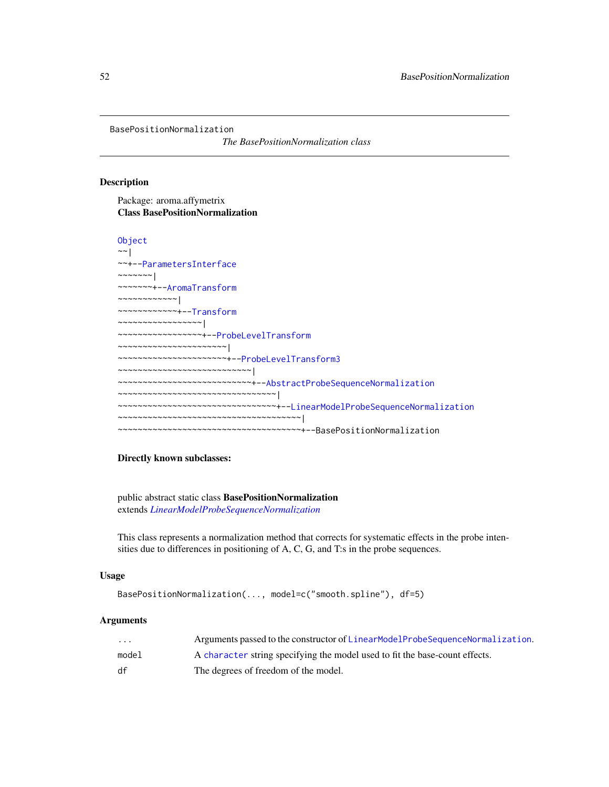BasePositionNormalization

*The BasePositionNormalization class*

# Description

Package: aroma.affymetrix Class BasePositionNormalization

```
Object
~\sim~|
~~+--ParametersInterface
~\sim~\sim~\sim~\sim~\sim~~~~~~~~+--AromaTransform
~~~~~~~~~~~~|
~~~~~~~~~~~~+--Transform
~~~~~~~~~~~~~~~~~|
 ~~~~~~~~~~~~~~~~~+--ProbeLevelTransform
 ~~~~~~~~~~~~~~~~~~~~~~|
~~~~~~~~~~~~~~~~~~~~~~+--ProbeLevelTransform3
~~~~~~~~~~~~~~~~~~~~~~~~~~~|
~~~~~~~~~~~~~~~~~~~~~~~~~~~+--AbstractProbeSequenceNormalization
~~~~~~~~~~~~~~~~~~~~~~~~~~~~~~~~
~~~~~~~~~~~~~~~~~~~~~~~~~~~~~~~~+--LinearModelProbeSequenceNormalization
~~~~~~~~~~~~~~~~~~~~~~~~~~~~~~~~~~~~~|
  ~~~~~~~~~~~~~~~~~~~~~~~~~~~~~~~~~~~~~+--BasePositionNormalization
```
# Directly known subclasses:

public abstract static class BasePositionNormalization extends *[LinearModelProbeSequenceNormalization](#page-131-0)*

This class represents a normalization method that corrects for systematic effects in the probe intensities due to differences in positioning of A, C, G, and T:s in the probe sequences.

# Usage

```
BasePositionNormalization(..., model=c("smooth.spline"), df=5)
```
#### Arguments

| $\cdots$ | Arguments passed to the constructor of LinearModelProbeSequenceNormalization. |
|----------|-------------------------------------------------------------------------------|
| model    | A character string specifying the model used to fit the base-count effects.   |
| df       | The degrees of freedom of the model.                                          |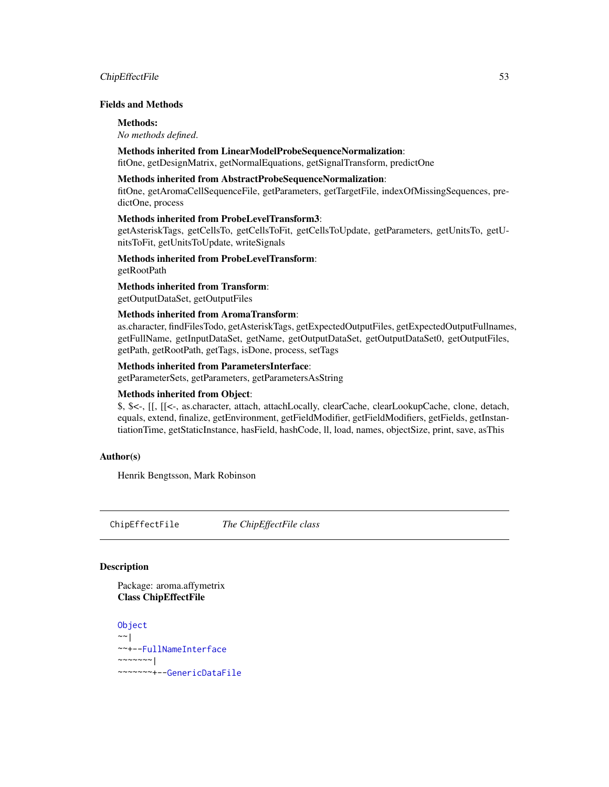# ChipEffectFile 53

### Fields and Methods

#### Methods:

*No methods defined*.

#### Methods inherited from LinearModelProbeSequenceNormalization:

fitOne, getDesignMatrix, getNormalEquations, getSignalTransform, predictOne

# Methods inherited from AbstractProbeSequenceNormalization:

fitOne, getAromaCellSequenceFile, getParameters, getTargetFile, indexOfMissingSequences, predictOne, process

# Methods inherited from ProbeLevelTransform3:

getAsteriskTags, getCellsTo, getCellsToFit, getCellsToUpdate, getParameters, getUnitsTo, getUnitsToFit, getUnitsToUpdate, writeSignals

# Methods inherited from ProbeLevelTransform:

getRootPath

# Methods inherited from Transform:

getOutputDataSet, getOutputFiles

# Methods inherited from AromaTransform:

as.character, findFilesTodo, getAsteriskTags, getExpectedOutputFiles, getExpectedOutputFullnames, getFullName, getInputDataSet, getName, getOutputDataSet, getOutputDataSet0, getOutputFiles, getPath, getRootPath, getTags, isDone, process, setTags

#### Methods inherited from ParametersInterface:

getParameterSets, getParameters, getParametersAsString

# Methods inherited from Object:

\$, \$<-, [[, [[<-, as.character, attach, attachLocally, clearCache, clearLookupCache, clone, detach, equals, extend, finalize, getEnvironment, getFieldModifier, getFieldModifiers, getFields, getInstantiationTime, getStaticInstance, hasField, hashCode, ll, load, names, objectSize, print, save, asThis

# Author(s)

Henrik Bengtsson, Mark Robinson

<span id="page-52-0"></span>ChipEffectFile *The ChipEffectFile class*

# Description

Package: aroma.affymetrix Class ChipEffectFile

**[Object](#page-0-0)**  $~\sim~$ | ~~+-[-FullNameInterface](#page-0-0) ~~~~~~~| ~~~~~~~+-[-GenericDataFile](#page-0-0)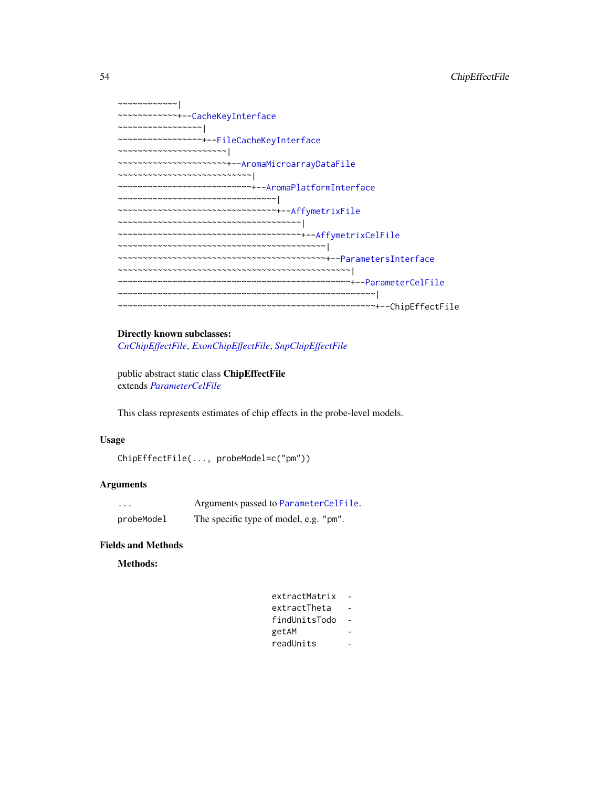```
~~~~~~~~~~~~|
~~~~~~~~~~~~+--CacheKeyInterface
~~~~~~~~~~~~~~~~~|
~~~~~~~~~~~~~~~~~+--FileCacheKeyInterface
~~~~~~~~~~~~~~~~~~~~~~|
~~~~~~~~~~~~~~~~~~~~~~+--AromaMicroarrayDataFile
~~~~~~~~~~~~~~~~~~~~~~~~~~~|
~~~~~~~~~~~~~~~~~~~~~~~~~~~+--AromaPlatformInterface
~~~~~~~~~~~~~~~~~~~~~~~~~~~~~~~~|
~~~~~~~~~~~~~~~~~~~~~~~~~~~~~~~~+--AffymetrixFile
~~~~~~~~~~~~~~~~~~~~~~~~~~~~~~~~~~~~~|
~~~~~~~~~~~~~~~~~~~~~~~~~~~~~~~~~~~~~+--AffymetrixCelFile
~~~~~~~~~~~~~~~~~~~~~~~~~~~~~~~~~~~~~~~~~~|
~~~~~~~~~~~~~~~~~~~~~~~~~~~~~~~~~~~~~~~~~~+--ParametersInterface
~~~~~~~~~~~~~~~~~~~~~~~~~~~~~~~~~~~~~~~~~~~~~~~|
~~~~~~~~~~~~~~~~~~~~~~~~~~~~~~~~~~~~~~~~~~~~~~~+--ParameterCelFile
  ~~~~~~~~~~~~~~~~~~~~~~~~~~~~~~~~~~~~~~~~~~~~~~~~~~~~|
~~~~~~~~~~~~~~~~~~~~~~~~~~~~~~~~~~~~~~~~~~~~~~~~~~~~+--ChipEffectFile
```
#### Directly known subclasses:

*[CnChipEffectFile](#page-63-0)*, *[ExonChipEffectFile](#page-95-0)*, *[SnpChipEffectFile](#page-189-0)*

public abstract static class ChipEffectFile extends *[ParameterCelFile](#page-149-0)*

This class represents estimates of chip effects in the probe-level models.

#### Usage

```
ChipEffectFile(..., probeModel=c("pm"))
```
# Arguments

| $\cdots$   | Arguments passed to ParameterCelFile.  |
|------------|----------------------------------------|
| probeModel | The specific type of model, e.g. "pm". |

#### Fields and Methods

#### Methods:

| extractMatrix |  |
|---------------|--|
| extractTheta  |  |
| findUnitsTodo |  |
| getAM         |  |
| readUnits     |  |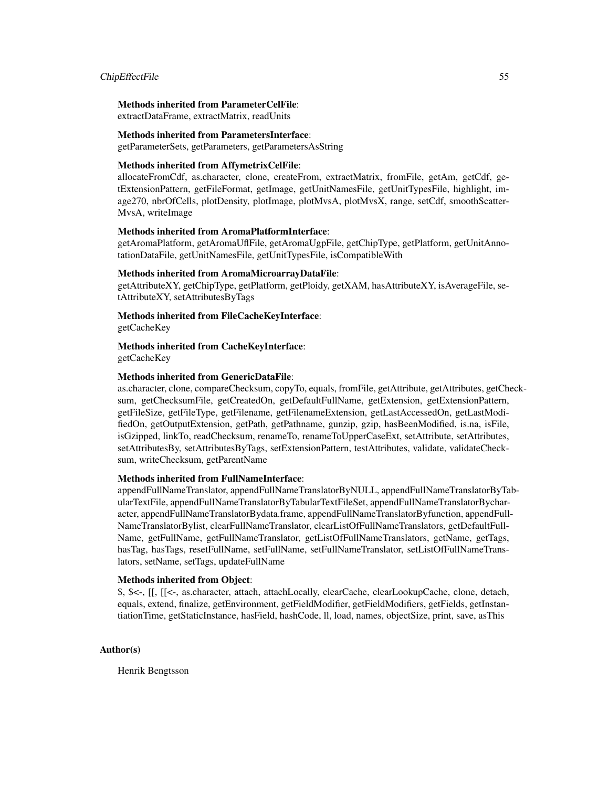#### ChipEffectFile 55

# Methods inherited from ParameterCelFile:

extractDataFrame, extractMatrix, readUnits

#### Methods inherited from ParametersInterface:

getParameterSets, getParameters, getParametersAsString

# Methods inherited from AffymetrixCelFile:

allocateFromCdf, as.character, clone, createFrom, extractMatrix, fromFile, getAm, getCdf, getExtensionPattern, getFileFormat, getImage, getUnitNamesFile, getUnitTypesFile, highlight, image270, nbrOfCells, plotDensity, plotImage, plotMvsA, plotMvsX, range, setCdf, smoothScatter-MvsA, writeImage

#### Methods inherited from AromaPlatformInterface:

getAromaPlatform, getAromaUflFile, getAromaUgpFile, getChipType, getPlatform, getUnitAnnotationDataFile, getUnitNamesFile, getUnitTypesFile, isCompatibleWith

#### Methods inherited from AromaMicroarrayDataFile:

getAttributeXY, getChipType, getPlatform, getPloidy, getXAM, hasAttributeXY, isAverageFile, setAttributeXY, setAttributesByTags

#### Methods inherited from FileCacheKeyInterface:

getCacheKey

# Methods inherited from CacheKeyInterface:

getCacheKey

#### Methods inherited from GenericDataFile:

as.character, clone, compareChecksum, copyTo, equals, fromFile, getAttribute, getAttributes, getChecksum, getChecksumFile, getCreatedOn, getDefaultFullName, getExtension, getExtensionPattern, getFileSize, getFileType, getFilename, getFilenameExtension, getLastAccessedOn, getLastModifiedOn, getOutputExtension, getPath, getPathname, gunzip, gzip, hasBeenModified, is.na, isFile, isGzipped, linkTo, readChecksum, renameTo, renameToUpperCaseExt, setAttribute, setAttributes, setAttributesBy, setAttributesByTags, setExtensionPattern, testAttributes, validate, validateChecksum, writeChecksum, getParentName

# Methods inherited from FullNameInterface:

appendFullNameTranslator, appendFullNameTranslatorByNULL, appendFullNameTranslatorByTabularTextFile, appendFullNameTranslatorByTabularTextFileSet, appendFullNameTranslatorBycharacter, appendFullNameTranslatorBydata.frame, appendFullNameTranslatorByfunction, appendFull-NameTranslatorBylist, clearFullNameTranslator, clearListOfFullNameTranslators, getDefaultFull-Name, getFullName, getFullNameTranslator, getListOfFullNameTranslators, getName, getTags, hasTag, hasTags, resetFullName, setFullName, setFullNameTranslator, setListOfFullNameTranslators, setName, setTags, updateFullName

# Methods inherited from Object:

\$, \$<-, [[, [[<-, as.character, attach, attachLocally, clearCache, clearLookupCache, clone, detach, equals, extend, finalize, getEnvironment, getFieldModifier, getFieldModifiers, getFields, getInstantiationTime, getStaticInstance, hasField, hashCode, ll, load, names, objectSize, print, save, asThis

#### Author(s)

Henrik Bengtsson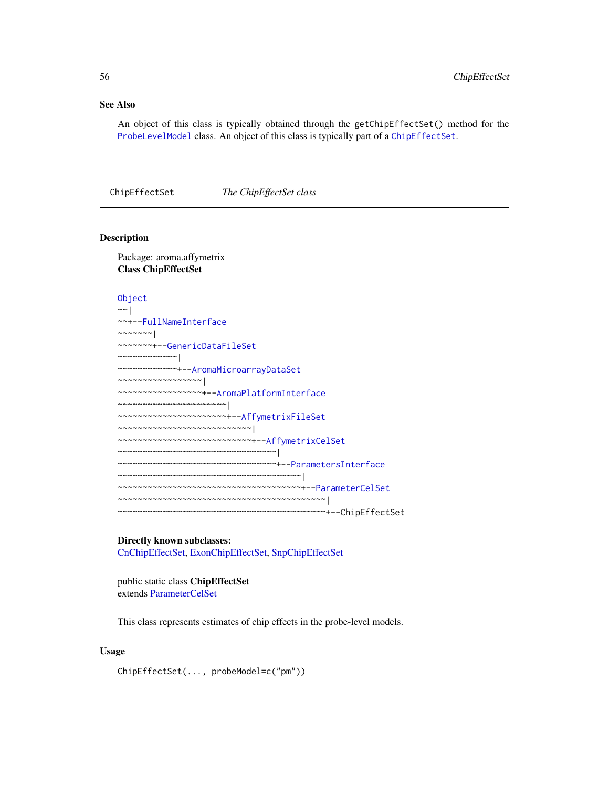# See Also

An object of this class is typically obtained through the getChipEffectSet() method for the [ProbeLevelModel](#page-156-0) class. An object of this class is typically part of a [ChipEffectSet](#page-55-0).

<span id="page-55-0"></span>ChipEffectSet *The ChipEffectSet class*

#### Description

Package: aroma.affymetrix Class ChipEffectSet

[Object](#page-0-0) ~~| ~~+-[-FullNameInterface](#page-0-0) ~~~~~~~ $|$ ~~~~~~~+-[-GenericDataFileSet](#page-0-0) ~~~~~~~~~~~~| ~~~~~~~~~~~~+-[-AromaMicroarrayDataSet](#page-0-0) ~~~~~~~~~~~~~~~~~| ~~~~~~~~~~~~~~~~~+-[-AromaPlatformInterface](#page-0-0) ~~~~~~~~~~~~~~~~~~~~~~| ~~~~~~~~~~~~~~~~~~~~~~+-[-AffymetrixFileSet](#page-29-0) ~~~~~~~~~~~~~~~~~~~~~~~~~~~| ~~~~~~~~~~~~~~~~~~~~~~~~~~~+-[-AffymetrixCelSet](#page-20-0) ~~~~~~~~~~~~~~~~~~~~~~~~~~~~~~~~ ~~~~~~~~~~~~~~~~~~~~~~~~~~~~~~~~+-[-ParametersInterface](#page-0-0) ~~~~~~~~~~~~~~~~~~~~~~~~~~~~~~~~~~~~~| ~~~~~~~~~~~~~~~~~~~~~~~~~~~~~~~~~~~~~+-[-ParameterCelSet](#page-152-0) ~~~~~~~~~~~~~~~~~~~~~~~~~~~~~~~~~~~~~~~~~~| ~~~~~~~~~~~~~~~~~~~~~~~~~~~~~~~~~~~~~~~~~~+--ChipEffectSet

# Directly known subclasses:

[CnChipEffectSet,](#page-66-0) [ExonChipEffectSet,](#page-98-0) [SnpChipEffectSet](#page-192-0)

public static class ChipEffectSet extends [ParameterCelSet](#page-152-0)

This class represents estimates of chip effects in the probe-level models.

#### Usage

ChipEffectSet(..., probeModel=c("pm"))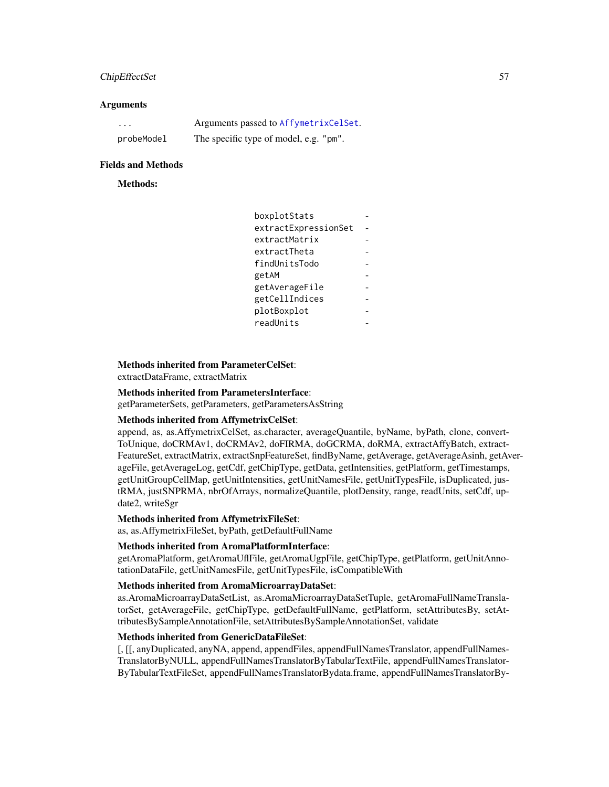# ChipEffectSet 57

#### **Arguments**

| $\cdots$   | Arguments passed to AffymetrixCelSet.  |
|------------|----------------------------------------|
| probeModel | The specific type of model, e.g. "pm". |

#### Fields and Methods

# Methods:

```
boxplotStats -
extractExpressionSet -
extractMatrix
extractTheta
findUnitsTodo -
getAM
getAverageFile -
getCellIndices -
plotBoxplot
readUnits
```
# Methods inherited from ParameterCelSet:

extractDataFrame, extractMatrix

#### Methods inherited from ParametersInterface:

getParameterSets, getParameters, getParametersAsString

# Methods inherited from AffymetrixCelSet:

append, as, as.AffymetrixCelSet, as.character, averageQuantile, byName, byPath, clone, convert-ToUnique, doCRMAv1, doCRMAv2, doFIRMA, doGCRMA, doRMA, extractAffyBatch, extract-FeatureSet, extractMatrix, extractSnpFeatureSet, findByName, getAverage, getAverageAsinh, getAverageFile, getAverageLog, getCdf, getChipType, getData, getIntensities, getPlatform, getTimestamps, getUnitGroupCellMap, getUnitIntensities, getUnitNamesFile, getUnitTypesFile, isDuplicated, justRMA, justSNPRMA, nbrOfArrays, normalizeQuantile, plotDensity, range, readUnits, setCdf, update2, writeSgr

#### Methods inherited from AffymetrixFileSet:

as, as.AffymetrixFileSet, byPath, getDefaultFullName

# Methods inherited from AromaPlatformInterface:

getAromaPlatform, getAromaUflFile, getAromaUgpFile, getChipType, getPlatform, getUnitAnnotationDataFile, getUnitNamesFile, getUnitTypesFile, isCompatibleWith

#### Methods inherited from AromaMicroarrayDataSet:

as.AromaMicroarrayDataSetList, as.AromaMicroarrayDataSetTuple, getAromaFullNameTranslatorSet, getAverageFile, getChipType, getDefaultFullName, getPlatform, setAttributesBy, setAttributesBySampleAnnotationFile, setAttributesBySampleAnnotationSet, validate

# Methods inherited from GenericDataFileSet:

[, [[, anyDuplicated, anyNA, append, appendFiles, appendFullNamesTranslator, appendFullNames-TranslatorByNULL, appendFullNamesTranslatorByTabularTextFile, appendFullNamesTranslator-ByTabularTextFileSet, appendFullNamesTranslatorBydata.frame, appendFullNamesTranslatorBy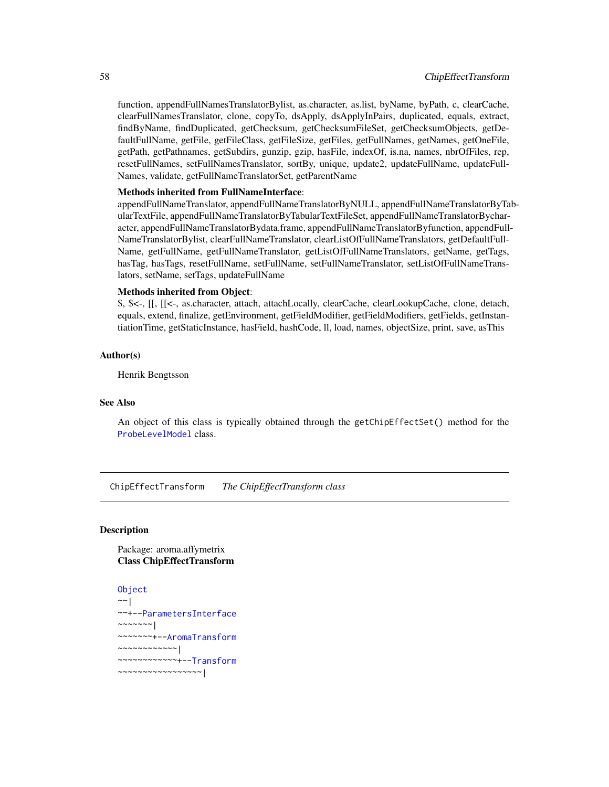function, appendFullNamesTranslatorBylist, as.character, as.list, byName, byPath, c, clearCache, clearFullNamesTranslator, clone, copyTo, dsApply, dsApplyInPairs, duplicated, equals, extract, findByName, findDuplicated, getChecksum, getChecksumFileSet, getChecksumObjects, getDefaultFullName, getFile, getFileClass, getFileSize, getFiles, getFullNames, getNames, getOneFile, getPath, getPathnames, getSubdirs, gunzip, gzip, hasFile, indexOf, is.na, names, nbrOfFiles, rep, resetFullNames, setFullNamesTranslator, sortBy, unique, update2, updateFullName, updateFull-Names, validate, getFullNameTranslatorSet, getParentName

# Methods inherited from FullNameInterface:

appendFullNameTranslator, appendFullNameTranslatorByNULL, appendFullNameTranslatorByTabularTextFile, appendFullNameTranslatorByTabularTextFileSet, appendFullNameTranslatorBycharacter, appendFullNameTranslatorBydata.frame, appendFullNameTranslatorByfunction, appendFull-NameTranslatorBylist, clearFullNameTranslator, clearListOfFullNameTranslators, getDefaultFull-Name, getFullName, getFullNameTranslator, getListOfFullNameTranslators, getName, getTags, hasTag, hasTags, resetFullName, setFullName, setFullNameTranslator, setListOfFullNameTranslators, setName, setTags, updateFullName

#### Methods inherited from Object:

\$, \$<-, [[, [[<-, as.character, attach, attachLocally, clearCache, clearLookupCache, clone, detach, equals, extend, finalize, getEnvironment, getFieldModifier, getFieldModifiers, getFields, getInstantiationTime, getStaticInstance, hasField, hashCode, ll, load, names, objectSize, print, save, asThis

#### Author(s)

Henrik Bengtsson

#### See Also

An object of this class is typically obtained through the getChipEffectSet() method for the [ProbeLevelModel](#page-156-0) class.

ChipEffectTransform *The ChipEffectTransform class*

# **Description**

Package: aroma.affymetrix Class ChipEffectTransform

#### [Object](#page-0-0)  $\sim$   $\sim$  |

```
~~+--ParametersInterface
~~~~~~~|
~~~~~~~+--AromaTransform
~~~~~~~~~~~~|
~~~~~~~~~~~~+--Transform
~~~~~~~~~~~~~~~~~|
```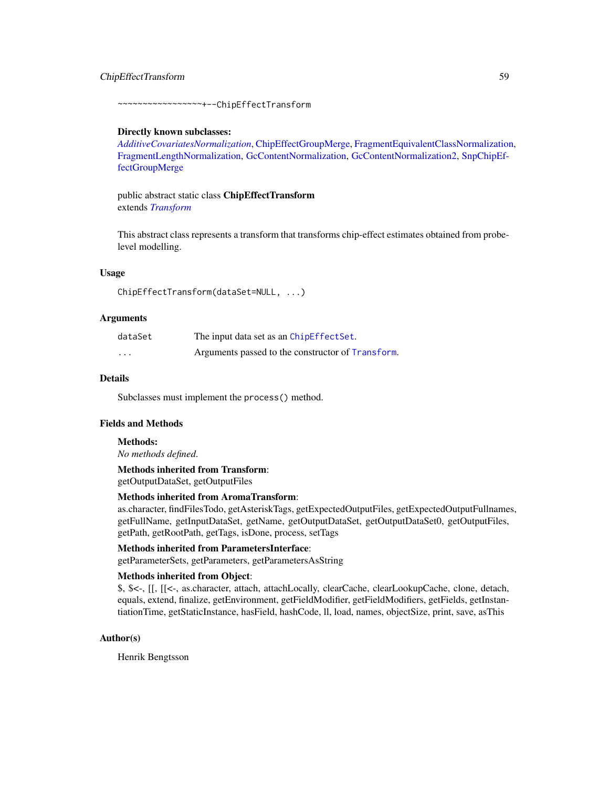# ChipEffectTransform 59

~~~~~~~~~~~~~~~~~+--ChipEffectTransform

#### Directly known subclasses:

*[AdditiveCovariatesNormalization](#page-6-0)*, [ChipEffectGroupMerge,](#page-0-0) [FragmentEquivalentClassNormalization,](#page-111-0) [FragmentLengthNormalization,](#page-112-0) [GcContentNormalization,](#page-114-0) [GcContentNormalization2,](#page-116-0) [SnpChipEf](#page-0-0)[fectGroupMerge](#page-0-0)

public abstract static class ChipEffectTransform extends *[Transform](#page-0-0)*

This abstract class represents a transform that transforms chip-effect estimates obtained from probelevel modelling.

#### Usage

ChipEffectTransform(dataSet=NULL, ...)

#### Arguments

| dataSet  | The input data set as an ChipEffectSet.           |
|----------|---------------------------------------------------|
| $\cdots$ | Arguments passed to the constructor of Transform. |

# Details

Subclasses must implement the process() method.

#### Fields and Methods

# Methods:

*No methods defined*.

Methods inherited from Transform:

getOutputDataSet, getOutputFiles

#### Methods inherited from AromaTransform:

as.character, findFilesTodo, getAsteriskTags, getExpectedOutputFiles, getExpectedOutputFullnames, getFullName, getInputDataSet, getName, getOutputDataSet, getOutputDataSet0, getOutputFiles, getPath, getRootPath, getTags, isDone, process, setTags

#### Methods inherited from ParametersInterface:

getParameterSets, getParameters, getParametersAsString

#### Methods inherited from Object:

\$, \$<-, [[, [[<-, as.character, attach, attachLocally, clearCache, clearLookupCache, clone, detach, equals, extend, finalize, getEnvironment, getFieldModifier, getFieldModifiers, getFields, getInstantiationTime, getStaticInstance, hasField, hashCode, ll, load, names, objectSize, print, save, asThis

# Author(s)

Henrik Bengtsson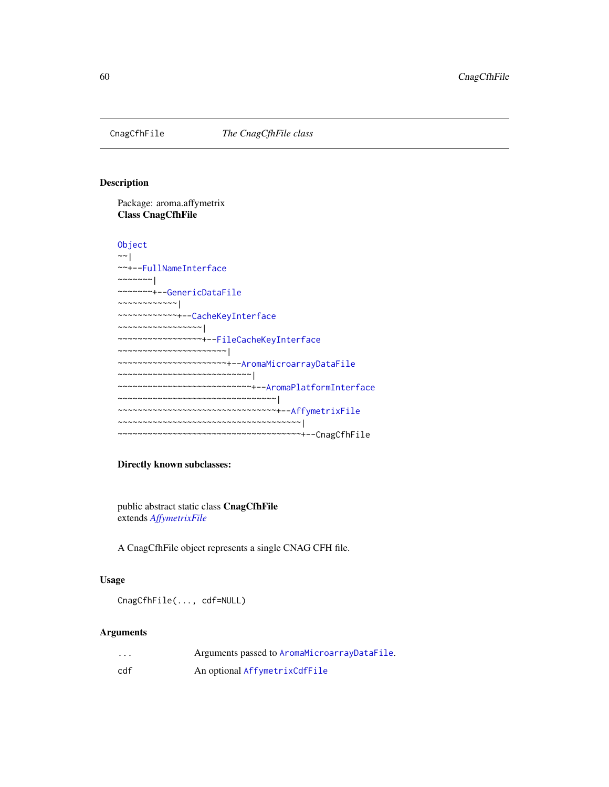<span id="page-59-0"></span>

# Description

Package: aroma.affymetrix Class CnagCfhFile

```
Object
~~|
~~+--FullNameInterface
~\sim ~\sim ~\sim ~\sim ~\sim ~\sim ~\sim~~~~~~~+--GenericDataFile
~~~~~~~~~~~~|
~~~~~~~~~~~~+--CacheKeyInterface
~~~~~~~~~~~~~~~~~|
~~~~~~~~~~~~~~~~~+--FileCacheKeyInterface
~~~~~~~~~~~~~~~~~~~~~~|
~~~~~~~~~~~~~~~~~~~~~~+--AromaMicroarrayDataFile
~~~~~~~~~~~~~~~~~~~~~~~~~~~|
~~~~~~~~~~~~~~~~~~~~~~~~~~~+--AromaPlatformInterface
~~~~~~~~~~~~~~~~~~~~~~~~~~~~~~~~
~~~~~~~~~~~~~~~~~~~~~~~~~~~~~~~~+--AffymetrixFile
~~~~~~~~~~~~~~~~~~~~~~~~~~~~~~~~~~~~~|
~~~~~~~~~~~~~~~~~~~~~~~~~~~~~~~~~~~~~+--CnagCfhFile
```
# Directly known subclasses:

public abstract static class CnagCfhFile extends *[AffymetrixFile](#page-27-0)*

A CnagCfhFile object represents a single CNAG CFH file.

#### Usage

CnagCfhFile(..., cdf=NULL)

#### Arguments

| $\cdots$ | Arguments passed to AromaMicroarrayDataFile. |
|----------|----------------------------------------------|
| cdf      | An optional AffymetrixCdfFile                |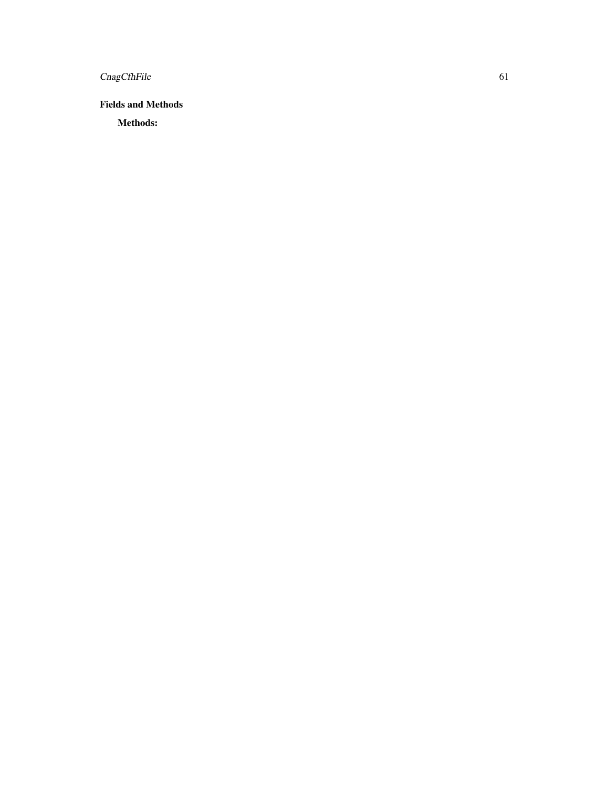CnagCfhFile 61

Fields and Methods

Methods: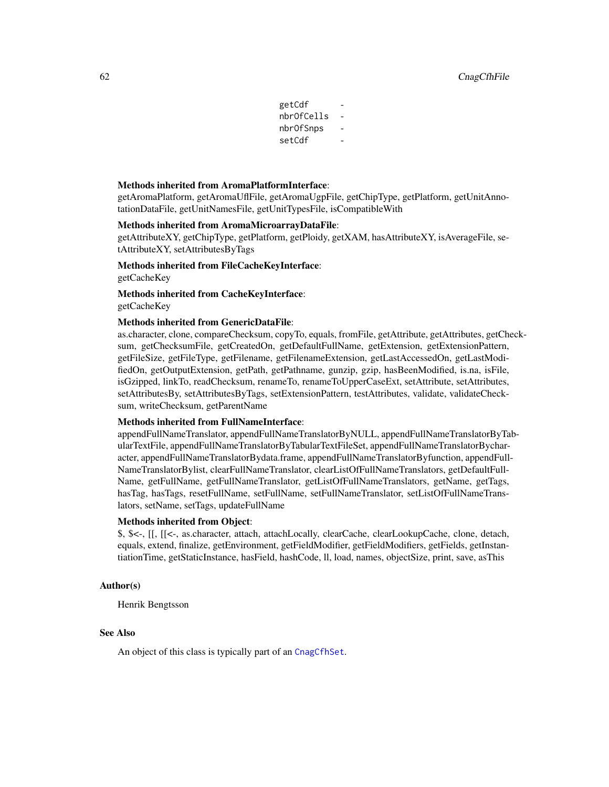| getCdf     |  |
|------------|--|
| nbrOfCells |  |
| nbr0fSnps  |  |
| setCdf     |  |

#### Methods inherited from AromaPlatformInterface:

getAromaPlatform, getAromaUflFile, getAromaUgpFile, getChipType, getPlatform, getUnitAnnotationDataFile, getUnitNamesFile, getUnitTypesFile, isCompatibleWith

#### Methods inherited from AromaMicroarrayDataFile:

getAttributeXY, getChipType, getPlatform, getPloidy, getXAM, hasAttributeXY, isAverageFile, setAttributeXY, setAttributesByTags

Methods inherited from FileCacheKeyInterface: getCacheKey

# Methods inherited from CacheKeyInterface: getCacheKey

#### Methods inherited from GenericDataFile:

as.character, clone, compareChecksum, copyTo, equals, fromFile, getAttribute, getAttributes, getChecksum, getChecksumFile, getCreatedOn, getDefaultFullName, getExtension, getExtensionPattern, getFileSize, getFileType, getFilename, getFilenameExtension, getLastAccessedOn, getLastModifiedOn, getOutputExtension, getPath, getPathname, gunzip, gzip, hasBeenModified, is.na, isFile, isGzipped, linkTo, readChecksum, renameTo, renameToUpperCaseExt, setAttribute, setAttributes, setAttributesBy, setAttributesByTags, setExtensionPattern, testAttributes, validate, validateChecksum, writeChecksum, getParentName

#### Methods inherited from FullNameInterface:

appendFullNameTranslator, appendFullNameTranslatorByNULL, appendFullNameTranslatorByTabularTextFile, appendFullNameTranslatorByTabularTextFileSet, appendFullNameTranslatorBycharacter, appendFullNameTranslatorBydata.frame, appendFullNameTranslatorByfunction, appendFull-NameTranslatorBylist, clearFullNameTranslator, clearListOfFullNameTranslators, getDefaultFull-Name, getFullName, getFullNameTranslator, getListOfFullNameTranslators, getName, getTags, hasTag, hasTags, resetFullName, setFullName, setFullNameTranslator, setListOfFullNameTranslators, setName, setTags, updateFullName

#### Methods inherited from Object:

\$, \$<-, [[, [[<-, as.character, attach, attachLocally, clearCache, clearLookupCache, clone, detach, equals, extend, finalize, getEnvironment, getFieldModifier, getFieldModifiers, getFields, getInstantiationTime, getStaticInstance, hasField, hashCode, ll, load, names, objectSize, print, save, asThis

#### Author(s)

Henrik Bengtsson

# See Also

An object of this class is typically part of an [CnagCfhSet](#page-62-0).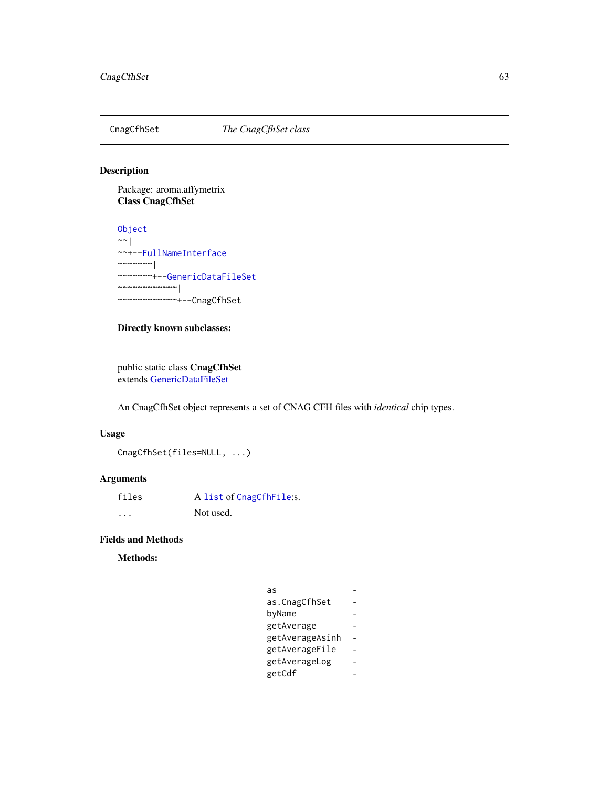<span id="page-62-0"></span>

# Description

Package: aroma.affymetrix Class CnagCfhSet

[Object](#page-0-0)  $~\sim$   $~\sim$   $~\mid$ ~~+-[-FullNameInterface](#page-0-0)  $~\sim$   $\sim$   $\sim$   $\sim$   $\sim$   $\sim$   $\sim$   $\sim$ ~~~~~~~+-[-GenericDataFileSet](#page-0-0) ~~~~~~~~~~~~| ~~~~~~~~~~~~+--CnagCfhSet

# Directly known subclasses:

public static class CnagCfhSet extends [GenericDataFileSet](#page-0-0)

An CnagCfhSet object represents a set of CNAG CFH files with *identical* chip types.

# Usage

CnagCfhSet(files=NULL, ...)

# Arguments

| files | A list of CnagCfhFile:s. |
|-------|--------------------------|
| .     | Not used.                |

# Fields and Methods

Methods:

| as              |  |
|-----------------|--|
| as.CnagCfhSet   |  |
| byName          |  |
| getAverage      |  |
| getAverageAsinh |  |
| getAverageFile  |  |
| getAverageLog   |  |
| getCdf          |  |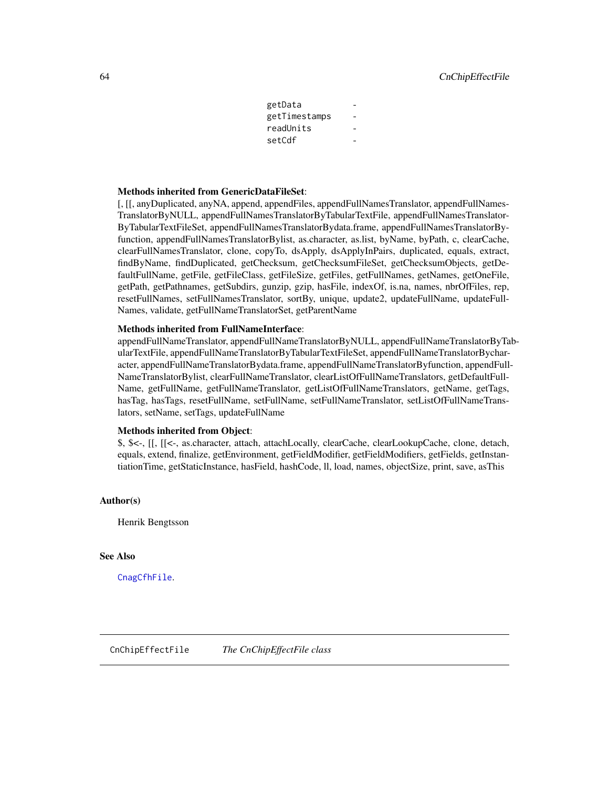| getData       |  |
|---------------|--|
| getTimestamps |  |
| readUnits     |  |
| setCdf        |  |

#### Methods inherited from GenericDataFileSet:

[, [[, anyDuplicated, anyNA, append, appendFiles, appendFullNamesTranslator, appendFullNames-TranslatorByNULL, appendFullNamesTranslatorByTabularTextFile, appendFullNamesTranslator-ByTabularTextFileSet, appendFullNamesTranslatorBydata.frame, appendFullNamesTranslatorByfunction, appendFullNamesTranslatorBylist, as.character, as.list, byName, byPath, c, clearCache, clearFullNamesTranslator, clone, copyTo, dsApply, dsApplyInPairs, duplicated, equals, extract, findByName, findDuplicated, getChecksum, getChecksumFileSet, getChecksumObjects, getDefaultFullName, getFile, getFileClass, getFileSize, getFiles, getFullNames, getNames, getOneFile, getPath, getPathnames, getSubdirs, gunzip, gzip, hasFile, indexOf, is.na, names, nbrOfFiles, rep, resetFullNames, setFullNamesTranslator, sortBy, unique, update2, updateFullName, updateFull-Names, validate, getFullNameTranslatorSet, getParentName

# Methods inherited from FullNameInterface:

appendFullNameTranslator, appendFullNameTranslatorByNULL, appendFullNameTranslatorByTabularTextFile, appendFullNameTranslatorByTabularTextFileSet, appendFullNameTranslatorBycharacter, appendFullNameTranslatorBydata.frame, appendFullNameTranslatorByfunction, appendFull-NameTranslatorBylist, clearFullNameTranslator, clearListOfFullNameTranslators, getDefaultFull-Name, getFullName, getFullNameTranslator, getListOfFullNameTranslators, getName, getTags, hasTag, hasTags, resetFullName, setFullName, setFullNameTranslator, setListOfFullNameTranslators, setName, setTags, updateFullName

# Methods inherited from Object:

\$, \$<-, [[, [[<-, as.character, attach, attachLocally, clearCache, clearLookupCache, clone, detach, equals, extend, finalize, getEnvironment, getFieldModifier, getFieldModifiers, getFields, getInstantiationTime, getStaticInstance, hasField, hashCode, ll, load, names, objectSize, print, save, asThis

#### Author(s)

Henrik Bengtsson

#### See Also

<span id="page-63-0"></span>[CnagCfhFile](#page-59-0).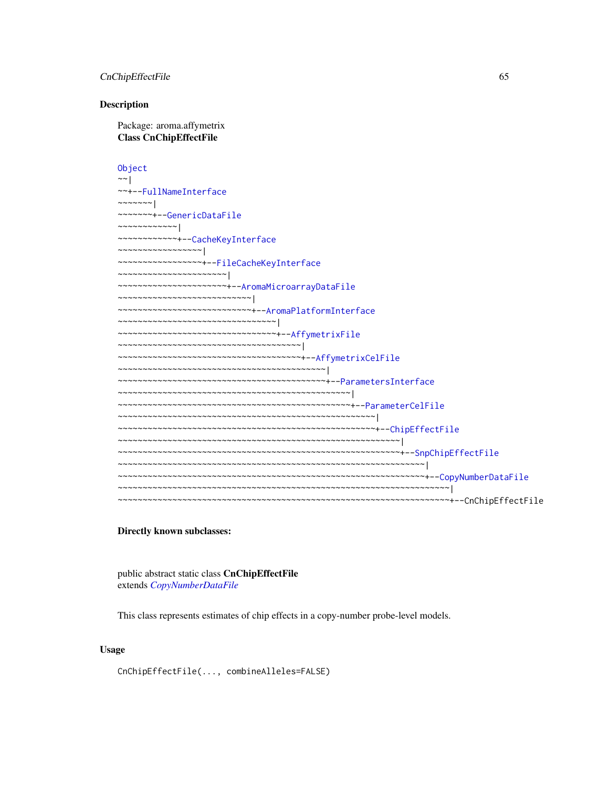# CnChipEffectFile 65

#### **Description**

Package: aroma.affymetrix Class CnChipEffectFile

[Object](#page-0-0) ~~| ~~+-[-FullNameInterface](#page-0-0)  $~\sim$   $~\sim$   $~\sim$   $~\sim$   $~\sim$   $~\sim$   $~\sim$ ~~~~~~~+-[-GenericDataFile](#page-0-0) ~~~~~~~~~~~~| ~~~~~~~~~~~~+-[-CacheKeyInterface](#page-0-0) ~~~~~~~~~~~~~~~~~| ~~~~~~~~~~~~~~~~~+-[-FileCacheKeyInterface](#page-0-0) ~~~~~~~~~~~~~~~~~~~~~~| ~~~~~~~~~~~~~~~~~~~~~~+-[-AromaMicroarrayDataFile](#page-0-0) ~~~~~~~~~~~~~~~~~~~~~~~~~~~| ~~~~~~~~~~~~~~~~~~~~~~~~~~~+-[-AromaPlatformInterface](#page-0-0) ~~~~~~~~~~~~~~~~~~~~~~~~~~~~~~~~ ~~~~~~~~~~~~~~~~~~~~~~~~~~~~~~~~+-[-AffymetrixFile](#page-27-0) ~~~~~~~~~~~~~~~~~~~~~~~~~~~~~~~~~~~~~| ~~~~~~~~~~~~~~~~~~~~~~~~~~~~~~~~~~~~~+-[-AffymetrixCelFile](#page-17-0) ~~~~~~~~~~~~~~~~~~~~~~~~~~~~~~~~~~~~~~~~~~| ~~~~~~~~~~~~~~~~~~~~~~~~~~~~~~~~~~~~~~~~~~+-[-ParametersInterface](#page-0-0) ~~~~~~~~~~~~~~~~~~~~~~~~~~~~~~~~~~~~~~~~~~~~~~~| ~~~~~~~~~~~~~~~~~~~~~~~~~~~~~~~~~~~~~~~~~~~~~~~+-[-ParameterCelFile](#page-149-0) ~~~~~~~~~~~~~~~~~~~~~~~~~~~~~~~~~~~~~~~~~~~~~~~~~~~~| ~~~~~~~~~~~~~~~~~~~~~~~~~~~~~~~~~~~~~~~~~~~~~~~~~~~~+-[-ChipEffectFile](#page-52-0) ~~~~~~~~~~~~~~~~~~~~~~~~~~~~~~~~~~~~~~~~~~~~~~~~~~~~~~~~~| ~~~~~~~~~~~~~~~~~~~~~~~~~~~~~~~~~~~~~~~~~~~~~~~~~~~~~~~~~+-[-SnpChipEffectFile](#page-189-0) ~~~~~~~~~~~~~~~~~~~~~~~~~~~~~~~~~~~~~~~~~~~~~~~~~~~~~~~~~~~~~~| ~~~~~~~~~~~~~~~~~~~~~~~~~~~~~~~~~~~~~~~~~~~~~~~~~~~~~~~~~~~~~~+-[-CopyNumberDataFile](#page-0-0) ~~~~~~~~~~~~~~~~~~~~~~~~~~~~~~~~~~~~~~~~~~~~~~~~~~~~~~~~~~~~~~~~~~~| ~~~~~~~~~~~~~~~~~~~~~~~~~~~~~~~~~~~~~~~~~~~~~~~~~~~~~~~~~~~~~~~~~~~+--CnChipEffectFile

# Directly known subclasses:

public abstract static class CnChipEffectFile extends *[CopyNumberDataFile](#page-0-0)*

This class represents estimates of chip effects in a copy-number probe-level models.

#### Usage

CnChipEffectFile(..., combineAlleles=FALSE)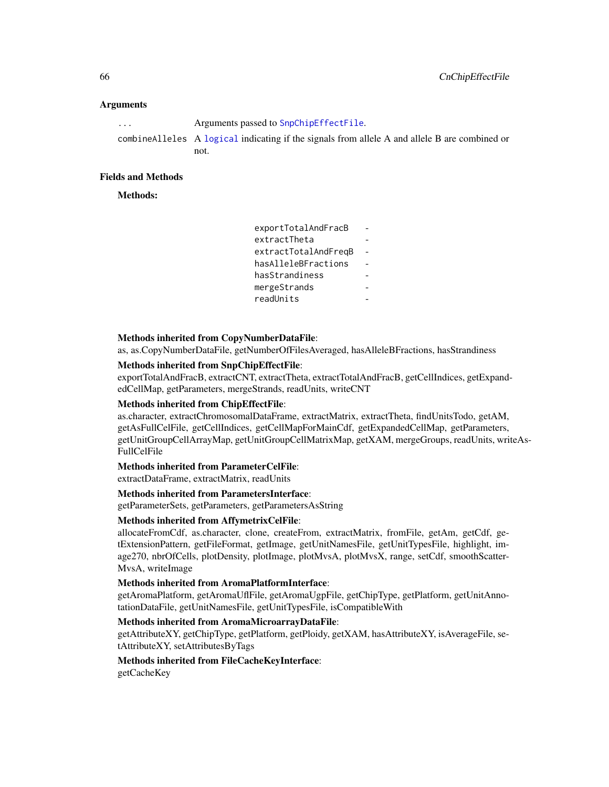### **Arguments**

| $\cdots$ | Arguments passed to SnpChipEffectFile.                                                        |
|----------|-----------------------------------------------------------------------------------------------|
|          | combinealleles A logical indicating if the signals from allele A and allele B are combined or |
|          | not.                                                                                          |

# Fields and Methods

Methods:

| exportTotalAndFracB  |  |
|----------------------|--|
| extractTheta         |  |
| extractTotalAndFreqB |  |
| hasAlleleBFractions  |  |
| hasStrandiness       |  |
| mergeStrands         |  |
| readUnits            |  |

#### Methods inherited from CopyNumberDataFile:

as, as.CopyNumberDataFile, getNumberOfFilesAveraged, hasAlleleBFractions, hasStrandiness

#### Methods inherited from SnpChipEffectFile:

exportTotalAndFracB, extractCNT, extractTheta, extractTotalAndFracB, getCellIndices, getExpandedCellMap, getParameters, mergeStrands, readUnits, writeCNT

# Methods inherited from ChipEffectFile:

as.character, extractChromosomalDataFrame, extractMatrix, extractTheta, findUnitsTodo, getAM, getAsFullCelFile, getCellIndices, getCellMapForMainCdf, getExpandedCellMap, getParameters, getUnitGroupCellArrayMap, getUnitGroupCellMatrixMap, getXAM, mergeGroups, readUnits, writeAs-FullCelFile

#### Methods inherited from ParameterCelFile:

extractDataFrame, extractMatrix, readUnits

#### Methods inherited from ParametersInterface:

getParameterSets, getParameters, getParametersAsString

# Methods inherited from AffymetrixCelFile:

allocateFromCdf, as.character, clone, createFrom, extractMatrix, fromFile, getAm, getCdf, getExtensionPattern, getFileFormat, getImage, getUnitNamesFile, getUnitTypesFile, highlight, image270, nbrOfCells, plotDensity, plotImage, plotMvsA, plotMvsX, range, setCdf, smoothScatter-MvsA, writeImage

#### Methods inherited from AromaPlatformInterface:

getAromaPlatform, getAromaUflFile, getAromaUgpFile, getChipType, getPlatform, getUnitAnnotationDataFile, getUnitNamesFile, getUnitTypesFile, isCompatibleWith

# Methods inherited from AromaMicroarrayDataFile:

getAttributeXY, getChipType, getPlatform, getPloidy, getXAM, hasAttributeXY, isAverageFile, setAttributeXY, setAttributesByTags

# Methods inherited from FileCacheKeyInterface:

getCacheKey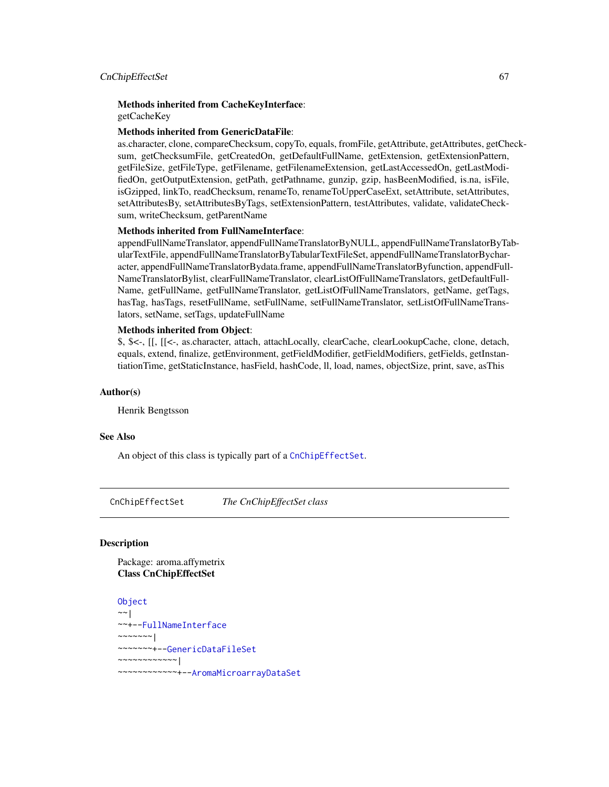#### CnChipEffectSet 67

#### Methods inherited from CacheKeyInterface: getCacheKey

# Methods inherited from GenericDataFile:

as.character, clone, compareChecksum, copyTo, equals, fromFile, getAttribute, getAttributes, getChecksum, getChecksumFile, getCreatedOn, getDefaultFullName, getExtension, getExtensionPattern, getFileSize, getFileType, getFilename, getFilenameExtension, getLastAccessedOn, getLastModifiedOn, getOutputExtension, getPath, getPathname, gunzip, gzip, hasBeenModified, is.na, isFile, isGzipped, linkTo, readChecksum, renameTo, renameToUpperCaseExt, setAttribute, setAttributes, setAttributesBy, setAttributesByTags, setExtensionPattern, testAttributes, validate, validateChecksum, writeChecksum, getParentName

#### Methods inherited from FullNameInterface:

appendFullNameTranslator, appendFullNameTranslatorByNULL, appendFullNameTranslatorByTabularTextFile, appendFullNameTranslatorByTabularTextFileSet, appendFullNameTranslatorBycharacter, appendFullNameTranslatorBydata.frame, appendFullNameTranslatorByfunction, appendFull-NameTranslatorBylist, clearFullNameTranslator, clearListOfFullNameTranslators, getDefaultFull-Name, getFullName, getFullNameTranslator, getListOfFullNameTranslators, getName, getTags, hasTag, hasTags, resetFullName, setFullName, setFullNameTranslator, setListOfFullNameTranslators, setName, setTags, updateFullName

# Methods inherited from Object:

\$, \$<-, [[, [[<-, as.character, attach, attachLocally, clearCache, clearLookupCache, clone, detach, equals, extend, finalize, getEnvironment, getFieldModifier, getFieldModifiers, getFields, getInstantiationTime, getStaticInstance, hasField, hashCode, ll, load, names, objectSize, print, save, asThis

# Author(s)

Henrik Bengtsson

#### See Also

An object of this class is typically part of a [CnChipEffectSet](#page-66-0).

<span id="page-66-0"></span>CnChipEffectSet *The CnChipEffectSet class*

# **Description**

Package: aroma.affymetrix Class CnChipEffectSet

```
Object
~~|
~~+--FullNameInterface
~\sim~\sim~\sim~\sim~\sim~~~~~~~~+--GenericDataFileSet
~~~~~~~~~~~~|
~~~~~~~~~~~~+--AromaMicroarrayDataSet
```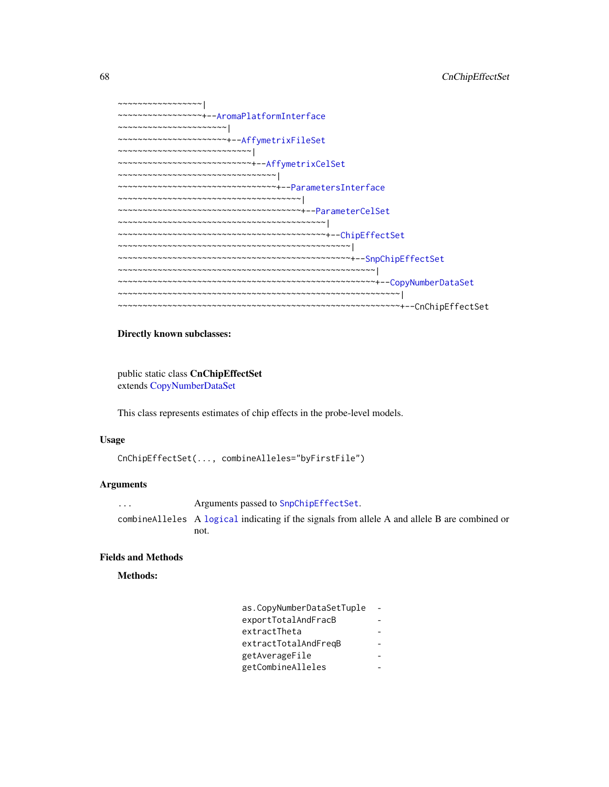```
~~~~~~~~~~~~~~~~~|
   ~~~~~~~~~~~~~~~~~+--AromaPlatformInterface
 ~~~~~~~~~~~~~~~~~~~~~~|
    ~~~~~~~~~~~~~~~~~~~~~~+--AffymetrixFileSet
  ~\sim ~\sim ~\sim ~\sim ~\sim ~\sim ~\sim ~\sim ~\sim ~\sim ~\sim ~\sim ~\sim ~\sim ~\sim ~\sim ~\sim ~\sim ~\sim ~\sim ~\sim ~\sim ~\sim ~\sim ~\sim ~\sim ~\sim ~\sim ~\sim ~\sim ~\sim ~\sim ~\sim ~\sim ~\sim ~\sim ~\sim~~~~~~~~~~~~~~~~~~~~~~~~~~~+--AffymetrixCelSet
~~~~~~~~~~~~~~~~~~~~~~~~~~~~~\sim~~~~~~~~~~~~~~~~~~~~~~~~~~~~~~~~+--ParametersInterface
  ~~~~~~~~~~~~~~~~~~~~~~~~~~~~~~~~~~~~~|
    ~~~~~~~~~~~~~~~~~~~~~~~~~~~~~~~~~~~~~+--ParameterCelSet
~~~~~~~~~~~~~~~~~~~~~~~~~~~~~~~~~~~~~~~~~~|
~~~~~~~~~~~~~~~~~~~~~~~~~~~~~~~~~~~~~~~~~~+--ChipEffectSet
   ~~~~~~~~~~~~~~~~~~~~~~~~~~~~~~~~~~~~~~~~~~~~~~~|
   ~~~~~~~~~~~~~~~~~~~~~~~~~~~~~~~~~~~~~~~~~~~~~~~+--SnpChipEffectSet
    ~~~~~~~~~~~~~~~~~~~~~~~~~~~~~~~~~~~~~~~~~~~~~~~~~~~~|
  ~~~~~~~~~~~~~~~~~~~~~~~~~~~~~~~~~~~~~~~~~~~~~~~~~~~~+--CopyNumberDataSet
     ~~~~~~~~~~~~~~~~~~~~~~~~~~~~~~~~~~~~~~~~~~~~~~~~~~~~~~~~~|
                                                         ~~~~~~~~~~~~~~~~~~~~~~~~~~~~~~~~~~~~~~~~~~~~~~~~~~~~~~~~~+--CnChipEffectSet
```
### Directly known subclasses:

public static class CnChipEffectSet extends [CopyNumberDataSet](#page-0-0)

This class represents estimates of chip effects in the probe-level models.

#### Usage

```
CnChipEffectSet(..., combineAlleles="byFirstFile")
```
# Arguments

... Arguments passed to [SnpChipEffectSet](#page-192-0). combineAlleles A [logical](#page-0-0) indicating if the signals from allele A and allele B are combined or not.

# Fields and Methods

Methods:

| as.CopyNumberDataSetTuple |  |
|---------------------------|--|
| exportTotalAndFracB       |  |
| extractTheta              |  |
| extractTotalAndFreqB      |  |
| getAverageFile            |  |
| getCombineAlleles         |  |
|                           |  |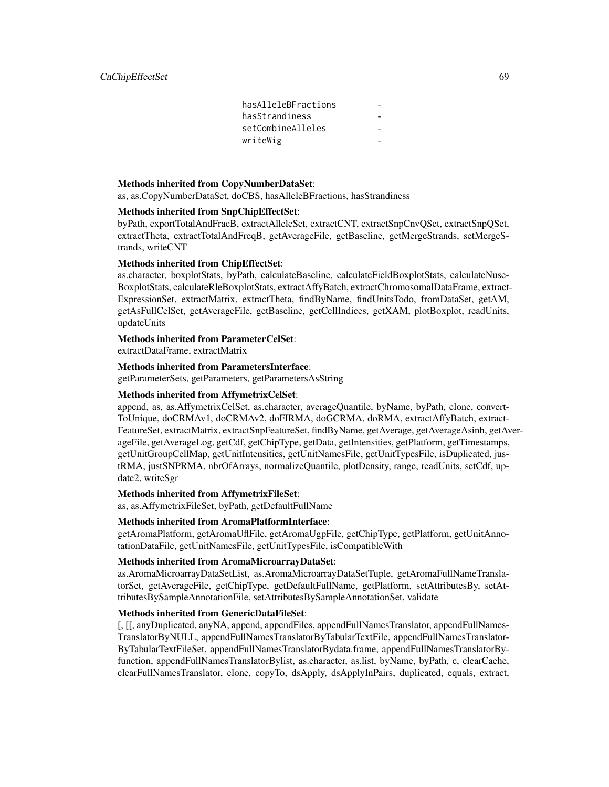| hasAlleleBFractions |  |
|---------------------|--|
| hasStrandiness      |  |
| setCombineAlleles   |  |
| writeWig            |  |

#### Methods inherited from CopyNumberDataSet:

as, as.CopyNumberDataSet, doCBS, hasAlleleBFractions, hasStrandiness

### Methods inherited from SnpChipEffectSet:

byPath, exportTotalAndFracB, extractAlleleSet, extractCNT, extractSnpCnvQSet, extractSnpQSet, extractTheta, extractTotalAndFreqB, getAverageFile, getBaseline, getMergeStrands, setMergeStrands, writeCNT

#### Methods inherited from ChipEffectSet:

as.character, boxplotStats, byPath, calculateBaseline, calculateFieldBoxplotStats, calculateNuse-BoxplotStats, calculateRleBoxplotStats, extractAffyBatch, extractChromosomalDataFrame, extract-ExpressionSet, extractMatrix, extractTheta, findByName, findUnitsTodo, fromDataSet, getAM, getAsFullCelSet, getAverageFile, getBaseline, getCellIndices, getXAM, plotBoxplot, readUnits, updateUnits

# Methods inherited from ParameterCelSet:

extractDataFrame, extractMatrix

#### Methods inherited from ParametersInterface:

getParameterSets, getParameters, getParametersAsString

# Methods inherited from AffymetrixCelSet:

append, as, as.AffymetrixCelSet, as.character, averageQuantile, byName, byPath, clone, convert-ToUnique, doCRMAv1, doCRMAv2, doFIRMA, doGCRMA, doRMA, extractAffyBatch, extract-FeatureSet, extractMatrix, extractSnpFeatureSet, findByName, getAverage, getAverageAsinh, getAverageFile, getAverageLog, getCdf, getChipType, getData, getIntensities, getPlatform, getTimestamps, getUnitGroupCellMap, getUnitIntensities, getUnitNamesFile, getUnitTypesFile, isDuplicated, justRMA, justSNPRMA, nbrOfArrays, normalizeQuantile, plotDensity, range, readUnits, setCdf, update2, writeSgr

#### Methods inherited from AffymetrixFileSet:

as, as.AffymetrixFileSet, byPath, getDefaultFullName

#### Methods inherited from AromaPlatformInterface:

getAromaPlatform, getAromaUflFile, getAromaUgpFile, getChipType, getPlatform, getUnitAnnotationDataFile, getUnitNamesFile, getUnitTypesFile, isCompatibleWith

#### Methods inherited from AromaMicroarrayDataSet:

as.AromaMicroarrayDataSetList, as.AromaMicroarrayDataSetTuple, getAromaFullNameTranslatorSet, getAverageFile, getChipType, getDefaultFullName, getPlatform, setAttributesBy, setAttributesBySampleAnnotationFile, setAttributesBySampleAnnotationSet, validate

# Methods inherited from GenericDataFileSet:

[, [[, anyDuplicated, anyNA, append, appendFiles, appendFullNamesTranslator, appendFullNames-TranslatorByNULL, appendFullNamesTranslatorByTabularTextFile, appendFullNamesTranslator-ByTabularTextFileSet, appendFullNamesTranslatorBydata.frame, appendFullNamesTranslatorByfunction, appendFullNamesTranslatorBylist, as.character, as.list, byName, byPath, c, clearCache, clearFullNamesTranslator, clone, copyTo, dsApply, dsApplyInPairs, duplicated, equals, extract,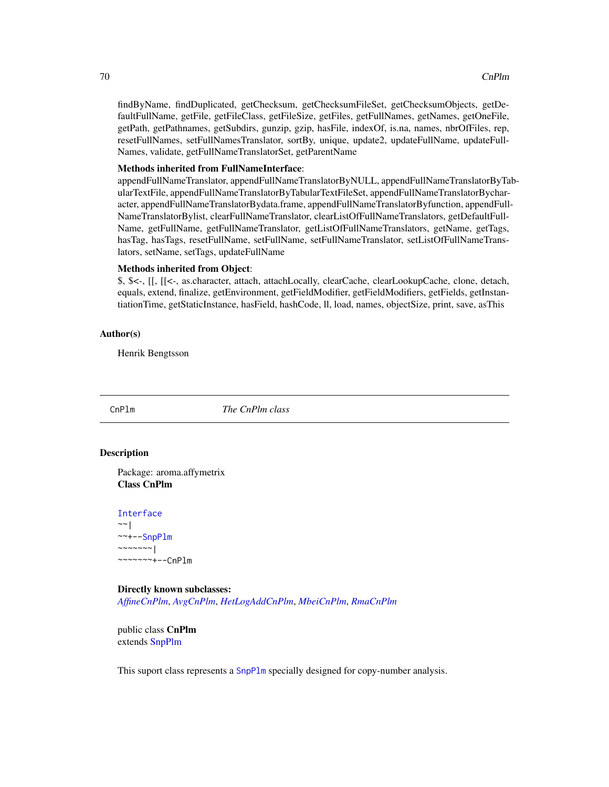findByName, findDuplicated, getChecksum, getChecksumFileSet, getChecksumObjects, getDefaultFullName, getFile, getFileClass, getFileSize, getFiles, getFullNames, getNames, getOneFile, getPath, getPathnames, getSubdirs, gunzip, gzip, hasFile, indexOf, is.na, names, nbrOfFiles, rep, resetFullNames, setFullNamesTranslator, sortBy, unique, update2, updateFullName, updateFull-Names, validate, getFullNameTranslatorSet, getParentName

#### Methods inherited from FullNameInterface:

appendFullNameTranslator, appendFullNameTranslatorByNULL, appendFullNameTranslatorByTabularTextFile, appendFullNameTranslatorByTabularTextFileSet, appendFullNameTranslatorBycharacter, appendFullNameTranslatorBydata.frame, appendFullNameTranslatorByfunction, appendFull-NameTranslatorBylist, clearFullNameTranslator, clearListOfFullNameTranslators, getDefaultFull-Name, getFullName, getFullNameTranslator, getListOfFullNameTranslators, getName, getTags, hasTag, hasTags, resetFullName, setFullName, setFullNameTranslator, setListOfFullNameTranslators, setName, setTags, updateFullName

#### Methods inherited from Object:

\$, \$<-, [[, [[<-, as.character, attach, attachLocally, clearCache, clearLookupCache, clone, detach, equals, extend, finalize, getEnvironment, getFieldModifier, getFieldModifiers, getFields, getInstantiationTime, getStaticInstance, hasField, hashCode, ll, load, names, objectSize, print, save, asThis

#### Author(s)

Henrik Bengtsson

<span id="page-69-0"></span>CnPlm *The CnPlm class*

# **Description**

Package: aroma.affymetrix Class CnPlm

[Interface](#page-0-0)  $~\sim~$ | ~~+-[-SnpPlm](#page-196-0)  $\sim$  ~~~~~~ | ~~~~~~~+--CnPlm

Directly known subclasses: *[AffineCnPlm](#page-9-0)*, *[AvgCnPlm](#page-42-0)*, *[HetLogAddCnPlm](#page-122-0)*, *[MbeiCnPlm](#page-136-0)*, *[RmaCnPlm](#page-177-0)*

public class CnPlm extends [SnpPlm](#page-196-0)

This suport class represents a [SnpPlm](#page-196-0) specially designed for copy-number analysis.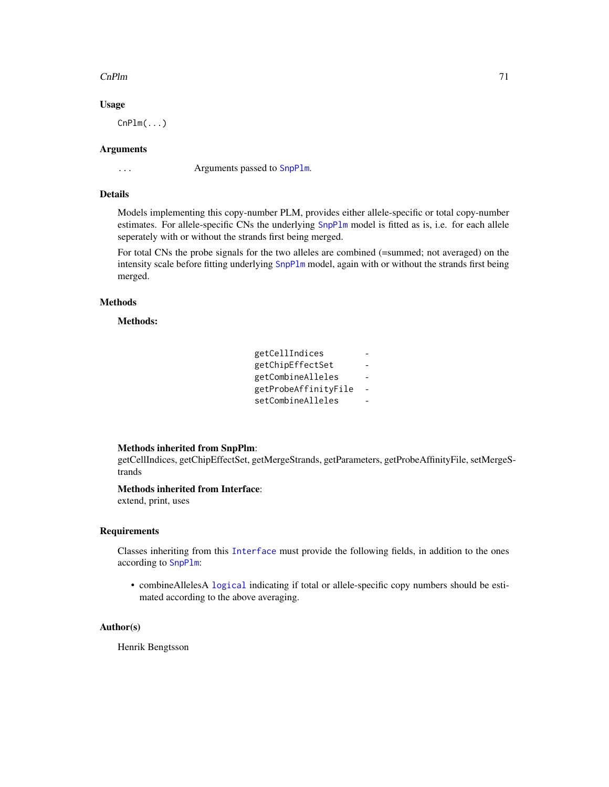#### $CnPlm$   $71$

# Usage

 $CnPlm(\ldots)$ 

#### Arguments

... Arguments passed to [SnpPlm](#page-196-0).

#### Details

Models implementing this copy-number PLM, provides either allele-specific or total copy-number estimates. For allele-specific CNs the underlying [SnpPlm](#page-196-0) model is fitted as is, i.e. for each allele seperately with or without the strands first being merged.

For total CNs the probe signals for the two alleles are combined (=summed; not averaged) on the intensity scale before fitting underlying [SnpPlm](#page-196-0) model, again with or without the strands first being merged.

# Methods

Methods:

| getCellIndices       |  |
|----------------------|--|
| getChipEffectSet     |  |
| getCombineAlleles    |  |
| getProbeAffinityFile |  |
| setCombineAlleles    |  |

# Methods inherited from SnpPlm:

getCellIndices, getChipEffectSet, getMergeStrands, getParameters, getProbeAffinityFile, setMergeStrands

# Methods inherited from Interface:

extend, print, uses

# Requirements

Classes inheriting from this [Interface](#page-0-0) must provide the following fields, in addition to the ones according to [SnpPlm](#page-196-0):

• combineAllelesA [logical](#page-0-0) indicating if total or allele-specific copy numbers should be estimated according to the above averaging.

#### Author(s)

Henrik Bengtsson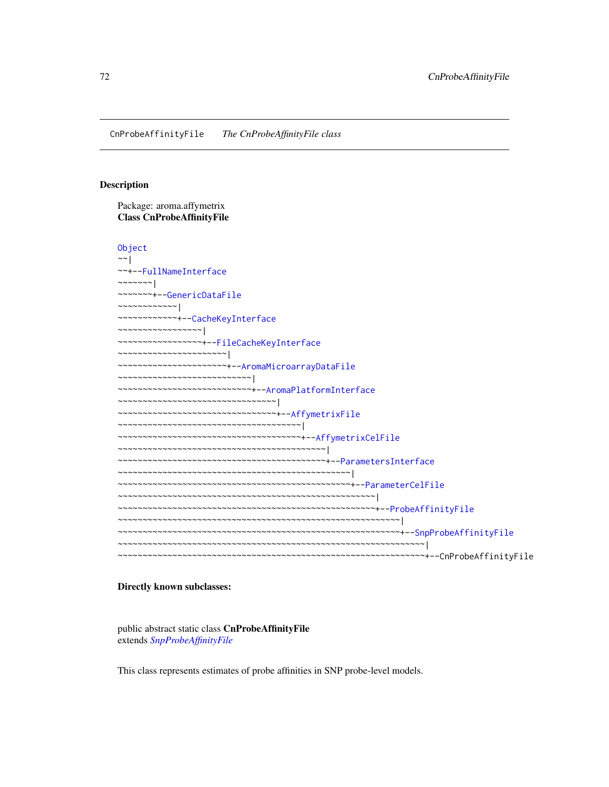# Description

Package: aroma.affymetrix Class CnProbeAffinityFile

[Object](#page-0-0) ~~| ~~+-[-FullNameInterface](#page-0-0) ~~~~~~~ $|$ ~~~~~~~+-[-GenericDataFile](#page-0-0) ~~~~~~~~~~~~| ~~~~~~~~~~~~+-[-CacheKeyInterface](#page-0-0) ~~~~~~~~~~~~~~~~~| ~~~~~~~~~~~~~~~~~+-[-FileCacheKeyInterface](#page-0-0) ~~~~~~~~~~~~~~~~~~~~~~| ~~~~~~~~~~~~~~~~~~~~~~+-[-AromaMicroarrayDataFile](#page-0-0) ~~~~~~~~~~~~~~~~~~~~~~~~~~~| ~~~~~~~~~~~~~~~~~~~~~~~~~~~+-[-AromaPlatformInterface](#page-0-0) ~~~~~~~~~~~~~~~~~~~~~~~~~~~~~~~~| ~~~~~~~~~~~~~~~~~~~~~~~~~~~~~~~~+-[-AffymetrixFile](#page-27-0) ~~~~~~~~~~~~~~~~~~~~~~~~~~~~~~~~~~~~~| ~~~~~~~~~~~~~~~~~~~~~~~~~~~~~~~~~~~~~+-[-AffymetrixCelFile](#page-17-0) ~~~~~~~~~~~~~~~~~~~~~~~~~~~~~~~~~~~~~~~~~~| ~~~~~~~~~~~~~~~~~~~~~~~~~~~~~~~~~~~~~~~~~~+-[-ParametersInterface](#page-0-0) ~~~~~~~~~~~~~~~~~~~~~~~~~~~~~~~~~~~~~~~~~~~~~~~| ~~~~~~~~~~~~~~~~~~~~~~~~~~~~~~~~~~~~~~~~~~~~~~~+-[-ParameterCelFile](#page-149-0) ~~~~~~~~~~~~~~~~~~~~~~~~~~~~~~~~~~~~~~~~~~~~~~~~~~~~| ~~~~~~~~~~~~~~~~~~~~~~~~~~~~~~~~~~~~~~~~~~~~~~~~~~~~+-[-ProbeAffinityFile](#page-154-0) ~~~~~~~~~~~~~~~~~~~~~~~~~~~~~~~~~~~~~~~~~~~~~~~~~~~~~~~~~| ~~~~~~~~~~~~~~~~~~~~~~~~~~~~~~~~~~~~~~~~~~~~~~~~~~~~~~~~~+-[-SnpProbeAffinityFile](#page-200-0) ~~~~~~~~~~~~~~~~~~~~~~~~~~~~~~~~~~~~~~~~~~~~~~~~~~~~~~~~~~~~~~| ~~~~~~~~~~~~~~~~~~~~~~~~~~~~~~~~~~~~~~~~~~~~~~~~~~~~~~~~~~~~~~+--CnProbeAffinityFile

#### Directly known subclasses:

public abstract static class CnProbeAffinityFile extends *[SnpProbeAffinityFile](#page-200-0)*

This class represents estimates of probe affinities in SNP probe-level models.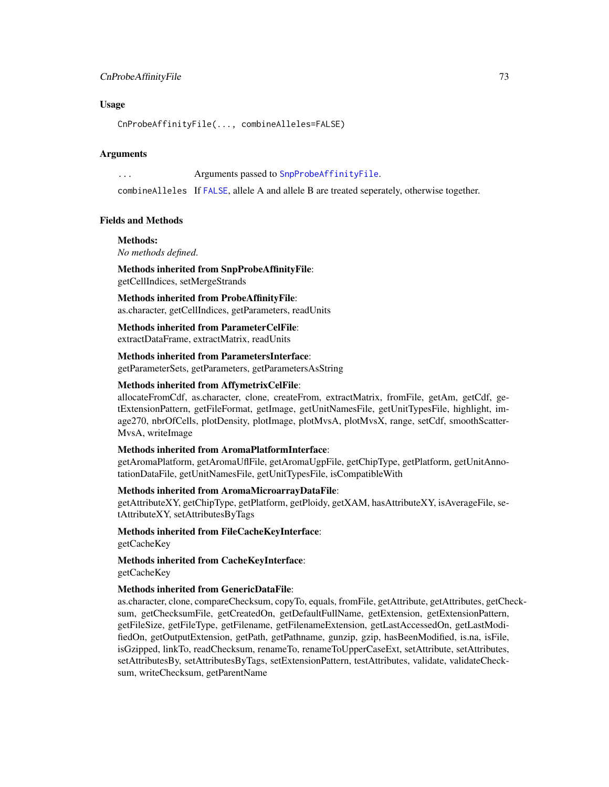## CnProbeAffinityFile 73

#### Usage

CnProbeAffinityFile(..., combineAlleles=FALSE)

#### Arguments

... Arguments passed to [SnpProbeAffinityFile](#page-200-0).

combineAlleles If [FALSE](#page-0-0), allele A and allele B are treated seperately, otherwise together.

#### Fields and Methods

## Methods:

*No methods defined*.

Methods inherited from SnpProbeAffinityFile: getCellIndices, setMergeStrands

Methods inherited from ProbeAffinityFile: as.character, getCellIndices, getParameters, readUnits

Methods inherited from ParameterCelFile: extractDataFrame, extractMatrix, readUnits

Methods inherited from ParametersInterface: getParameterSets, getParameters, getParametersAsString

#### Methods inherited from AffymetrixCelFile:

allocateFromCdf, as.character, clone, createFrom, extractMatrix, fromFile, getAm, getCdf, getExtensionPattern, getFileFormat, getImage, getUnitNamesFile, getUnitTypesFile, highlight, image270, nbrOfCells, plotDensity, plotImage, plotMvsA, plotMvsX, range, setCdf, smoothScatter-MvsA, writeImage

#### Methods inherited from AromaPlatformInterface:

getAromaPlatform, getAromaUflFile, getAromaUgpFile, getChipType, getPlatform, getUnitAnnotationDataFile, getUnitNamesFile, getUnitTypesFile, isCompatibleWith

## Methods inherited from AromaMicroarrayDataFile:

getAttributeXY, getChipType, getPlatform, getPloidy, getXAM, hasAttributeXY, isAverageFile, setAttributeXY, setAttributesByTags

Methods inherited from FileCacheKeyInterface: getCacheKey

Methods inherited from CacheKeyInterface: getCacheKey

#### Methods inherited from GenericDataFile:

as.character, clone, compareChecksum, copyTo, equals, fromFile, getAttribute, getAttributes, getChecksum, getChecksumFile, getCreatedOn, getDefaultFullName, getExtension, getExtensionPattern, getFileSize, getFileType, getFilename, getFilenameExtension, getLastAccessedOn, getLastModifiedOn, getOutputExtension, getPath, getPathname, gunzip, gzip, hasBeenModified, is.na, isFile, isGzipped, linkTo, readChecksum, renameTo, renameToUpperCaseExt, setAttribute, setAttributes, setAttributesBy, setAttributesByTags, setExtensionPattern, testAttributes, validate, validateChecksum, writeChecksum, getParentName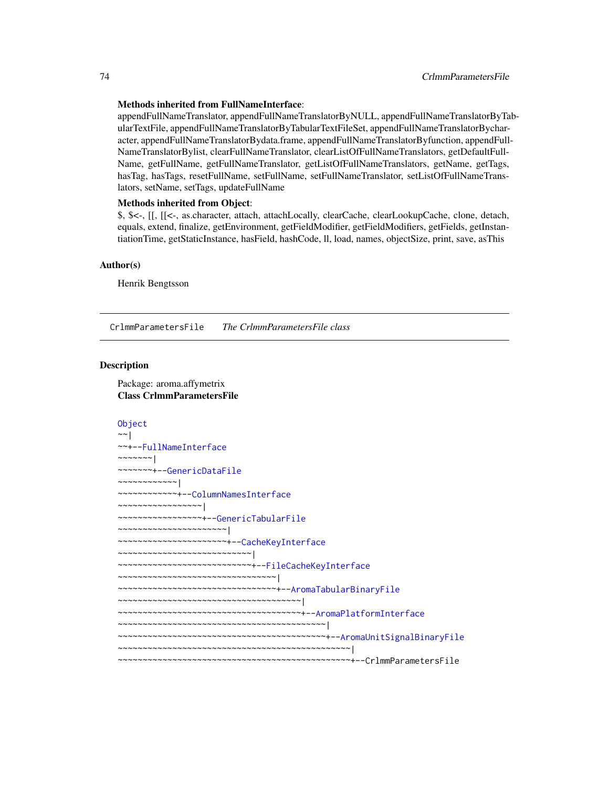#### Methods inherited from FullNameInterface:

appendFullNameTranslator, appendFullNameTranslatorByNULL, appendFullNameTranslatorByTabularTextFile, appendFullNameTranslatorByTabularTextFileSet, appendFullNameTranslatorBycharacter, appendFullNameTranslatorBydata.frame, appendFullNameTranslatorByfunction, appendFull-NameTranslatorBylist, clearFullNameTranslator, clearListOfFullNameTranslators, getDefaultFull-Name, getFullName, getFullNameTranslator, getListOfFullNameTranslators, getName, getTags, hasTag, hasTags, resetFullName, setFullName, setFullNameTranslator, setListOfFullNameTranslators, setName, setTags, updateFullName

## Methods inherited from Object:

\$, \$<-, [[, [[<-, as.character, attach, attachLocally, clearCache, clearLookupCache, clone, detach, equals, extend, finalize, getEnvironment, getFieldModifier, getFieldModifiers, getFields, getInstantiationTime, getStaticInstance, hasField, hashCode, ll, load, names, objectSize, print, save, asThis

#### Author(s)

Henrik Bengtsson

<span id="page-73-0"></span>CrlmmParametersFile *The CrlmmParametersFile class*

## Description

Package: aroma.affymetrix Class CrlmmParametersFile

```
Object
~~|
~~+--FullNameInterface
~\sim ~\sim ~\sim ~\sim ~\sim ~\sim ~\sim~~~~~~~+--GenericDataFile
~~~~~~~~~~~~|
~~~~~~~~~~~~+--ColumnNamesInterface
~~~~~~~~~~~~~~~~~|
~~~~~~~~~~~~~~~~~+--GenericTabularFile
~~~~~~~~~~~~~~~~~~~~~~|
~~~~~~~~~~~~~~~~~~~~~~+--CacheKeyInterface
~~~~~~~~~~~~~~~~~~~~~~~~~~~|
~~~~~~~~~~~~~~~~~~~~~~~~~~~+--FileCacheKeyInterface
~~~~~~~~~~~~~~~~~~~~~~~~~~~~~~~~|
~~~~~~~~~~~~~~~~~~~~~~~~~~~~~~~~+--AromaTabularBinaryFile
~~~~~~~~~~~~~~~~~~~~~~~~~~~~~~~~~~~~~|
~~~~~~~~~~~~~~~~~~~~~~~~~~~~~~~~~~~~~+--AromaPlatformInterface
~~~~~~~~~~~~~~~~~~~~~~~~~~~~~~~~~~~~~~~~~~|
~~~~~~~~~~~~~~~~~~~~~~~~~~~~~~~~~~~~~~~~~~+--AromaUnitSignalBinaryFile
 ~~~~~~~~~~~~~~~~~~~~~~~~~~~~~~~~~~~~~~~~~~~~~~~|
~~~~~~~~~~~~~~~~~~~~~~~~~~~~~~~~~~~~~~~~~~~~~~~+--CrlmmParametersFile
```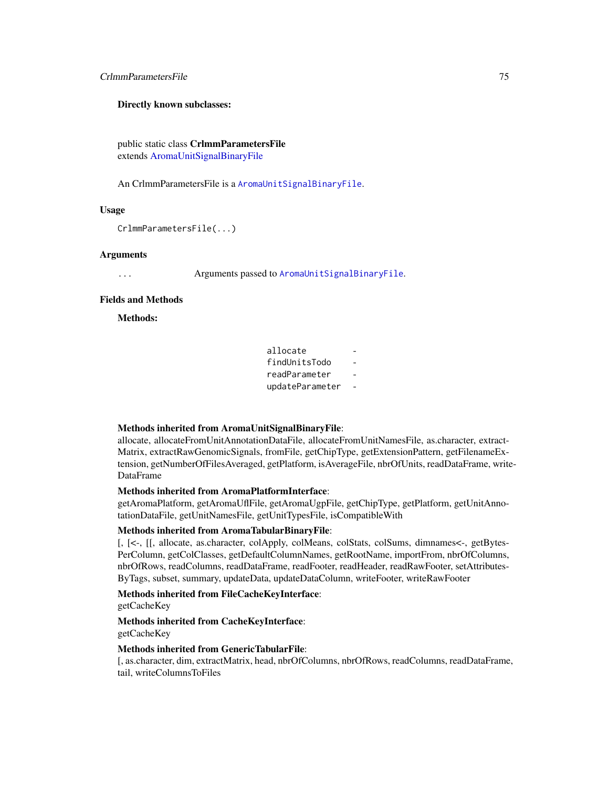## CrlmmParametersFile 75

#### Directly known subclasses:

public static class CrlmmParametersFile extends [AromaUnitSignalBinaryFile](#page-0-0)

An CrlmmParametersFile is a [AromaUnitSignalBinaryFile](#page-0-0).

#### Usage

CrlmmParametersFile(...)

## Arguments

... Arguments passed to [AromaUnitSignalBinaryFile](#page-0-0).

## Fields and Methods

Methods:

## Methods inherited from AromaUnitSignalBinaryFile:

allocate, allocateFromUnitAnnotationDataFile, allocateFromUnitNamesFile, as.character, extract-Matrix, extractRawGenomicSignals, fromFile, getChipType, getExtensionPattern, getFilenameExtension, getNumberOfFilesAveraged, getPlatform, isAverageFile, nbrOfUnits, readDataFrame, write-DataFrame

## Methods inherited from AromaPlatformInterface:

getAromaPlatform, getAromaUflFile, getAromaUgpFile, getChipType, getPlatform, getUnitAnnotationDataFile, getUnitNamesFile, getUnitTypesFile, isCompatibleWith

#### Methods inherited from AromaTabularBinaryFile:

[, [<-, [[, allocate, as.character, colApply, colMeans, colStats, colSums, dimnames<-, getBytes-PerColumn, getColClasses, getDefaultColumnNames, getRootName, importFrom, nbrOfColumns, nbrOfRows, readColumns, readDataFrame, readFooter, readHeader, readRawFooter, setAttributes-ByTags, subset, summary, updateData, updateDataColumn, writeFooter, writeRawFooter

# Methods inherited from FileCacheKeyInterface:

getCacheKey

## Methods inherited from CacheKeyInterface: getCacheKey

#### Methods inherited from GenericTabularFile:

[, as.character, dim, extractMatrix, head, nbrOfColumns, nbrOfRows, readColumns, readDataFrame, tail, writeColumnsToFiles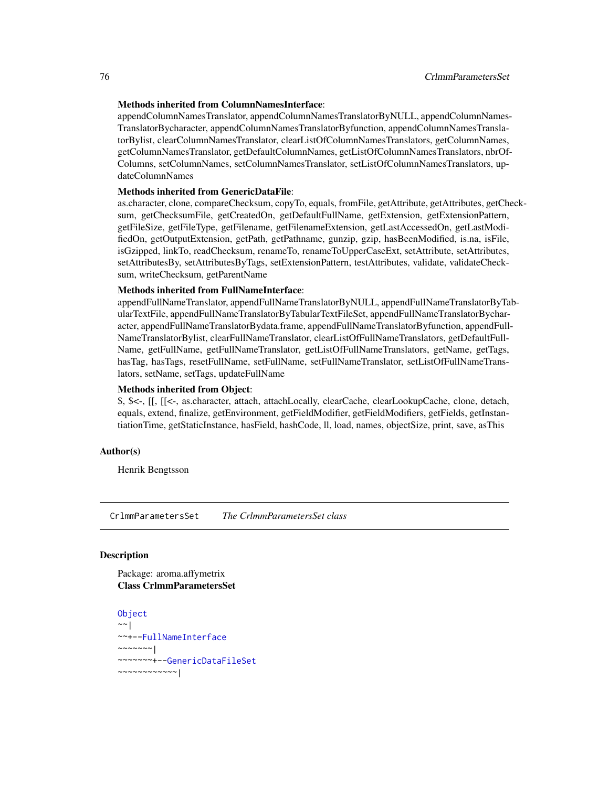#### Methods inherited from ColumnNamesInterface:

appendColumnNamesTranslator, appendColumnNamesTranslatorByNULL, appendColumnNames-TranslatorBycharacter, appendColumnNamesTranslatorByfunction, appendColumnNamesTranslatorBylist, clearColumnNamesTranslator, clearListOfColumnNamesTranslators, getColumnNames, getColumnNamesTranslator, getDefaultColumnNames, getListOfColumnNamesTranslators, nbrOf-Columns, setColumnNames, setColumnNamesTranslator, setListOfColumnNamesTranslators, updateColumnNames

#### Methods inherited from GenericDataFile:

as.character, clone, compareChecksum, copyTo, equals, fromFile, getAttribute, getAttributes, getChecksum, getChecksumFile, getCreatedOn, getDefaultFullName, getExtension, getExtensionPattern, getFileSize, getFileType, getFilename, getFilenameExtension, getLastAccessedOn, getLastModifiedOn, getOutputExtension, getPath, getPathname, gunzip, gzip, hasBeenModified, is.na, isFile, isGzipped, linkTo, readChecksum, renameTo, renameToUpperCaseExt, setAttribute, setAttributes, setAttributesBy, setAttributesByTags, setExtensionPattern, testAttributes, validate, validateChecksum, writeChecksum, getParentName

#### Methods inherited from FullNameInterface:

appendFullNameTranslator, appendFullNameTranslatorByNULL, appendFullNameTranslatorByTabularTextFile, appendFullNameTranslatorByTabularTextFileSet, appendFullNameTranslatorBycharacter, appendFullNameTranslatorBydata.frame, appendFullNameTranslatorByfunction, appendFull-NameTranslatorBylist, clearFullNameTranslator, clearListOfFullNameTranslators, getDefaultFull-Name, getFullName, getFullNameTranslator, getListOfFullNameTranslators, getName, getTags, hasTag, hasTags, resetFullName, setFullName, setFullNameTranslator, setListOfFullNameTranslators, setName, setTags, updateFullName

#### Methods inherited from Object:

\$, \$<-, [[, [[<-, as.character, attach, attachLocally, clearCache, clearLookupCache, clone, detach, equals, extend, finalize, getEnvironment, getFieldModifier, getFieldModifiers, getFields, getInstantiationTime, getStaticInstance, hasField, hashCode, ll, load, names, objectSize, print, save, asThis

## Author(s)

Henrik Bengtsson

CrlmmParametersSet *The CrlmmParametersSet class*

#### **Description**

Package: aroma.affymetrix Class CrlmmParametersSet

```
Object
~~|
~~+--FullNameInterface
~~~~~~~|
~~~~~~~+--GenericDataFileSet
~~~~~~~~~~~~|
```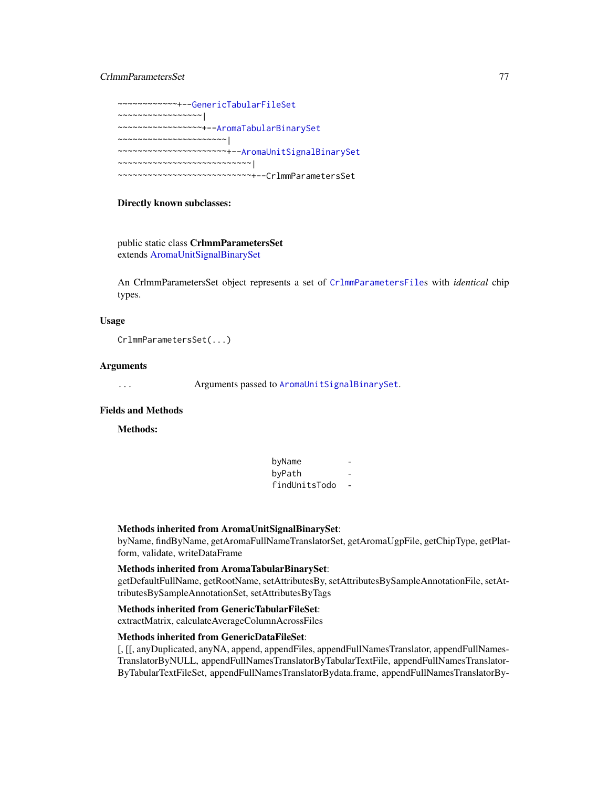## CrlmmParametersSet 77

~~~~~~~~~~~~+-[-GenericTabularFileSet](#page-0-0) ~~~~~~~~~~~~~~~~~| ~~~~~~~~~~~~~~~~~+-[-AromaTabularBinarySet](#page-0-0) ~~~~~~~~~~~~~~~~~~~~~~| ~~~~~~~~~~~~~~~~~~~~~~+-[-AromaUnitSignalBinarySet](#page-0-0) ~~~~~~~~~~~~~~~~~~~~~~~~~~~| ~~~~~~~~~~~~~~~~~~~~~~~~~~~+--CrlmmParametersSet

## Directly known subclasses:

public static class CrlmmParametersSet extends [AromaUnitSignalBinarySet](#page-0-0)

An CrlmmParametersSet object represents a set of [CrlmmParametersFile](#page-73-0)s with *identical* chip types.

#### Usage

CrlmmParametersSet(...)

#### Arguments

... Arguments passed to [AromaUnitSignalBinarySet](#page-0-0).

## Fields and Methods

Methods:

byName byPath findUnitsTodo -

#### Methods inherited from AromaUnitSignalBinarySet:

byName, findByName, getAromaFullNameTranslatorSet, getAromaUgpFile, getChipType, getPlatform, validate, writeDataFrame

#### Methods inherited from AromaTabularBinarySet:

getDefaultFullName, getRootName, setAttributesBy, setAttributesBySampleAnnotationFile, setAttributesBySampleAnnotationSet, setAttributesByTags

#### Methods inherited from GenericTabularFileSet:

extractMatrix, calculateAverageColumnAcrossFiles

## Methods inherited from GenericDataFileSet:

[, [[, anyDuplicated, anyNA, append, appendFiles, appendFullNamesTranslator, appendFullNames-TranslatorByNULL, appendFullNamesTranslatorByTabularTextFile, appendFullNamesTranslator-ByTabularTextFileSet, appendFullNamesTranslatorBydata.frame, appendFullNamesTranslatorBy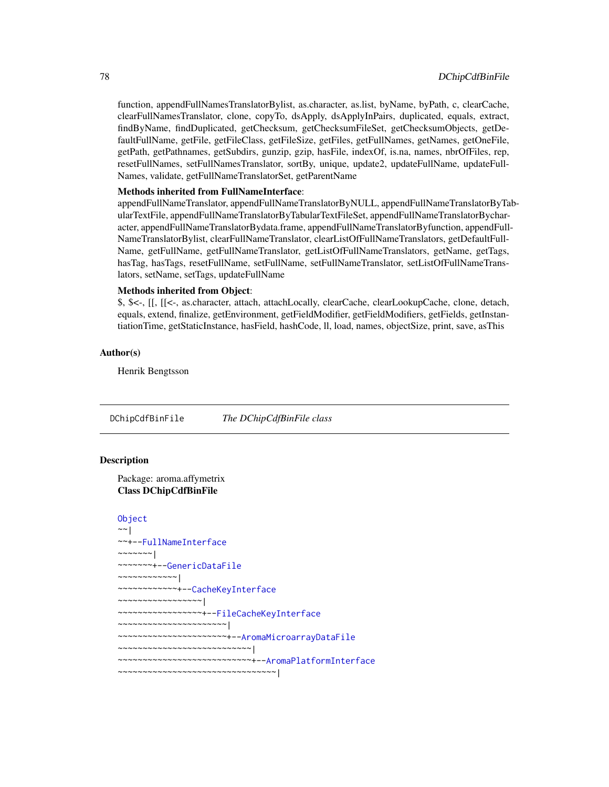function, appendFullNamesTranslatorBylist, as.character, as.list, byName, byPath, c, clearCache, clearFullNamesTranslator, clone, copyTo, dsApply, dsApplyInPairs, duplicated, equals, extract, findByName, findDuplicated, getChecksum, getChecksumFileSet, getChecksumObjects, getDefaultFullName, getFile, getFileClass, getFileSize, getFiles, getFullNames, getNames, getOneFile, getPath, getPathnames, getSubdirs, gunzip, gzip, hasFile, indexOf, is.na, names, nbrOfFiles, rep, resetFullNames, setFullNamesTranslator, sortBy, unique, update2, updateFullName, updateFull-Names, validate, getFullNameTranslatorSet, getParentName

#### Methods inherited from FullNameInterface:

appendFullNameTranslator, appendFullNameTranslatorByNULL, appendFullNameTranslatorByTabularTextFile, appendFullNameTranslatorByTabularTextFileSet, appendFullNameTranslatorBycharacter, appendFullNameTranslatorBydata.frame, appendFullNameTranslatorByfunction, appendFull-NameTranslatorBylist, clearFullNameTranslator, clearListOfFullNameTranslators, getDefaultFull-Name, getFullName, getFullNameTranslator, getListOfFullNameTranslators, getName, getTags, hasTag, hasTags, resetFullName, setFullName, setFullNameTranslator, setListOfFullNameTranslators, setName, setTags, updateFullName

## Methods inherited from Object:

\$, \$<-, [[, [[<-, as.character, attach, attachLocally, clearCache, clearLookupCache, clone, detach, equals, extend, finalize, getEnvironment, getFieldModifier, getFieldModifiers, getFields, getInstantiationTime, getStaticInstance, hasField, hashCode, ll, load, names, objectSize, print, save, asThis

#### Author(s)

Henrik Bengtsson

DChipCdfBinFile *The DChipCdfBinFile class*

#### Description

Package: aroma.affymetrix Class DChipCdfBinFile

```
Object
~~|
~~+--FullNameInterface
~\sim ~\sim ~\sim ~\sim ~\sim ~\sim ~\sim ~\sim ~\sim~~~~~~~+--GenericDataFile
~~~~~~~~~~~~|
~~~~~~~~~~~~+--CacheKeyInterface
 ~~~~~~~~~~~~~~~~~|
     ~~~~~~~~~~~~~~~~~+--FileCacheKeyInterface
    ~~~~~~~~~~~~~~~~~~~~~~|
      ~~~~~~~~~~~~~~~~~~~~~~+--AromaMicroarrayDataFile
    ~~~~~~~~~~~~~~~~~~~~~~~~~~~|
~~~~~~~~~~~~~~~~~~~~~~~~~~~+--AromaPlatformInterface
~~~~~~~~~~~~~~~~~~~~~~~~~~~~~~~~|
```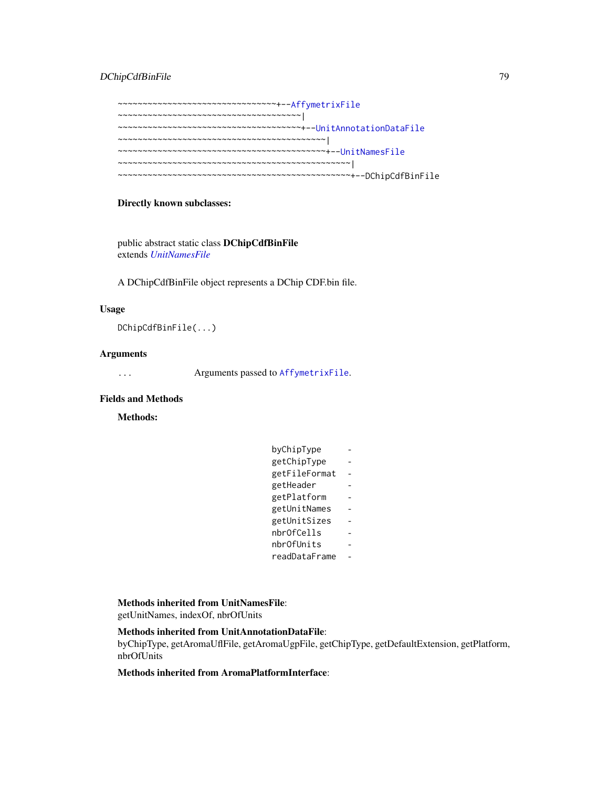## DChipCdfBinFile 79

~~~~~~~~~~~~~~~~~~~~~~~~~~~~~~~~+-[-AffymetrixFile](#page-27-0) ~~~~~~~~~~~~~~~~~~~~~~~~~~~~~~~~~~~~~| ~~~~~~~~~~~~~~~~~~~~~~~~~~~~~~~~~~~~~+-[-UnitAnnotationDataFile](#page-0-0) ~~~~~~~~~~~~~~~~~~~~~~~~~~~~~~~~~~~~~~~~~~| ~~~~~~~~~~~~~~~~~~~~~~~~~~~~~~~~~~~~~~~~~~+-[-UnitNamesFile](#page-0-0) ~~~~~~~~~~~~~~~~~~~~~~~~~~~~~~~~~~~~~~~~~~~~~~~| ~~~~~~~~~~~~~~~~~~~~~~~~~~~~~~~~~~~~~~~~~~~~~~~+--DChipCdfBinFile

## Directly known subclasses:

public abstract static class DChipCdfBinFile extends *[UnitNamesFile](#page-0-0)*

A DChipCdfBinFile object represents a DChip CDF.bin file.

#### Usage

DChipCdfBinFile(...)

#### Arguments

... Arguments passed to [AffymetrixFile](#page-27-0).

## Fields and Methods

Methods:

| byChipType    |  |
|---------------|--|
| getChipType   |  |
| getFileFormat |  |
| getHeader     |  |
| getPlatform   |  |
| getUnitNames  |  |
| getUnitSizes  |  |
| nbrOfCells    |  |
| nbrOfUnits    |  |
| readDataFrame |  |
|               |  |

Methods inherited from UnitNamesFile:

getUnitNames, indexOf, nbrOfUnits

#### Methods inherited from UnitAnnotationDataFile:

byChipType, getAromaUflFile, getAromaUgpFile, getChipType, getDefaultExtension, getPlatform, nbrOfUnits

# Methods inherited from AromaPlatformInterface: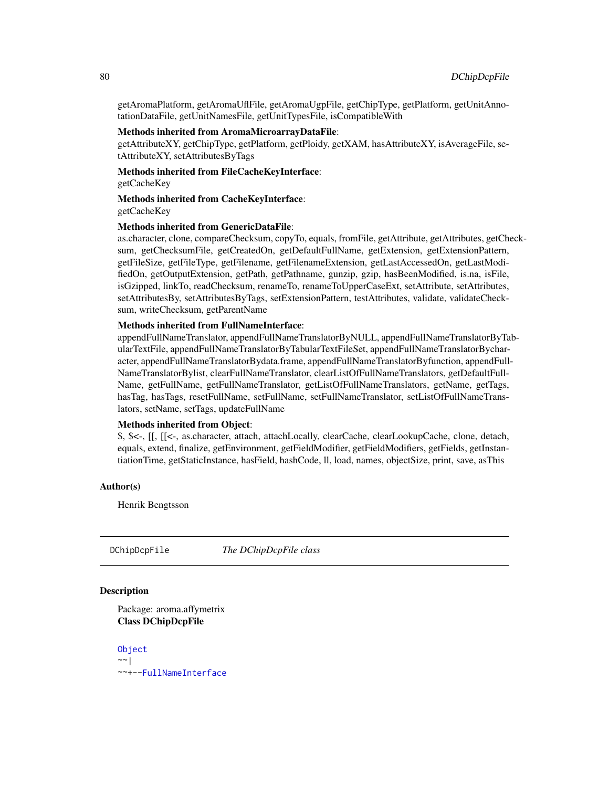getAromaPlatform, getAromaUflFile, getAromaUgpFile, getChipType, getPlatform, getUnitAnnotationDataFile, getUnitNamesFile, getUnitTypesFile, isCompatibleWith

## Methods inherited from AromaMicroarrayDataFile:

getAttributeXY, getChipType, getPlatform, getPloidy, getXAM, hasAttributeXY, isAverageFile, setAttributeXY, setAttributesByTags

Methods inherited from FileCacheKeyInterface: getCacheKey

Methods inherited from CacheKeyInterface: getCacheKey

#### Methods inherited from GenericDataFile:

as.character, clone, compareChecksum, copyTo, equals, fromFile, getAttribute, getAttributes, getChecksum, getChecksumFile, getCreatedOn, getDefaultFullName, getExtension, getExtensionPattern, getFileSize, getFileType, getFilename, getFilenameExtension, getLastAccessedOn, getLastModifiedOn, getOutputExtension, getPath, getPathname, gunzip, gzip, hasBeenModified, is.na, isFile, isGzipped, linkTo, readChecksum, renameTo, renameToUpperCaseExt, setAttribute, setAttributes, setAttributesBy, setAttributesByTags, setExtensionPattern, testAttributes, validate, validateChecksum, writeChecksum, getParentName

## Methods inherited from FullNameInterface:

appendFullNameTranslator, appendFullNameTranslatorByNULL, appendFullNameTranslatorByTabularTextFile, appendFullNameTranslatorByTabularTextFileSet, appendFullNameTranslatorBycharacter, appendFullNameTranslatorBydata.frame, appendFullNameTranslatorByfunction, appendFull-NameTranslatorBylist, clearFullNameTranslator, clearListOfFullNameTranslators, getDefaultFull-Name, getFullName, getFullNameTranslator, getListOfFullNameTranslators, getName, getTags, hasTag, hasTags, resetFullName, setFullName, setFullNameTranslator, setListOfFullNameTranslators, setName, setTags, updateFullName

#### Methods inherited from Object:

\$, \$<-, [[, [[<-, as.character, attach, attachLocally, clearCache, clearLookupCache, clone, detach, equals, extend, finalize, getEnvironment, getFieldModifier, getFieldModifiers, getFields, getInstantiationTime, getStaticInstance, hasField, hashCode, ll, load, names, objectSize, print, save, asThis

#### Author(s)

Henrik Bengtsson

<span id="page-79-0"></span>DChipDcpFile *The DChipDcpFile class*

## Description

Package: aroma.affymetrix Class DChipDcpFile

[Object](#page-0-0)  $~\sim~$ | ~~+-[-FullNameInterface](#page-0-0)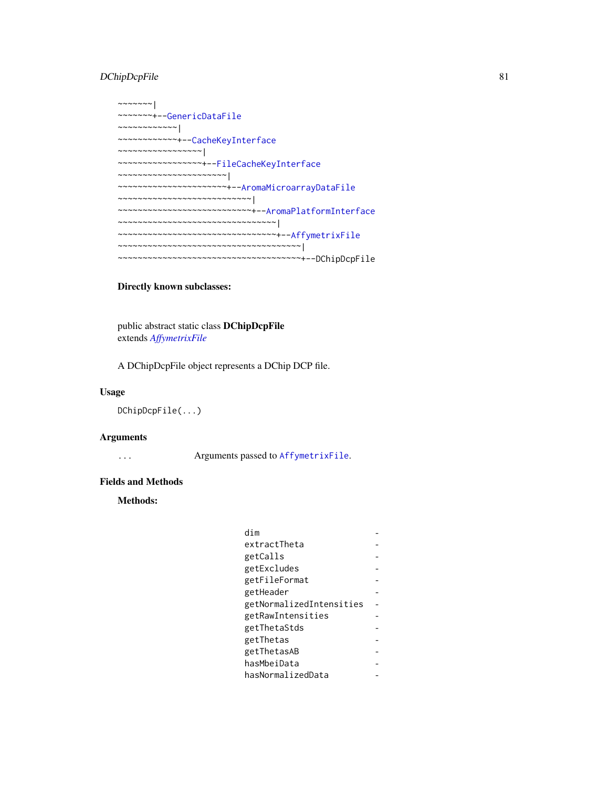# DChipDcpFile 81

| $\sim$ ~~~~~                                                                                     |
|--------------------------------------------------------------------------------------------------|
| ~~~~~~~+--GenericDataFile                                                                        |
| $\sim$ ~~~~~~~~~~                                                                                |
| ~~~~~~~~~~~+--CacheKeyInterface                                                                  |
|                                                                                                  |
| ~~~~~~~~~~~~~~~~+--FileCacheKeyInterface                                                         |
| $\leadsto\leadsto\leadsto\leadsto\leadsto\leadsto\leadsto\leadsto\leadsto\leadsto\leadsto\vdash$ |
| ~~~~~~~~~~~~~~~~~~~~~+--AromaMicroarrayDataFile                                                  |
| ~~~~~~~~~~~~~~~~~~~~~~~~~~~                                                                      |
| ~~~~~~~~~~~~~~~~~~~~~~~~~~+--AromaPlatformInterface                                              |
| ,~~~~~~~~~~~~~~~~~~~~~~~~~~~                                                                     |
| ~~~~~~~~~~~~~~~~~~~~~~~~~~~~~~+--AffymetrixFile                                                  |
| ,~~~~~~~~~~~~~~~~~~~~~~~~~~~~~~                                                                  |
| ~~~~~~~~~~~~~~~~~~~~~~~~~~~+--DChipDcpFile                                                       |

# Directly known subclasses:

public abstract static class DChipDcpFile extends *[AffymetrixFile](#page-27-0)*

A DChipDcpFile object represents a DChip DCP file.

## Usage

DChipDcpFile(...)

# Arguments

... Arguments passed to [AffymetrixFile](#page-27-0).

# Fields and Methods

## Methods:

| dim                      |  |
|--------------------------|--|
| extractTheta             |  |
| getCalls                 |  |
| getExcludes              |  |
| getFileFormat            |  |
| getHeader                |  |
| getNormalizedIntensities |  |
| getRawIntensities        |  |
| getThetaStds             |  |
| getThetas                |  |
| getThetasAB              |  |
| hasMbeiData              |  |
| hasNormalizedData        |  |
|                          |  |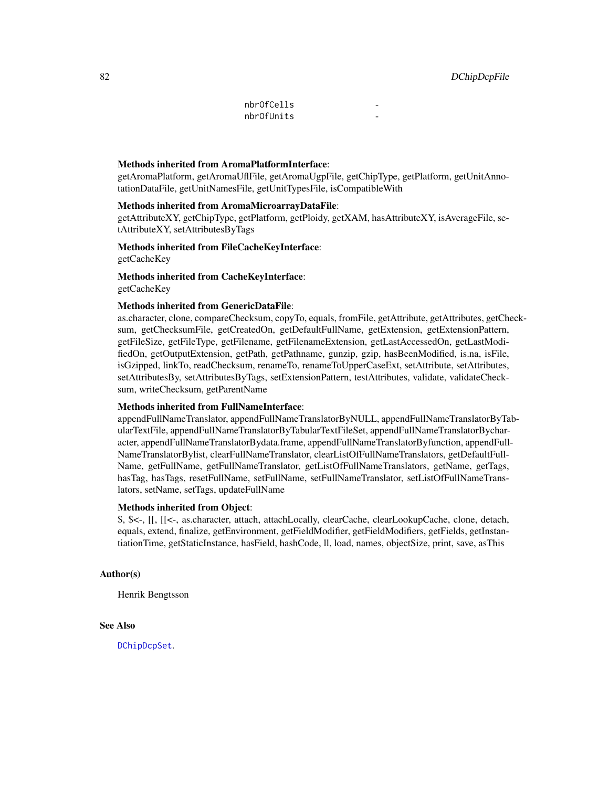| nbrOfCells |  |
|------------|--|
| nbrOfUnits |  |

#### Methods inherited from AromaPlatformInterface:

getAromaPlatform, getAromaUflFile, getAromaUgpFile, getChipType, getPlatform, getUnitAnnotationDataFile, getUnitNamesFile, getUnitTypesFile, isCompatibleWith

#### Methods inherited from AromaMicroarrayDataFile:

getAttributeXY, getChipType, getPlatform, getPloidy, getXAM, hasAttributeXY, isAverageFile, setAttributeXY, setAttributesByTags

#### Methods inherited from FileCacheKeyInterface: getCacheKey

Methods inherited from CacheKeyInterface: getCacheKey

#### Methods inherited from GenericDataFile:

as.character, clone, compareChecksum, copyTo, equals, fromFile, getAttribute, getAttributes, getChecksum, getChecksumFile, getCreatedOn, getDefaultFullName, getExtension, getExtensionPattern, getFileSize, getFileType, getFilename, getFilenameExtension, getLastAccessedOn, getLastModifiedOn, getOutputExtension, getPath, getPathname, gunzip, gzip, hasBeenModified, is.na, isFile, isGzipped, linkTo, readChecksum, renameTo, renameToUpperCaseExt, setAttribute, setAttributes, setAttributesBy, setAttributesByTags, setExtensionPattern, testAttributes, validate, validateChecksum, writeChecksum, getParentName

#### Methods inherited from FullNameInterface:

appendFullNameTranslator, appendFullNameTranslatorByNULL, appendFullNameTranslatorByTabularTextFile, appendFullNameTranslatorByTabularTextFileSet, appendFullNameTranslatorBycharacter, appendFullNameTranslatorBydata.frame, appendFullNameTranslatorByfunction, appendFull-NameTranslatorBylist, clearFullNameTranslator, clearListOfFullNameTranslators, getDefaultFull-Name, getFullName, getFullNameTranslator, getListOfFullNameTranslators, getName, getTags, hasTag, hasTags, resetFullName, setFullName, setFullNameTranslator, setListOfFullNameTranslators, setName, setTags, updateFullName

## Methods inherited from Object:

\$, \$<-, [[, [[<-, as.character, attach, attachLocally, clearCache, clearLookupCache, clone, detach, equals, extend, finalize, getEnvironment, getFieldModifier, getFieldModifiers, getFields, getInstantiationTime, getStaticInstance, hasField, hashCode, ll, load, names, objectSize, print, save, asThis

## Author(s)

Henrik Bengtsson

#### See Also

[DChipDcpSet](#page-82-0).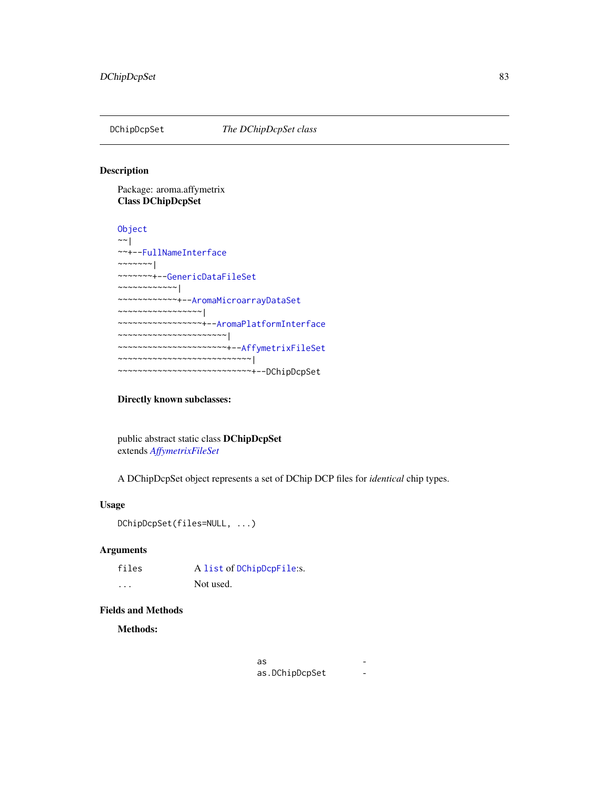<span id="page-82-0"></span>

## Description

Package: aroma.affymetrix Class DChipDcpSet

```
Object
~\sim ~\sim ~\mid~~+--FullNameInterface
~~~~~~~|~~~~~~~+--GenericDataFileSet
~~~~~~~~~~~~|
~~~~~~~~~~~~+--AromaMicroarrayDataSet
~~~~~~~~~~~~~~~~~|
~~~~~~~~~~~~~~~~~+--AromaPlatformInterface
~~~~~~~~~~~~~~~~~~~~~~|
~~~~~~~~~~~~~~~~~~~~~~+--AffymetrixFileSet
~~~~~~~~~~~~~~~~~~~~~~~~~~~|
~~~~~~~~~~~~~~~~~~~~~~~~~~~+--DChipDcpSet
```
# Directly known subclasses:

public abstract static class DChipDcpSet extends *[AffymetrixFileSet](#page-29-0)*

A DChipDcpSet object represents a set of DChip DCP files for *identical* chip types.

# Usage

DChipDcpSet(files=NULL, ...)

# Arguments

| files | A list of DChipDcpFile:s. |  |
|-------|---------------------------|--|
| .     | Not used.                 |  |

#### Fields and Methods

Methods:

| as             |  |
|----------------|--|
| as.DChipDcpSet |  |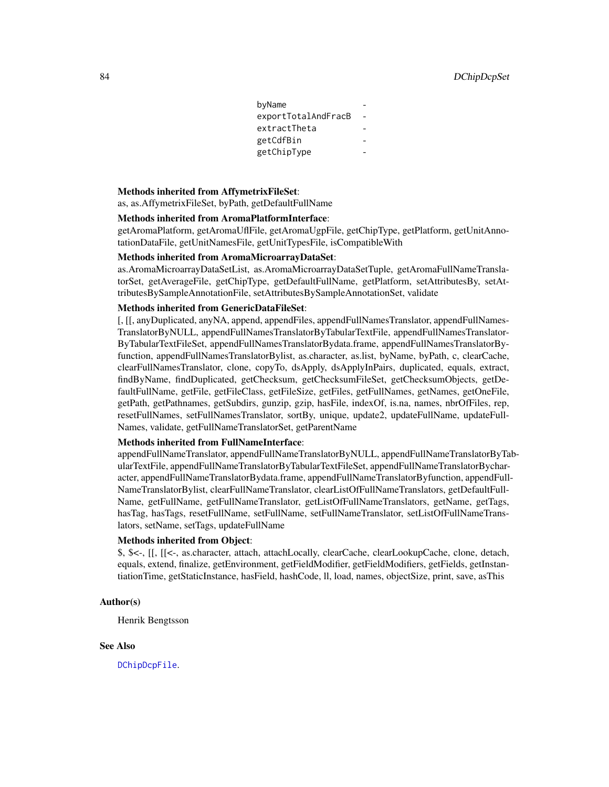| byName              |  |
|---------------------|--|
| exportTotalAndFracB |  |
| extractTheta        |  |
| getCdfBin           |  |
| getChipType         |  |
|                     |  |

#### Methods inherited from AffymetrixFileSet:

as, as.AffymetrixFileSet, byPath, getDefaultFullName

#### Methods inherited from AromaPlatformInterface:

getAromaPlatform, getAromaUflFile, getAromaUgpFile, getChipType, getPlatform, getUnitAnnotationDataFile, getUnitNamesFile, getUnitTypesFile, isCompatibleWith

#### Methods inherited from AromaMicroarrayDataSet:

as.AromaMicroarrayDataSetList, as.AromaMicroarrayDataSetTuple, getAromaFullNameTranslatorSet, getAverageFile, getChipType, getDefaultFullName, getPlatform, setAttributesBy, setAttributesBySampleAnnotationFile, setAttributesBySampleAnnotationSet, validate

#### Methods inherited from GenericDataFileSet:

[, [[, anyDuplicated, anyNA, append, appendFiles, appendFullNamesTranslator, appendFullNames-TranslatorByNULL, appendFullNamesTranslatorByTabularTextFile, appendFullNamesTranslator-ByTabularTextFileSet, appendFullNamesTranslatorBydata.frame, appendFullNamesTranslatorByfunction, appendFullNamesTranslatorBylist, as.character, as.list, byName, byPath, c, clearCache, clearFullNamesTranslator, clone, copyTo, dsApply, dsApplyInPairs, duplicated, equals, extract, findByName, findDuplicated, getChecksum, getChecksumFileSet, getChecksumObjects, getDefaultFullName, getFile, getFileClass, getFileSize, getFiles, getFullNames, getNames, getOneFile, getPath, getPathnames, getSubdirs, gunzip, gzip, hasFile, indexOf, is.na, names, nbrOfFiles, rep, resetFullNames, setFullNamesTranslator, sortBy, unique, update2, updateFullName, updateFull-Names, validate, getFullNameTranslatorSet, getParentName

## Methods inherited from FullNameInterface:

appendFullNameTranslator, appendFullNameTranslatorByNULL, appendFullNameTranslatorByTabularTextFile, appendFullNameTranslatorByTabularTextFileSet, appendFullNameTranslatorBycharacter, appendFullNameTranslatorBydata.frame, appendFullNameTranslatorByfunction, appendFull-NameTranslatorBylist, clearFullNameTranslator, clearListOfFullNameTranslators, getDefaultFull-Name, getFullName, getFullNameTranslator, getListOfFullNameTranslators, getName, getTags, hasTag, hasTags, resetFullName, setFullName, setFullNameTranslator, setListOfFullNameTranslators, setName, setTags, updateFullName

## Methods inherited from Object:

\$, \$<-, [[, [[<-, as.character, attach, attachLocally, clearCache, clearLookupCache, clone, detach, equals, extend, finalize, getEnvironment, getFieldModifier, getFieldModifiers, getFields, getInstantiationTime, getStaticInstance, hasField, hashCode, ll, load, names, objectSize, print, save, asThis

#### Author(s)

Henrik Bengtsson

#### See Also

[DChipDcpFile](#page-79-0).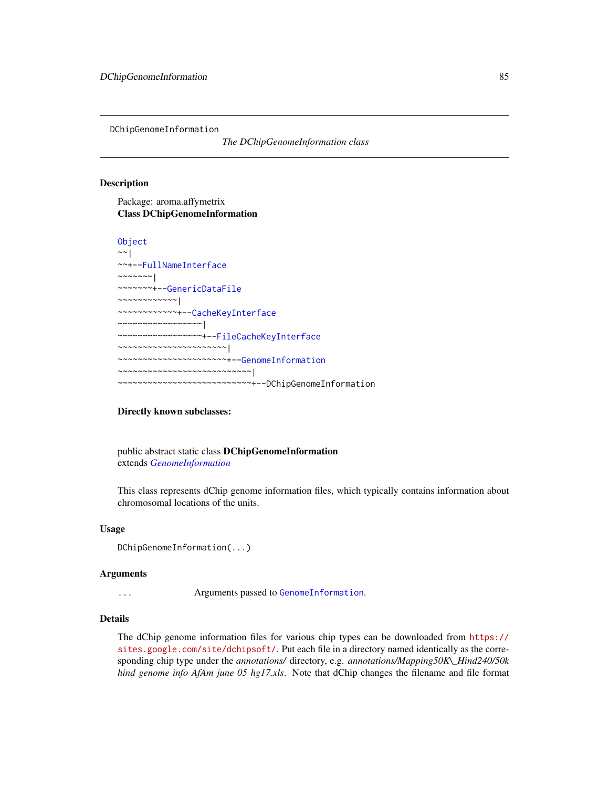DChipGenomeInformation

*The DChipGenomeInformation class*

#### **Description**

Package: aroma.affymetrix Class DChipGenomeInformation

```
Object
~~|
~~+--FullNameInterface
~~~~~~~|~~~~~~~+--GenericDataFile
~~~~~~~~~~~~|
 ~~~~~~~~~~~~+--CacheKeyInterface
  ~~~~~~~~~~~~~~~~~|
  ~~~~~~~~~~~~~~~~~+--FileCacheKeyInterface
  ~~~~~~~~~~~~~~~~~~~~~~|
   ~~~~~~~~~~~~~~~~~~~~~~+--GenomeInformation
    ~~~~~~~~~~~~~~~~~~~~~~~~~~~|
      ~~~~~~~~~~~~~~~~~~~~~~~~~~~+--DChipGenomeInformation
```
#### Directly known subclasses:

public abstract static class DChipGenomeInformation extends *[GenomeInformation](#page-121-0)*

This class represents dChip genome information files, which typically contains information about chromosomal locations of the units.

#### Usage

```
DChipGenomeInformation(...)
```
#### Arguments

... Arguments passed to [GenomeInformation](#page-121-0).

## Details

The dChip genome information files for various chip types can be downloaded from [https://](https://sites.google.com/site/dchipsoft/) [sites.google.com/site/dchipsoft/](https://sites.google.com/site/dchipsoft/). Put each file in a directory named identically as the corresponding chip type under the *annotations/* directory, e.g. *annotations/Mapping50K\\_Hind240/50k hind genome info AfAm june 05 hg17.xls*. Note that dChip changes the filename and file format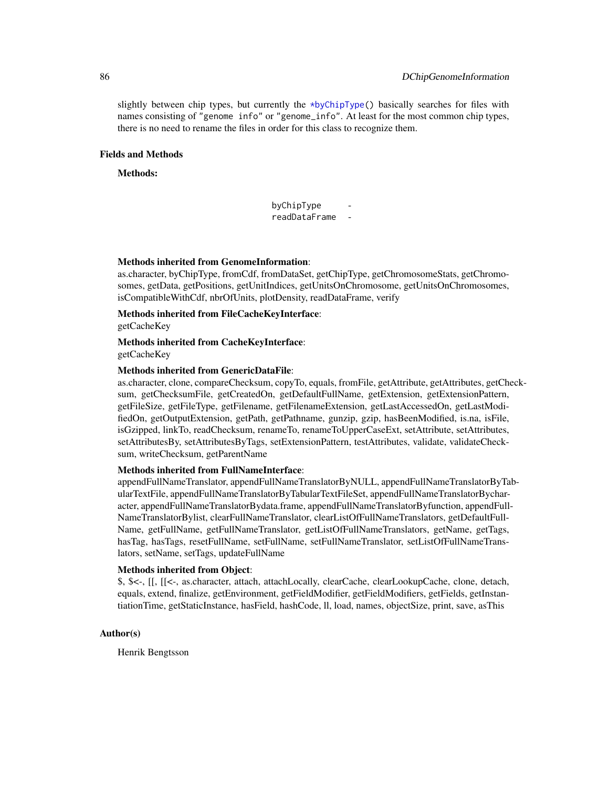slightly between chip types, but currently the  $\star$ byChipType() basically searches for files with names consisting of "genome info" or "genome\_info". At least for the most common chip types, there is no need to rename the files in order for this class to recognize them.

#### Fields and Methods

#### Methods:

byChipType readDataFrame -

#### Methods inherited from GenomeInformation:

as.character, byChipType, fromCdf, fromDataSet, getChipType, getChromosomeStats, getChromosomes, getData, getPositions, getUnitIndices, getUnitsOnChromosome, getUnitsOnChromosomes, isCompatibleWithCdf, nbrOfUnits, plotDensity, readDataFrame, verify

Methods inherited from FileCacheKeyInterface:

getCacheKey

## Methods inherited from CacheKeyInterface: getCacheKey

# Methods inherited from GenericDataFile:

as.character, clone, compareChecksum, copyTo, equals, fromFile, getAttribute, getAttributes, getChecksum, getChecksumFile, getCreatedOn, getDefaultFullName, getExtension, getExtensionPattern, getFileSize, getFileType, getFilename, getFilenameExtension, getLastAccessedOn, getLastModifiedOn, getOutputExtension, getPath, getPathname, gunzip, gzip, hasBeenModified, is.na, isFile, isGzipped, linkTo, readChecksum, renameTo, renameToUpperCaseExt, setAttribute, setAttributes, setAttributesBy, setAttributesByTags, setExtensionPattern, testAttributes, validate, validateChecksum, writeChecksum, getParentName

#### Methods inherited from FullNameInterface:

appendFullNameTranslator, appendFullNameTranslatorByNULL, appendFullNameTranslatorByTabularTextFile, appendFullNameTranslatorByTabularTextFileSet, appendFullNameTranslatorBycharacter, appendFullNameTranslatorBydata.frame, appendFullNameTranslatorByfunction, appendFull-NameTranslatorBylist, clearFullNameTranslator, clearListOfFullNameTranslators, getDefaultFull-Name, getFullName, getFullNameTranslator, getListOfFullNameTranslators, getName, getTags, hasTag, hasTags, resetFullName, setFullName, setFullNameTranslator, setListOfFullNameTranslators, setName, setTags, updateFullName

#### Methods inherited from Object:

\$, \$<-, [[, [[<-, as.character, attach, attachLocally, clearCache, clearLookupCache, clone, detach, equals, extend, finalize, getEnvironment, getFieldModifier, getFieldModifiers, getFields, getInstantiationTime, getStaticInstance, hasField, hashCode, ll, load, names, objectSize, print, save, asThis

## Author(s)

Henrik Bengtsson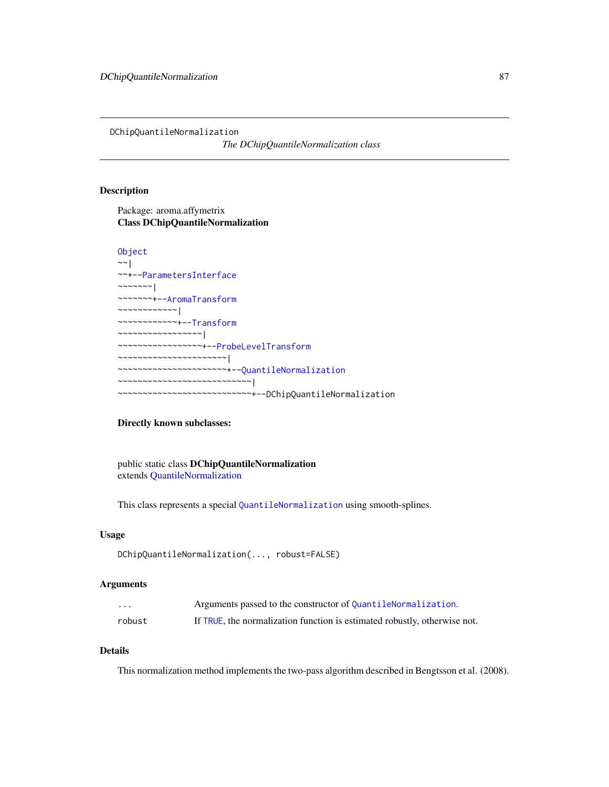DChipQuantileNormalization

*The DChipQuantileNormalization class*

## Description

Package: aroma.affymetrix Class DChipQuantileNormalization

## [Object](#page-0-0)

```
~\sim~~~+--ParametersInterface
\sim ~~~~~~ |
~~~~~~~+--AromaTransform
~~~~~~~~~~~~|
~~~~~~~~~~~~+--Transform
~~~~~~~~~~~~~~~~~|
  ~~~~~~~~~~~~~~~~~+--ProbeLevelTransform
~~~~~~~~~~~~~~~~~~~~~~|
~~~~~~~~~~~~~~~~~~~~~~+--QuantileNormalization
~~~~~~~~~~~~~~~~~~~~~~~~~~~|
  ~~~~~~~~~~~~~~~~~~~~~~~~~~~+--DChipQuantileNormalization
```
#### Directly known subclasses:

public static class DChipQuantileNormalization extends [QuantileNormalization](#page-166-0)

This class represents a special [QuantileNormalization](#page-166-0) using smooth-splines.

## Usage

```
DChipQuantileNormalization(..., robust=FALSE)
```
## Arguments

| $\cdot$ $\cdot$ $\cdot$ | Arguments passed to the constructor of QuantileNormalization.             |
|-------------------------|---------------------------------------------------------------------------|
| robust                  | If TRUE, the normalization function is estimated robustly, otherwise not. |

# Details

This normalization method implements the two-pass algorithm described in Bengtsson et al. (2008).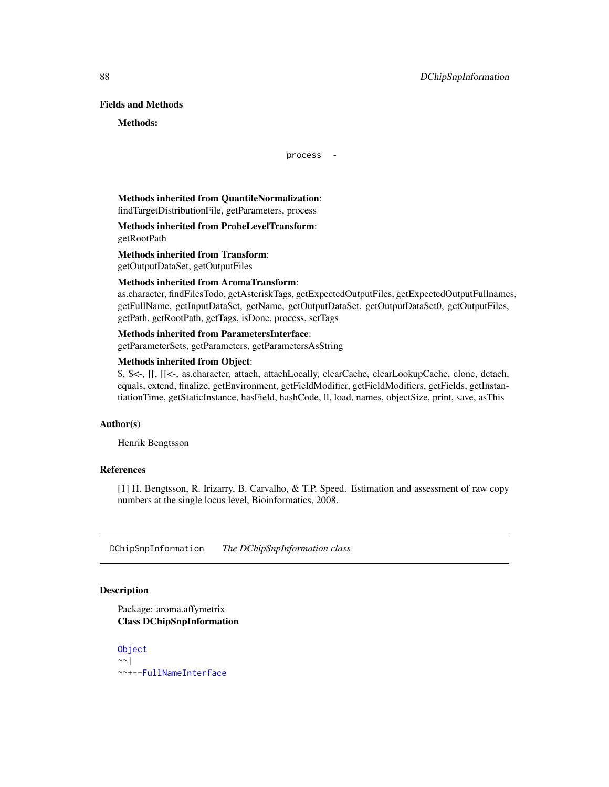## Fields and Methods

#### Methods:

process -

## Methods inherited from QuantileNormalization: findTargetDistributionFile, getParameters, process

# Methods inherited from ProbeLevelTransform: getRootPath

# Methods inherited from Transform:

getOutputDataSet, getOutputFiles

# Methods inherited from AromaTransform:

as.character, findFilesTodo, getAsteriskTags, getExpectedOutputFiles, getExpectedOutputFullnames, getFullName, getInputDataSet, getName, getOutputDataSet, getOutputDataSet0, getOutputFiles, getPath, getRootPath, getTags, isDone, process, setTags

# Methods inherited from ParametersInterface:

getParameterSets, getParameters, getParametersAsString

## Methods inherited from Object:

\$, \$<-, [[, [[<-, as.character, attach, attachLocally, clearCache, clearLookupCache, clone, detach, equals, extend, finalize, getEnvironment, getFieldModifier, getFieldModifiers, getFields, getInstantiationTime, getStaticInstance, hasField, hashCode, ll, load, names, objectSize, print, save, asThis

#### Author(s)

Henrik Bengtsson

## References

[1] H. Bengtsson, R. Irizarry, B. Carvalho, & T.P. Speed. Estimation and assessment of raw copy numbers at the single locus level, Bioinformatics, 2008.

DChipSnpInformation *The DChipSnpInformation class*

# **Description**

Package: aroma.affymetrix Class DChipSnpInformation

[Object](#page-0-0) ~~| ~~+-[-FullNameInterface](#page-0-0)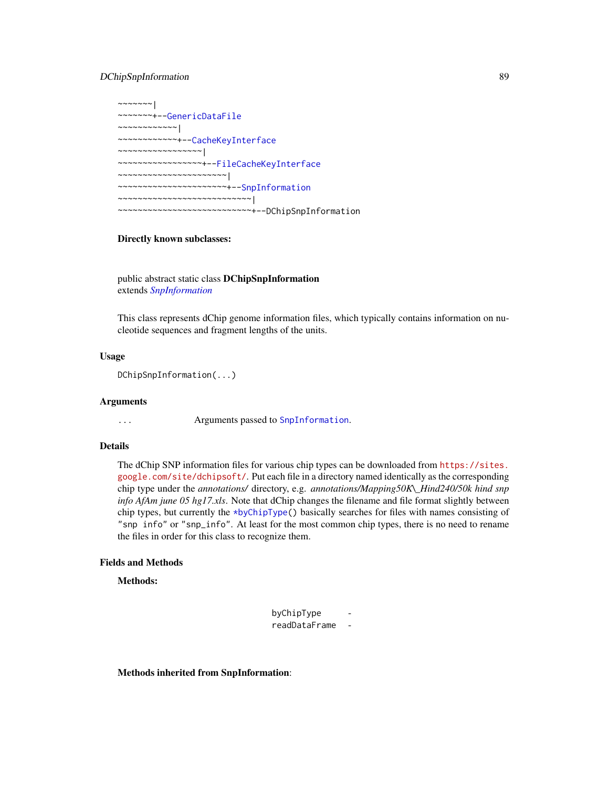## DChipSnpInformation 89

~~~~~~~| ~~~~~~~+-[-GenericDataFile](#page-0-0) ~~~~~~~~~~~~| ~~~~~~~~~~~~+-[-CacheKeyInterface](#page-0-0) ~~~~~~~~~~~~~~~~~| ~~~~~~~~~~~~~~~~~+-[-FileCacheKeyInterface](#page-0-0) ~~~~~~~~~~~~~~~~~~~~~~| ~~~~~~~~~~~~~~~~~~~~~~+-[-SnpInformation](#page-194-0) ~~~~~~~~~~~~~~~~~~~~~~~~~~~| ~~~~~~~~~~~~~~~~~~~~~~~~~~~+--DChipSnpInformation

#### Directly known subclasses:

public abstract static class DChipSnpInformation extends *[SnpInformation](#page-194-0)*

This class represents dChip genome information files, which typically contains information on nucleotide sequences and fragment lengths of the units.

#### Usage

DChipSnpInformation(...)

#### Arguments

... Arguments passed to [SnpInformation](#page-194-0).

## Details

The dChip SNP information files for various chip types can be downloaded from [https://sites.](https://sites.google.com/site/dchipsoft/) [google.com/site/dchipsoft/](https://sites.google.com/site/dchipsoft/). Put each file in a directory named identically as the corresponding chip type under the *annotations/* directory, e.g. *annotations/Mapping50K\\_Hind240/50k hind snp info AfAm june 05 hg17.xls*. Note that dChip changes the filename and file format slightly between chip types, but currently the [\\*byChipType\(](#page-0-0)) basically searches for files with names consisting of "snp info" or "snp\_info". At least for the most common chip types, there is no need to rename the files in order for this class to recognize them.

## Fields and Methods

Methods:

byChipType readDataFrame -

Methods inherited from SnpInformation: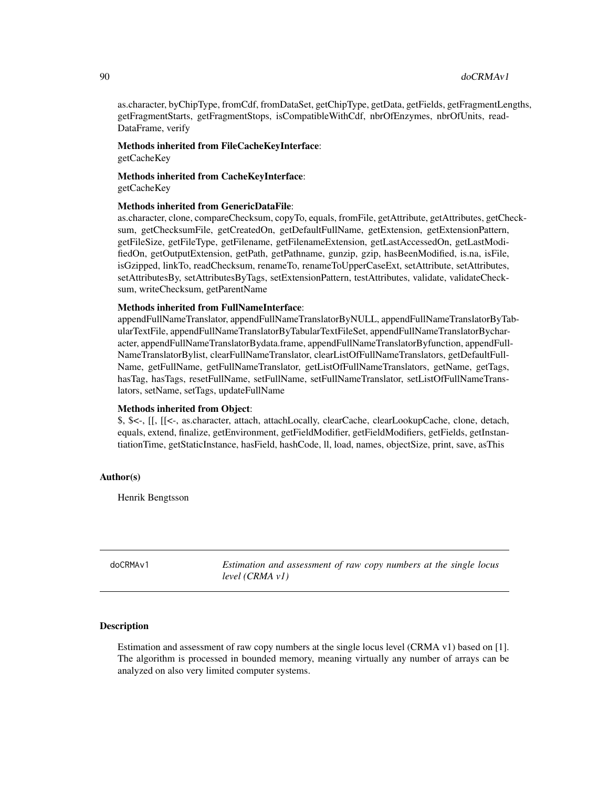as.character, byChipType, fromCdf, fromDataSet, getChipType, getData, getFields, getFragmentLengths, getFragmentStarts, getFragmentStops, isCompatibleWithCdf, nbrOfEnzymes, nbrOfUnits, read-DataFrame, verify

## Methods inherited from FileCacheKeyInterface: getCacheKey

Methods inherited from CacheKeyInterface: getCacheKey

#### Methods inherited from GenericDataFile:

as.character, clone, compareChecksum, copyTo, equals, fromFile, getAttribute, getAttributes, getChecksum, getChecksumFile, getCreatedOn, getDefaultFullName, getExtension, getExtensionPattern, getFileSize, getFileType, getFilename, getFilenameExtension, getLastAccessedOn, getLastModifiedOn, getOutputExtension, getPath, getPathname, gunzip, gzip, hasBeenModified, is.na, isFile, isGzipped, linkTo, readChecksum, renameTo, renameToUpperCaseExt, setAttribute, setAttributes, setAttributesBy, setAttributesByTags, setExtensionPattern, testAttributes, validate, validateChecksum, writeChecksum, getParentName

#### Methods inherited from FullNameInterface:

appendFullNameTranslator, appendFullNameTranslatorByNULL, appendFullNameTranslatorByTabularTextFile, appendFullNameTranslatorByTabularTextFileSet, appendFullNameTranslatorBycharacter, appendFullNameTranslatorBydata.frame, appendFullNameTranslatorByfunction, appendFull-NameTranslatorBylist, clearFullNameTranslator, clearListOfFullNameTranslators, getDefaultFull-Name, getFullName, getFullNameTranslator, getListOfFullNameTranslators, getName, getTags, hasTag, hasTags, resetFullName, setFullName, setFullNameTranslator, setListOfFullNameTranslators, setName, setTags, updateFullName

#### Methods inherited from Object:

\$, \$<-, [[, [[<-, as.character, attach, attachLocally, clearCache, clearLookupCache, clone, detach, equals, extend, finalize, getEnvironment, getFieldModifier, getFieldModifiers, getFields, getInstantiationTime, getStaticInstance, hasField, hashCode, ll, load, names, objectSize, print, save, asThis

#### Author(s)

Henrik Bengtsson

<span id="page-89-0"></span>doCRMAv1 *Estimation and assessment of raw copy numbers at the single locus level (CRMA v1)*

#### **Description**

Estimation and assessment of raw copy numbers at the single locus level (CRMA v1) based on [1]. The algorithm is processed in bounded memory, meaning virtually any number of arrays can be analyzed on also very limited computer systems.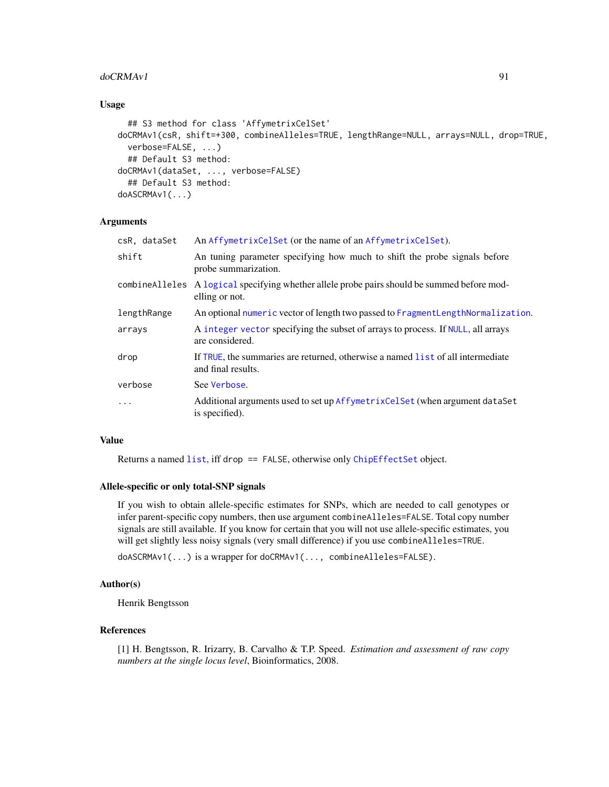#### $\text{doCRM}$ Av1 91

#### Usage

```
## S3 method for class 'AffymetrixCelSet'
doCRMAv1(csR, shift=+300, combineAlleles=TRUE, lengthRange=NULL, arrays=NULL, drop=TRUE,
  verbose=FALSE, ...)
  ## Default S3 method:
doCRMAv1(dataSet, ..., verbose=FALSE)
  ## Default S3 method:
doASCRMAv1(...)
```
## Arguments

| csR, dataSet | An AffymetrixCelSet (or the name of an AffymetrixCelSet).                                                     |
|--------------|---------------------------------------------------------------------------------------------------------------|
| shift        | An tuning parameter specifying how much to shift the probe signals before<br>probe summarization.             |
|              | combine Alleles Alogical specifying whether allele probe pairs should be summed before mod-<br>elling or not. |
| lengthRange  | An optional numeric vector of length two passed to FragmentLengthNormalization.                               |
| arrays       | A integer vector specifying the subset of arrays to process. If NULL, all arrays<br>are considered.           |
| drop         | If TRUE, the summaries are returned, otherwise a named list of all intermediate<br>and final results.         |
| verbose      | See Verbose.                                                                                                  |
| $\cdots$     | Additional arguments used to set up AffymetrixCelSet (when argument dataSet<br>is specified).                 |

## Value

Returns a named [list](#page-0-0), iff drop == FALSE, otherwise only [ChipEffectSet](#page-55-0) object.

## Allele-specific or only total-SNP signals

If you wish to obtain allele-specific estimates for SNPs, which are needed to call genotypes or infer parent-specific copy numbers, then use argument combineAlleles=FALSE. Total copy number signals are still available. If you know for certain that you will not use allele-specific estimates, you will get slightly less noisy signals (very small difference) if you use combineAlleles=TRUE.

doASCRMAv1(...) is a wrapper for doCRMAv1(..., combineAlleles=FALSE).

#### Author(s)

Henrik Bengtsson

## References

[1] H. Bengtsson, R. Irizarry, B. Carvalho & T.P. Speed. *Estimation and assessment of raw copy numbers at the single locus level*, Bioinformatics, 2008.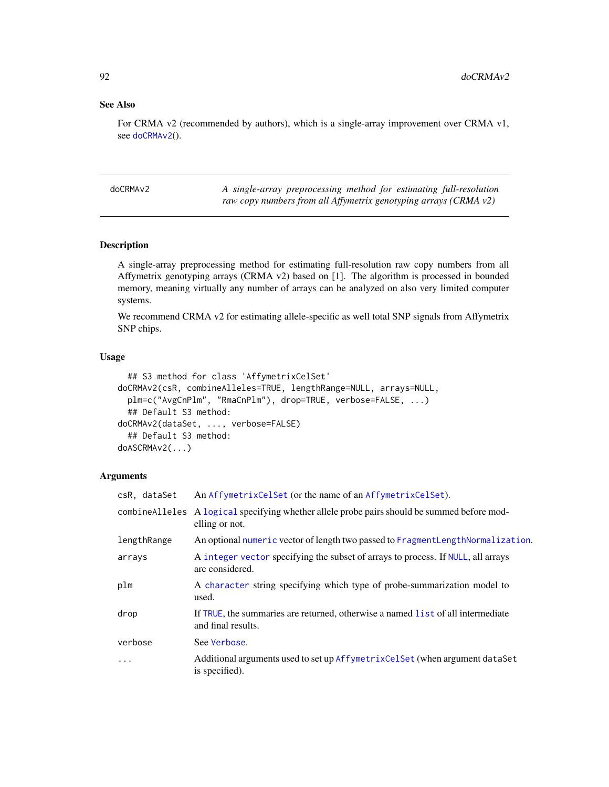## See Also

For CRMA v2 (recommended by authors), which is a single-array improvement over CRMA v1, see [doCRMAv2](#page-91-0)().

<span id="page-91-0"></span>doCRMAv2 *A single-array preprocessing method for estimating full-resolution raw copy numbers from all Affymetrix genotyping arrays (CRMA v2)*

## Description

A single-array preprocessing method for estimating full-resolution raw copy numbers from all Affymetrix genotyping arrays (CRMA v2) based on [1]. The algorithm is processed in bounded memory, meaning virtually any number of arrays can be analyzed on also very limited computer systems.

We recommend CRMA v2 for estimating allele-specific as well total SNP signals from Affymetrix SNP chips.

#### Usage

```
## S3 method for class 'AffymetrixCelSet'
doCRMAv2(csR, combineAlleles=TRUE, lengthRange=NULL, arrays=NULL,
 plm=c("AvgCnPlm", "RmaCnPlm"), drop=TRUE, verbose=FALSE, ...)
  ## Default S3 method:
doCRMAv2(dataSet, ..., verbose=FALSE)
  ## Default S3 method:
doASCRMAv2(...)
```
## Arguments

| csR, dataSet | An AffymetrixCelSet (or the name of an AffymetrixCelSet).                                                     |
|--------------|---------------------------------------------------------------------------------------------------------------|
|              | combineAlleles A logical specifying whether allele probe pairs should be summed before mod-<br>elling or not. |
| lengthRange  | An optional numeric vector of length two passed to FragmentLengthNormalization.                               |
| arrays       | A integer vector specifying the subset of arrays to process. If NULL, all arrays<br>are considered.           |
| plm          | A character string specifying which type of probe-summarization model to<br>used.                             |
| drop         | If TRUE, the summaries are returned, otherwise a named list of all intermediate<br>and final results.         |
| verbose      | See Verbose.                                                                                                  |
| .            | Additional arguments used to set up AffymetrixCelSet (when argument dataSet<br>is specified).                 |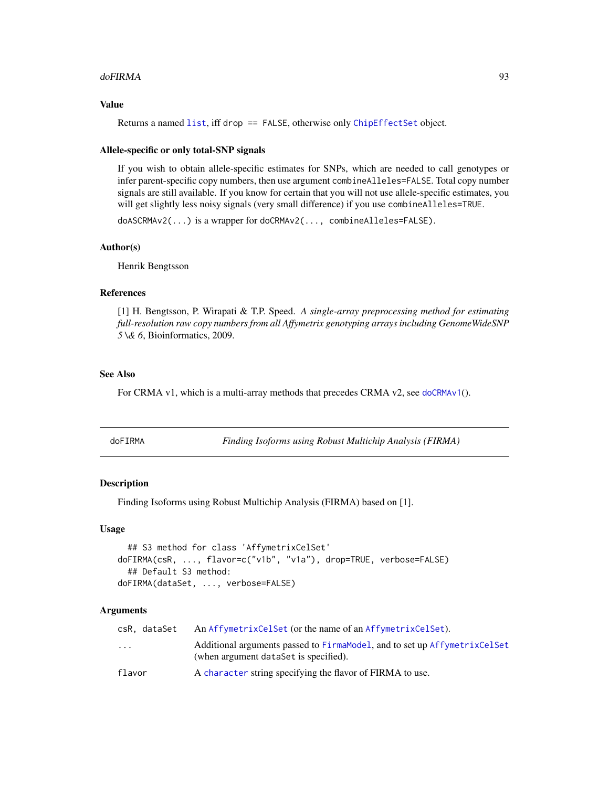#### doFIRMA 93

## Value

Returns a named [list](#page-0-0), iff drop == FALSE, otherwise only [ChipEffectSet](#page-55-0) object.

#### Allele-specific or only total-SNP signals

If you wish to obtain allele-specific estimates for SNPs, which are needed to call genotypes or infer parent-specific copy numbers, then use argument combineAlleles=FALSE. Total copy number signals are still available. If you know for certain that you will not use allele-specific estimates, you will get slightly less noisy signals (very small difference) if you use combineAlleles=TRUE.

doASCRMAv2(...) is a wrapper for doCRMAv2(..., combineAlleles=FALSE).

#### Author(s)

Henrik Bengtsson

#### References

[1] H. Bengtsson, P. Wirapati & T.P. Speed. *A single-array preprocessing method for estimating full-resolution raw copy numbers from all Affymetrix genotyping arrays including GenomeWideSNP 5 \& 6*, Bioinformatics, 2009.

#### See Also

For CRMA v1, which is a multi-array methods that precedes CRMA v2, see [doCRMAv1](#page-89-0)().

| doFIRMA |  |  |
|---------|--|--|
|         |  |  |

**Finding Isoforms using Robust Multichip Analysis (FIRMA)** 

#### Description

Finding Isoforms using Robust Multichip Analysis (FIRMA) based on [1].

## Usage

```
## S3 method for class 'AffymetrixCelSet'
doFIRMA(csR, ..., flavor=c("v1b", "v1a"), drop=TRUE, verbose=FALSE)
  ## Default S3 method:
doFIRMA(dataSet, ..., verbose=FALSE)
```
#### Arguments

| csR. dataSet            | An AffymetrixCelSet (or the name of an AffymetrixCelSet).                                                          |
|-------------------------|--------------------------------------------------------------------------------------------------------------------|
| $\cdot$ $\cdot$ $\cdot$ | Additional arguments passed to FirmaModel, and to set up AffymetrixCelSet<br>(when argument dataSet is specified). |
| flavor                  | A character string specifying the flavor of FIRMA to use.                                                          |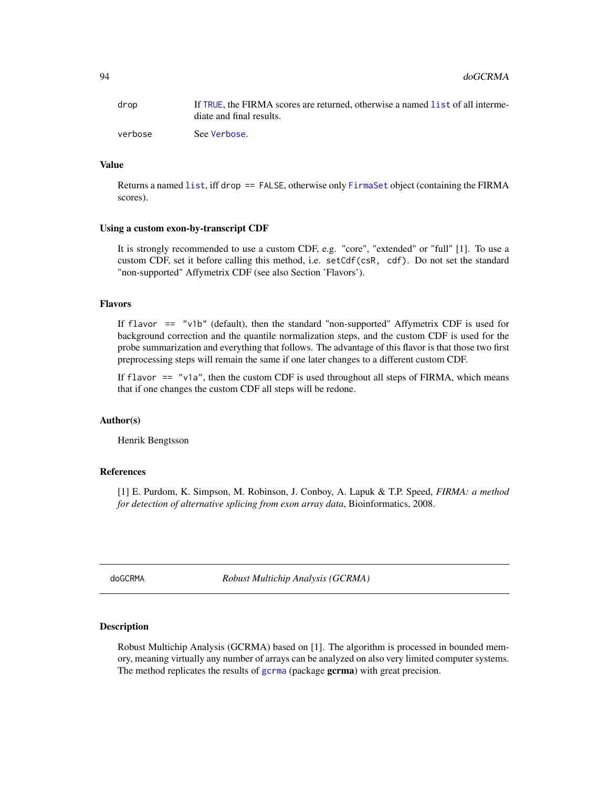| drop    | If TRUE, the FIRMA scores are returned, otherwise a named list of all interme- |
|---------|--------------------------------------------------------------------------------|
|         | diate and final results.                                                       |
| verbose | See Verbose.                                                                   |

#### Value

Returns a named [list](#page-0-0), iff drop == FALSE, otherwise only [FirmaSet](#page-108-0) object (containing the FIRMA scores).

#### Using a custom exon-by-transcript CDF

It is strongly recommended to use a custom CDF, e.g. "core", "extended" or "full" [1]. To use a custom CDF, set it before calling this method, i.e. setCdf(csR, cdf). Do not set the standard "non-supported" Affymetrix CDF (see also Section 'Flavors').

#### Flavors

If flavor == "v1b" (default), then the standard "non-supported" Affymetrix CDF is used for background correction and the quantile normalization steps, and the custom CDF is used for the probe summarization and everything that follows. The advantage of this flavor is that those two first preprocessing steps will remain the same if one later changes to a different custom CDF.

If flavor  $==$  "v1a", then the custom CDF is used throughout all steps of FIRMA, which means that if one changes the custom CDF all steps will be redone.

#### Author(s)

Henrik Bengtsson

#### References

[1] E. Purdom, K. Simpson, M. Robinson, J. Conboy, A. Lapuk & T.P. Speed, *FIRMA: a method for detection of alternative splicing from exon array data*, Bioinformatics, 2008.

doGCRMA *Robust Multichip Analysis (GCRMA)*

#### Description

Robust Multichip Analysis (GCRMA) based on [1]. The algorithm is processed in bounded memory, meaning virtually any number of arrays can be analyzed on also very limited computer systems. The method replicates the results of [gcrma](#page-0-0) (package gcrma) with great precision.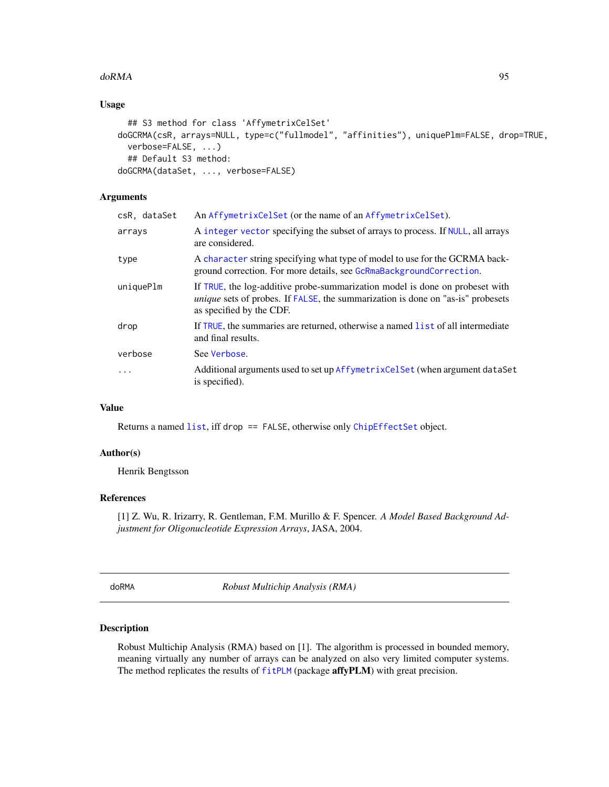#### $\mu$  do RMA  $\sim$  95

# Usage

```
## S3 method for class 'AffymetrixCelSet'
doGCRMA(csR, arrays=NULL, type=c("fullmodel", "affinities"), uniquePlm=FALSE, drop=TRUE,
  verbose=FALSE, ...)
  ## Default S3 method:
doGCRMA(dataSet, ..., verbose=FALSE)
```
# Arguments

| csR, dataSet | An AffymetrixCelSet (or the name of an AffymetrixCelSet).                                                                                                                                          |
|--------------|----------------------------------------------------------------------------------------------------------------------------------------------------------------------------------------------------|
| arrays       | A integer vector specifying the subset of arrays to process. If NULL, all arrays<br>are considered.                                                                                                |
| type         | A character string specifying what type of model to use for the GCRMA back-<br>ground correction. For more details, see GcRmaBackgroundCorrection.                                                 |
| uniquePlm    | If TRUE, the log-additive probe-summarization model is done on probeset with<br><i>unique</i> sets of probes. If FALSE, the summarization is done on "as-is" probesets<br>as specified by the CDF. |
| drop         | If TRUE, the summaries are returned, otherwise a named list of all intermediate<br>and final results.                                                                                              |
| verbose      | See Verbose.                                                                                                                                                                                       |
| .            | Additional arguments used to set up AffymetrixCelSet (when argument dataSet<br>is specified).                                                                                                      |
|              |                                                                                                                                                                                                    |

## Value

Returns a named [list](#page-0-0), iff drop == FALSE, otherwise only [ChipEffectSet](#page-55-0) object.

## Author(s)

Henrik Bengtsson

## References

[1] Z. Wu, R. Irizarry, R. Gentleman, F.M. Murillo & F. Spencer. *A Model Based Background Adjustment for Oligonucleotide Expression Arrays*, JASA, 2004.

doRMA *Robust Multichip Analysis (RMA)*

## Description

Robust Multichip Analysis (RMA) based on [1]. The algorithm is processed in bounded memory, meaning virtually any number of arrays can be analyzed on also very limited computer systems. The method replicates the results of [fitPLM](#page-0-0) (package affyPLM) with great precision.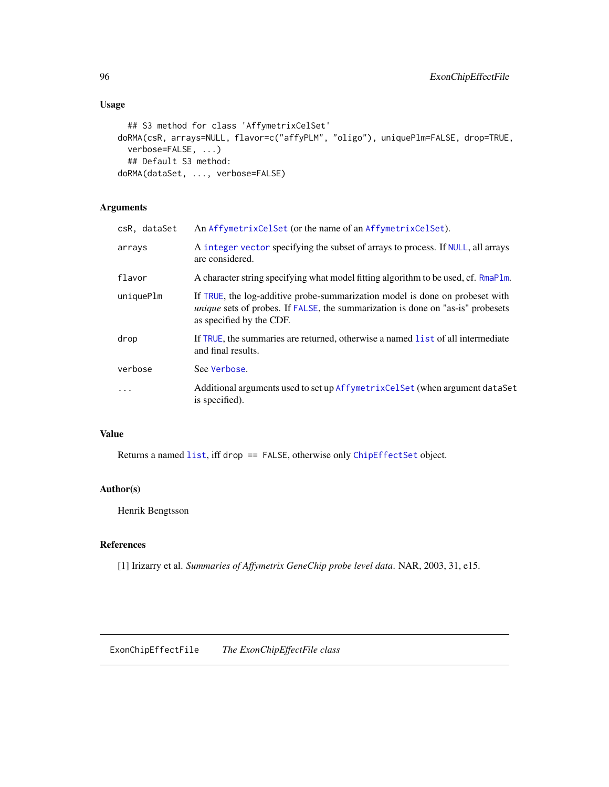# Usage

```
## S3 method for class 'AffymetrixCelSet'
doRMA(csR, arrays=NULL, flavor=c("affyPLM", "oligo"), uniquePlm=FALSE, drop=TRUE,
 verbose=FALSE, ...)
  ## Default S3 method:
doRMA(dataSet, ..., verbose=FALSE)
```
# Arguments

| csR, dataSet | An AffymetrixCelSet (or the name of an AffymetrixCelSet).                                                                                                                                          |
|--------------|----------------------------------------------------------------------------------------------------------------------------------------------------------------------------------------------------|
| arrays       | A integer vector specifying the subset of arrays to process. If NULL, all arrays<br>are considered.                                                                                                |
| flavor       | A character string specifying what model fitting algorithm to be used, cf. RmaPlm.                                                                                                                 |
| uniquePlm    | If TRUE, the log-additive probe-summarization model is done on probeset with<br><i>unique</i> sets of probes. If FALSE, the summarization is done on "as-is" probesets<br>as specified by the CDF. |
| drop         | If TRUE, the summaries are returned, otherwise a named list of all intermediate<br>and final results.                                                                                              |
| verbose      | See Verbose.                                                                                                                                                                                       |
| $\ddots$     | Additional arguments used to set up AffymetrixCelSet (when argument dataSet<br>is specified).                                                                                                      |

# Value

Returns a named [list](#page-0-0), iff drop == FALSE, otherwise only [ChipEffectSet](#page-55-0) object.

## Author(s)

Henrik Bengtsson

## References

[1] Irizarry et al. *Summaries of Affymetrix GeneChip probe level data*. NAR, 2003, 31, e15.

ExonChipEffectFile *The ExonChipEffectFile class*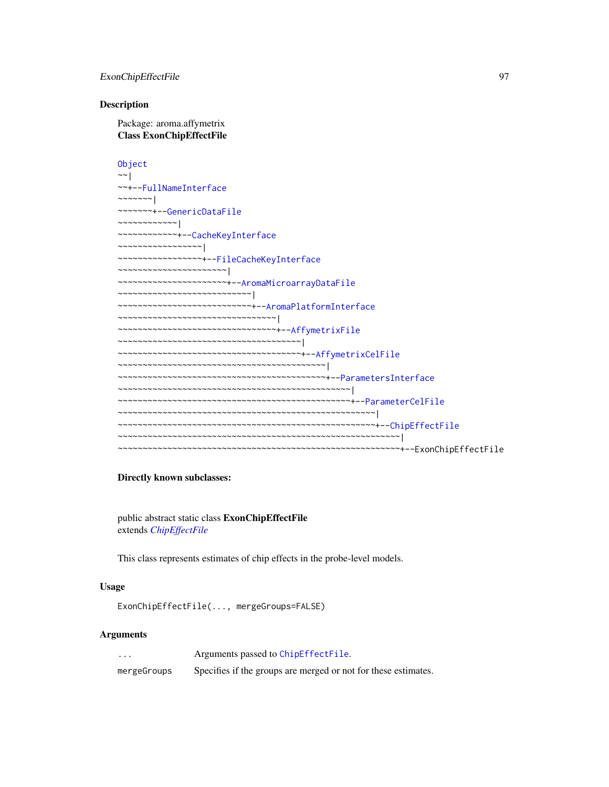## ExonChipEffectFile 97

#### Description

Package: aroma.affymetrix Class ExonChipEffectFile

[Object](#page-0-0)  $~\sim~$ ~~+-[-FullNameInterface](#page-0-0) ~~~~~~~| ~~~~~~~+-[-GenericDataFile](#page-0-0) ~~~~~~~~~~~~| ~~~~~~~~~~~~+-[-CacheKeyInterface](#page-0-0) ~~~~~~~~~~~~~~~~~| ~~~~~~~~~~~~~~~~~+-[-FileCacheKeyInterface](#page-0-0) ~~~~~~~~~~~~~~~~~~~~~~| ~~~~~~~~~~~~~~~~~~~~~~+-[-AromaMicroarrayDataFile](#page-0-0) ~~~~~~~~~~~~~~~~~~~~~~~~~~~| ~~~~~~~~~~~~~~~~~~~~~~~~~~~+-[-AromaPlatformInterface](#page-0-0) ~~~~~~~~~~~~~~~~~~~~~~~~~~~~~~~~| ~~~~~~~~~~~~~~~~~~~~~~~~~~~~~~~~+-[-AffymetrixFile](#page-27-0) ~~~~~~~~~~~~~~~~~~~~~~~~~~~~~~~~~~~~~| ~~~~~~~~~~~~~~~~~~~~~~~~~~~~~~~~~~~~~+-[-AffymetrixCelFile](#page-17-0) ~~~~~~~~~~~~~~~~~~~~~~~~~~~~~~~~~~~~~~~~~~| ~~~~~~~~~~~~~~~~~~~~~~~~~~~~~~~~~~~~~~~~~~+-[-ParametersInterface](#page-0-0) ~~~~~~~~~~~~~~~~~~~~~~~~~~~~~~~~~~~~~~~~~~~~~~~| ~~~~~~~~~~~~~~~~~~~~~~~~~~~~~~~~~~~~~~~~~~~~~~~+-[-ParameterCelFile](#page-149-0) ~~~~~~~~~~~~~~~~~~~~~~~~~~~~~~~~~~~~~~~~~~~~~~~~~~~~| ~~~~~~~~~~~~~~~~~~~~~~~~~~~~~~~~~~~~~~~~~~~~~~~~~~~~+-[-ChipEffectFile](#page-52-0) ~~~~~~~~~~~~~~~~~~~~~~~~~~~~~~~~~~~~~~~~~~~~~~~~~~~~~~~~~| ~~~~~~~~~~~~~~~~~~~~~~~~~~~~~~~~~~~~~~~~~~~~~~~~~~~~~~~~~+--ExonChipEffectFile

#### Directly known subclasses:

public abstract static class ExonChipEffectFile extends *[ChipEffectFile](#page-52-0)*

This class represents estimates of chip effects in the probe-level models.

#### Usage

```
ExonChipEffectFile(..., mergeGroups=FALSE)
```
#### Arguments

... Arguments passed to [ChipEffectFile](#page-52-0). mergeGroups Specifies if the groups are merged or not for these estimates.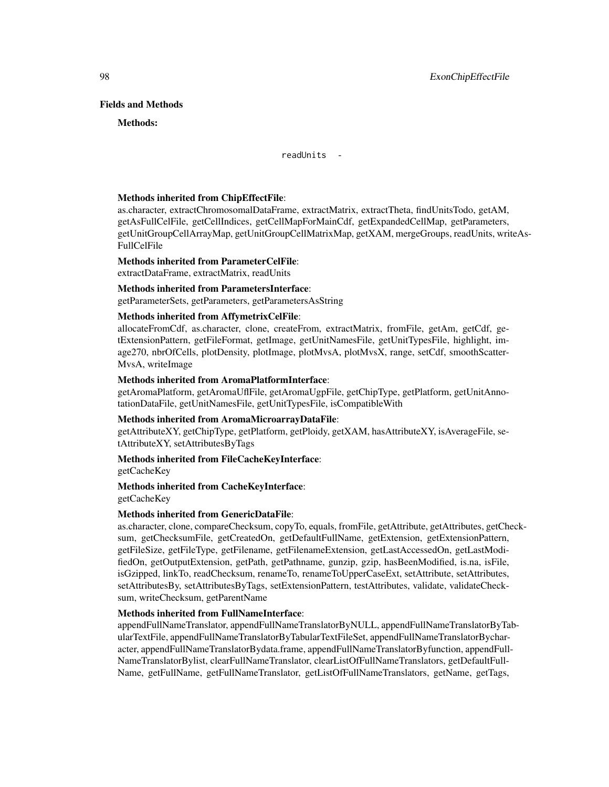#### Fields and Methods

#### Methods:

readUnits -

#### Methods inherited from ChipEffectFile:

as.character, extractChromosomalDataFrame, extractMatrix, extractTheta, findUnitsTodo, getAM, getAsFullCelFile, getCellIndices, getCellMapForMainCdf, getExpandedCellMap, getParameters, getUnitGroupCellArrayMap, getUnitGroupCellMatrixMap, getXAM, mergeGroups, readUnits, writeAs-FullCelFile

#### Methods inherited from ParameterCelFile:

extractDataFrame, extractMatrix, readUnits

## Methods inherited from ParametersInterface:

getParameterSets, getParameters, getParametersAsString

#### Methods inherited from AffymetrixCelFile:

allocateFromCdf, as.character, clone, createFrom, extractMatrix, fromFile, getAm, getCdf, getExtensionPattern, getFileFormat, getImage, getUnitNamesFile, getUnitTypesFile, highlight, image270, nbrOfCells, plotDensity, plotImage, plotMvsA, plotMvsX, range, setCdf, smoothScatter-MvsA, writeImage

#### Methods inherited from AromaPlatformInterface:

getAromaPlatform, getAromaUflFile, getAromaUgpFile, getChipType, getPlatform, getUnitAnnotationDataFile, getUnitNamesFile, getUnitTypesFile, isCompatibleWith

#### Methods inherited from AromaMicroarrayDataFile:

getAttributeXY, getChipType, getPlatform, getPloidy, getXAM, hasAttributeXY, isAverageFile, setAttributeXY, setAttributesByTags

## Methods inherited from FileCacheKeyInterface:

getCacheKey

## Methods inherited from CacheKeyInterface: getCacheKey

## Methods inherited from GenericDataFile:

as.character, clone, compareChecksum, copyTo, equals, fromFile, getAttribute, getAttributes, getChecksum, getChecksumFile, getCreatedOn, getDefaultFullName, getExtension, getExtensionPattern, getFileSize, getFileType, getFilename, getFilenameExtension, getLastAccessedOn, getLastModifiedOn, getOutputExtension, getPath, getPathname, gunzip, gzip, hasBeenModified, is.na, isFile, isGzipped, linkTo, readChecksum, renameTo, renameToUpperCaseExt, setAttribute, setAttributes, setAttributesBy, setAttributesByTags, setExtensionPattern, testAttributes, validate, validateChecksum, writeChecksum, getParentName

#### Methods inherited from FullNameInterface:

appendFullNameTranslator, appendFullNameTranslatorByNULL, appendFullNameTranslatorByTabularTextFile, appendFullNameTranslatorByTabularTextFileSet, appendFullNameTranslatorBycharacter, appendFullNameTranslatorBydata.frame, appendFullNameTranslatorByfunction, appendFull-NameTranslatorBylist, clearFullNameTranslator, clearListOfFullNameTranslators, getDefaultFull-Name, getFullName, getFullNameTranslator, getListOfFullNameTranslators, getName, getTags,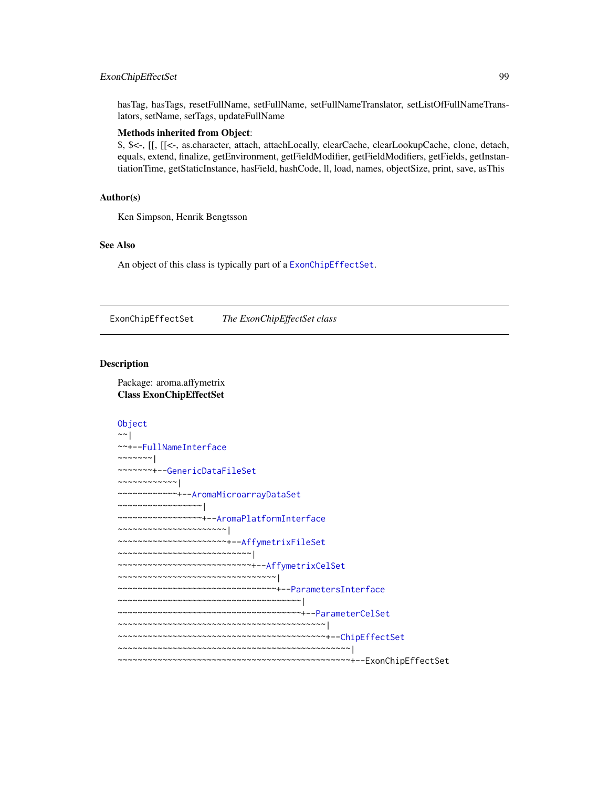## ExonChipEffectSet 99

hasTag, hasTags, resetFullName, setFullName, setFullNameTranslator, setListOfFullNameTranslators, setName, setTags, updateFullName

#### Methods inherited from Object:

\$, \$<-, [[, [[<-, as.character, attach, attachLocally, clearCache, clearLookupCache, clone, detach, equals, extend, finalize, getEnvironment, getFieldModifier, getFieldModifiers, getFields, getInstantiationTime, getStaticInstance, hasField, hashCode, ll, load, names, objectSize, print, save, asThis

## Author(s)

Ken Simpson, Henrik Bengtsson

## See Also

An object of this class is typically part of a [ExonChipEffectSet](#page-98-0).

<span id="page-98-0"></span>ExonChipEffectSet *The ExonChipEffectSet class*

#### Description

Package: aroma.affymetrix Class ExonChipEffectSet

```
Object
~~|
~~+--FullNameInterface
~\sim ~\sim ~\sim ~\sim ~\sim ~\sim ~\sim~~~~~~~+--GenericDataFileSet
~~~~~~~~~~~~|
~~~~~~~~~~~~+--AromaMicroarrayDataSet
~~~~~~~~~~~~~~~~~|
~~~~~~~~~~~~~~~~~+--AromaPlatformInterface
~~~~~~~~~~~~~~~~~~~~~~|
~~~~~~~~~~~~~~~~~~~~~~+--AffymetrixFileSet
~~~~~~~~~~~~~~~~~~~~~~~~~~~|
~~~~~~~~~~~~~~~~~~~~~~~~~~~+--AffymetrixCelSet
~~~~~~~~~~~~~~~~~~~~~~~~~~~~~~~~
~~~~~~~~~~~~~~~~~~~~~~~~~~~~~~~~+--ParametersInterface
~~~~~~~~~~~~~~~~~~~~~~~~~~~~~~~~~~~~~|
~~~~~~~~~~~~~~~~~~~~~~~~~~~~~~~~~~~~~+--ParameterCelSet
~~~~~~~~~~~~~~~~~~~~~~~~~~~~~~~~~~~~~~~~~~|
~~~~~~~~~~~~~~~~~~~~~~~~~~~~~~~~~~~~~~~~~~+--ChipEffectSet
~~~~~~~~~~~~~~~~~~~~~~~~~~~~~~~~~~~~~~~~~~~~~~~|
~~~~~~~~~~~~~~~~~~~~~~~~~~~~~~~~~~~~~~~~~~~~~~~+--ExonChipEffectSet
```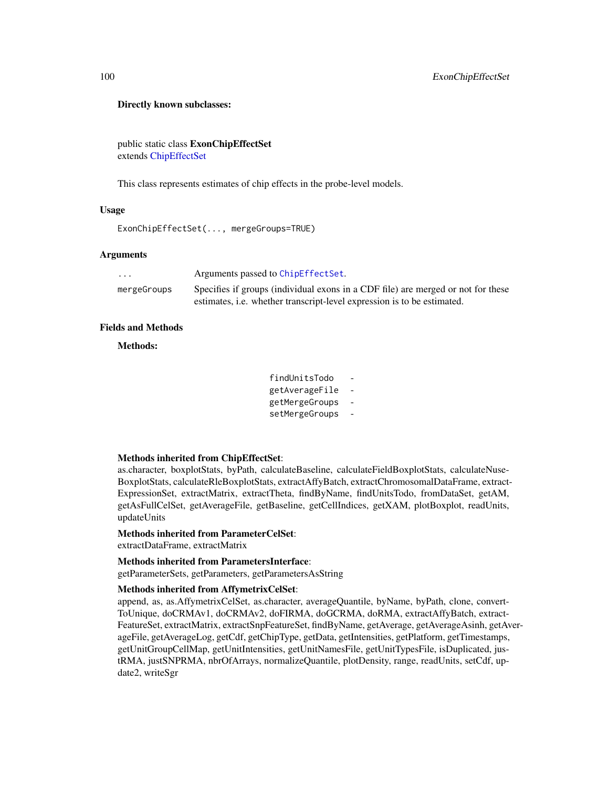#### Directly known subclasses:

public static class ExonChipEffectSet extends [ChipEffectSet](#page-55-0)

This class represents estimates of chip effects in the probe-level models.

#### Usage

```
ExonChipEffectSet(..., mergeGroups=TRUE)
```
## **Arguments**

| $\cdots$    | Arguments passed to ChipEffectSet.                                               |
|-------------|----------------------------------------------------------------------------------|
| mergeGroups | Specifies if groups (individual exons in a CDF file) are merged or not for these |
|             | estimates, <i>i.e.</i> whether transcript-level expression is to be estimated.   |

## Fields and Methods

Methods:

| findUnitsTodo  |  |
|----------------|--|
| getAverageFile |  |
| getMergeGroups |  |
| setMergeGroups |  |

## Methods inherited from ChipEffectSet:

as.character, boxplotStats, byPath, calculateBaseline, calculateFieldBoxplotStats, calculateNuse-BoxplotStats, calculateRleBoxplotStats, extractAffyBatch, extractChromosomalDataFrame, extract-ExpressionSet, extractMatrix, extractTheta, findByName, findUnitsTodo, fromDataSet, getAM, getAsFullCelSet, getAverageFile, getBaseline, getCellIndices, getXAM, plotBoxplot, readUnits, updateUnits

#### Methods inherited from ParameterCelSet:

extractDataFrame, extractMatrix

### Methods inherited from ParametersInterface:

getParameterSets, getParameters, getParametersAsString

## Methods inherited from AffymetrixCelSet:

append, as, as.AffymetrixCelSet, as.character, averageQuantile, byName, byPath, clone, convert-ToUnique, doCRMAv1, doCRMAv2, doFIRMA, doGCRMA, doRMA, extractAffyBatch, extract-FeatureSet, extractMatrix, extractSnpFeatureSet, findByName, getAverage, getAverageAsinh, getAverageFile, getAverageLog, getCdf, getChipType, getData, getIntensities, getPlatform, getTimestamps, getUnitGroupCellMap, getUnitIntensities, getUnitNamesFile, getUnitTypesFile, isDuplicated, justRMA, justSNPRMA, nbrOfArrays, normalizeQuantile, plotDensity, range, readUnits, setCdf, update2, writeSgr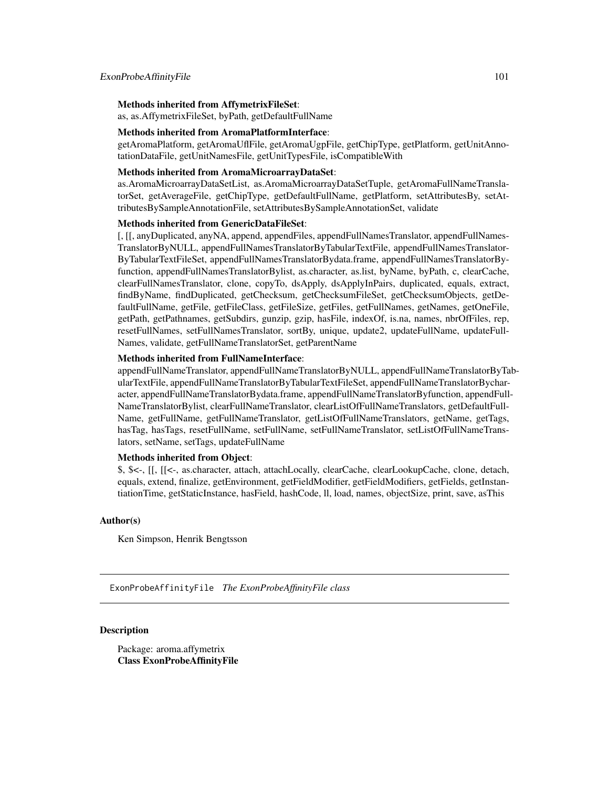## Methods inherited from AffymetrixFileSet:

as, as.AffymetrixFileSet, byPath, getDefaultFullName

#### Methods inherited from AromaPlatformInterface:

getAromaPlatform, getAromaUflFile, getAromaUgpFile, getChipType, getPlatform, getUnitAnnotationDataFile, getUnitNamesFile, getUnitTypesFile, isCompatibleWith

#### Methods inherited from AromaMicroarrayDataSet:

as.AromaMicroarrayDataSetList, as.AromaMicroarrayDataSetTuple, getAromaFullNameTranslatorSet, getAverageFile, getChipType, getDefaultFullName, getPlatform, setAttributesBy, setAttributesBySampleAnnotationFile, setAttributesBySampleAnnotationSet, validate

#### Methods inherited from GenericDataFileSet:

[, [[, anyDuplicated, anyNA, append, appendFiles, appendFullNamesTranslator, appendFullNames-TranslatorByNULL, appendFullNamesTranslatorByTabularTextFile, appendFullNamesTranslator-ByTabularTextFileSet, appendFullNamesTranslatorBydata.frame, appendFullNamesTranslatorByfunction, appendFullNamesTranslatorBylist, as.character, as.list, byName, byPath, c, clearCache, clearFullNamesTranslator, clone, copyTo, dsApply, dsApplyInPairs, duplicated, equals, extract, findByName, findDuplicated, getChecksum, getChecksumFileSet, getChecksumObjects, getDefaultFullName, getFile, getFileClass, getFileSize, getFiles, getFullNames, getNames, getOneFile, getPath, getPathnames, getSubdirs, gunzip, gzip, hasFile, indexOf, is.na, names, nbrOfFiles, rep, resetFullNames, setFullNamesTranslator, sortBy, unique, update2, updateFullName, updateFull-Names, validate, getFullNameTranslatorSet, getParentName

## Methods inherited from FullNameInterface:

appendFullNameTranslator, appendFullNameTranslatorByNULL, appendFullNameTranslatorByTabularTextFile, appendFullNameTranslatorByTabularTextFileSet, appendFullNameTranslatorBycharacter, appendFullNameTranslatorBydata.frame, appendFullNameTranslatorByfunction, appendFull-NameTranslatorBylist, clearFullNameTranslator, clearListOfFullNameTranslators, getDefaultFull-Name, getFullName, getFullNameTranslator, getListOfFullNameTranslators, getName, getTags, hasTag, hasTags, resetFullName, setFullName, setFullNameTranslator, setListOfFullNameTranslators, setName, setTags, updateFullName

# Methods inherited from Object:

\$, \$<-, [[, [[<-, as.character, attach, attachLocally, clearCache, clearLookupCache, clone, detach, equals, extend, finalize, getEnvironment, getFieldModifier, getFieldModifiers, getFields, getInstantiationTime, getStaticInstance, hasField, hashCode, ll, load, names, objectSize, print, save, asThis

#### Author(s)

Ken Simpson, Henrik Bengtsson

ExonProbeAffinityFile *The ExonProbeAffinityFile class*

# **Description**

Package: aroma.affymetrix Class ExonProbeAffinityFile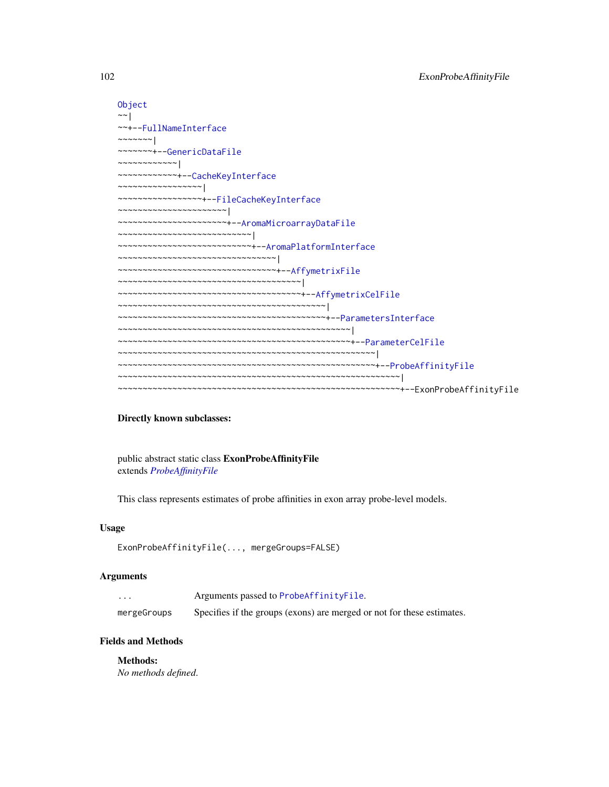| Object                                                                                  |
|-----------------------------------------------------------------------------------------|
| $\sim$ $\sim$                                                                           |
| ~~+--FullNameInterface                                                                  |
| $\sim$ $\sim$ $\sim$ $\sim$ $\sim$ $\sim$ $\sim$                                        |
| ~~~~~~~+--GenericDataFile                                                               |
| $\cdots\cdots\cdots\cdots\cdots\cdots\cdots\vert\hspace{1pt}$                           |
| ~~~~~~~~~~~+--CacheKeyInterface                                                         |
| $\cdots \cdots \cdots \cdots \cdots \cdots \cdots \cdots \cdots \vdots$                 |
| ~~~~~~~~~~~~~~~~+--FileCacheKeyInterface                                                |
| $\cdots\cdots\cdots\cdots\cdots\cdots\cdots\cdots\cdots\cdots\cdots\cdots$              |
| ~~~~~~~~~~~~~~~~~~~~~+--AromaMicroarrayDataFile                                         |
| $\mathcal{L}_{\mathcal{N}}$                                                             |
| ~~~~~~~~~~~~~~~~~~~~~~~~~~+--AromaPlatformInterface                                     |
| $\cdots$                                                                                |
| ~~~~~~~~~~~~~~~~~~~~~~~~~~~~~~~+--AffymetrixFile                                        |
| $\cdots$                                                                                |
| ~~~~~~~~~~~~~~~~~~~~~~~~~~~~~~~~~~~+--AffymetrixCelFile                                 |
| $\mathcal{N}$ $\mathcal{N}$                                                             |
|                                                                                         |
| $\mathcal{L}_{\mathcal{N}}$ . The consequent consequence of $\mathcal{L}_{\mathcal{N}}$ |
|                                                                                         |
|                                                                                         |
|                                                                                         |
|                                                                                         |
|                                                                                         |

## Directly known subclasses:

public abstract static class ExonProbeAffinityFile extends *[ProbeAffinityFile](#page-154-0)*

This class represents estimates of probe affinities in exon array probe-level models.

## Usage

```
ExonProbeAffinityFile(..., mergeGroups=FALSE)
```
# Arguments

| $\cdot$     | Arguments passed to ProbeAffinityFile.                                 |
|-------------|------------------------------------------------------------------------|
| mergeGroups | Specifies if the groups (exons) are merged or not for these estimates. |

# Fields and Methods

Methods:

*No methods defined*.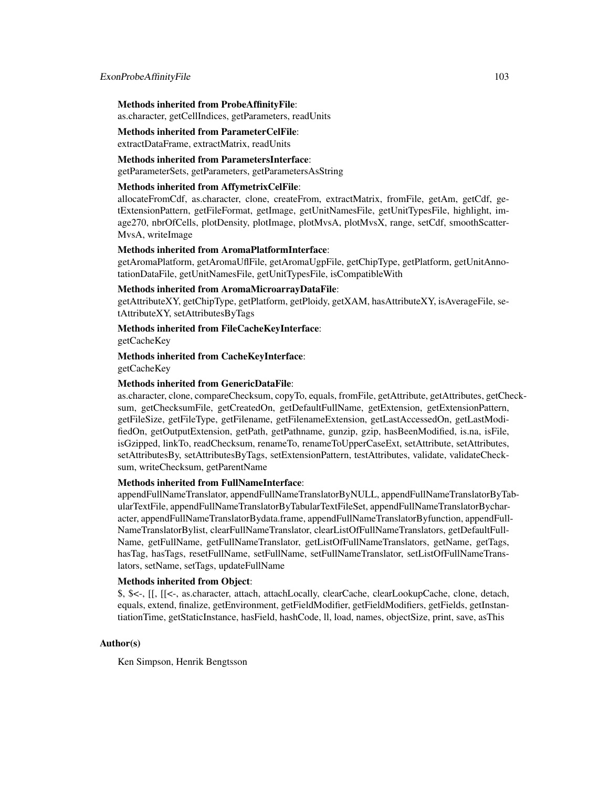#### Methods inherited from ProbeAffinityFile:

as.character, getCellIndices, getParameters, readUnits

## Methods inherited from ParameterCelFile:

extractDataFrame, extractMatrix, readUnits

#### Methods inherited from ParametersInterface: getParameterSets, getParameters, getParametersAsString

#### Methods inherited from AffymetrixCelFile:

allocateFromCdf, as.character, clone, createFrom, extractMatrix, fromFile, getAm, getCdf, getExtensionPattern, getFileFormat, getImage, getUnitNamesFile, getUnitTypesFile, highlight, image270, nbrOfCells, plotDensity, plotImage, plotMvsA, plotMvsX, range, setCdf, smoothScatter-MvsA, writeImage

## Methods inherited from AromaPlatformInterface:

getAromaPlatform, getAromaUflFile, getAromaUgpFile, getChipType, getPlatform, getUnitAnnotationDataFile, getUnitNamesFile, getUnitTypesFile, isCompatibleWith

## Methods inherited from AromaMicroarrayDataFile:

getAttributeXY, getChipType, getPlatform, getPloidy, getXAM, hasAttributeXY, isAverageFile, setAttributeXY, setAttributesByTags

## Methods inherited from FileCacheKeyInterface:

getCacheKey

# Methods inherited from CacheKeyInterface: getCacheKey

## Methods inherited from GenericDataFile:

as.character, clone, compareChecksum, copyTo, equals, fromFile, getAttribute, getAttributes, getChecksum, getChecksumFile, getCreatedOn, getDefaultFullName, getExtension, getExtensionPattern, getFileSize, getFileType, getFilename, getFilenameExtension, getLastAccessedOn, getLastModifiedOn, getOutputExtension, getPath, getPathname, gunzip, gzip, hasBeenModified, is.na, isFile, isGzipped, linkTo, readChecksum, renameTo, renameToUpperCaseExt, setAttribute, setAttributes, setAttributesBy, setAttributesByTags, setExtensionPattern, testAttributes, validate, validateChecksum, writeChecksum, getParentName

#### Methods inherited from FullNameInterface:

appendFullNameTranslator, appendFullNameTranslatorByNULL, appendFullNameTranslatorByTabularTextFile, appendFullNameTranslatorByTabularTextFileSet, appendFullNameTranslatorBycharacter, appendFullNameTranslatorBydata.frame, appendFullNameTranslatorByfunction, appendFull-NameTranslatorBylist, clearFullNameTranslator, clearListOfFullNameTranslators, getDefaultFull-Name, getFullName, getFullNameTranslator, getListOfFullNameTranslators, getName, getTags, hasTag, hasTags, resetFullName, setFullName, setFullNameTranslator, setListOfFullNameTranslators, setName, setTags, updateFullName

#### Methods inherited from Object:

\$, \$<-, [[, [[<-, as.character, attach, attachLocally, clearCache, clearLookupCache, clone, detach, equals, extend, finalize, getEnvironment, getFieldModifier, getFieldModifiers, getFields, getInstantiationTime, getStaticInstance, hasField, hashCode, ll, load, names, objectSize, print, save, asThis

## Author(s)

Ken Simpson, Henrik Bengtsson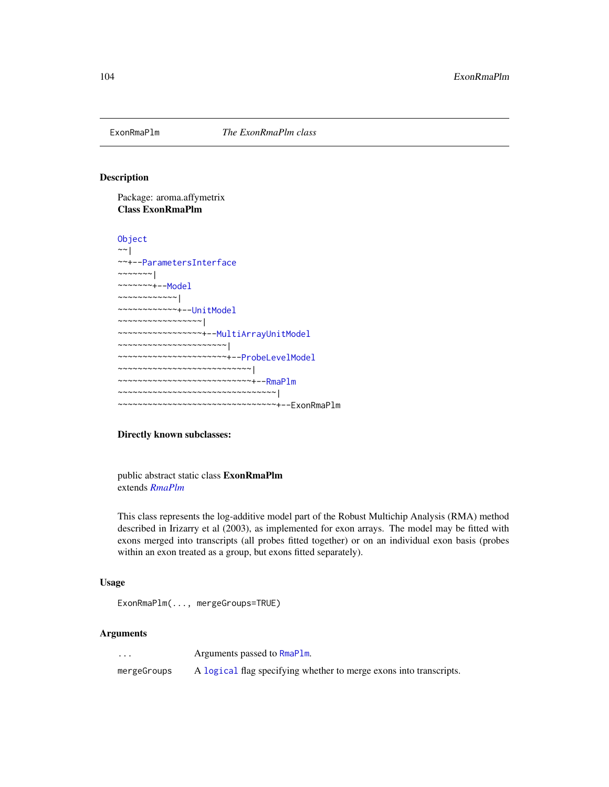#### Description

Package: aroma.affymetrix Class ExonRmaPlm

```
Object
~\sim |
~~+--ParametersInterface
~\sim ~\sim ~\sim ~\sim ~\sim ~\sim ~\sim~~~~~~~+--Model
~~~~~~~~~~~~|
~~~~~~~~~~~~+--UnitModel
 ~~~~~~~~~~~~~~~~~|
~~~~~~~~~~~~~~~~~+--MultiArrayUnitModel
  ~~~~~~~~~~~~~~~~~~~~~~|
 ~~~~~~~~~~~~~~~~~~~~~~+--ProbeLevelModel
~~~~~~~~~~~~~~~~~~~~~~~~~~~|
~~~~~~~~~~~~~~~~~~~~~~~~~~~+--RmaPlm
~~~~~~~~~~~~~~~~~~~~~~~~~~~~~~~~|
       ~~~~~~~~~~~~~~~~~~~~~~~~~~~~~~~~+--ExonRmaPlm
```
## Directly known subclasses:

public abstract static class ExonRmaPlm extends *[RmaPlm](#page-179-0)*

This class represents the log-additive model part of the Robust Multichip Analysis (RMA) method described in Irizarry et al (2003), as implemented for exon arrays. The model may be fitted with exons merged into transcripts (all probes fitted together) or on an individual exon basis (probes within an exon treated as a group, but exons fitted separately).

#### Usage

```
ExonRmaPlm(..., mergeGroups=TRUE)
```
## Arguments

... Arguments passed to [RmaPlm](#page-179-0).

mergeGroups A [logical](#page-0-0) flag specifying whether to merge exons into transcripts.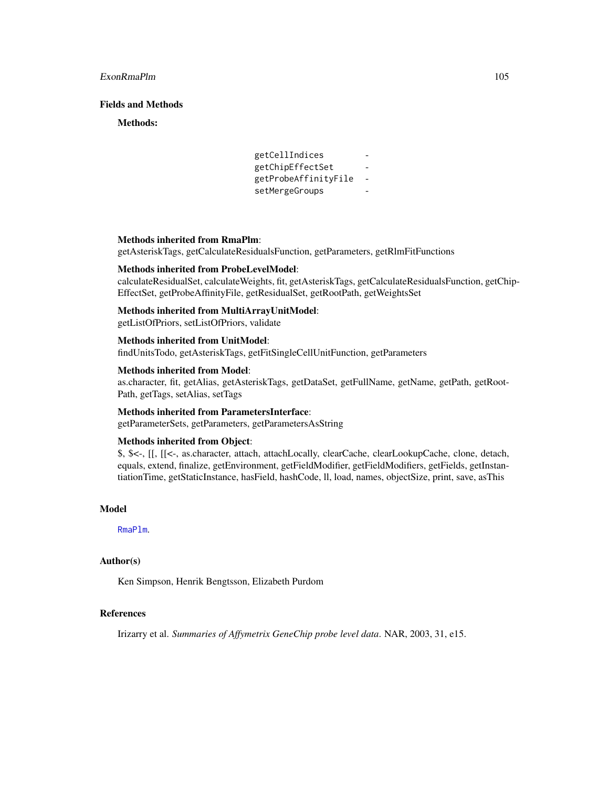## ExonRmaPlm 105

## Fields and Methods

#### Methods:

```
getCellIndices -
getChipEffectSet -
getProbeAffinityFile -
setMergeGroups
```
## Methods inherited from RmaPlm:

getAsteriskTags, getCalculateResidualsFunction, getParameters, getRlmFitFunctions

#### Methods inherited from ProbeLevelModel:

calculateResidualSet, calculateWeights, fit, getAsteriskTags, getCalculateResidualsFunction, getChip-EffectSet, getProbeAffinityFile, getResidualSet, getRootPath, getWeightsSet

## Methods inherited from MultiArrayUnitModel:

getListOfPriors, setListOfPriors, validate

### Methods inherited from UnitModel:

findUnitsTodo, getAsteriskTags, getFitSingleCellUnitFunction, getParameters

#### Methods inherited from Model:

as.character, fit, getAlias, getAsteriskTags, getDataSet, getFullName, getName, getPath, getRoot-Path, getTags, setAlias, setTags

#### Methods inherited from ParametersInterface:

getParameterSets, getParameters, getParametersAsString

# Methods inherited from Object:

\$, \$<-, [[, [[<-, as.character, attach, attachLocally, clearCache, clearLookupCache, clone, detach, equals, extend, finalize, getEnvironment, getFieldModifier, getFieldModifiers, getFields, getInstantiationTime, getStaticInstance, hasField, hashCode, ll, load, names, objectSize, print, save, asThis

## Model

[RmaPlm](#page-179-0).

#### Author(s)

Ken Simpson, Henrik Bengtsson, Elizabeth Purdom

# References

Irizarry et al. *Summaries of Affymetrix GeneChip probe level data*. NAR, 2003, 31, e15.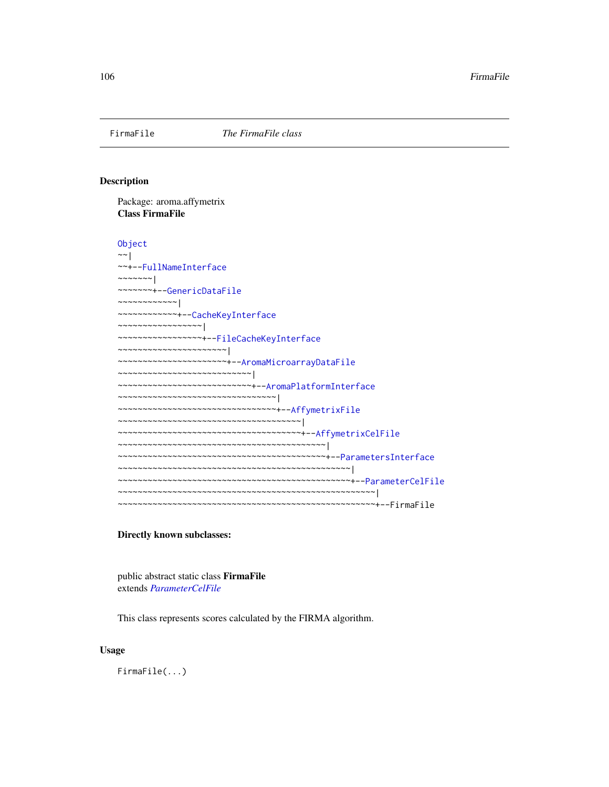## Description

Package: aroma.affymetrix Class FirmaFile

[Object](#page-0-0) ~~| ~~+-[-FullNameInterface](#page-0-0) ~~~~~~~ $|$ ~~~~~~~+-[-GenericDataFile](#page-0-0) ~~~~~~~~~~~~| ~~~~~~~~~~~~+-[-CacheKeyInterface](#page-0-0) ~~~~~~~~~~~~~~~~~| ~~~~~~~~~~~~~~~~~+-[-FileCacheKeyInterface](#page-0-0) ~~~~~~~~~~~~~~~~~~~~~~| ~~~~~~~~~~~~~~~~~~~~~~+-[-AromaMicroarrayDataFile](#page-0-0) ~~~~~~~~~~~~~~~~~~~~~~~~~~~| ~~~~~~~~~~~~~~~~~~~~~~~~~~~+-[-AromaPlatformInterface](#page-0-0) ~~~~~~~~~~~~~~~~~~~~~~~~~~~~~~~~ ~~~~~~~~~~~~~~~~~~~~~~~~~~~~~~~~+-[-AffymetrixFile](#page-27-0) ~~~~~~~~~~~~~~~~~~~~~~~~~~~~~~~~~~~~~| ~~~~~~~~~~~~~~~~~~~~~~~~~~~~~~~~~~~~~+-[-AffymetrixCelFile](#page-17-0) ~~~~~~~~~~~~~~~~~~~~~~~~~~~~~~~~~~~~~~~~~~| ~~~~~~~~~~~~~~~~~~~~~~~~~~~~~~~~~~~~~~~~~~+-[-ParametersInterface](#page-0-0) ~~~~~~~~~~~~~~~~~~~~~~~~~~~~~~~~~~~~~~~~~~~~~~~| ~~~~~~~~~~~~~~~~~~~~~~~~~~~~~~~~~~~~~~~~~~~~~~~+-[-ParameterCelFile](#page-149-0) ~~~~~~~~~~~~~~~~~~~~~~~~~~~~~~~~~~~~~~~~~~~~~~~~~~~~| ~~~~~~~~~~~~~~~~~~~~~~~~~~~~~~~~~~~~~~~~~~~~~~~~~~~~+--FirmaFile

#### Directly known subclasses:

public abstract static class FirmaFile extends *[ParameterCelFile](#page-149-0)*

This class represents scores calculated by the FIRMA algorithm.

## Usage

FirmaFile(...)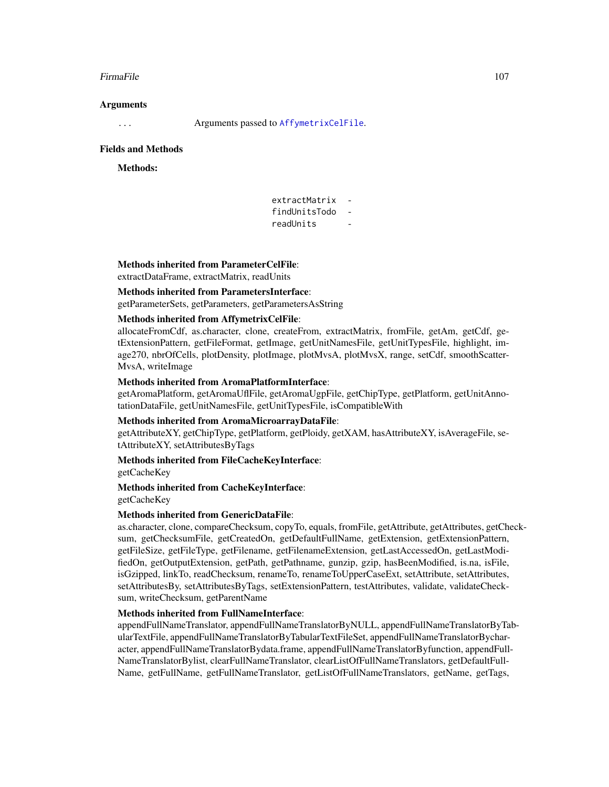#### FirmaFile 107

#### Arguments

... Arguments passed to [AffymetrixCelFile](#page-17-0).

#### Fields and Methods

## Methods:

| extractMatrix |  |
|---------------|--|
| findUnitsTodo |  |
| readUnits     |  |

## Methods inherited from ParameterCelFile:

extractDataFrame, extractMatrix, readUnits

## Methods inherited from ParametersInterface:

getParameterSets, getParameters, getParametersAsString

## Methods inherited from AffymetrixCelFile:

allocateFromCdf, as.character, clone, createFrom, extractMatrix, fromFile, getAm, getCdf, getExtensionPattern, getFileFormat, getImage, getUnitNamesFile, getUnitTypesFile, highlight, image270, nbrOfCells, plotDensity, plotImage, plotMvsA, plotMvsX, range, setCdf, smoothScatter-MvsA, writeImage

#### Methods inherited from AromaPlatformInterface:

getAromaPlatform, getAromaUflFile, getAromaUgpFile, getChipType, getPlatform, getUnitAnnotationDataFile, getUnitNamesFile, getUnitTypesFile, isCompatibleWith

## Methods inherited from AromaMicroarrayDataFile:

getAttributeXY, getChipType, getPlatform, getPloidy, getXAM, hasAttributeXY, isAverageFile, setAttributeXY, setAttributesByTags

## Methods inherited from FileCacheKeyInterface:

getCacheKey

### Methods inherited from CacheKeyInterface:

getCacheKey

## Methods inherited from GenericDataFile:

as.character, clone, compareChecksum, copyTo, equals, fromFile, getAttribute, getAttributes, getChecksum, getChecksumFile, getCreatedOn, getDefaultFullName, getExtension, getExtensionPattern, getFileSize, getFileType, getFilename, getFilenameExtension, getLastAccessedOn, getLastModifiedOn, getOutputExtension, getPath, getPathname, gunzip, gzip, hasBeenModified, is.na, isFile, isGzipped, linkTo, readChecksum, renameTo, renameToUpperCaseExt, setAttribute, setAttributes, setAttributesBy, setAttributesByTags, setExtensionPattern, testAttributes, validate, validateChecksum, writeChecksum, getParentName

#### Methods inherited from FullNameInterface:

appendFullNameTranslator, appendFullNameTranslatorByNULL, appendFullNameTranslatorByTabularTextFile, appendFullNameTranslatorByTabularTextFileSet, appendFullNameTranslatorBycharacter, appendFullNameTranslatorBydata.frame, appendFullNameTranslatorByfunction, appendFull-NameTranslatorBylist, clearFullNameTranslator, clearListOfFullNameTranslators, getDefaultFull-Name, getFullName, getFullNameTranslator, getListOfFullNameTranslators, getName, getTags,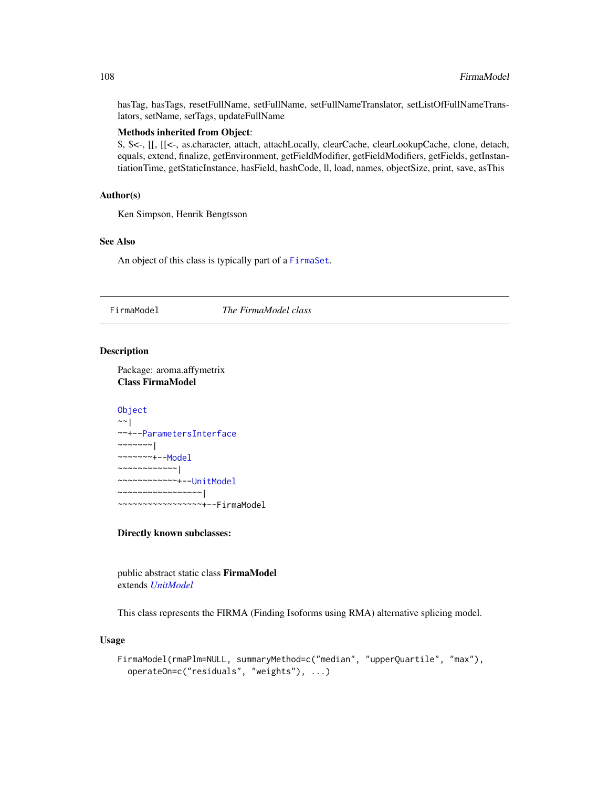hasTag, hasTags, resetFullName, setFullName, setFullNameTranslator, setListOfFullNameTranslators, setName, setTags, updateFullName

## Methods inherited from Object:

\$, \$<-, [[, [[<-, as.character, attach, attachLocally, clearCache, clearLookupCache, clone, detach, equals, extend, finalize, getEnvironment, getFieldModifier, getFieldModifiers, getFields, getInstantiationTime, getStaticInstance, hasField, hashCode, ll, load, names, objectSize, print, save, asThis

## Author(s)

Ken Simpson, Henrik Bengtsson

## See Also

An object of this class is typically part of a [FirmaSet](#page-108-0).

# <span id="page-107-0"></span>FirmaModel *The FirmaModel class*

#### Description

Package: aroma.affymetrix Class FirmaModel

## [Object](#page-0-0) ~~| ~~+-[-ParametersInterface](#page-0-0) ~~~~~~~|

~~~~~~~+-[-Model](#page-141-0) ~~~~~~~~~~~~| ~~~~~~~~~~~~+-[-UnitModel](#page-207-0) ~~~~~~~~~~~~~~~~~| ~~~~~~~~~~~~~~~~~+--FirmaModel

#### Directly known subclasses:

public abstract static class FirmaModel extends *[UnitModel](#page-207-0)*

This class represents the FIRMA (Finding Isoforms using RMA) alternative splicing model.

#### Usage

```
FirmaModel(rmaPlm=NULL, summaryMethod=c("median", "upperQuartile", "max"),
  operateOn=c("residuals", "weights"), ...)
```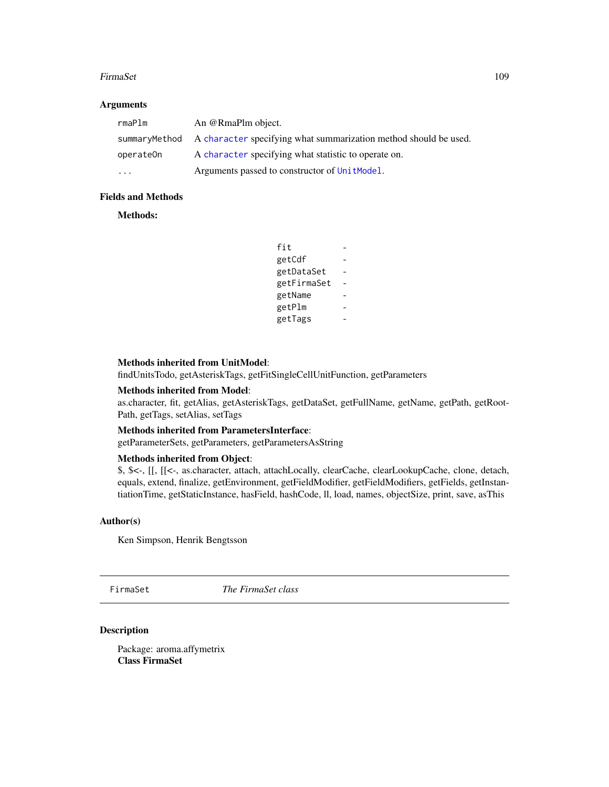#### FirmaSet 109

# Arguments

| rmaPlm                  | An @RmaPlm object.                                                             |
|-------------------------|--------------------------------------------------------------------------------|
|                         | summaryMethod A character specifying what summarization method should be used. |
| operateOn               | A character specifying what statistic to operate on.                           |
| $\cdot$ $\cdot$ $\cdot$ | Arguments passed to constructor of Unit Model.                                 |

# Fields and Methods

#### Methods:

| fit         |  |
|-------------|--|
| getCdf      |  |
| getDataSet  |  |
| getFirmaSet |  |
| getName     |  |
| getPlm      |  |
| getTags     |  |

# Methods inherited from UnitModel:

findUnitsTodo, getAsteriskTags, getFitSingleCellUnitFunction, getParameters

# Methods inherited from Model:

as.character, fit, getAlias, getAsteriskTags, getDataSet, getFullName, getName, getPath, getRoot-Path, getTags, setAlias, setTags

# Methods inherited from ParametersInterface:

getParameterSets, getParameters, getParametersAsString

# Methods inherited from Object:

\$, \$<-, [[, [[<-, as.character, attach, attachLocally, clearCache, clearLookupCache, clone, detach, equals, extend, finalize, getEnvironment, getFieldModifier, getFieldModifiers, getFields, getInstantiationTime, getStaticInstance, hasField, hashCode, ll, load, names, objectSize, print, save, asThis

#### Author(s)

Ken Simpson, Henrik Bengtsson

FirmaSet *The FirmaSet class*

# Description

Package: aroma.affymetrix Class FirmaSet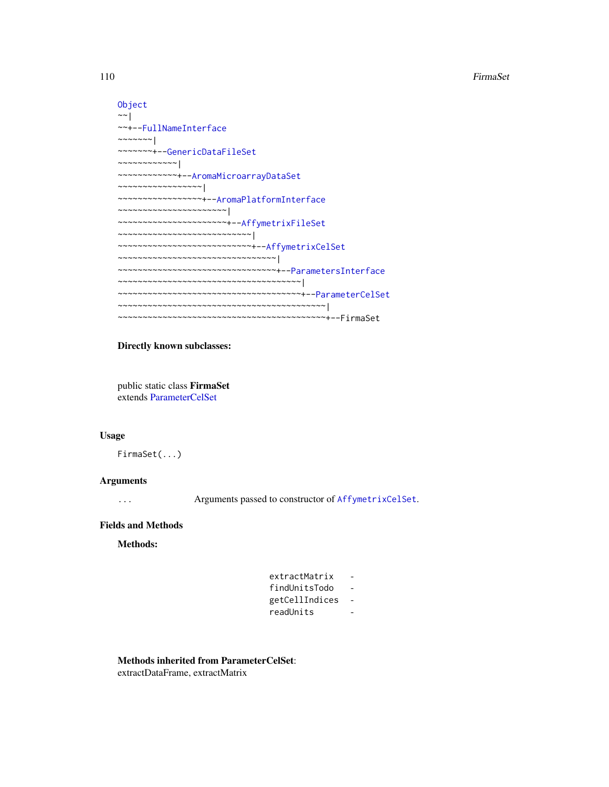```
Object
~\sim~~~+--FullNameInterface
~~~~~~~|
~~~~~~~+--GenericDataFileSet
~~~~~~~~~~~~|
~~~~~~~~~~~~+--AromaMicroarrayDataSet
~~~~~~~~~~~~~~~~~|
~~~~~~~~~~~~~~~~~+--AromaPlatformInterface
~~~~~~~~~~~~~~~~~~~~~~|
~~~~~~~~~~~~~~~~~~~~~~+--AffymetrixFileSet
~~~~~~~~~~~~~~~~~~~~~~~~~~~|
~~~~~~~~~~~~~~~~~~~~~~~~~~~+--AffymetrixCelSet
~~~~~~~~~~~~~~~~~~~~~~~~~~~~~~~~
~~~~~~~~~~~~~~~~~~~~~~~~~~~~~~~~+--ParametersInterface
~~~~~~~~~~~~~~~~~~~~~~~~~~~~~~~~~~~~~|
~~~~~~~~~~~~~~~~~~~~~~~~~~~~~~~~~~~~~+--ParameterCelSet
~~~~~~~~~~~~~~~~~~~~~~~~~~~~~~~~~~~~~~~~~~|
~~~~~~~~~~~~~~~~~~~~~~~~~~~~~~~~~~~~~~~~~~+--FirmaSet
```
#### Directly known subclasses:

public static class FirmaSet extends [ParameterCelSet](#page-152-0)

#### Usage

FirmaSet(...)

# Arguments

... Arguments passed to constructor of [AffymetrixCelSet](#page-20-0).

#### Fields and Methods

Methods:

| extractMatrix  |  |
|----------------|--|
| findUnitsTodo  |  |
| getCellIndices |  |
| readUnits      |  |

Methods inherited from ParameterCelSet:

extractDataFrame, extractMatrix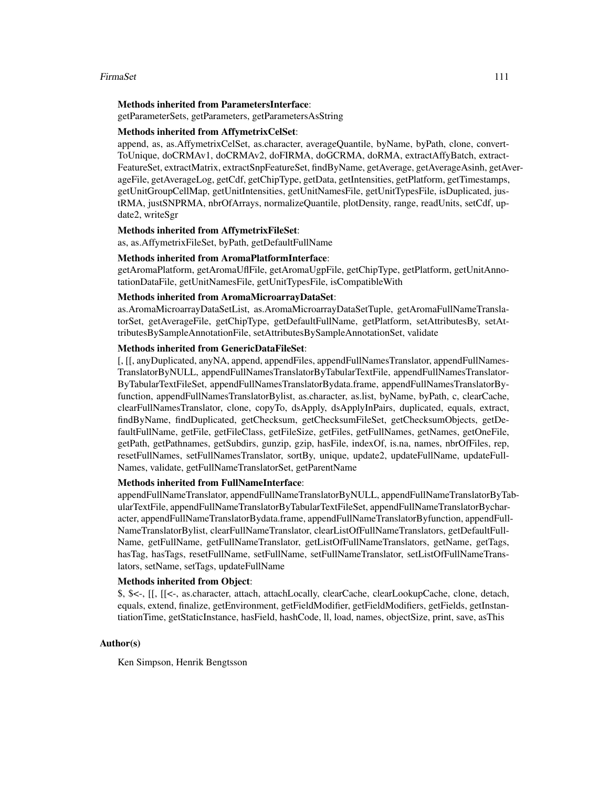#### FirmaSet 111

#### Methods inherited from ParametersInterface:

getParameterSets, getParameters, getParametersAsString

# Methods inherited from AffymetrixCelSet:

append, as, as.AffymetrixCelSet, as.character, averageQuantile, byName, byPath, clone, convert-ToUnique, doCRMAv1, doCRMAv2, doFIRMA, doGCRMA, doRMA, extractAffyBatch, extract-FeatureSet, extractMatrix, extractSnpFeatureSet, findByName, getAverage, getAverageAsinh, getAverageFile, getAverageLog, getCdf, getChipType, getData, getIntensities, getPlatform, getTimestamps, getUnitGroupCellMap, getUnitIntensities, getUnitNamesFile, getUnitTypesFile, isDuplicated, justRMA, justSNPRMA, nbrOfArrays, normalizeQuantile, plotDensity, range, readUnits, setCdf, update2, writeSgr

#### Methods inherited from AffymetrixFileSet:

as, as.AffymetrixFileSet, byPath, getDefaultFullName

#### Methods inherited from AromaPlatformInterface:

getAromaPlatform, getAromaUflFile, getAromaUgpFile, getChipType, getPlatform, getUnitAnnotationDataFile, getUnitNamesFile, getUnitTypesFile, isCompatibleWith

#### Methods inherited from AromaMicroarrayDataSet:

as.AromaMicroarrayDataSetList, as.AromaMicroarrayDataSetTuple, getAromaFullNameTranslatorSet, getAverageFile, getChipType, getDefaultFullName, getPlatform, setAttributesBy, setAttributesBySampleAnnotationFile, setAttributesBySampleAnnotationSet, validate

#### Methods inherited from GenericDataFileSet:

[, [[, anyDuplicated, anyNA, append, appendFiles, appendFullNamesTranslator, appendFullNames-TranslatorByNULL, appendFullNamesTranslatorByTabularTextFile, appendFullNamesTranslator-ByTabularTextFileSet, appendFullNamesTranslatorBydata.frame, appendFullNamesTranslatorByfunction, appendFullNamesTranslatorBylist, as.character, as.list, byName, byPath, c, clearCache, clearFullNamesTranslator, clone, copyTo, dsApply, dsApplyInPairs, duplicated, equals, extract, findByName, findDuplicated, getChecksum, getChecksumFileSet, getChecksumObjects, getDefaultFullName, getFile, getFileClass, getFileSize, getFiles, getFullNames, getNames, getOneFile, getPath, getPathnames, getSubdirs, gunzip, gzip, hasFile, indexOf, is.na, names, nbrOfFiles, rep, resetFullNames, setFullNamesTranslator, sortBy, unique, update2, updateFullName, updateFull-Names, validate, getFullNameTranslatorSet, getParentName

#### Methods inherited from FullNameInterface:

appendFullNameTranslator, appendFullNameTranslatorByNULL, appendFullNameTranslatorByTabularTextFile, appendFullNameTranslatorByTabularTextFileSet, appendFullNameTranslatorBycharacter, appendFullNameTranslatorBydata.frame, appendFullNameTranslatorByfunction, appendFull-NameTranslatorBylist, clearFullNameTranslator, clearListOfFullNameTranslators, getDefaultFull-Name, getFullName, getFullNameTranslator, getListOfFullNameTranslators, getName, getTags, hasTag, hasTags, resetFullName, setFullName, setFullNameTranslator, setListOfFullNameTranslators, setName, setTags, updateFullName

#### Methods inherited from Object:

\$, \$<-, [[, [[<-, as.character, attach, attachLocally, clearCache, clearLookupCache, clone, detach, equals, extend, finalize, getEnvironment, getFieldModifier, getFieldModifiers, getFields, getInstantiationTime, getStaticInstance, hasField, hashCode, ll, load, names, objectSize, print, save, asThis

#### Author(s)

Ken Simpson, Henrik Bengtsson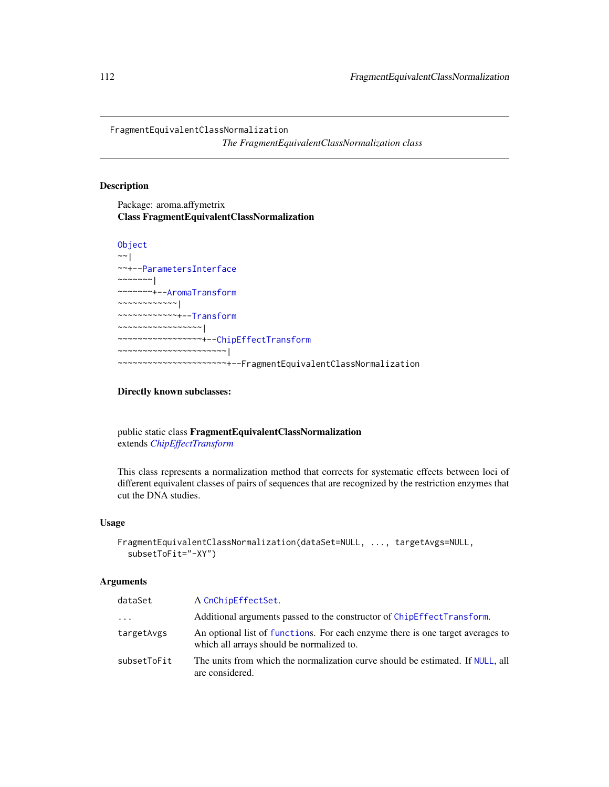FragmentEquivalentClassNormalization

*The FragmentEquivalentClassNormalization class*

# Description

Package: aroma.affymetrix Class FragmentEquivalentClassNormalization

```
Object
~~|
~~+--ParametersInterface
~\sim ~\sim ~\sim ~\sim ~\sim ~\sim ~\sim~~~~~~~+--AromaTransform
~~~~~~~~~~~~|
~~~~~~~~~~~~+--Transform
~~~~~~~~~~~~~~~~~|
 ~~~~~~~~~~~~~~~~~+--ChipEffectTransform
   ~~~~~~~~~~~~~~~~~~~~~~|
      ~~~~~~~~~~~~~~~~~~~~~~+--FragmentEquivalentClassNormalization
```
# Directly known subclasses:

public static class FragmentEquivalentClassNormalization extends *[ChipEffectTransform](#page-57-0)*

This class represents a normalization method that corrects for systematic effects between loci of different equivalent classes of pairs of sequences that are recognized by the restriction enzymes that cut the DNA studies.

# Usage

```
FragmentEquivalentClassNormalization(dataSet=NULL, ..., targetAvgs=NULL,
  subsetToFit="-XY")
```
#### **Arguments**

| dataSet     | A CnChipEffectSet.                                                                                                          |
|-------------|-----------------------------------------------------------------------------------------------------------------------------|
| $\cdots$    | Additional arguments passed to the constructor of ChipEffectTransform.                                                      |
| targetAvgs  | An optional list of functions. For each enzyme there is one target averages to<br>which all arrays should be normalized to. |
| subsetToFit | The units from which the normalization curve should be estimated. If NULL, all<br>are considered.                           |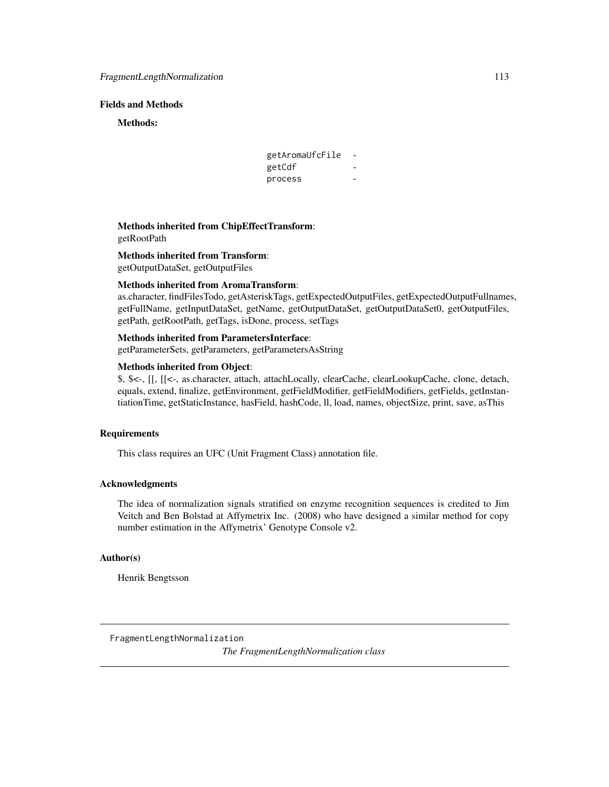# Fields and Methods

Methods:

| getAromaUfcFile |  |
|-----------------|--|
| getCdf          |  |
| process         |  |

Methods inherited from ChipEffectTransform: getRootPath

Methods inherited from Transform:

getOutputDataSet, getOutputFiles

#### Methods inherited from AromaTransform:

as.character, findFilesTodo, getAsteriskTags, getExpectedOutputFiles, getExpectedOutputFullnames, getFullName, getInputDataSet, getName, getOutputDataSet, getOutputDataSet0, getOutputFiles, getPath, getRootPath, getTags, isDone, process, setTags

# Methods inherited from ParametersInterface:

getParameterSets, getParameters, getParametersAsString

# Methods inherited from Object:

\$, \$<-, [[, [[<-, as.character, attach, attachLocally, clearCache, clearLookupCache, clone, detach, equals, extend, finalize, getEnvironment, getFieldModifier, getFieldModifiers, getFields, getInstantiationTime, getStaticInstance, hasField, hashCode, ll, load, names, objectSize, print, save, asThis

# **Requirements**

This class requires an UFC (Unit Fragment Class) annotation file.

# Acknowledgments

The idea of normalization signals stratified on enzyme recognition sequences is credited to Jim Veitch and Ben Bolstad at Affymetrix Inc. (2008) who have designed a similar method for copy number estimation in the Affymetrix' Genotype Console v2.

#### Author(s)

Henrik Bengtsson

FragmentLengthNormalization *The FragmentLengthNormalization class*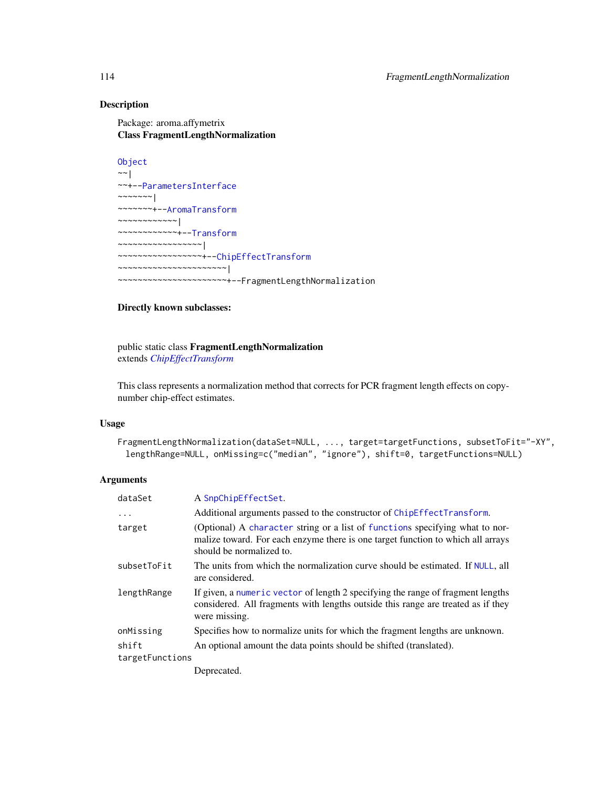# Description

Package: aroma.affymetrix Class FragmentLengthNormalization

```
Object
~\sim ~\sim ~\mid~~+--ParametersInterface
~\sim ~\sim ~\sim ~\sim ~\sim ~\sim ~\sim ~\sim ~\sim ~\sim ~\sim ~\sim ~\sim ~\sim ~\sim ~\sim ~\sim ~\sim ~\sim ~\sim ~\sim ~\sim ~\sim ~\sim ~\sim ~\sim ~\sim ~\sim ~\sim ~\sim ~\sim ~\sim ~\sim ~\sim ~\sim ~\sim ~\sim~~~~~~~+--AromaTransform
~~~~~~~~~~~~|
~~~~~~~~~~~~+--Transform
~~~~~~~~~~~~~~~~~|
~~~~~~~~~~~~~~~~~+--ChipEffectTransform
~~~~~~~~~~~~~~~~~~~~~~|
~~~~~~~~~~~~~~~~~~~~~~+--FragmentLengthNormalization
```
# Directly known subclasses:

public static class FragmentLengthNormalization extends *[ChipEffectTransform](#page-57-0)*

This class represents a normalization method that corrects for PCR fragment length effects on copynumber chip-effect estimates.

#### Usage

```
FragmentLengthNormalization(dataSet=NULL, ..., target=targetFunctions, subsetToFit="-XY",
 lengthRange=NULL, onMissing=c("median", "ignore"), shift=0, targetFunctions=NULL)
```
# Arguments

| dataSet         | A SnpChipEffectSet.                                                                                                                                                                         |  |
|-----------------|---------------------------------------------------------------------------------------------------------------------------------------------------------------------------------------------|--|
| $\ddots$ .      | Additional arguments passed to the constructor of ChipEffectTransform.                                                                                                                      |  |
| target          | (Optional) A character string or a list of functions specifying what to nor-<br>malize toward. For each enzyme there is one target function to which all arrays<br>should be normalized to. |  |
| subsetToFit     | The units from which the normalization curve should be estimated. If NULL, all<br>are considered.                                                                                           |  |
| lengthRange     | If given, a numeric vector of length 2 specifying the range of fragment lengths<br>considered. All fragments with lengths outside this range are treated as if they<br>were missing.        |  |
| onMissing       | Specifies how to normalize units for which the fragment lengths are unknown.                                                                                                                |  |
| shift           | An optional amount the data points should be shifted (translated).                                                                                                                          |  |
| targetFunctions |                                                                                                                                                                                             |  |
|                 | Deprecated.                                                                                                                                                                                 |  |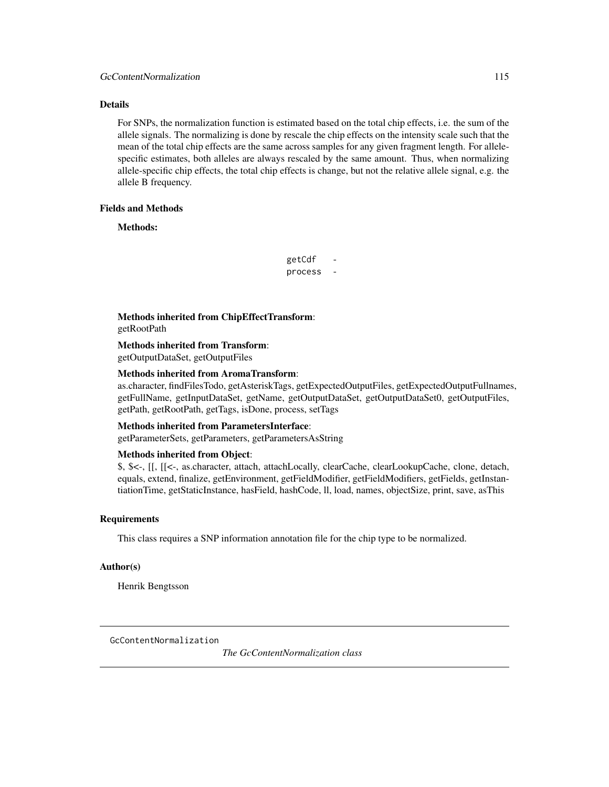# Details

For SNPs, the normalization function is estimated based on the total chip effects, i.e. the sum of the allele signals. The normalizing is done by rescale the chip effects on the intensity scale such that the mean of the total chip effects are the same across samples for any given fragment length. For allelespecific estimates, both alleles are always rescaled by the same amount. Thus, when normalizing allele-specific chip effects, the total chip effects is change, but not the relative allele signal, e.g. the allele B frequency.

# Fields and Methods

Methods:

getCdf process -

Methods inherited from ChipEffectTransform: getRootPath

Methods inherited from Transform:

getOutputDataSet, getOutputFiles

# Methods inherited from AromaTransform:

as.character, findFilesTodo, getAsteriskTags, getExpectedOutputFiles, getExpectedOutputFullnames, getFullName, getInputDataSet, getName, getOutputDataSet, getOutputDataSet0, getOutputFiles, getPath, getRootPath, getTags, isDone, process, setTags

# Methods inherited from ParametersInterface:

getParameterSets, getParameters, getParametersAsString

# Methods inherited from Object:

\$, \$<-, [[, [[<-, as.character, attach, attachLocally, clearCache, clearLookupCache, clone, detach, equals, extend, finalize, getEnvironment, getFieldModifier, getFieldModifiers, getFields, getInstantiationTime, getStaticInstance, hasField, hashCode, ll, load, names, objectSize, print, save, asThis

#### Requirements

This class requires a SNP information annotation file for the chip type to be normalized.

#### Author(s)

Henrik Bengtsson

GcContentNormalization

*The GcContentNormalization class*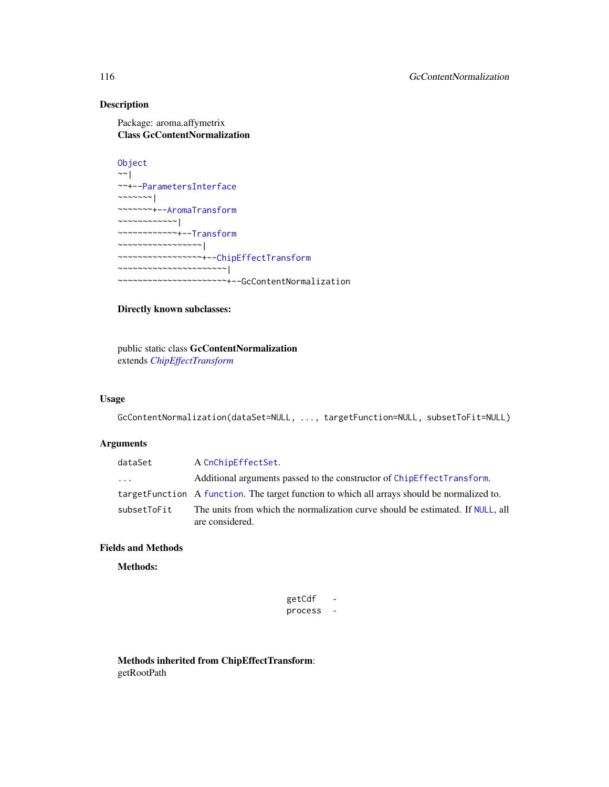# Description

Package: aroma.affymetrix Class GcContentNormalization

```
Object
~\sim |
~~+--ParametersInterface
~~~~~~~|
~~~~~~~+--AromaTransform
~~~~~~~~~~~~|
~~~~~~~~~~~~+--Transform
~~~~~~~~~~~~~~~~~|
~~~~~~~~~~~~~~~~~+--ChipEffectTransform
~~~~~~~~~~~~~~~~~~~~~~|
  ~~~~~~~~~~~~~~~~~~~~~~+--GcContentNormalization
```
# Directly known subclasses:

public static class GcContentNormalization extends *[ChipEffectTransform](#page-57-0)*

# Usage

GcContentNormalization(dataSet=NULL, ..., targetFunction=NULL, subsetToFit=NULL)

# Arguments

| dataSet                 | A CnChipEffectSet.                                                                                |
|-------------------------|---------------------------------------------------------------------------------------------------|
| $\cdot$ $\cdot$ $\cdot$ | Additional arguments passed to the constructor of ChipEffectTransform.                            |
|                         | target Function A function. The target function to which all arrays should be normalized to.      |
| subsetToFit             | The units from which the normalization curve should be estimated. If NULL, all<br>are considered. |

# Fields and Methods

#### Methods:

| getCdf  |  |
|---------|--|
| process |  |

Methods inherited from ChipEffectTransform: getRootPath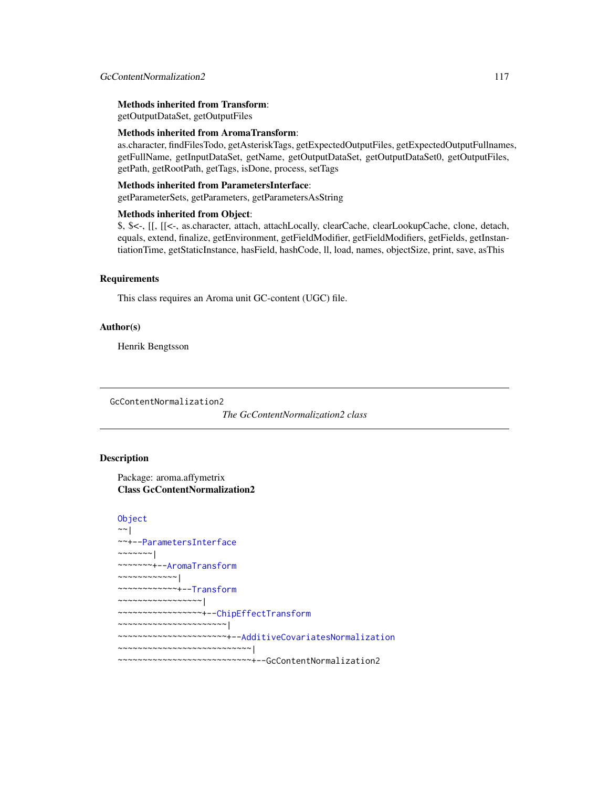# Methods inherited from Transform:

getOutputDataSet, getOutputFiles

#### Methods inherited from AromaTransform:

as.character, findFilesTodo, getAsteriskTags, getExpectedOutputFiles, getExpectedOutputFullnames, getFullName, getInputDataSet, getName, getOutputDataSet, getOutputDataSet0, getOutputFiles, getPath, getRootPath, getTags, isDone, process, setTags

#### Methods inherited from ParametersInterface:

getParameterSets, getParameters, getParametersAsString

#### Methods inherited from Object:

\$, \$<-, [[, [[<-, as.character, attach, attachLocally, clearCache, clearLookupCache, clone, detach, equals, extend, finalize, getEnvironment, getFieldModifier, getFieldModifiers, getFields, getInstantiationTime, getStaticInstance, hasField, hashCode, ll, load, names, objectSize, print, save, asThis

# **Requirements**

This class requires an Aroma unit GC-content (UGC) file.

# Author(s)

Henrik Bengtsson

GcContentNormalization2

*The GcContentNormalization2 class*

# **Description**

Package: aroma.affymetrix Class GcContentNormalization2

```
Object
~~|
~~+--ParametersInterface
~~~~~~~|~~~~~~~+--AromaTransform
~~~~~~~~~~~~|
~~~~~~~~~~~~+--Transform
~~~~~~~~~~~~~~~~~|
  ~~~~~~~~~~~~~~~~~+--ChipEffectTransform
  ~~~~~~~~~~~~~~~~~~~~~~|
```
~~~~~~~~~~~~~~~~~~~~~~+-[-AdditiveCovariatesNormalization](#page-6-0)

~~~~~~~~~~~~~~~~~~~~~~~~~~~|

~~~~~~~~~~~~~~~~~~~~~~~~~~~+--GcContentNormalization2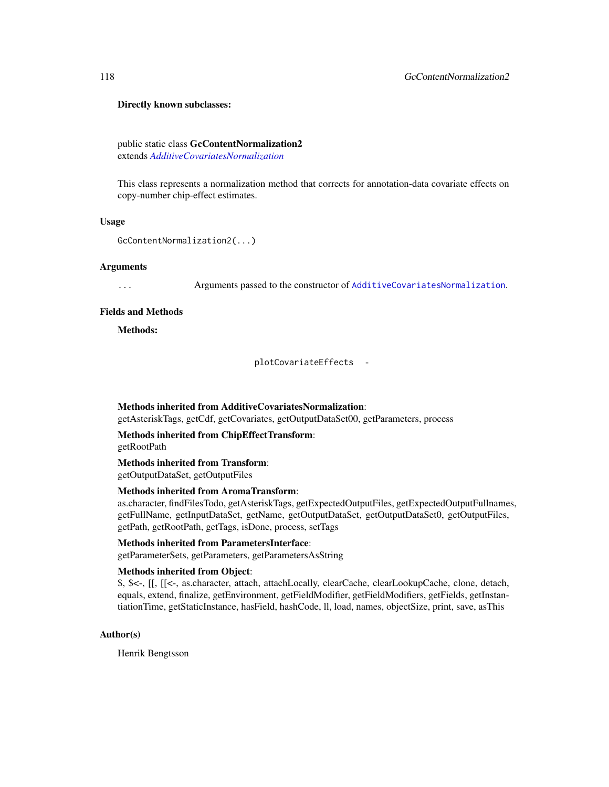#### Directly known subclasses:

public static class GcContentNormalization2 extends *[AdditiveCovariatesNormalization](#page-6-0)*

This class represents a normalization method that corrects for annotation-data covariate effects on copy-number chip-effect estimates.

#### Usage

```
GcContentNormalization2(...)
```
#### Arguments

... Arguments passed to the constructor of [AdditiveCovariatesNormalization](#page-6-0).

#### Fields and Methods

Methods:

plotCovariateEffects -

# Methods inherited from AdditiveCovariatesNormalization:

getAsteriskTags, getCdf, getCovariates, getOutputDataSet00, getParameters, process

#### Methods inherited from ChipEffectTransform: getRootPath

# Methods inherited from Transform:

getOutputDataSet, getOutputFiles

# Methods inherited from AromaTransform:

as.character, findFilesTodo, getAsteriskTags, getExpectedOutputFiles, getExpectedOutputFullnames, getFullName, getInputDataSet, getName, getOutputDataSet, getOutputDataSet0, getOutputFiles, getPath, getRootPath, getTags, isDone, process, setTags

# Methods inherited from ParametersInterface:

getParameterSets, getParameters, getParametersAsString

#### Methods inherited from Object:

\$, \$<-, [[, [[<-, as.character, attach, attachLocally, clearCache, clearLookupCache, clone, detach, equals, extend, finalize, getEnvironment, getFieldModifier, getFieldModifiers, getFields, getInstantiationTime, getStaticInstance, hasField, hashCode, ll, load, names, objectSize, print, save, asThis

#### Author(s)

Henrik Bengtsson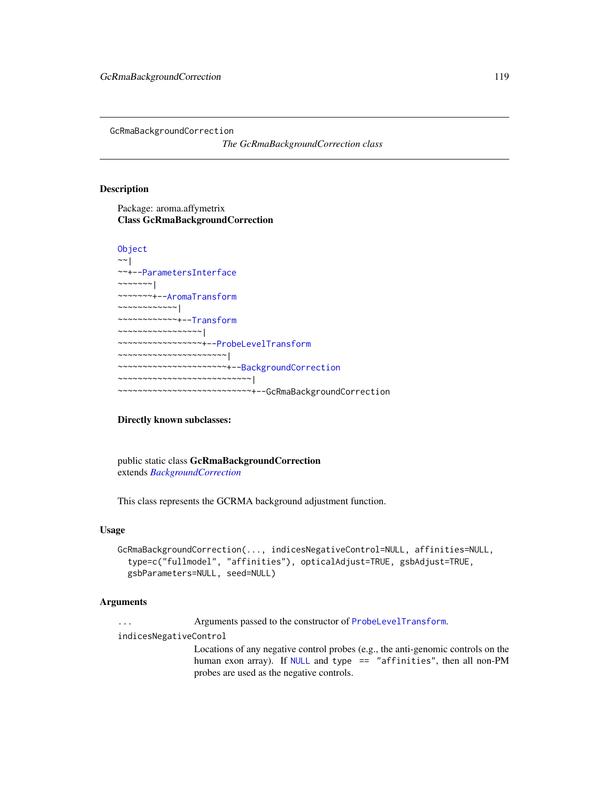GcRmaBackgroundCorrection

*The GcRmaBackgroundCorrection class*

#### Description

Package: aroma.affymetrix Class GcRmaBackgroundCorrection

```
Object
~\sim |
~~+--ParametersInterface
\sim ~~~~~~ |
~~~~~~~+--AromaTransform
~~~~~~~~~~~~|
~~~~~~~~~~~~+--Transform
  ~~~~~~~~~~~~~~~~~|
  ~~~~~~~~~~~~~~~~~+--ProbeLevelTransform
   ~~~~~~~~~~~~~~~~~~~~~~|
    ~~~~~~~~~~~~~~~~~~~~~~+--BackgroundCorrection
  ~~~~~~~~~~~~~~~~~~~~~~~~~~~|
   ~~~~~~~~~~~~~~~~~~~~~~~~~~~+--GcRmaBackgroundCorrection
```
# Directly known subclasses:

public static class GcRmaBackgroundCorrection extends *[BackgroundCorrection](#page-47-0)*

This class represents the GCRMA background adjustment function.

# Usage

```
GcRmaBackgroundCorrection(..., indicesNegativeControl=NULL, affinities=NULL,
  type=c("fullmodel", "affinities"), opticalAdjust=TRUE, gsbAdjust=TRUE,
  gsbParameters=NULL, seed=NULL)
```
#### Arguments

... Arguments passed to the constructor of [ProbeLevelTransform](#page-158-0).

indicesNegativeControl

Locations of any negative control probes (e.g., the anti-genomic controls on the human exon array). If [NULL](#page-0-0) and type == "affinities", then all non-PM probes are used as the negative controls.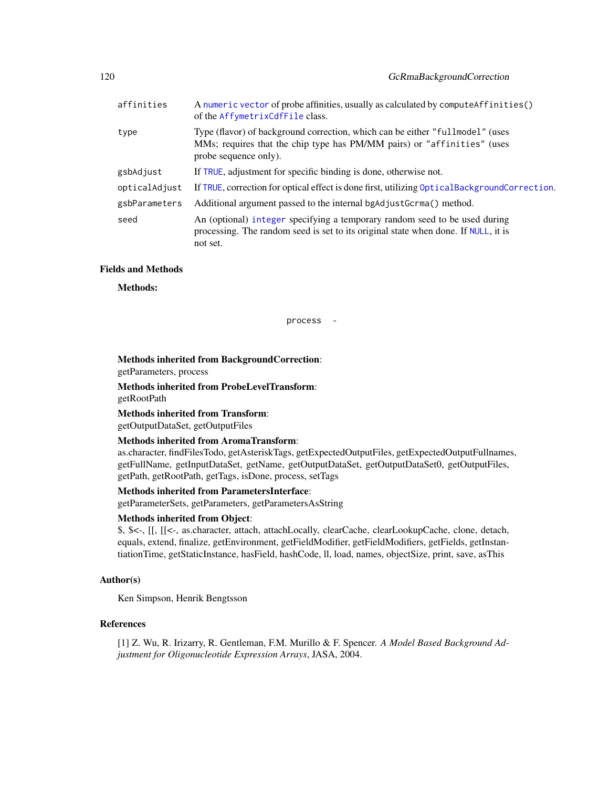| affinities    | A numeric vector of probe affinities, usually as calculated by compute Affinities ()<br>of the AffymetrixCdfFile class.                                                           |
|---------------|-----------------------------------------------------------------------------------------------------------------------------------------------------------------------------------|
| type          | Type (flavor) of background correction, which can be either "fullmodel" (uses<br>MMs; requires that the chip type has PM/MM pairs) or "affinities" (uses<br>probe sequence only). |
| gsbAdjust     | If TRUE, adjustment for specific binding is done, otherwise not.                                                                                                                  |
| opticalAdjust | If TRUE, correction for optical effect is done first, utilizing Optical Background Correction.                                                                                    |
| gsbParameters | Additional argument passed to the internal bgAdjustGcrma() method.                                                                                                                |
| seed          | An (optional) integer specifying a temporary random seed to be used during<br>processing. The random seed is set to its original state when done. If NULL, it is<br>not set.      |

# Fields and Methods

Methods:

process -

Methods inherited from BackgroundCorrection:

getParameters, process

Methods inherited from ProbeLevelTransform: getRootPath

Methods inherited from Transform:

getOutputDataSet, getOutputFiles

# Methods inherited from AromaTransform:

as.character, findFilesTodo, getAsteriskTags, getExpectedOutputFiles, getExpectedOutputFullnames, getFullName, getInputDataSet, getName, getOutputDataSet, getOutputDataSet0, getOutputFiles, getPath, getRootPath, getTags, isDone, process, setTags

# Methods inherited from ParametersInterface:

getParameterSets, getParameters, getParametersAsString

# Methods inherited from Object:

\$, \$<-, [[, [[<-, as.character, attach, attachLocally, clearCache, clearLookupCache, clone, detach, equals, extend, finalize, getEnvironment, getFieldModifier, getFieldModifiers, getFields, getInstantiationTime, getStaticInstance, hasField, hashCode, ll, load, names, objectSize, print, save, asThis

# Author(s)

Ken Simpson, Henrik Bengtsson

#### References

[1] Z. Wu, R. Irizarry, R. Gentleman, F.M. Murillo & F. Spencer. *A Model Based Background Adjustment for Oligonucleotide Expression Arrays*, JASA, 2004.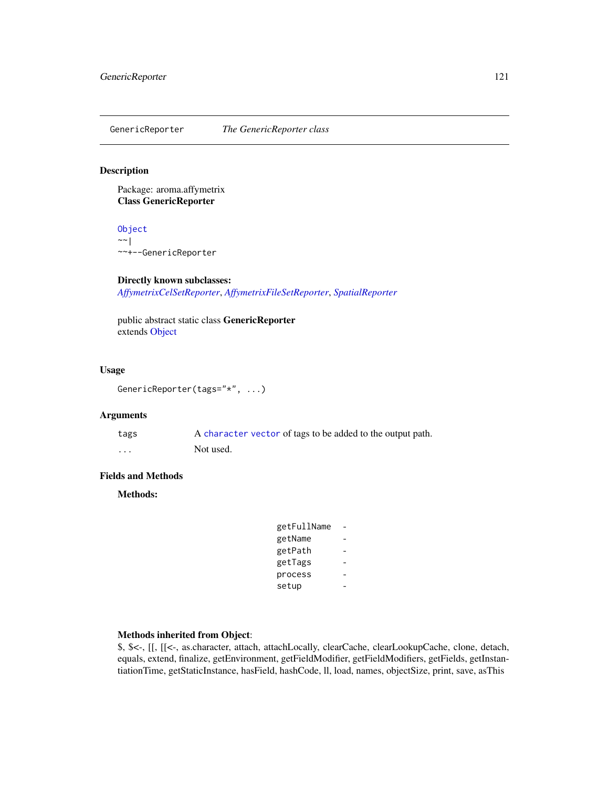GenericReporter *The GenericReporter class*

# Description

Package: aroma.affymetrix Class GenericReporter

[Object](#page-0-0) ~~| ~~+--GenericReporter

# Directly known subclasses:

*[AffymetrixCelSetReporter](#page-23-0)*, *[AffymetrixFileSetReporter](#page-31-0)*, *[SpatialReporter](#page-202-0)*

public abstract static class GenericReporter extends [Object](#page-0-0)

#### Usage

```
GenericReporter(tags="*", ...)
```
# Arguments

| tags     | A character vector of tags to be added to the output path. |
|----------|------------------------------------------------------------|
| $\cdots$ | Not used.                                                  |

# Fields and Methods

Methods:

| getFullName |  |
|-------------|--|
| getName     |  |
| getPath     |  |
| getTags     |  |
| process     |  |
| setup       |  |

# Methods inherited from Object:

\$, \$<-, [[, [[<-, as.character, attach, attachLocally, clearCache, clearLookupCache, clone, detach, equals, extend, finalize, getEnvironment, getFieldModifier, getFieldModifiers, getFields, getInstantiationTime, getStaticInstance, hasField, hashCode, ll, load, names, objectSize, print, save, asThis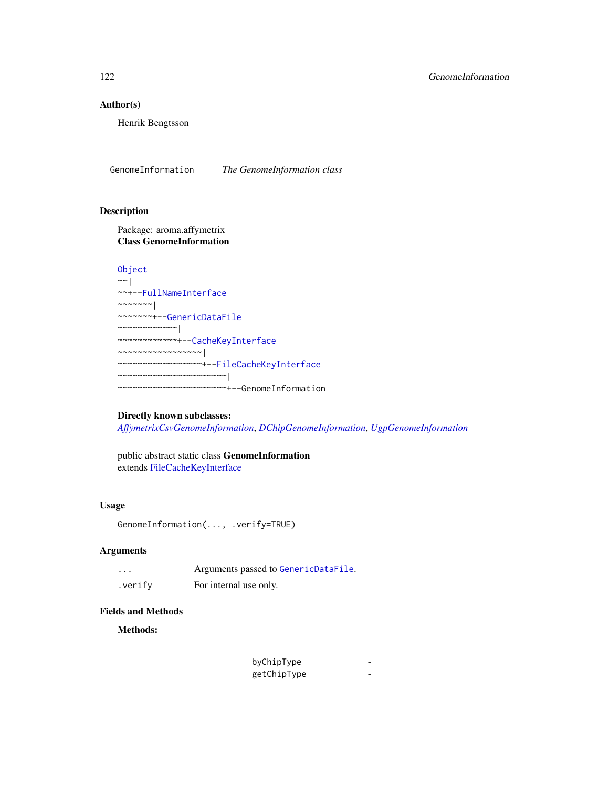# Author(s)

Henrik Bengtsson

GenomeInformation *The GenomeInformation class*

# Description

Package: aroma.affymetrix Class GenomeInformation

```
Object
~\sim~~~+--FullNameInterface
~\sim~\sim~\sim~\sim~\sim~~~~~~~~+--GenericDataFile
~~~~~~~~~~~~|
~~~~~~~~~~~~+--CacheKeyInterface
~~~~~~~~~~~~~~~~~|
~~~~~~~~~~~~~~~~~+--FileCacheKeyInterface
~~~~~~~~~~~~~~~~~~~~~~|
 ~~~~~~~~~~~~~~~~~~~~~~+--GenomeInformation
```
# Directly known subclasses:

*[AffymetrixCsvGenomeInformation](#page-0-0)*, *[DChipGenomeInformation](#page-84-0)*, *[UgpGenomeInformation](#page-205-0)*

public abstract static class GenomeInformation extends [FileCacheKeyInterface](#page-0-0)

#### Usage

GenomeInformation(..., .verify=TRUE)

# Arguments

| $\cdots$ | Arguments passed to GenericDataFile. |
|----------|--------------------------------------|
| .verify  | For internal use only.               |

#### Fields and Methods

Methods:

| byChipType  |  |
|-------------|--|
| getChipType |  |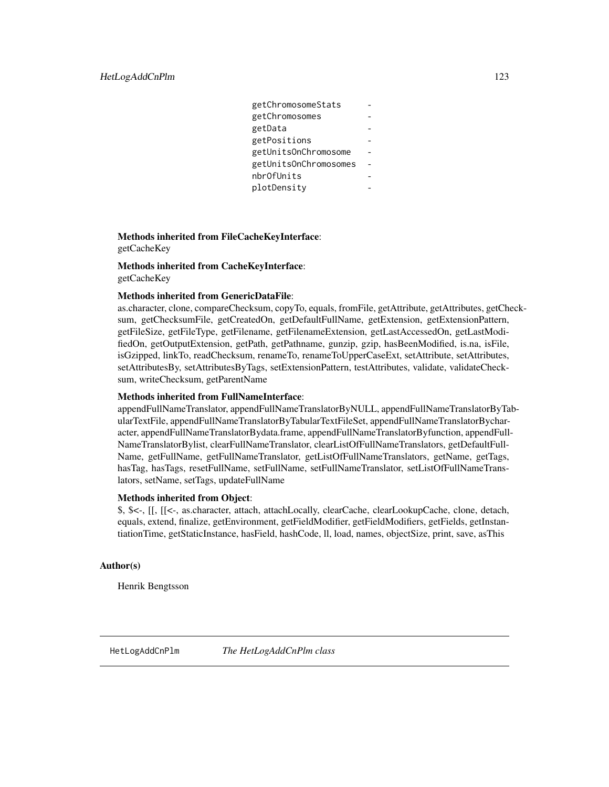| getChromosomeStats    |  |
|-----------------------|--|
| getChromosomes        |  |
| getData               |  |
| getPositions          |  |
| getUnitsOnChromosome  |  |
| getUnitsOnChromosomes |  |
| nbr0fUnits            |  |
| plotDensity           |  |
|                       |  |

# Methods inherited from FileCacheKeyInterface: getCacheKey

Methods inherited from CacheKeyInterface: getCacheKey

# Methods inherited from GenericDataFile:

as.character, clone, compareChecksum, copyTo, equals, fromFile, getAttribute, getAttributes, getChecksum, getChecksumFile, getCreatedOn, getDefaultFullName, getExtension, getExtensionPattern, getFileSize, getFileType, getFilename, getFilenameExtension, getLastAccessedOn, getLastModifiedOn, getOutputExtension, getPath, getPathname, gunzip, gzip, hasBeenModified, is.na, isFile, isGzipped, linkTo, readChecksum, renameTo, renameToUpperCaseExt, setAttribute, setAttributes, setAttributesBy, setAttributesByTags, setExtensionPattern, testAttributes, validate, validateChecksum, writeChecksum, getParentName

# Methods inherited from FullNameInterface:

appendFullNameTranslator, appendFullNameTranslatorByNULL, appendFullNameTranslatorByTabularTextFile, appendFullNameTranslatorByTabularTextFileSet, appendFullNameTranslatorBycharacter, appendFullNameTranslatorBydata.frame, appendFullNameTranslatorByfunction, appendFull-NameTranslatorBylist, clearFullNameTranslator, clearListOfFullNameTranslators, getDefaultFull-Name, getFullName, getFullNameTranslator, getListOfFullNameTranslators, getName, getTags, hasTag, hasTags, resetFullName, setFullName, setFullNameTranslator, setListOfFullNameTranslators, setName, setTags, updateFullName

# Methods inherited from Object:

\$, \$<-, [[, [[<-, as.character, attach, attachLocally, clearCache, clearLookupCache, clone, detach, equals, extend, finalize, getEnvironment, getFieldModifier, getFieldModifiers, getFields, getInstantiationTime, getStaticInstance, hasField, hashCode, ll, load, names, objectSize, print, save, asThis

# Author(s)

Henrik Bengtsson

<span id="page-122-0"></span>HetLogAddCnPlm *The HetLogAddCnPlm class*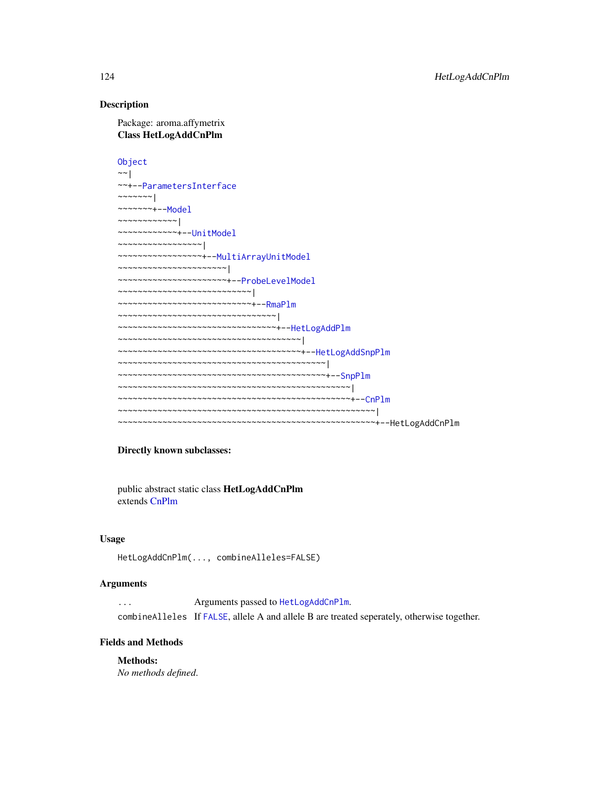#### Description

Package: aroma.affymetrix Class HetLogAddCnPlm

[Object](#page-0-0) ~~| ~~+-[-ParametersInterface](#page-0-0)  $~\sim~\sim~\sim~\sim~\sim~$ ~~~~~~~+-[-Model](#page-141-0) ~~~~~~~~~~~~| ~~~~~~~~~~~~+-[-UnitModel](#page-207-0) ~~~~~~~~~~~~~~~~~| ~~~~~~~~~~~~~~~~~+-[-MultiArrayUnitModel](#page-143-0) ~~~~~~~~~~~~~~~~~~~~~~| ~~~~~~~~~~~~~~~~~~~~~~+-[-ProbeLevelModel](#page-156-0) ~~~~~~~~~~~~~~~~~~~~~~~~~~~| ~~~~~~~~~~~~~~~~~~~~~~~~~~~+-[-RmaPlm](#page-179-0) ~~~~~~~~~~~~~~~~~~~~~~~~~~~~~~~~| ~~~~~~~~~~~~~~~~~~~~~~~~~~~~~~~~+-[-HetLogAddPlm](#page-124-0) ~~~~~~~~~~~~~~~~~~~~~~~~~~~~~~~~~~~~~| ~~~~~~~~~~~~~~~~~~~~~~~~~~~~~~~~~~~~~+-[-HetLogAddSnpPlm](#page-126-0) ~~~~~~~~~~~~~~~~~~~~~~~~~~~~~~~~~~~~~~~~~~| ~~~~~~~~~~~~~~~~~~~~~~~~~~~~~~~~~~~~~~~~~~+-[-SnpPlm](#page-196-0) ~~~~~~~~~~~~~~~~~~~~~~~~~~~~~~~~~~~~~~~~~~~~~~~| ~~~~~~~~~~~~~~~~~~~~~~~~~~~~~~~~~~~~~~~~~~~~~~~+-[-CnPlm](#page-69-0) ~~~~~~~~~~~~~~~~~~~~~~~~~~~~~~~~~~~~~~~~~~~~~~~~~~~~| ~~~~~~~~~~~~~~~~~~~~~~~~~~~~~~~~~~~~~~~~~~~~~~~~~~~~+--HetLogAddCnPlm

#### Directly known subclasses:

public abstract static class HetLogAddCnPlm extends [CnPlm](#page-69-0)

# Usage

HetLogAddCnPlm(..., combineAlleles=FALSE)

#### Arguments

... Arguments passed to [HetLogAddCnPlm](#page-122-0). combineAlleles If [FALSE](#page-0-0), allele A and allele B are treated seperately, otherwise together.

#### Fields and Methods

Methods: *No methods defined*.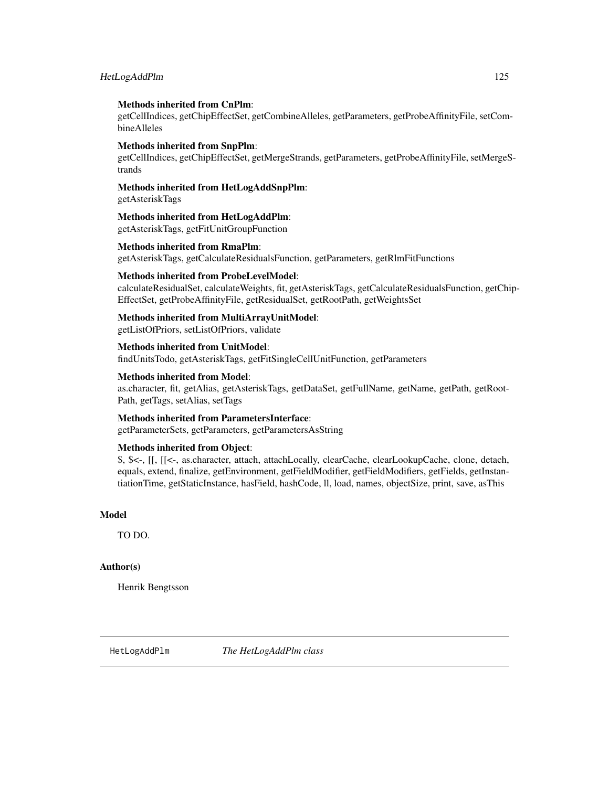# HetLogAddPlm 125

#### Methods inherited from CnPlm:

getCellIndices, getChipEffectSet, getCombineAlleles, getParameters, getProbeAffinityFile, setCombineAlleles

#### Methods inherited from SnpPlm:

getCellIndices, getChipEffectSet, getMergeStrands, getParameters, getProbeAffinityFile, setMergeStrands

# Methods inherited from HetLogAddSnpPlm:

getAsteriskTags

# Methods inherited from HetLogAddPlm:

getAsteriskTags, getFitUnitGroupFunction

# Methods inherited from RmaPlm:

getAsteriskTags, getCalculateResidualsFunction, getParameters, getRlmFitFunctions

# Methods inherited from ProbeLevelModel:

calculateResidualSet, calculateWeights, fit, getAsteriskTags, getCalculateResidualsFunction, getChip-EffectSet, getProbeAffinityFile, getResidualSet, getRootPath, getWeightsSet

#### Methods inherited from MultiArrayUnitModel:

getListOfPriors, setListOfPriors, validate

#### Methods inherited from UnitModel:

findUnitsTodo, getAsteriskTags, getFitSingleCellUnitFunction, getParameters

# Methods inherited from Model:

as.character, fit, getAlias, getAsteriskTags, getDataSet, getFullName, getName, getPath, getRoot-Path, getTags, setAlias, setTags

#### Methods inherited from ParametersInterface:

getParameterSets, getParameters, getParametersAsString

#### Methods inherited from Object:

\$, \$<-, [[, [[<-, as.character, attach, attachLocally, clearCache, clearLookupCache, clone, detach, equals, extend, finalize, getEnvironment, getFieldModifier, getFieldModifiers, getFields, getInstantiationTime, getStaticInstance, hasField, hashCode, ll, load, names, objectSize, print, save, asThis

## Model

TO DO.

#### Author(s)

Henrik Bengtsson

<span id="page-124-0"></span>HetLogAddPlm *The HetLogAddPlm class*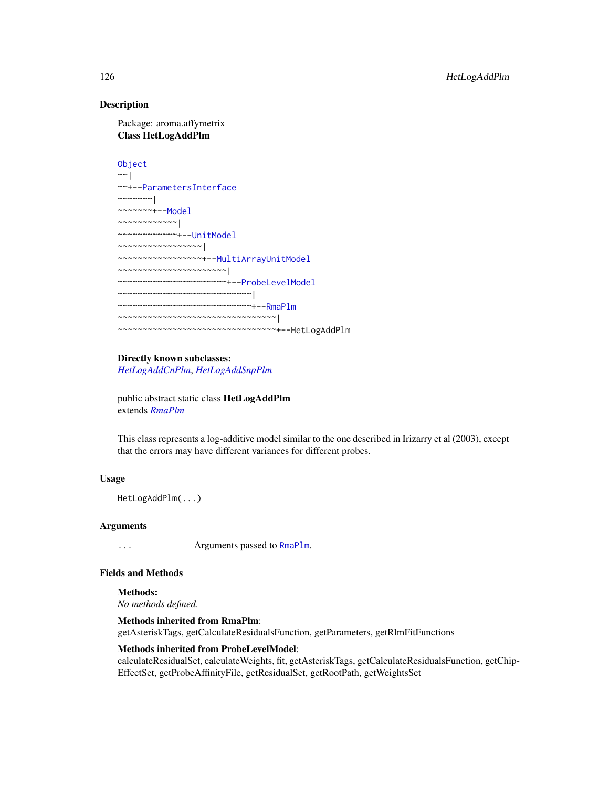# Description

Package: aroma.affymetrix Class HetLogAddPlm

```
Object
~\sim~~~+--ParametersInterface
~~~~~~~|
~~~~~~~+--Model
~~~~~~~~~~~~|
~~~~~~~~~~~~+--UnitModel
~~~~~~~~~~~~~~~~~|
~~~~~~~~~~~~~~~~~+--MultiArrayUnitModel
~~~~~~~~~~~~~~~~~~~~~~|
~~~~~~~~~~~~~~~~~~~~~~+--ProbeLevelModel
~~~~~~~~~~~~~~~~~~~~~~~~~~~|
~~~~~~~~~~~~~~~~~~~~~~~~~~~+--RmaPlm
~~~~~~~~~~~~~~~~~~~~~~~~~~~~~~~~|
~~~~~~~~~~~~~~~~~~~~~~~~~~~~~~~~+--HetLogAddPlm
```
#### Directly known subclasses:

*[HetLogAddCnPlm](#page-122-0)*, *[HetLogAddSnpPlm](#page-126-0)*

public abstract static class HetLogAddPlm extends *[RmaPlm](#page-179-0)*

This class represents a log-additive model similar to the one described in Irizarry et al (2003), except that the errors may have different variances for different probes.

# Usage

HetLogAddPlm(...)

#### Arguments

... Arguments passed to [RmaPlm](#page-179-0).

# Fields and Methods

Methods:

*No methods defined*.

#### Methods inherited from RmaPlm:

getAsteriskTags, getCalculateResidualsFunction, getParameters, getRlmFitFunctions

#### Methods inherited from ProbeLevelModel:

calculateResidualSet, calculateWeights, fit, getAsteriskTags, getCalculateResidualsFunction, getChip-EffectSet, getProbeAffinityFile, getResidualSet, getRootPath, getWeightsSet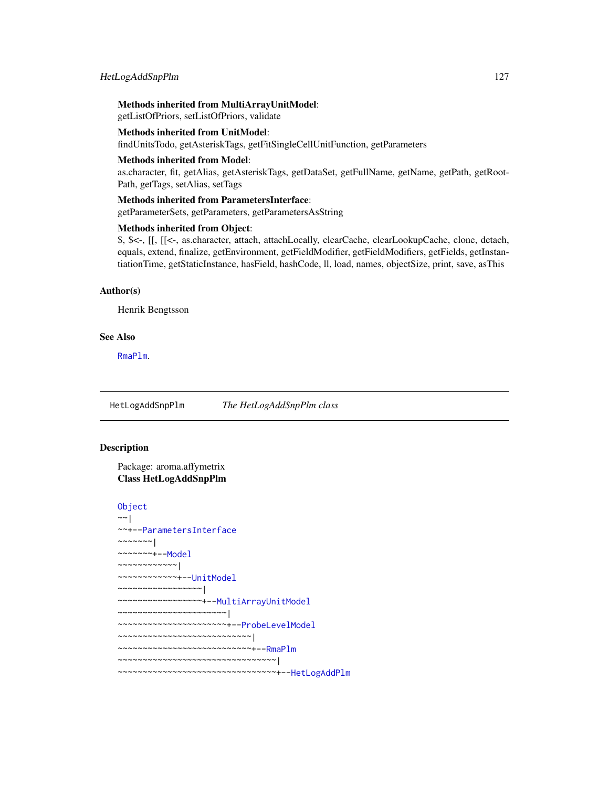# Methods inherited from MultiArrayUnitModel:

getListOfPriors, setListOfPriors, validate

#### Methods inherited from UnitModel:

findUnitsTodo, getAsteriskTags, getFitSingleCellUnitFunction, getParameters

#### Methods inherited from Model:

as.character, fit, getAlias, getAsteriskTags, getDataSet, getFullName, getName, getPath, getRoot-Path, getTags, setAlias, setTags

#### Methods inherited from ParametersInterface:

getParameterSets, getParameters, getParametersAsString

# Methods inherited from Object:

\$, \$<-, [[, [[<-, as.character, attach, attachLocally, clearCache, clearLookupCache, clone, detach, equals, extend, finalize, getEnvironment, getFieldModifier, getFieldModifiers, getFields, getInstantiationTime, getStaticInstance, hasField, hashCode, ll, load, names, objectSize, print, save, asThis

#### Author(s)

Henrik Bengtsson

#### See Also

[RmaPlm](#page-179-0).

<span id="page-126-0"></span>HetLogAddSnpPlm *The HetLogAddSnpPlm class*

# **Description**

Package: aroma.affymetrix Class HetLogAddSnpPlm

#### [Object](#page-0-0)

```
~~|
~~+--ParametersInterface
~\sim ~\sim ~\sim ~\sim ~\sim ~\sim ~\sim ~\sim~~~~~~~+--Model
~~~~~~~~~~~~|
~~~~~~~~~~~~+--UnitModel
~~~~~~~~~~~~~~~~~|
~~~~~~~~~~~~~~~~~+--MultiArrayUnitModel
  ~~~~~~~~~~~~~~~~~~~~~~|
~~~~~~~~~~~~~~~~~~~~~~+--ProbeLevelModel
~~~~~~~~~~~~~~~~~~~~~~~~~~~|
~~~~~~~~~~~~~~~~~~~~~~~~~~~+--RmaPlm
~~~~~~~~~~~~~~~~~~~~~~~~~~~~~~~~|
~~~~~~~~~~~~~~~~~~~~~~~~~~~~~~~~+--HetLogAddPlm
```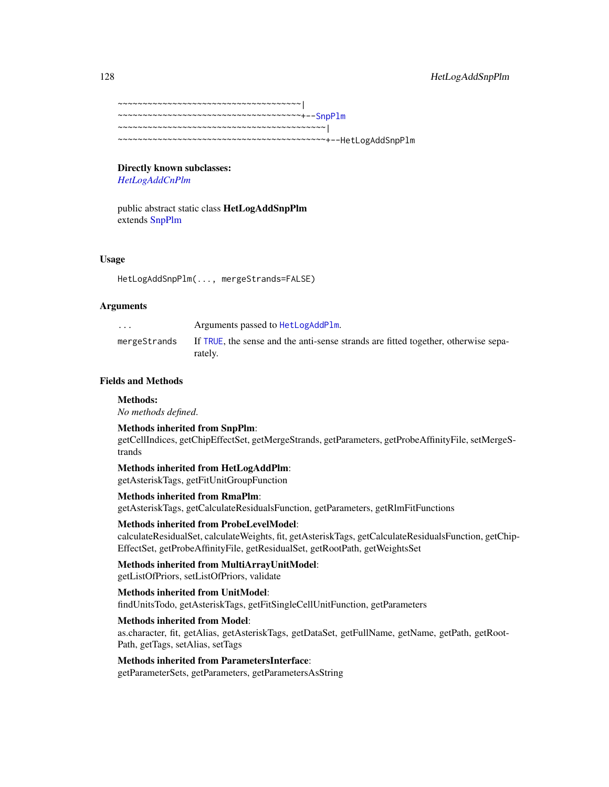```
~~~~~~~~~~~~~~~~~~~~~~~~~~~~~~~~~~~~~|
~~~~~~~~~~~~~~~~~~~~~~~~~~~~~~~~~~~~~+--SnpPlm
~~~~~~~~~~~~~~~~~~~~~~~~~~~~~~~~~~~~~~~~~~|
~~~~~~~~~~~~~~~~~~~~~~~~~~~~~~~~~~~~~~~~~~+--HetLogAddSnpPlm
```
# Directly known subclasses:

*[HetLogAddCnPlm](#page-122-0)*

public abstract static class HetLogAddSnpPlm extends [SnpPlm](#page-196-0)

#### Usage

HetLogAddSnpPlm(..., mergeStrands=FALSE)

#### Arguments

| $\cdots$     | Arguments passed to HetLogAddPlm.                                                             |
|--------------|-----------------------------------------------------------------------------------------------|
| mergeStrands | If TRUE, the sense and the anti-sense strands are fitted together, otherwise sepa-<br>rately. |

#### Fields and Methods

#### Methods:

*No methods defined*.

#### Methods inherited from SnpPlm:

getCellIndices, getChipEffectSet, getMergeStrands, getParameters, getProbeAffinityFile, setMergeStrands

# Methods inherited from HetLogAddPlm:

getAsteriskTags, getFitUnitGroupFunction

#### Methods inherited from RmaPlm:

getAsteriskTags, getCalculateResidualsFunction, getParameters, getRlmFitFunctions

# Methods inherited from ProbeLevelModel:

calculateResidualSet, calculateWeights, fit, getAsteriskTags, getCalculateResidualsFunction, getChip-EffectSet, getProbeAffinityFile, getResidualSet, getRootPath, getWeightsSet

# Methods inherited from MultiArrayUnitModel:

getListOfPriors, setListOfPriors, validate

# Methods inherited from UnitModel:

findUnitsTodo, getAsteriskTags, getFitSingleCellUnitFunction, getParameters

#### Methods inherited from Model:

as.character, fit, getAlias, getAsteriskTags, getDataSet, getFullName, getName, getPath, getRoot-Path, getTags, setAlias, setTags

# Methods inherited from ParametersInterface:

getParameterSets, getParameters, getParametersAsString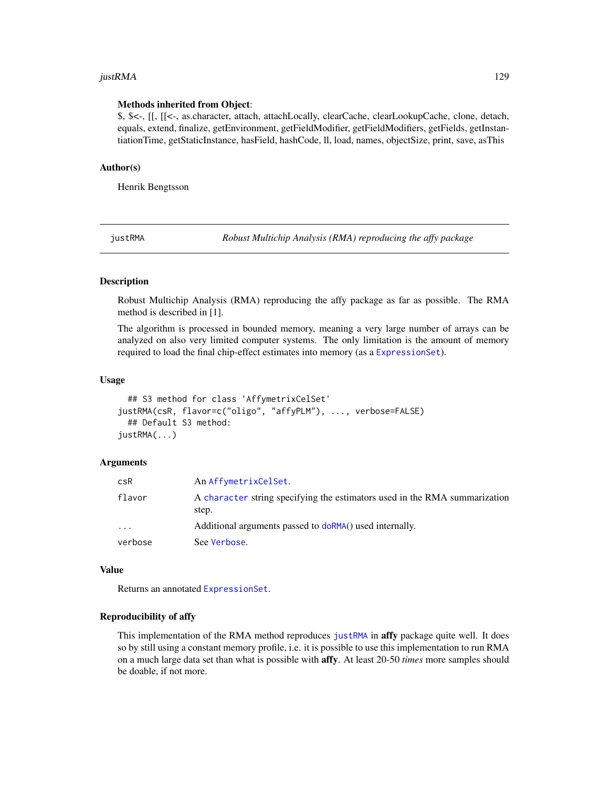#### justRMA 129

#### Methods inherited from Object:

\$, \$<-, [[, [[<-, as.character, attach, attachLocally, clearCache, clearLookupCache, clone, detach, equals, extend, finalize, getEnvironment, getFieldModifier, getFieldModifiers, getFields, getInstantiationTime, getStaticInstance, hasField, hashCode, ll, load, names, objectSize, print, save, asThis

#### Author(s)

Henrik Bengtsson

<span id="page-128-0"></span>justRMA *Robust Multichip Analysis (RMA) reproducing the affy package*

#### Description

Robust Multichip Analysis (RMA) reproducing the affy package as far as possible. The RMA method is described in [1].

The algorithm is processed in bounded memory, meaning a very large number of arrays can be analyzed on also very limited computer systems. The only limitation is the amount of memory required to load the final chip-effect estimates into memory (as a [ExpressionSet](#page-0-0)).

#### Usage

```
## S3 method for class 'AffymetrixCelSet'
justRMA(csR, flavor=c("oligo", "affyPLM"), ..., verbose=FALSE)
  ## Default S3 method:
justRMA(...)
```
#### Arguments

| csR      | An AffymetrixCelSet.                                                                |
|----------|-------------------------------------------------------------------------------------|
| flavor   | A character string specifying the estimators used in the RMA summarization<br>step. |
| $\cdots$ | Additional arguments passed to doRMA() used internally.                             |
| verbose  | See Verbose.                                                                        |

# Value

Returns an annotated [ExpressionSet](#page-0-0).

# Reproducibility of affy

This implementation of the RMA method reproduces [justRMA](#page-128-0) in **affy** package quite well. It does so by still using a constant memory profile, i.e. it is possible to use this implementation to run RMA on a much large data set than what is possible with affy. At least 20-50 *times* more samples should be doable, if not more.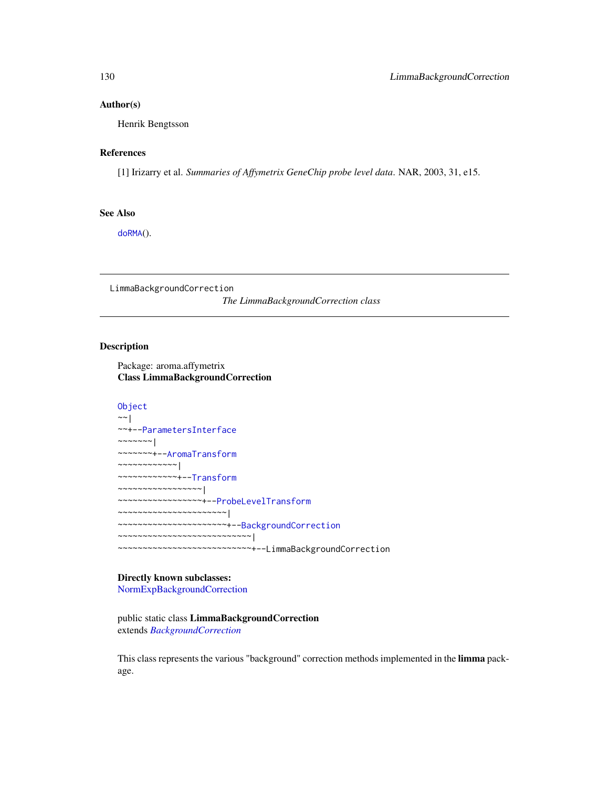#### Author(s)

Henrik Bengtsson

# References

[1] Irizarry et al. *Summaries of Affymetrix GeneChip probe level data*. NAR, 2003, 31, e15.

# See Also

[doRMA](#page-94-0)().

LimmaBackgroundCorrection *The LimmaBackgroundCorrection class*

# Description

Package: aroma.affymetrix Class LimmaBackgroundCorrection

```
Object
~~|
~~+--ParametersInterface
\sim\sim\sim\sim\sim\sim~~~~~~~+--AromaTransform
~~~~~~~~~~~~|
~~~~~~~~~~~~+--Transform
~~~~~~~~~~~~~~~~~|
~~~~~~~~~~~~~~~~~+--ProbeLevelTransform
   ~~~~~~~~~~~~~~~~~~~~~~|
   ~~~~~~~~~~~~~~~~~~~~~~+--BackgroundCorrection
   ~~~~~~~~~~~~~~~~~~~~~~~~~~~|
      ~~~~~~~~~~~~~~~~~~~~~~~~~~~+--LimmaBackgroundCorrection
```
# Directly known subclasses:

[NormExpBackgroundCorrection](#page-145-0)

public static class LimmaBackgroundCorrection extends *[BackgroundCorrection](#page-47-0)*

This class represents the various "background" correction methods implemented in the limma package.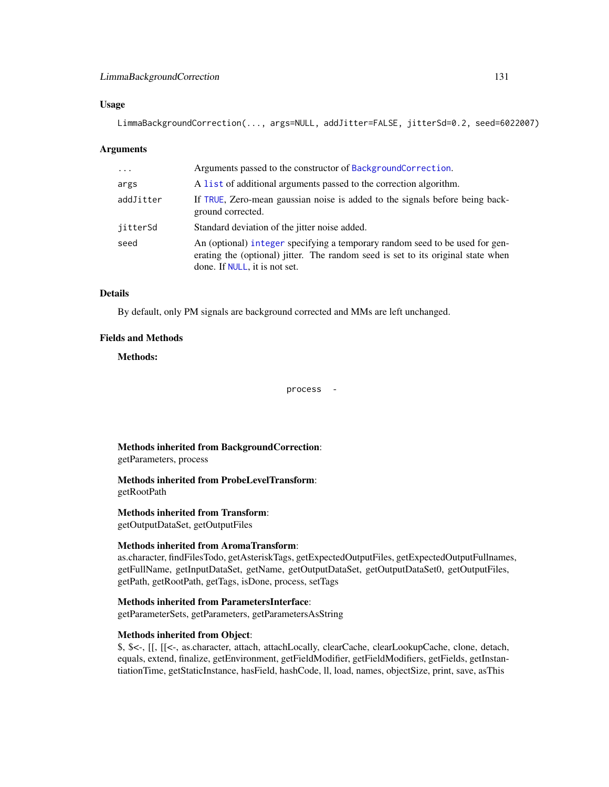# LimmaBackgroundCorrection 131

#### Usage

LimmaBackgroundCorrection(..., args=NULL, addJitter=FALSE, jitterSd=0.2, seed=6022007)

#### Arguments

| $\cdots$  | Arguments passed to the constructor of BackgroundCorrection.                                                                                                                                      |
|-----------|---------------------------------------------------------------------------------------------------------------------------------------------------------------------------------------------------|
| args      | A list of additional arguments passed to the correction algorithm.                                                                                                                                |
| addJitter | If TRUE, Zero-mean gaussian noise is added to the signals before being back-<br>ground corrected.                                                                                                 |
| iitterSd  | Standard deviation of the jitter noise added.                                                                                                                                                     |
| seed      | An (optional) integer specifying a temporary random seed to be used for gen-<br>erating the (optional) jitter. The random seed is set to its original state when<br>done. If NULL, it is not set. |

#### Details

By default, only PM signals are background corrected and MMs are left unchanged.

#### Fields and Methods

#### Methods:

process -

Methods inherited from BackgroundCorrection: getParameters, process

Methods inherited from ProbeLevelTransform: getRootPath

Methods inherited from Transform:

getOutputDataSet, getOutputFiles

#### Methods inherited from AromaTransform:

as.character, findFilesTodo, getAsteriskTags, getExpectedOutputFiles, getExpectedOutputFullnames, getFullName, getInputDataSet, getName, getOutputDataSet, getOutputDataSet0, getOutputFiles, getPath, getRootPath, getTags, isDone, process, setTags

# Methods inherited from ParametersInterface:

getParameterSets, getParameters, getParametersAsString

#### Methods inherited from Object:

\$, \$<-, [[, [[<-, as.character, attach, attachLocally, clearCache, clearLookupCache, clone, detach, equals, extend, finalize, getEnvironment, getFieldModifier, getFieldModifiers, getFields, getInstantiationTime, getStaticInstance, hasField, hashCode, ll, load, names, objectSize, print, save, asThis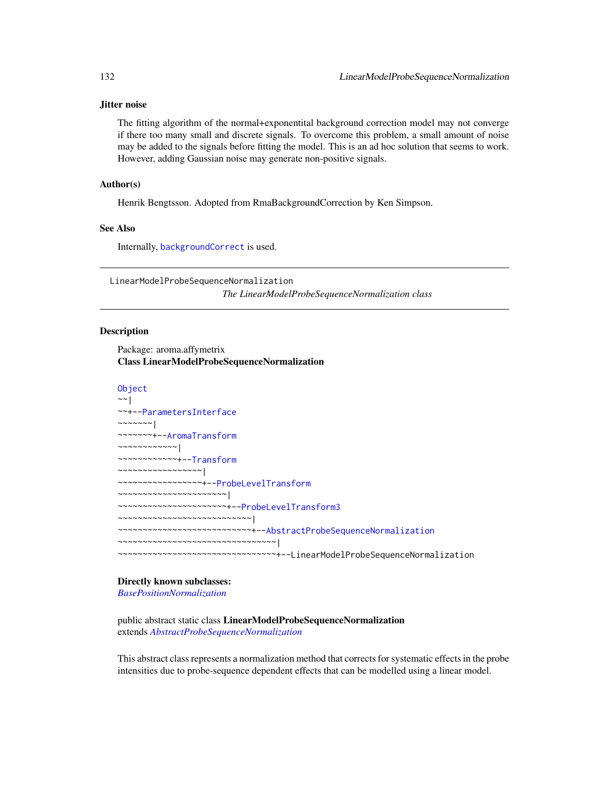#### Jitter noise

The fitting algorithm of the normal+exponentital background correction model may not converge if there too many small and discrete signals. To overcome this problem, a small amount of noise may be added to the signals before fitting the model. This is an ad hoc solution that seems to work. However, adding Gaussian noise may generate non-positive signals.

# Author(s)

Henrik Bengtsson. Adopted from RmaBackgroundCorrection by Ken Simpson.

# See Also

Internally, [backgroundCorrect](#page-0-0) is used.

LinearModelProbeSequenceNormalization *The LinearModelProbeSequenceNormalization class*

#### **Description**

Package: aroma.affymetrix Class LinearModelProbeSequenceNormalization

```
Object
~~|
~~+--ParametersInterface
~~~~~~~|~~~~~~~+--AromaTransform
~~~~~~~~~~~~|
~~~~~~~~~~~~+--Transform
~~~~~~~~~~~~~~~~~|
 ~~~~~~~~~~~~~~~~~+--ProbeLevelTransform
~~~~~~~~~~~~~~~~~~~~~~|
~~~~~~~~~~~~~~~~~~~~~~+--ProbeLevelTransform3
~~~~~~~~~~~~~~~~~~~~~~~~~~~|
~~~~~~~~~~~~~~~~~~~~~~~~~~~+--AbstractProbeSequenceNormalization
~~~~~~~~~~~~~~~~~~~~~~~~~~~~~~~~|
   ~~~~~~~~~~~~~~~~~~~~~~~~~~~~~~~~+--LinearModelProbeSequenceNormalization
```
# Directly known subclasses:

*[BasePositionNormalization](#page-51-0)*

public abstract static class LinearModelProbeSequenceNormalization extends *[AbstractProbeSequenceNormalization](#page-5-0)*

This abstract class represents a normalization method that corrects for systematic effects in the probe intensities due to probe-sequence dependent effects that can be modelled using a linear model.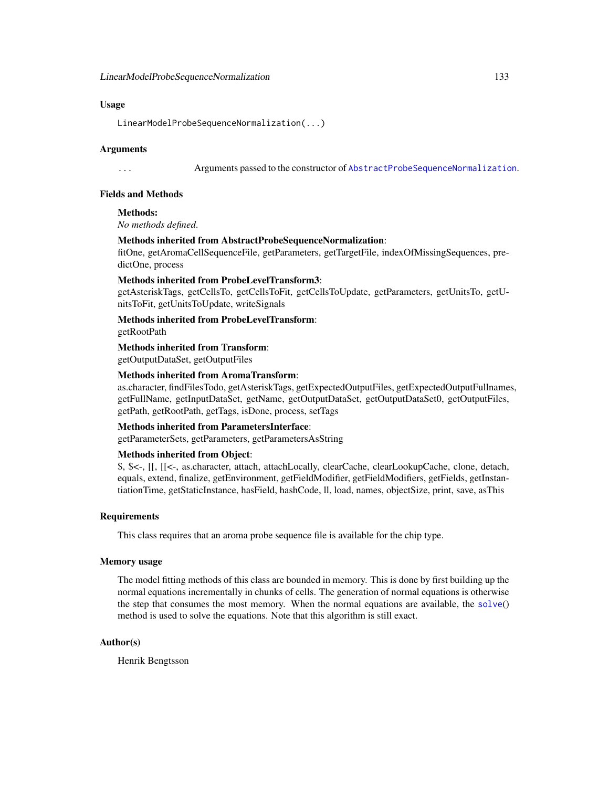#### Usage

LinearModelProbeSequenceNormalization(...)

#### Arguments

... Arguments passed to the constructor of [AbstractProbeSequenceNormalization](#page-5-0).

# Fields and Methods

Methods:

*No methods defined*.

#### Methods inherited from AbstractProbeSequenceNormalization:

fitOne, getAromaCellSequenceFile, getParameters, getTargetFile, indexOfMissingSequences, predictOne, process

#### Methods inherited from ProbeLevelTransform3:

getAsteriskTags, getCellsTo, getCellsToFit, getCellsToUpdate, getParameters, getUnitsTo, getUnitsToFit, getUnitsToUpdate, writeSignals

Methods inherited from ProbeLevelTransform: getRootPath

Methods inherited from Transform: getOutputDataSet, getOutputFiles

# Methods inherited from AromaTransform:

as.character, findFilesTodo, getAsteriskTags, getExpectedOutputFiles, getExpectedOutputFullnames, getFullName, getInputDataSet, getName, getOutputDataSet, getOutputDataSet0, getOutputFiles, getPath, getRootPath, getTags, isDone, process, setTags

#### Methods inherited from ParametersInterface:

getParameterSets, getParameters, getParametersAsString

# Methods inherited from Object:

\$, \$<-, [[, [[<-, as.character, attach, attachLocally, clearCache, clearLookupCache, clone, detach, equals, extend, finalize, getEnvironment, getFieldModifier, getFieldModifiers, getFields, getInstantiationTime, getStaticInstance, hasField, hashCode, ll, load, names, objectSize, print, save, asThis

#### **Requirements**

This class requires that an aroma probe sequence file is available for the chip type.

# Memory usage

The model fitting methods of this class are bounded in memory. This is done by first building up the normal equations incrementally in chunks of cells. The generation of normal equations is otherwise the step that consumes the most memory. When the normal equations are available, the [solve](#page-0-0)() method is used to solve the equations. Note that this algorithm is still exact.

#### Author(s)

Henrik Bengtsson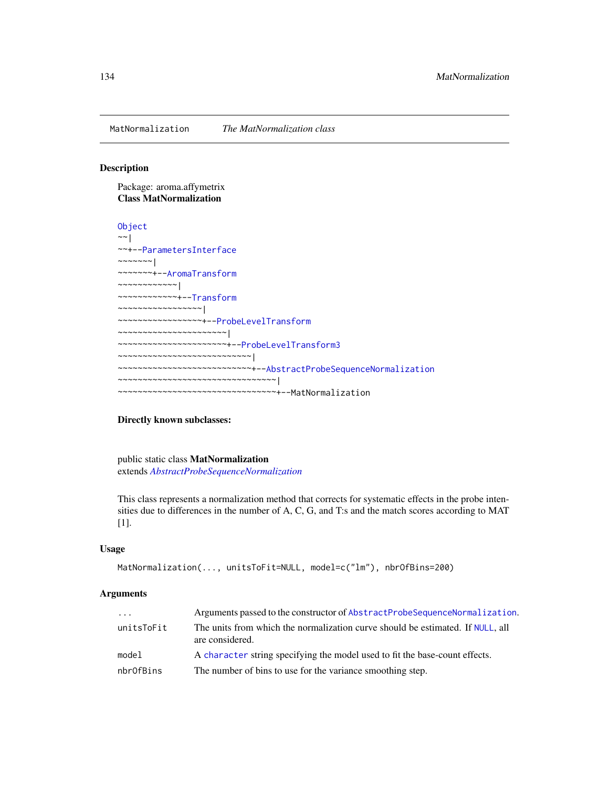MatNormalization *The MatNormalization class*

#### Description

Package: aroma.affymetrix Class MatNormalization

```
Object
~\sim~~~+--ParametersInterface
~~~~~~~|~~~~~~~+--AromaTransform
~~~~~~~~~~~~|
~~~~~~~~~~~~+--Transform
~~~~~~~~~~~~~~~~~|
~~~~~~~~~~~~~~~~~+--ProbeLevelTransform
~~~~~~~~~~~~~~~~~~~~~~|
~~~~~~~~~~~~~~~~~~~~~~+--ProbeLevelTransform3
~~~~~~~~~~~~~~~~~~~~~~~~~~~|
~~~~~~~~~~~~~~~~~~~~~~~~~~~+--AbstractProbeSequenceNormalization
~~~~~~~~~~~~~~~~~~~~~~~~~~~~~~~~|
~~~~~~~~~~~~~~~~~~~~~~~~~~~~~~~~+--MatNormalization
```
# Directly known subclasses:

public static class MatNormalization extends *[AbstractProbeSequenceNormalization](#page-5-0)*

This class represents a normalization method that corrects for systematic effects in the probe intensities due to differences in the number of A, C, G, and T:s and the match scores according to MAT [1].

#### Usage

```
MatNormalization(..., unitsToFit=NULL, model=c("lm"), nbrOfBins=200)
```
#### Arguments

| $\cdot$    | Arguments passed to the constructor of AbstractProbeSequenceNormalization.                        |
|------------|---------------------------------------------------------------------------------------------------|
| unitsToFit | The units from which the normalization curve should be estimated. If NULL, all<br>are considered. |
| model      | A character string specifying the model used to fit the base-count effects.                       |
| nbrOfBins  | The number of bins to use for the variance smoothing step.                                        |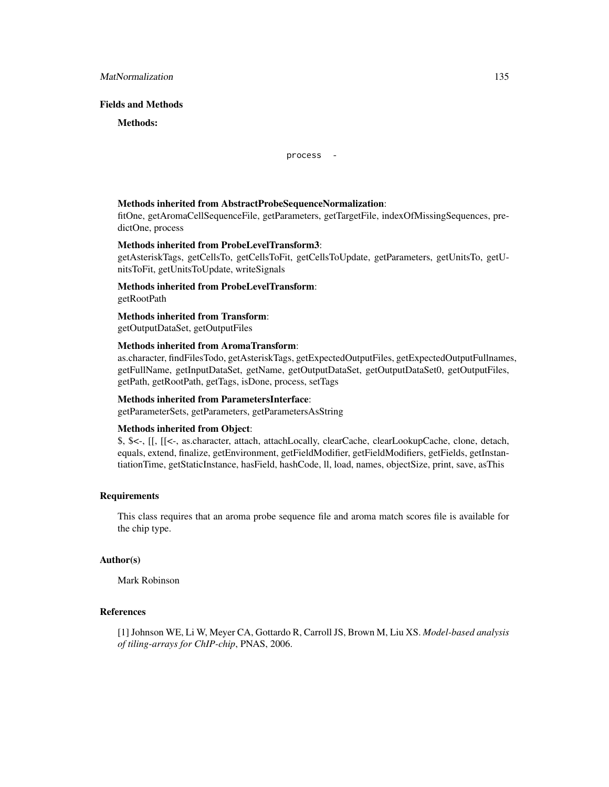# Fields and Methods

Methods:

process -

#### Methods inherited from AbstractProbeSequenceNormalization:

fitOne, getAromaCellSequenceFile, getParameters, getTargetFile, indexOfMissingSequences, predictOne, process

# Methods inherited from ProbeLevelTransform3:

getAsteriskTags, getCellsTo, getCellsToFit, getCellsToUpdate, getParameters, getUnitsTo, getUnitsToFit, getUnitsToUpdate, writeSignals

Methods inherited from ProbeLevelTransform: getRootPath

Methods inherited from Transform:

getOutputDataSet, getOutputFiles

#### Methods inherited from AromaTransform:

as.character, findFilesTodo, getAsteriskTags, getExpectedOutputFiles, getExpectedOutputFullnames, getFullName, getInputDataSet, getName, getOutputDataSet, getOutputDataSet0, getOutputFiles, getPath, getRootPath, getTags, isDone, process, setTags

# Methods inherited from ParametersInterface:

getParameterSets, getParameters, getParametersAsString

#### Methods inherited from Object:

\$, \$<-, [[, [[<-, as.character, attach, attachLocally, clearCache, clearLookupCache, clone, detach, equals, extend, finalize, getEnvironment, getFieldModifier, getFieldModifiers, getFields, getInstantiationTime, getStaticInstance, hasField, hashCode, ll, load, names, objectSize, print, save, asThis

#### Requirements

This class requires that an aroma probe sequence file and aroma match scores file is available for the chip type.

#### Author(s)

Mark Robinson

# References

[1] Johnson WE, Li W, Meyer CA, Gottardo R, Carroll JS, Brown M, Liu XS. *Model-based analysis of tiling-arrays for ChIP-chip*, PNAS, 2006.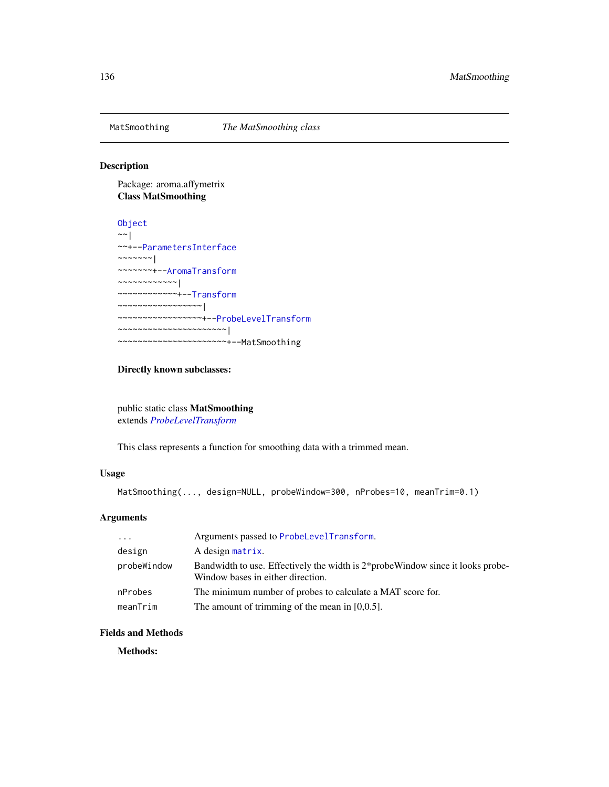# Description

Package: aroma.affymetrix Class MatSmoothing

[Object](#page-0-0)  $~\sim~$ | ~~+-[-ParametersInterface](#page-0-0) ~~~~~~~ $|$ ~~~~~~~+-[-AromaTransform](#page-0-0) ~~~~~~~~~~~~| ~~~~~~~~~~~~+-[-Transform](#page-0-0) ~~~~~~~~~~~~~~~~~| ~~~~~~~~~~~~~~~~~+-[-ProbeLevelTransform](#page-158-0) ~~~~~~~~~~~~~~~~~~~~~~| ~~~~~~~~~~~~~~~~~~~~~~+--MatSmoothing

#### Directly known subclasses:

public static class MatSmoothing extends *[ProbeLevelTransform](#page-158-0)*

This class represents a function for smoothing data with a trimmed mean.

# Usage

```
MatSmoothing(..., design=NULL, probeWindow=300, nProbes=10, meanTrim=0.1)
```
# Arguments

| $\cdot \cdot \cdot$ | Arguments passed to ProbeLevelTransform.                                                                             |
|---------------------|----------------------------------------------------------------------------------------------------------------------|
| design              | A design matrix.                                                                                                     |
| probeWindow         | Bandwidth to use. Effectively the width is 2*probe Window since it looks probe-<br>Window bases in either direction. |
| nProbes             | The minimum number of probes to calculate a MAT score for.                                                           |
| meanTrim            | The amount of trimming of the mean in $[0,0.5]$ .                                                                    |

#### Fields and Methods

Methods: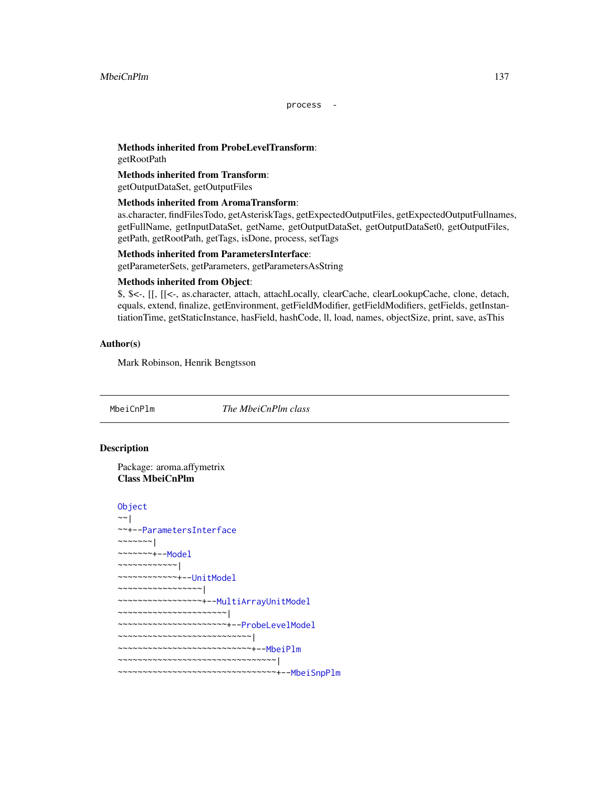process -

# Methods inherited from ProbeLevelTransform:

getRootPath

# Methods inherited from Transform:

getOutputDataSet, getOutputFiles

# Methods inherited from AromaTransform:

as.character, findFilesTodo, getAsteriskTags, getExpectedOutputFiles, getExpectedOutputFullnames, getFullName, getInputDataSet, getName, getOutputDataSet, getOutputDataSet0, getOutputFiles, getPath, getRootPath, getTags, isDone, process, setTags

#### Methods inherited from ParametersInterface:

getParameterSets, getParameters, getParametersAsString

#### Methods inherited from Object:

\$, \$<-, [[, [[<-, as.character, attach, attachLocally, clearCache, clearLookupCache, clone, detach, equals, extend, finalize, getEnvironment, getFieldModifier, getFieldModifiers, getFields, getInstantiationTime, getStaticInstance, hasField, hashCode, ll, load, names, objectSize, print, save, asThis

# Author(s)

Mark Robinson, Henrik Bengtsson

<span id="page-136-0"></span>

MbeiCnPlm *The MbeiCnPlm class*

# **Description**

Package: aroma.affymetrix Class MbeiCnPlm

```
Object
~~|
~~+--ParametersInterface
~\sim ~\sim ~\sim ~\sim ~\sim ~\sim ~\sim ~\sim~~~~~~~+--Model
~~~~~~~~~~~~|
~~~~~~~~~~~~+--UnitModel
~~~~~~~~~~~~~~~~~|
~~~~~~~~~~~~~~~~~+--MultiArrayUnitModel
 ~~~~~~~~~~~~~~~~~~~~~~|
~~~~~~~~~~~~~~~~~~~~~~+--ProbeLevelModel
~~~~~~~~~~~~~~~~~~~~~~~~~~~|
~~~~~~~~~~~~~~~~~~~~~~~~~~~+--MbeiPlm
~~~~~~~~~~~~~~~~~~~~~~~~~~~~~~~~|
~~~~~~~~~~~~~~~~~~~~~~~~~~~~~~~~+--MbeiSnpPlm
```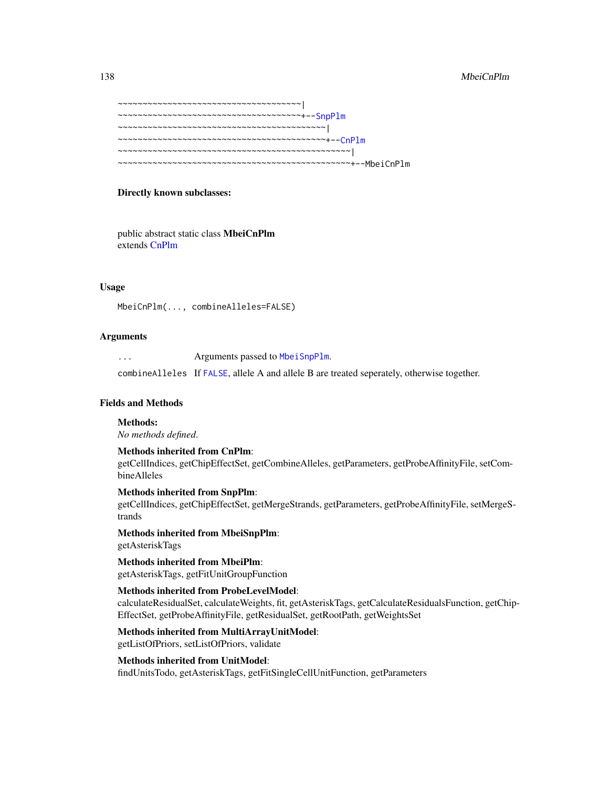#### 138 MbeiCnPlm

```
~~~~~~~~~~~~~~~~~~~~~~~~~~~~~~~~~~~~~|
~~~~~~~~~~~~~~~~~~~~~~~~~~~~~~~~~~~~~+--SnpPlm
~~~~~~~~~~~~~~~~~~~~~~~~~~~~~~~~~~~~~~~~~~|
~~~~~~~~~~~~~~~~~~~~~~~~~~~~~~~~~~~~~~~~~~+--CnPlm
~~~~~~~~~~~~~~~~~~~~~~~~~~~~~~~~~~~~~~~~~~~~~~~|
~~~~~~~~~~~~~~~~~~~~~~~~~~~~~~~~~~~~~~~~~~~~~~~+--MbeiCnPlm
```
#### Directly known subclasses:

public abstract static class MbeiCnPlm extends [CnPlm](#page-69-0)

#### Usage

MbeiCnPlm(..., combineAlleles=FALSE)

#### Arguments

| . | Arguments passed to MbeiSnpPlm.                                                             |
|---|---------------------------------------------------------------------------------------------|
|   | combine Alleles If FALSE, allele A and allele B are treated seperately, otherwise together. |

# Fields and Methods

#### Methods:

*No methods defined*.

# Methods inherited from CnPlm: getCellIndices, getChipEffectSet, getCombineAlleles, getParameters, getProbeAffinityFile, setCombineAlleles

Methods inherited from SnpPlm: getCellIndices, getChipEffectSet, getMergeStrands, getParameters, getProbeAffinityFile, setMergeStrands

Methods inherited from MbeiSnpPlm: getAsteriskTags

Methods inherited from MbeiPlm: getAsteriskTags, getFitUnitGroupFunction

# Methods inherited from ProbeLevelModel:

calculateResidualSet, calculateWeights, fit, getAsteriskTags, getCalculateResidualsFunction, getChip-EffectSet, getProbeAffinityFile, getResidualSet, getRootPath, getWeightsSet

#### Methods inherited from MultiArrayUnitModel:

getListOfPriors, setListOfPriors, validate

#### Methods inherited from UnitModel:

findUnitsTodo, getAsteriskTags, getFitSingleCellUnitFunction, getParameters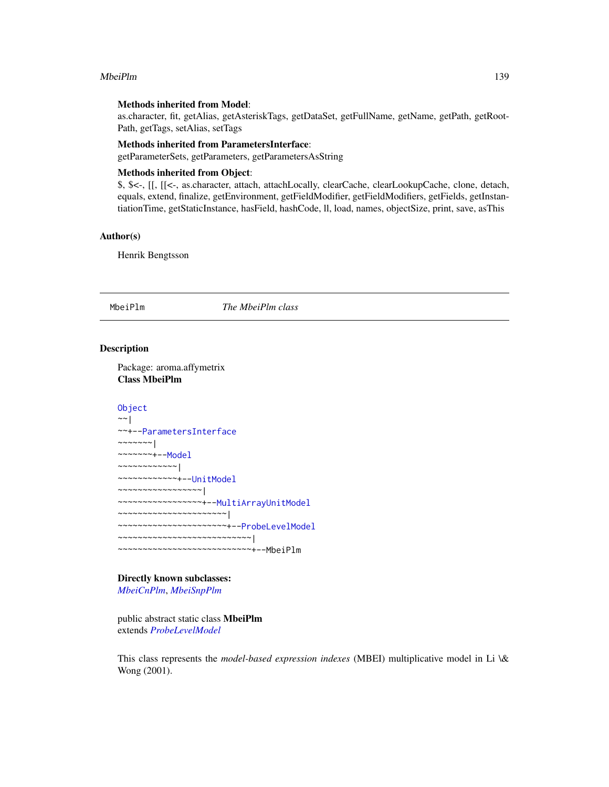#### MbeiPlm 239

#### Methods inherited from Model:

as.character, fit, getAlias, getAsteriskTags, getDataSet, getFullName, getName, getPath, getRoot-Path, getTags, setAlias, setTags

#### Methods inherited from ParametersInterface:

getParameterSets, getParameters, getParametersAsString

## Methods inherited from Object:

\$, \$<-, [[, [[<-, as.character, attach, attachLocally, clearCache, clearLookupCache, clone, detach, equals, extend, finalize, getEnvironment, getFieldModifier, getFieldModifiers, getFields, getInstantiationTime, getStaticInstance, hasField, hashCode, ll, load, names, objectSize, print, save, asThis

#### Author(s)

Henrik Bengtsson

#### <span id="page-138-0"></span>MbeiPlm *The MbeiPlm class*

#### Description

Package: aroma.affymetrix Class MbeiPlm

# [Object](#page-0-0)

```
~~|
~~+--ParametersInterface
~\sim ~\sim ~\sim ~\sim ~\sim ~\sim ~\sim~~~~~~~+--Model
~~~~~~~~~~~~|
~~~~~~~~~~~~+--UnitModel
~~~~~~~~~~~~~~~~~|
~~~~~~~~~~~~~~~~~+--MultiArrayUnitModel
~~~~~~~~~~~~~~~~~~~~~~|
~~~~~~~~~~~~~~~~~~~~~~+--ProbeLevelModel
~~~~~~~~~~~~~~~~~~~~~~~~~~~|
~~~~~~~~~~~~~~~~~~~~~~~~~~~+--MbeiPlm
```
# Directly known subclasses:

*[MbeiCnPlm](#page-136-0)*, *[MbeiSnpPlm](#page-140-0)*

public abstract static class MbeiPlm extends *[ProbeLevelModel](#page-156-0)*

This class represents the *model-based expression indexes* (MBEI) multiplicative model in Li \& Wong (2001).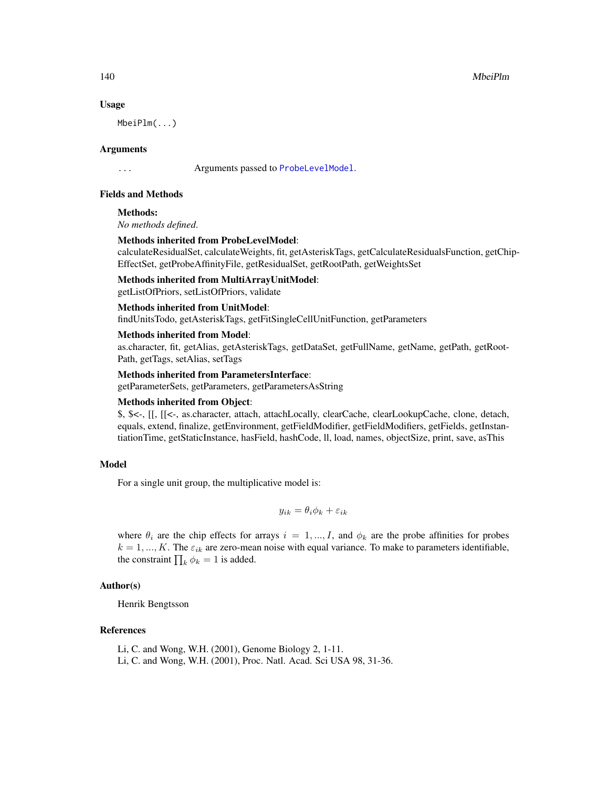#### Usage

MbeiPlm(...)

#### Arguments

... Arguments passed to [ProbeLevelModel](#page-156-0).

# Fields and Methods

Methods:

*No methods defined*.

#### Methods inherited from ProbeLevelModel:

calculateResidualSet, calculateWeights, fit, getAsteriskTags, getCalculateResidualsFunction, getChip-EffectSet, getProbeAffinityFile, getResidualSet, getRootPath, getWeightsSet

Methods inherited from MultiArrayUnitModel:

# getListOfPriors, setListOfPriors, validate

# Methods inherited from UnitModel:

findUnitsTodo, getAsteriskTags, getFitSingleCellUnitFunction, getParameters

#### Methods inherited from Model:

as.character, fit, getAlias, getAsteriskTags, getDataSet, getFullName, getName, getPath, getRoot-Path, getTags, setAlias, setTags

#### Methods inherited from ParametersInterface:

getParameterSets, getParameters, getParametersAsString

#### Methods inherited from Object:

\$, \$<-, [[, [[<-, as.character, attach, attachLocally, clearCache, clearLookupCache, clone, detach, equals, extend, finalize, getEnvironment, getFieldModifier, getFieldModifiers, getFields, getInstantiationTime, getStaticInstance, hasField, hashCode, ll, load, names, objectSize, print, save, asThis

#### Model

For a single unit group, the multiplicative model is:

$$
y_{ik} = \theta_i \phi_k + \varepsilon_{ik}
$$

where  $\theta_i$  are the chip effects for arrays  $i = 1, ..., I$ , and  $\phi_k$  are the probe affinities for probes  $k = 1, ..., K$ . The  $\varepsilon_{ik}$  are zero-mean noise with equal variance. To make to parameters identifiable, the constraint  $\prod_k \phi_k = 1$  is added.

# Author(s)

Henrik Bengtsson

# References

Li, C. and Wong, W.H. (2001), Genome Biology 2, 1-11. Li, C. and Wong, W.H. (2001), Proc. Natl. Acad. Sci USA 98, 31-36.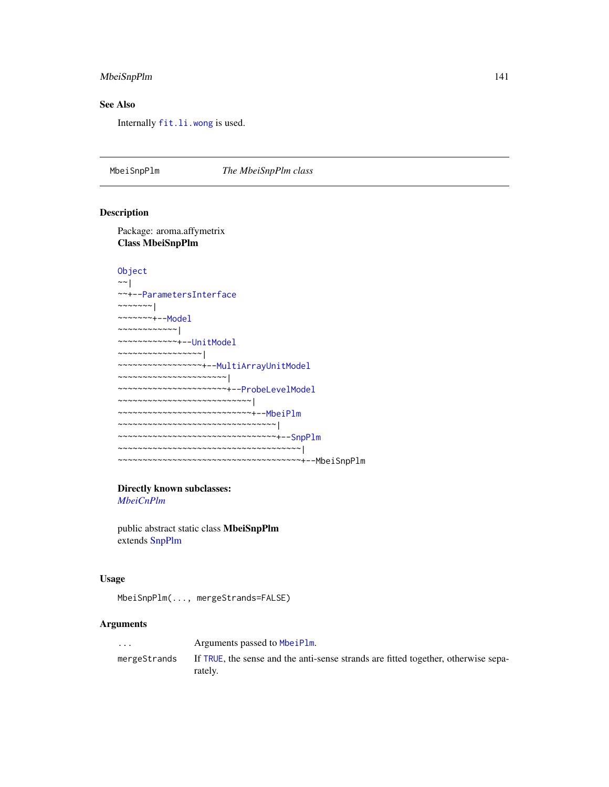# MbeiSnpPlm 141

# See Also

Internally [fit.li.wong](#page-0-0) is used.

<span id="page-140-0"></span>MbeiSnpPlm *The MbeiSnpPlm class*

# Description

Package: aroma.affymetrix Class MbeiSnpPlm

```
Object
~\sim~|
~~+--ParametersInterface
~\sim ~\sim ~\sim ~\sim ~\sim ~\sim ~\sim~~~~~~~+--Model
~~~~~~~~~~~~|
~~~~~~~~~~~~+--UnitModel
~~~~~~~~~~~~~~~~~|
~~~~~~~~~~~~~~~~~+--MultiArrayUnitModel
~~~~~~~~~~~~~~~~~~~~~~|
~~~~~~~~~~~~~~~~~~~~~~+--ProbeLevelModel
~~~~~~~~~~~~~~~~~~~~~~~~~~~|
~~~~~~~~~~~~~~~~~~~~~~~~~~~+--MbeiPlm
~~~~~~~~~~~~~~~~~~~~~~~~~~~~~~~~~
~~~~~~~~~~~~~~~~~~~~~~~~~~~~~~~~+--SnpPlm
~~~~~~~~~~~~~~~~~~~~~~~~~~~~~~~~~~~~~|
~~~~~~~~~~~~~~~~~~~~~~~~~~~~~~~~~~~~~+--MbeiSnpPlm
```
# Directly known subclasses:

*[MbeiCnPlm](#page-136-0)*

public abstract static class MbeiSnpPlm extends [SnpPlm](#page-196-0)

#### Usage

MbeiSnpPlm(..., mergeStrands=FALSE)

# Arguments

| $\cdot$      | Arguments passed to MbeiPlm.                                                                  |
|--------------|-----------------------------------------------------------------------------------------------|
| mergeStrands | If TRUE, the sense and the anti-sense strands are fitted together, otherwise sepa-<br>rately. |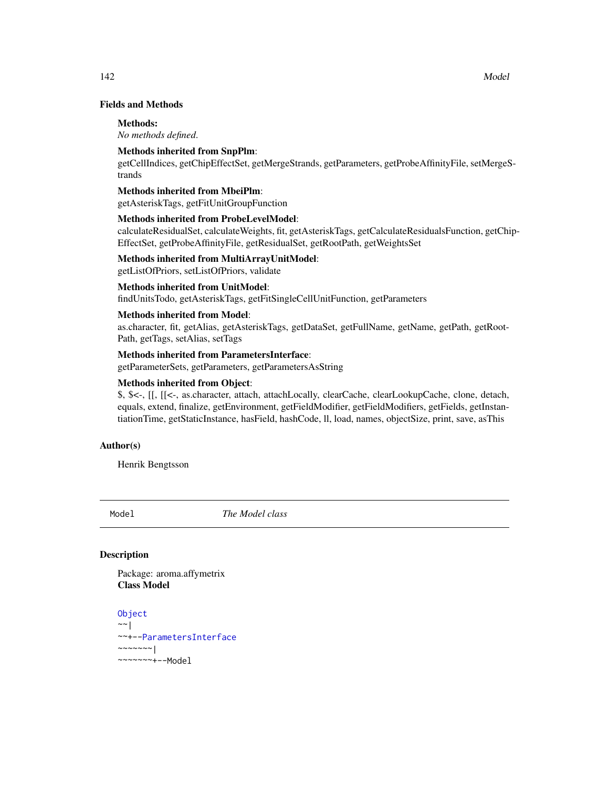# Fields and Methods

#### Methods:

*No methods defined*.

# Methods inherited from SnpPlm:

getCellIndices, getChipEffectSet, getMergeStrands, getParameters, getProbeAffinityFile, setMergeStrands

# Methods inherited from MbeiPlm:

getAsteriskTags, getFitUnitGroupFunction

# Methods inherited from ProbeLevelModel:

calculateResidualSet, calculateWeights, fit, getAsteriskTags, getCalculateResidualsFunction, getChip-EffectSet, getProbeAffinityFile, getResidualSet, getRootPath, getWeightsSet

#### Methods inherited from MultiArrayUnitModel:

getListOfPriors, setListOfPriors, validate

# Methods inherited from UnitModel:

findUnitsTodo, getAsteriskTags, getFitSingleCellUnitFunction, getParameters

#### Methods inherited from Model:

as.character, fit, getAlias, getAsteriskTags, getDataSet, getFullName, getName, getPath, getRoot-Path, getTags, setAlias, setTags

# Methods inherited from ParametersInterface:

getParameterSets, getParameters, getParametersAsString

# Methods inherited from Object:

\$, \$<-, [[, [[<-, as.character, attach, attachLocally, clearCache, clearLookupCache, clone, detach, equals, extend, finalize, getEnvironment, getFieldModifier, getFieldModifiers, getFields, getInstantiationTime, getStaticInstance, hasField, hashCode, ll, load, names, objectSize, print, save, asThis

#### Author(s)

Henrik Bengtsson

<span id="page-141-0"></span>Model *The Model class*

# Description

Package: aroma.affymetrix Class Model

```
Object
~~|
~~+--ParametersInterface
~~~~~~~|
~~~~~~~+--Model
```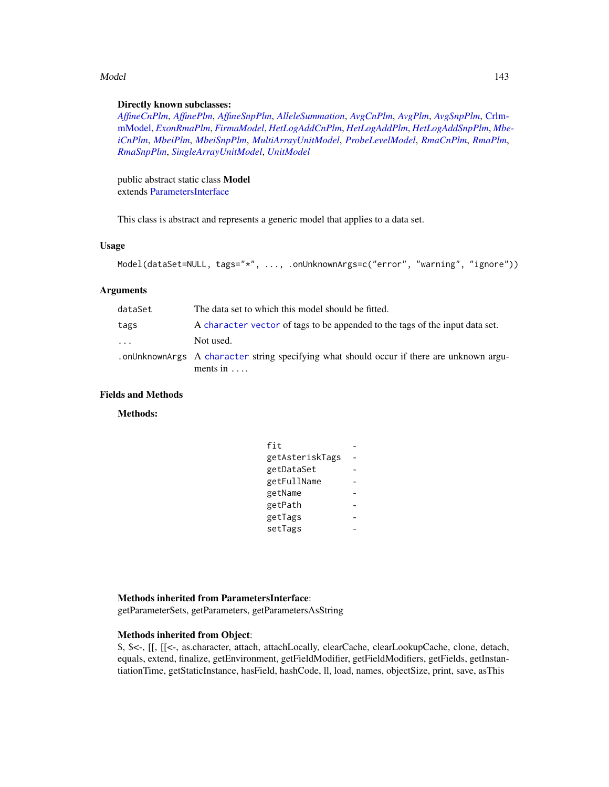#### Model 2008 and 2008 and 2008 and 2008 and 2008 and 2008 and 2008 and 2008 and 2008 and 2008 and 2008 and 2008 and 2008 and 2008 and 2008 and 2008 and 2008 and 2008 and 2008 and 2008 and 2008 and 2008 and 2008 and 2008 and

#### Directly known subclasses:

*[AffineCnPlm](#page-9-0)*, *[AffinePlm](#page-11-0)*, *[AffineSnpPlm](#page-13-0)*, *[AlleleSummation](#page-35-0)*, *[AvgCnPlm](#page-42-0)*, *[AvgPlm](#page-44-0)*, *[AvgSnpPlm](#page-46-0)*, [Crlm](#page-0-0)[mModel,](#page-0-0) *[ExonRmaPlm](#page-103-0)*, *[FirmaModel](#page-107-0)*, *[HetLogAddCnPlm](#page-122-0)*, *[HetLogAddPlm](#page-124-0)*, *[HetLogAddSnpPlm](#page-126-0)*, *[Mbe](#page-136-0)[iCnPlm](#page-136-0)*, *[MbeiPlm](#page-138-0)*, *[MbeiSnpPlm](#page-140-0)*, *[MultiArrayUnitModel](#page-143-0)*, *[ProbeLevelModel](#page-156-0)*, *[RmaCnPlm](#page-177-0)*, *[RmaPlm](#page-179-0)*, *[RmaSnpPlm](#page-181-0)*, *[SingleArrayUnitModel](#page-185-0)*, *[UnitModel](#page-207-0)*

public abstract static class Model extends [ParametersInterface](#page-0-0)

This class is abstract and represents a generic model that applies to a data set.

#### Usage

```
Model(dataSet=NULL, tags="*", ..., .onUnknownArgs=c("error", "warning", "ignore"))
```
# Arguments

| dataSet  | The data set to which this model should be fitted.                                                               |
|----------|------------------------------------------------------------------------------------------------------------------|
| tags     | A character vector of tags to be appended to the tags of the input data set.                                     |
| $\ddots$ | Not used.                                                                                                        |
|          | . on Unknown Args A character string specifying what should occur if there are unknown argu-<br>ments in $\dots$ |

# Fields and Methods

Methods:

| fit             |  |
|-----------------|--|
| getAsteriskTags |  |
| getDataSet      |  |
| getFullName     |  |
| getName         |  |
| getPath         |  |
| getTags         |  |
| setTags         |  |

#### Methods inherited from ParametersInterface:

getParameterSets, getParameters, getParametersAsString

#### Methods inherited from Object:

\$, \$<-, [[, [[<-, as.character, attach, attachLocally, clearCache, clearLookupCache, clone, detach, equals, extend, finalize, getEnvironment, getFieldModifier, getFieldModifiers, getFields, getInstantiationTime, getStaticInstance, hasField, hashCode, ll, load, names, objectSize, print, save, asThis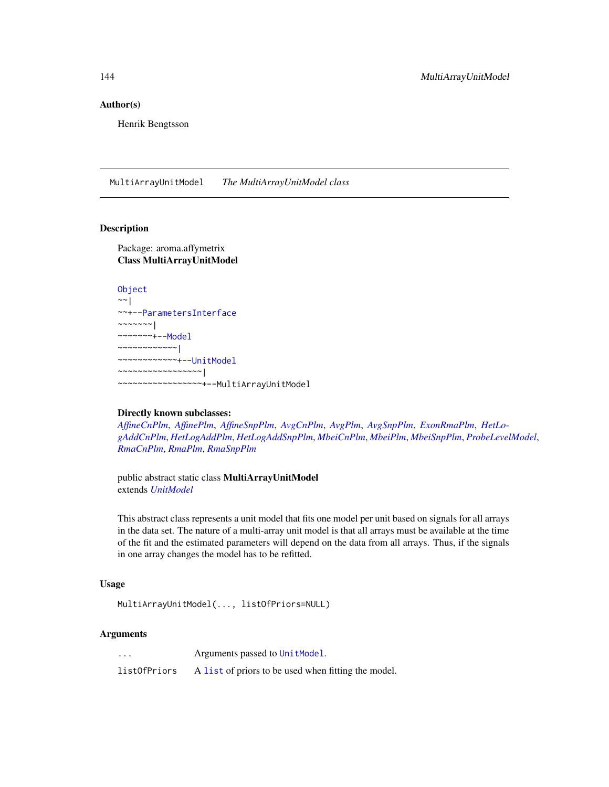#### Author(s)

Henrik Bengtsson

<span id="page-143-0"></span>MultiArrayUnitModel *The MultiArrayUnitModel class*

# Description

Package: aroma.affymetrix Class MultiArrayUnitModel

```
Object
\sim \sim |
~~+--ParametersInterface
~~~~~~~|~~~~~~~+--Model
~~~~~~~~~~~~|
~~~~~~~~~~~~+--UnitModel
~~~~~~~~~~~~~~~~~|
   ~~~~~~~~~~~~~~~~~+--MultiArrayUnitModel
```
#### Directly known subclasses:

*[AffineCnPlm](#page-9-0)*, *[AffinePlm](#page-11-0)*, *[AffineSnpPlm](#page-13-0)*, *[AvgCnPlm](#page-42-0)*, *[AvgPlm](#page-44-0)*, *[AvgSnpPlm](#page-46-0)*, *[ExonRmaPlm](#page-103-0)*, *[HetLo](#page-122-0)[gAddCnPlm](#page-122-0)*, *[HetLogAddPlm](#page-124-0)*, *[HetLogAddSnpPlm](#page-126-0)*, *[MbeiCnPlm](#page-136-0)*, *[MbeiPlm](#page-138-0)*, *[MbeiSnpPlm](#page-140-0)*, *[ProbeLevelModel](#page-156-0)*, *[RmaCnPlm](#page-177-0)*, *[RmaPlm](#page-179-0)*, *[RmaSnpPlm](#page-181-0)*

public abstract static class MultiArrayUnitModel extends *[UnitModel](#page-207-0)*

This abstract class represents a unit model that fits one model per unit based on signals for all arrays in the data set. The nature of a multi-array unit model is that all arrays must be available at the time of the fit and the estimated parameters will depend on the data from all arrays. Thus, if the signals in one array changes the model has to be refitted.

#### Usage

```
MultiArrayUnitModel(..., listOfPriors=NULL)
```
#### Arguments

... Arguments passed to [UnitModel](#page-207-0).

listOfPriors A [list](#page-0-0) of priors to be used when fitting the model.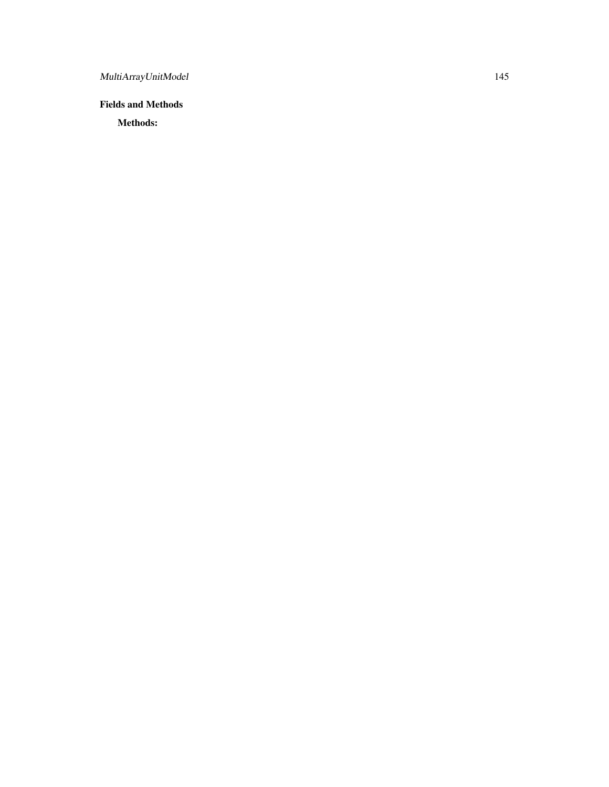# Fields and Methods

Methods: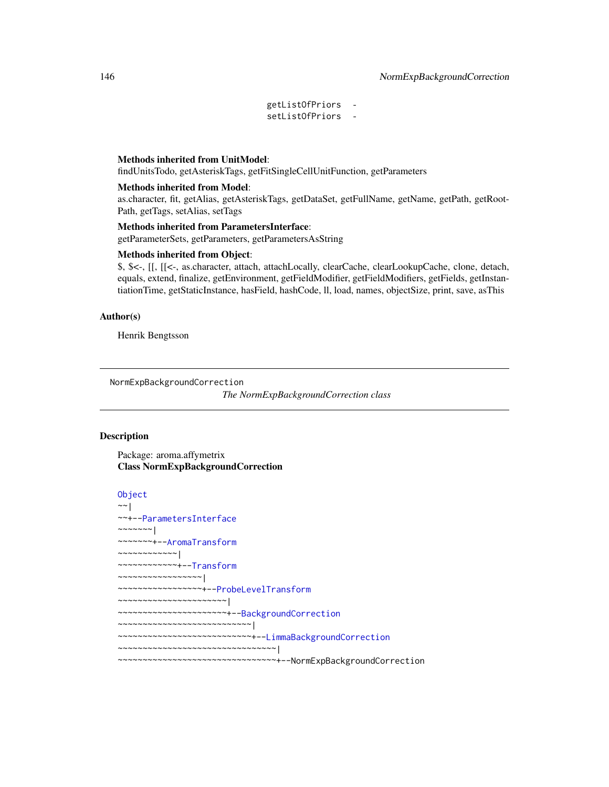getListOfPriors setListOfPriors -

## Methods inherited from UnitModel:

findUnitsTodo, getAsteriskTags, getFitSingleCellUnitFunction, getParameters

### Methods inherited from Model:

as.character, fit, getAlias, getAsteriskTags, getDataSet, getFullName, getName, getPath, getRoot-Path, getTags, setAlias, setTags

## Methods inherited from ParametersInterface:

getParameterSets, getParameters, getParametersAsString

### Methods inherited from Object:

\$, \$<-, [[, [[<-, as.character, attach, attachLocally, clearCache, clearLookupCache, clone, detach, equals, extend, finalize, getEnvironment, getFieldModifier, getFieldModifiers, getFields, getInstantiationTime, getStaticInstance, hasField, hashCode, ll, load, names, objectSize, print, save, asThis

### Author(s)

Henrik Bengtsson

<span id="page-145-0"></span>NormExpBackgroundCorrection

*The NormExpBackgroundCorrection class*

## **Description**

Package: aroma.affymetrix Class NormExpBackgroundCorrection

```
Object
~~|
~~+--ParametersInterface
~~~~~~~|
~~~~~~~+--AromaTransform
~~~~~~~~~~~~|
~~~~~~~~~~~~+--Transform
~~~~~~~~~~~~~~~~~|
~~~~~~~~~~~~~~~~~+--ProbeLevelTransform
~~~~~~~~~~~~~~~~~~~~~~|
~~~~~~~~~~~~~~~~~~~~~~+--BackgroundCorrection
~~~~~~~~~~~~~~~~~~~~~~~~~~~|
 ~~~~~~~~~~~~~~~~~~~~~~~~~~~+--LimmaBackgroundCorrection
~~~~~~~~~~~~~~~~~~~~~~~~~~~~~~~~|
~~~~~~~~~~~~~~~~~~~~~~~~~~~~~~~~+--NormExpBackgroundCorrection
```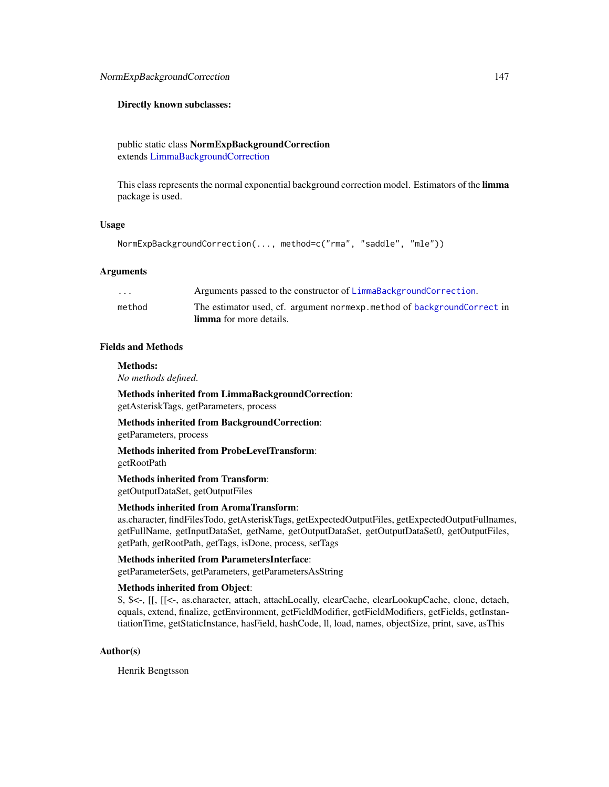## Directly known subclasses:

public static class NormExpBackgroundCorrection extends [LimmaBackgroundCorrection](#page-129-0)

This class represents the normal exponential background correction model. Estimators of the limma package is used.

## Usage

```
NormExpBackgroundCorrection(..., method=c("rma", "saddle", "mle"))
```
## Arguments

| .      | Arguments passed to the constructor of LimmaBackgroundCorrection.        |
|--------|--------------------------------------------------------------------------|
| method | The estimator used, cf. argument normexp. method of backgroundCorrect in |
|        | <b>limma</b> for more details.                                           |

## Fields and Methods

### Methods:

*No methods defined*.

Methods inherited from LimmaBackgroundCorrection: getAsteriskTags, getParameters, process

Methods inherited from BackgroundCorrection: getParameters, process

Methods inherited from ProbeLevelTransform: getRootPath

Methods inherited from Transform: getOutputDataSet, getOutputFiles

## Methods inherited from AromaTransform:

as.character, findFilesTodo, getAsteriskTags, getExpectedOutputFiles, getExpectedOutputFullnames, getFullName, getInputDataSet, getName, getOutputDataSet, getOutputDataSet0, getOutputFiles, getPath, getRootPath, getTags, isDone, process, setTags

Methods inherited from ParametersInterface:

getParameterSets, getParameters, getParametersAsString

## Methods inherited from Object:

\$, \$<-, [[, [[<-, as.character, attach, attachLocally, clearCache, clearLookupCache, clone, detach, equals, extend, finalize, getEnvironment, getFieldModifier, getFieldModifiers, getFields, getInstantiationTime, getStaticInstance, hasField, hashCode, ll, load, names, objectSize, print, save, asThis

## Author(s)

Henrik Bengtsson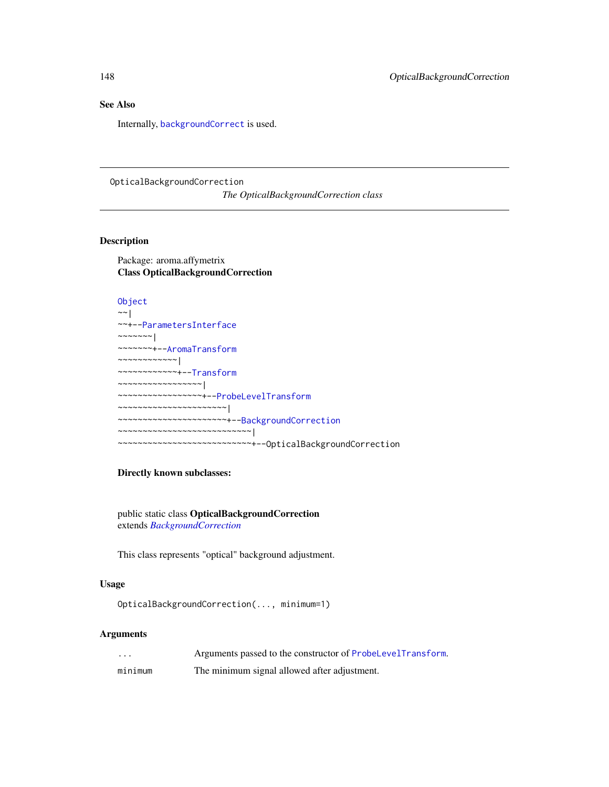## See Also

Internally, [backgroundCorrect](#page-0-0) is used.

<span id="page-147-0"></span>OpticalBackgroundCorrection

*The OpticalBackgroundCorrection class*

## Description

Package: aroma.affymetrix Class OpticalBackgroundCorrection

```
Object
~~|
```

```
~~+--ParametersInterface
~~~~~~~|
~~~~~~~+--AromaTransform
~~~~~~~~~~~~|
~~~~~~~~~~~~+--Transform
~~~~~~~~~~~~~~~~~|
~~~~~~~~~~~~~~~~~+--ProbeLevelTransform
  ~~~~~~~~~~~~~~~~~~~~~~|
  ~~~~~~~~~~~~~~~~~~~~~~+--BackgroundCorrection
  ~~~~~~~~~~~~~~~~~~~~~~~~~~~|
    ~~~~~~~~~~~~~~~~~~~~~~~~~~~+--OpticalBackgroundCorrection
```
# Directly known subclasses:

public static class OpticalBackgroundCorrection extends *[BackgroundCorrection](#page-47-0)*

This class represents "optical" background adjustment.

## Usage

```
OpticalBackgroundCorrection(..., minimum=1)
```
## Arguments

| $\cdots$ | Arguments passed to the constructor of ProbeLevelTransform. |
|----------|-------------------------------------------------------------|
| minimum  | The minimum signal allowed after adjustment.                |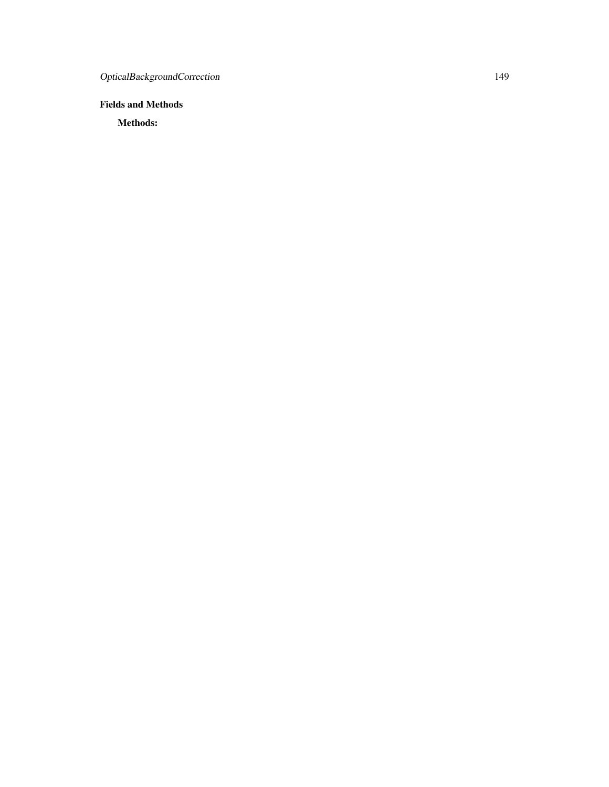# Fields and Methods

Methods: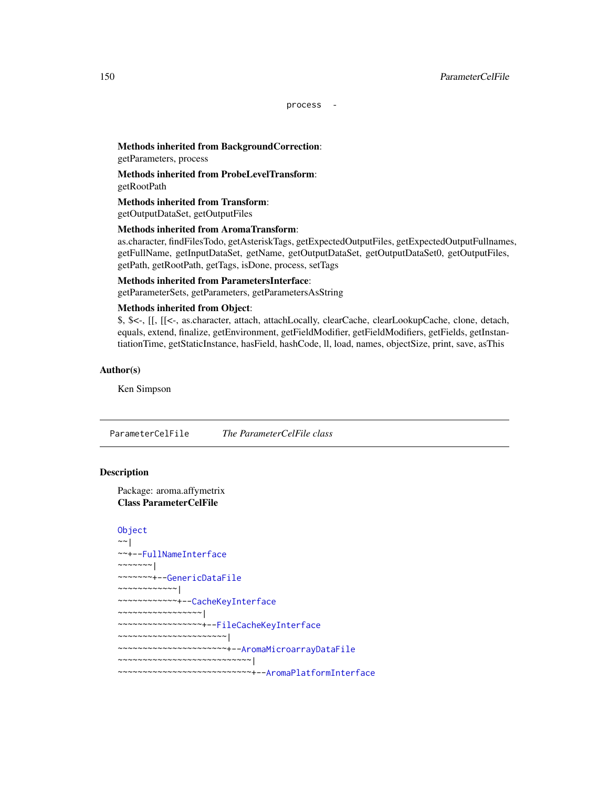process -

# Methods inherited from BackgroundCorrection:

getParameters, process

Methods inherited from ProbeLevelTransform: getRootPath

Methods inherited from Transform: getOutputDataSet, getOutputFiles

## Methods inherited from AromaTransform:

as.character, findFilesTodo, getAsteriskTags, getExpectedOutputFiles, getExpectedOutputFullnames, getFullName, getInputDataSet, getName, getOutputDataSet, getOutputDataSet0, getOutputFiles, getPath, getRootPath, getTags, isDone, process, setTags

## Methods inherited from ParametersInterface:

getParameterSets, getParameters, getParametersAsString

### Methods inherited from Object:

\$, \$<-, [[, [[<-, as.character, attach, attachLocally, clearCache, clearLookupCache, clone, detach, equals, extend, finalize, getEnvironment, getFieldModifier, getFieldModifiers, getFields, getInstantiationTime, getStaticInstance, hasField, hashCode, ll, load, names, objectSize, print, save, asThis

## Author(s)

Ken Simpson

<span id="page-149-0"></span>ParameterCelFile *The ParameterCelFile class*

### **Description**

Package: aroma.affymetrix Class ParameterCelFile

```
Object
~~|
~~+--FullNameInterface
~~~~~~~|~~~~~~~+--GenericDataFile
~~~~~~~~~~~~|
~~~~~~~~~~~~+--CacheKeyInterface
~~~~~~~~~~~~~~~~~|
~~~~~~~~~~~~~~~~~+--FileCacheKeyInterface
~~~~~~~~~~~~~~~~~~~~~~|
~~~~~~~~~~~~~~~~~~~~~~+--AromaMicroarrayDataFile
~~~~~~~~~~~~~~~~~~~~~~~~~~~|
~~~~~~~~~~~~~~~~~~~~~~~~~~~+--AromaPlatformInterface
```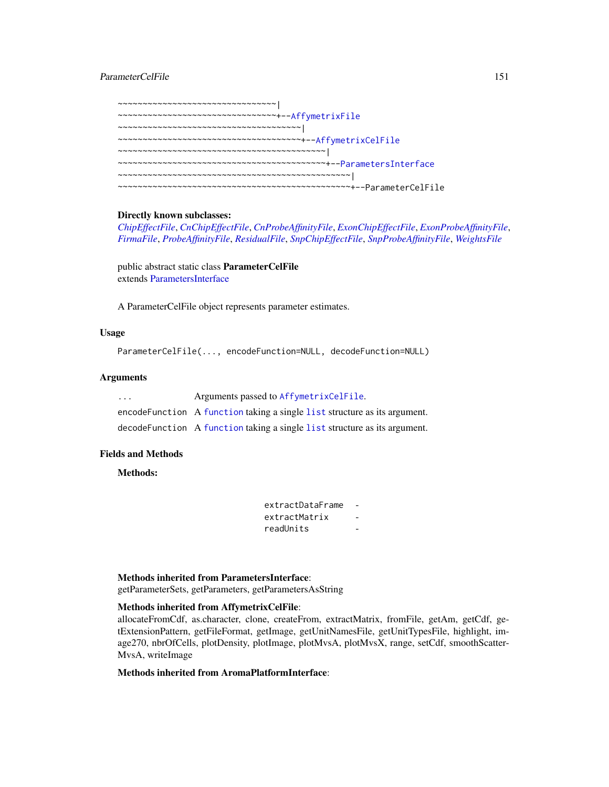## ParameterCelFile 151

~~~~~~~~~~~~~~~~~~~~~~~~~~~~~~~~~ ~~~~~~~~~~~~~~~~~~~~~~~~~~~~~~~~+-[-AffymetrixFile](#page-27-0) ~~~~~~~~~~~~~~~~~~~~~~~~~~~~~~~~~~~~~| ~~~~~~~~~~~~~~~~~~~~~~~~~~~~~~~~~~~~~+-[-AffymetrixCelFile](#page-17-0) ~~~~~~~~~~~~~~~~~~~~~~~~~~~~~~~~~~~~~~~~~~| ~~~~~~~~~~~~~~~~~~~~~~~~~~~~~~~~~~~~~~~~~~+-[-ParametersInterface](#page-0-0) ~~~~~~~~~~~~~~~~~~~~~~~~~~~~~~~~~~~~~~~~~~~~~~~| ~~~~~~~~~~~~~~~~~~~~~~~~~~~~~~~~~~~~~~~~~~~~~~~+--ParameterCelFile

## Directly known subclasses:

*[ChipEffectFile](#page-52-0)*, *[CnChipEffectFile](#page-63-0)*, *[CnProbeAffinityFile](#page-71-0)*, *[ExonChipEffectFile](#page-95-0)*, *[ExonProbeAffinityFile](#page-100-0)*, *[FirmaFile](#page-105-0)*, *[ProbeAffinityFile](#page-154-0)*, *[ResidualFile](#page-170-0)*, *[SnpChipEffectFile](#page-189-0)*, *[SnpProbeAffinityFile](#page-200-0)*, *[WeightsFile](#page-210-0)*

public abstract static class ParameterCelFile extends [ParametersInterface](#page-0-0)

A ParameterCelFile object represents parameter estimates.

## Usage

```
ParameterCelFile(..., encodeFunction=NULL, decodeFunction=NULL)
```
## Arguments

| $\cdot$ $\cdot$ $\cdot$ | Arguments passed to AffymetrixCelFile.                                     |
|-------------------------|----------------------------------------------------------------------------|
|                         | encode Function A function taking a single list structure as its argument. |
|                         | decodeFunction A function taking a single list structure as its argument.  |

## Fields and Methods

Methods:

| extractDataFrame |  |
|------------------|--|
| extractMatrix    |  |
| readUnits        |  |

### Methods inherited from ParametersInterface:

getParameterSets, getParameters, getParametersAsString

## Methods inherited from AffymetrixCelFile:

allocateFromCdf, as.character, clone, createFrom, extractMatrix, fromFile, getAm, getCdf, getExtensionPattern, getFileFormat, getImage, getUnitNamesFile, getUnitTypesFile, highlight, image270, nbrOfCells, plotDensity, plotImage, plotMvsA, plotMvsX, range, setCdf, smoothScatter-MvsA, writeImage

## Methods inherited from AromaPlatformInterface: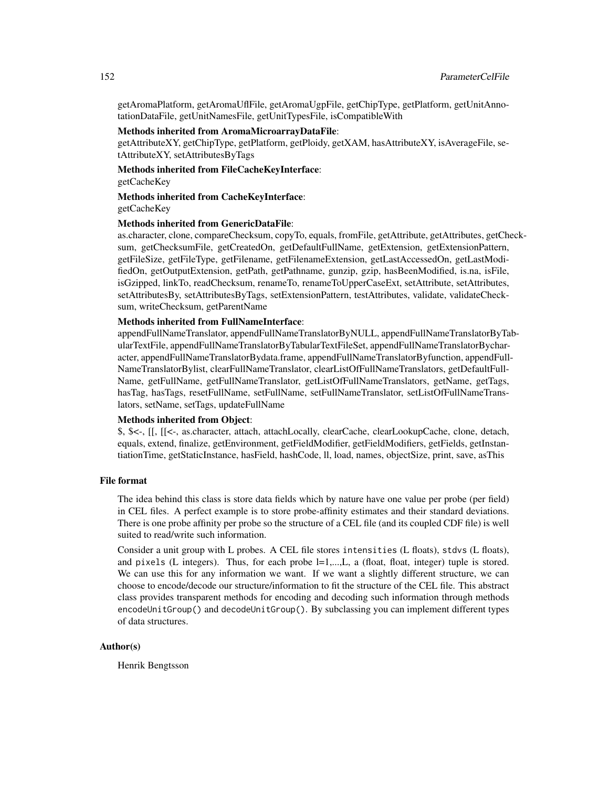getAromaPlatform, getAromaUflFile, getAromaUgpFile, getChipType, getPlatform, getUnitAnnotationDataFile, getUnitNamesFile, getUnitTypesFile, isCompatibleWith

## Methods inherited from AromaMicroarrayDataFile:

getAttributeXY, getChipType, getPlatform, getPloidy, getXAM, hasAttributeXY, isAverageFile, setAttributeXY, setAttributesByTags

Methods inherited from FileCacheKeyInterface:

getCacheKey

Methods inherited from CacheKeyInterface:

getCacheKey

## Methods inherited from GenericDataFile:

as.character, clone, compareChecksum, copyTo, equals, fromFile, getAttribute, getAttributes, getChecksum, getChecksumFile, getCreatedOn, getDefaultFullName, getExtension, getExtensionPattern, getFileSize, getFileType, getFilename, getFilenameExtension, getLastAccessedOn, getLastModifiedOn, getOutputExtension, getPath, getPathname, gunzip, gzip, hasBeenModified, is.na, isFile, isGzipped, linkTo, readChecksum, renameTo, renameToUpperCaseExt, setAttribute, setAttributes, setAttributesBy, setAttributesByTags, setExtensionPattern, testAttributes, validate, validateChecksum, writeChecksum, getParentName

### Methods inherited from FullNameInterface:

appendFullNameTranslator, appendFullNameTranslatorByNULL, appendFullNameTranslatorByTabularTextFile, appendFullNameTranslatorByTabularTextFileSet, appendFullNameTranslatorBycharacter, appendFullNameTranslatorBydata.frame, appendFullNameTranslatorByfunction, appendFull-NameTranslatorBylist, clearFullNameTranslator, clearListOfFullNameTranslators, getDefaultFull-Name, getFullName, getFullNameTranslator, getListOfFullNameTranslators, getName, getTags, hasTag, hasTags, resetFullName, setFullName, setFullNameTranslator, setListOfFullNameTranslators, setName, setTags, updateFullName

## Methods inherited from Object:

\$, \$<-, [[, [[<-, as.character, attach, attachLocally, clearCache, clearLookupCache, clone, detach, equals, extend, finalize, getEnvironment, getFieldModifier, getFieldModifiers, getFields, getInstantiationTime, getStaticInstance, hasField, hashCode, ll, load, names, objectSize, print, save, asThis

## File format

The idea behind this class is store data fields which by nature have one value per probe (per field) in CEL files. A perfect example is to store probe-affinity estimates and their standard deviations. There is one probe affinity per probe so the structure of a CEL file (and its coupled CDF file) is well suited to read/write such information.

Consider a unit group with L probes. A CEL file stores intensities (L floats), stdvs (L floats), and pixels (L integers). Thus, for each probe  $l=1,...,L$ , a (float, float, integer) tuple is stored. We can use this for any information we want. If we want a slightly different structure, we can choose to encode/decode our structure/information to fit the structure of the CEL file. This abstract class provides transparent methods for encoding and decoding such information through methods encodeUnitGroup() and decodeUnitGroup(). By subclassing you can implement different types of data structures.

## Author(s)

Henrik Bengtsson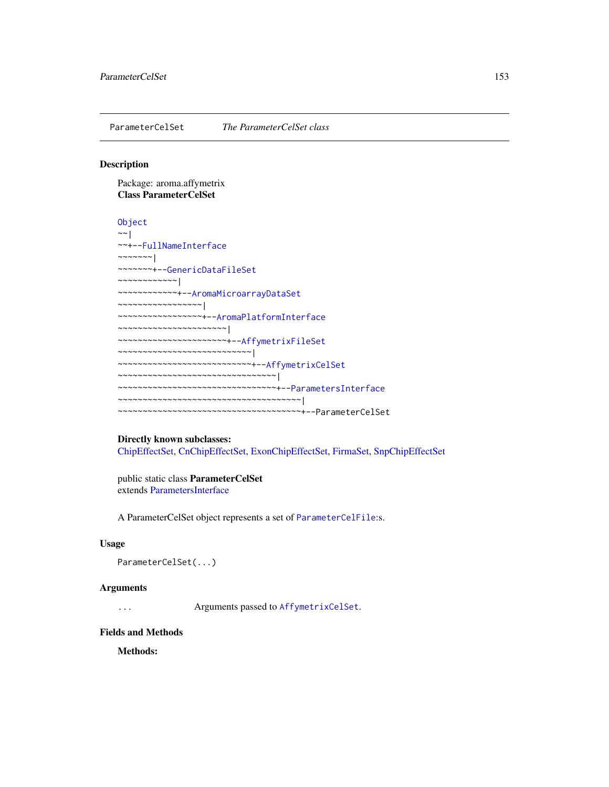ParameterCelSet *The ParameterCelSet class*

## Description

Package: aroma.affymetrix Class ParameterCelSet

## **[Object](#page-0-0)**

```
~~|
~~+--FullNameInterface
~~~~~~~|
~~~~~~~+--GenericDataFileSet
~~~~~~~~~~~~|
~~~~~~~~~~~~+--AromaMicroarrayDataSet
~~~~~~~~~~~~~~~~~|
~~~~~~~~~~~~~~~~~+--AromaPlatformInterface
~~~~~~~~~~~~~~~~~~~~~~|
~~~~~~~~~~~~~~~~~~~~~~+--AffymetrixFileSet
~~~~~~~~~~~~~~~~~~~~~~~~~~~|
~~~~~~~~~~~~~~~~~~~~~~~~~~~+--AffymetrixCelSet
~~~~~~~~~~~~~~~~~~~~~~~~~~~~~~~~
~~~~~~~~~~~~~~~~~~~~~~~~~~~~~~~~+--ParametersInterface
~~~~~~~~~~~~~~~~~~~~~~~~~~~~~~~~~~~~~|
~~~~~~~~~~~~~~~~~~~~~~~~~~~~~~~~~~~~~+--ParameterCelSet
```
### Directly known subclasses:

[ChipEffectSet,](#page-55-0) [CnChipEffectSet,](#page-66-0) [ExonChipEffectSet,](#page-98-0) [FirmaSet,](#page-108-0) [SnpChipEffectSet](#page-192-0)

public static class ParameterCelSet extends [ParametersInterface](#page-0-0)

A ParameterCelSet object represents a set of [ParameterCelFile](#page-149-0):s.

## Usage

```
ParameterCelSet(...)
```
### **Arguments**

... Arguments passed to [AffymetrixCelSet](#page-20-0).

### Fields and Methods

Methods: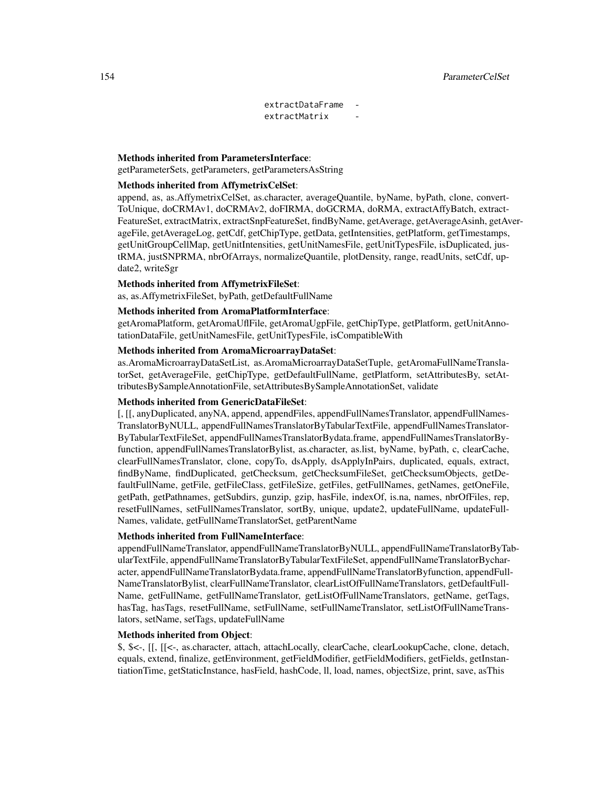## 154 ParameterCelSet

extractDataFrame extractMatrix

## Methods inherited from ParametersInterface:

getParameterSets, getParameters, getParametersAsString

## Methods inherited from AffymetrixCelSet:

append, as, as.AffymetrixCelSet, as.character, averageQuantile, byName, byPath, clone, convert-ToUnique, doCRMAv1, doCRMAv2, doFIRMA, doGCRMA, doRMA, extractAffyBatch, extract-FeatureSet, extractMatrix, extractSnpFeatureSet, findByName, getAverage, getAverageAsinh, getAverageFile, getAverageLog, getCdf, getChipType, getData, getIntensities, getPlatform, getTimestamps, getUnitGroupCellMap, getUnitIntensities, getUnitNamesFile, getUnitTypesFile, isDuplicated, justRMA, justSNPRMA, nbrOfArrays, normalizeQuantile, plotDensity, range, readUnits, setCdf, update2, writeSgr

## Methods inherited from AffymetrixFileSet:

as, as.AffymetrixFileSet, byPath, getDefaultFullName

## Methods inherited from AromaPlatformInterface:

getAromaPlatform, getAromaUflFile, getAromaUgpFile, getChipType, getPlatform, getUnitAnnotationDataFile, getUnitNamesFile, getUnitTypesFile, isCompatibleWith

### Methods inherited from AromaMicroarrayDataSet:

as.AromaMicroarrayDataSetList, as.AromaMicroarrayDataSetTuple, getAromaFullNameTranslatorSet, getAverageFile, getChipType, getDefaultFullName, getPlatform, setAttributesBy, setAttributesBySampleAnnotationFile, setAttributesBySampleAnnotationSet, validate

### Methods inherited from GenericDataFileSet:

[, [[, anyDuplicated, anyNA, append, appendFiles, appendFullNamesTranslator, appendFullNames-TranslatorByNULL, appendFullNamesTranslatorByTabularTextFile, appendFullNamesTranslator-ByTabularTextFileSet, appendFullNamesTranslatorBydata.frame, appendFullNamesTranslatorByfunction, appendFullNamesTranslatorBylist, as.character, as.list, byName, byPath, c, clearCache, clearFullNamesTranslator, clone, copyTo, dsApply, dsApplyInPairs, duplicated, equals, extract, findByName, findDuplicated, getChecksum, getChecksumFileSet, getChecksumObjects, getDefaultFullName, getFile, getFileClass, getFileSize, getFiles, getFullNames, getNames, getOneFile, getPath, getPathnames, getSubdirs, gunzip, gzip, hasFile, indexOf, is.na, names, nbrOfFiles, rep, resetFullNames, setFullNamesTranslator, sortBy, unique, update2, updateFullName, updateFull-Names, validate, getFullNameTranslatorSet, getParentName

### Methods inherited from FullNameInterface:

appendFullNameTranslator, appendFullNameTranslatorByNULL, appendFullNameTranslatorByTabularTextFile, appendFullNameTranslatorByTabularTextFileSet, appendFullNameTranslatorBycharacter, appendFullNameTranslatorBydata.frame, appendFullNameTranslatorByfunction, appendFull-NameTranslatorBylist, clearFullNameTranslator, clearListOfFullNameTranslators, getDefaultFull-Name, getFullName, getFullNameTranslator, getListOfFullNameTranslators, getName, getTags, hasTag, hasTags, resetFullName, setFullName, setFullNameTranslator, setListOfFullNameTranslators, setName, setTags, updateFullName

### Methods inherited from Object:

\$, \$<-, [[, [[<-, as.character, attach, attachLocally, clearCache, clearLookupCache, clone, detach, equals, extend, finalize, getEnvironment, getFieldModifier, getFieldModifiers, getFields, getInstantiationTime, getStaticInstance, hasField, hashCode, ll, load, names, objectSize, print, save, asThis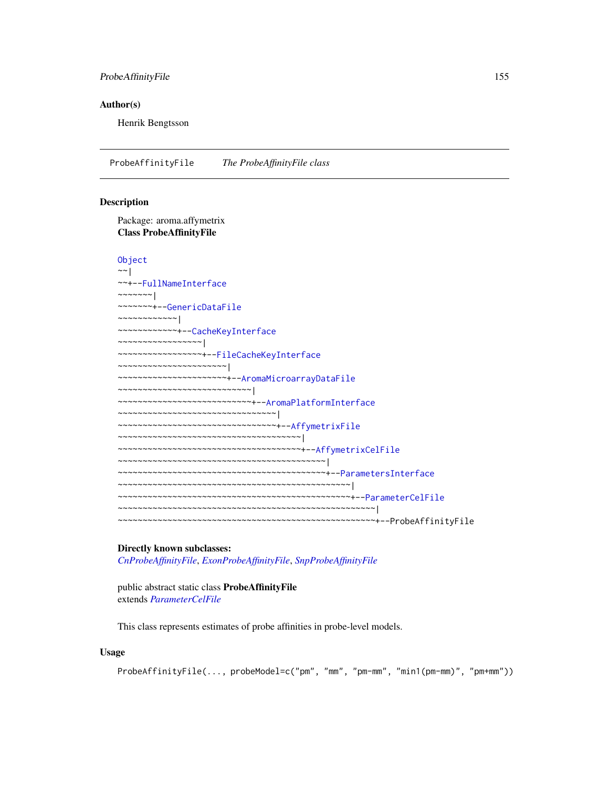## ProbeAffinityFile 155

## Author(s)

Henrik Bengtsson

<span id="page-154-0"></span>ProbeAffinityFile *The ProbeAffinityFile class*

## Description

Package: aroma.affymetrix Class ProbeAffinityFile

### [Object](#page-0-0)

```
~~|
~~+--FullNameInterface
\sim ~~~~~ |
~~~~~~~+--GenericDataFile
~~~~~~~~~~~~|
~~~~~~~~~~~~+--CacheKeyInterface
 ~~~~~~~~~~~~~~~~~|
  ~~~~~~~~~~~~~~~~~+--FileCacheKeyInterface
  ~~~~~~~~~~~~~~~~~~~~
  ~~~~~~~~~~~~~~~~~~~~~~+--AromaMicroarrayDataFile
 ~~~~~~~~~~~~~~~~~~~~~~~~~~~|
~~~~~~~~~~~~~~~~~~~~~~~~~~~+--AromaPlatformInterface
~~~~~~~~~~~~~~~~~~~~~~~~~~~~~~~~|
  ~~~~~~~~~~~~~~~~~~~~~~~~~~~~~~~~+--AffymetrixFile
~~~~~~~~~~~~~~~~~~~~~~~~~~~~~~~~~~~~~|
~~~~~~~~~~~~~~~~~~~~~~~~~~~~~~~~~~~~~+--AffymetrixCelFile
~~~~~~~~~~~~~~~~~~~~~~~~~~~~~~~~~~~~~~~~~~|
~~~~~~~~~~~~~~~~~~~~~~~~~~~~~~~~~~~~~~~~~~+--ParametersInterface
~~~~~~~~~~~~~~~~~~~~~~~~~~~~~~~~~~~~~~~~~~~~~~~|
~~~~~~~~~~~~~~~~~~~~~~~~~~~~~~~~~~~~~~~~~~~~~~~+--ParameterCelFile
   ~~~~~~~~~~~~~~~~~~~~~~~~~~~~~~~~~~~~~~~~~~~~~~~~~~~~|
  ~~~~~~~~~~~~~~~~~~~~~~~~~~~~~~~~~~~~~~~~~~~~~~~~~~~~+--ProbeAffinityFile
```
### Directly known subclasses:

*[CnProbeAffinityFile](#page-71-0)*, *[ExonProbeAffinityFile](#page-100-0)*, *[SnpProbeAffinityFile](#page-200-0)*

public abstract static class ProbeAffinityFile extends *[ParameterCelFile](#page-149-0)*

This class represents estimates of probe affinities in probe-level models.

### Usage

ProbeAffinityFile(..., probeModel=c("pm", "mm", "pm-mm", "min1(pm-mm)", "pm+mm"))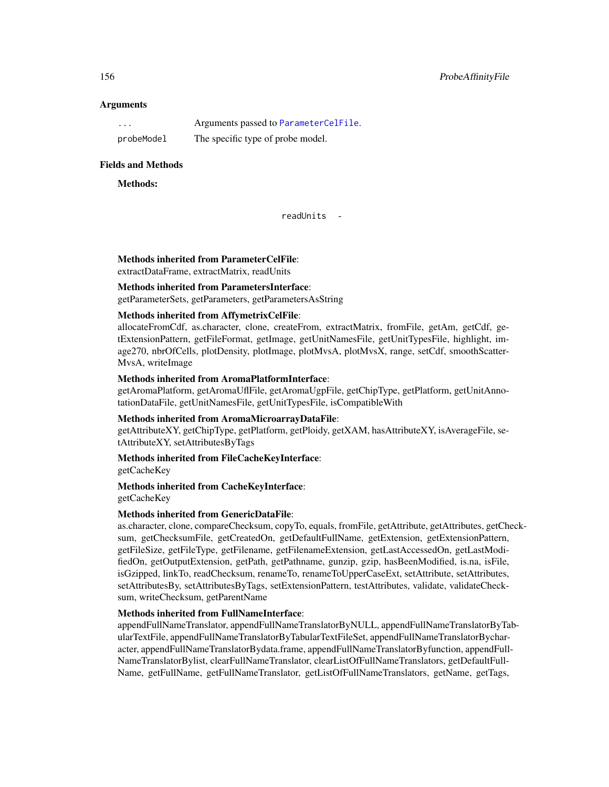## **Arguments**

| $\cdots$   | Arguments passed to ParameterCelFile. |
|------------|---------------------------------------|
| probeModel | The specific type of probe model.     |

## Fields and Methods

## Methods:

readUnits -

Methods inherited from ParameterCelFile:

extractDataFrame, extractMatrix, readUnits

## Methods inherited from ParametersInterface:

getParameterSets, getParameters, getParametersAsString

## Methods inherited from AffymetrixCelFile:

allocateFromCdf, as.character, clone, createFrom, extractMatrix, fromFile, getAm, getCdf, getExtensionPattern, getFileFormat, getImage, getUnitNamesFile, getUnitTypesFile, highlight, image270, nbrOfCells, plotDensity, plotImage, plotMvsA, plotMvsX, range, setCdf, smoothScatter-MvsA, writeImage

## Methods inherited from AromaPlatformInterface:

getAromaPlatform, getAromaUflFile, getAromaUgpFile, getChipType, getPlatform, getUnitAnnotationDataFile, getUnitNamesFile, getUnitTypesFile, isCompatibleWith

### Methods inherited from AromaMicroarrayDataFile:

getAttributeXY, getChipType, getPlatform, getPloidy, getXAM, hasAttributeXY, isAverageFile, setAttributeXY, setAttributesByTags

## Methods inherited from FileCacheKeyInterface:

getCacheKey

# Methods inherited from CacheKeyInterface:

getCacheKey

## Methods inherited from GenericDataFile:

as.character, clone, compareChecksum, copyTo, equals, fromFile, getAttribute, getAttributes, getChecksum, getChecksumFile, getCreatedOn, getDefaultFullName, getExtension, getExtensionPattern, getFileSize, getFileType, getFilename, getFilenameExtension, getLastAccessedOn, getLastModifiedOn, getOutputExtension, getPath, getPathname, gunzip, gzip, hasBeenModified, is.na, isFile, isGzipped, linkTo, readChecksum, renameTo, renameToUpperCaseExt, setAttribute, setAttributes, setAttributesBy, setAttributesByTags, setExtensionPattern, testAttributes, validate, validateChecksum, writeChecksum, getParentName

### Methods inherited from FullNameInterface:

appendFullNameTranslator, appendFullNameTranslatorByNULL, appendFullNameTranslatorByTabularTextFile, appendFullNameTranslatorByTabularTextFileSet, appendFullNameTranslatorBycharacter, appendFullNameTranslatorBydata.frame, appendFullNameTranslatorByfunction, appendFull-NameTranslatorBylist, clearFullNameTranslator, clearListOfFullNameTranslators, getDefaultFull-Name, getFullName, getFullNameTranslator, getListOfFullNameTranslators, getName, getTags,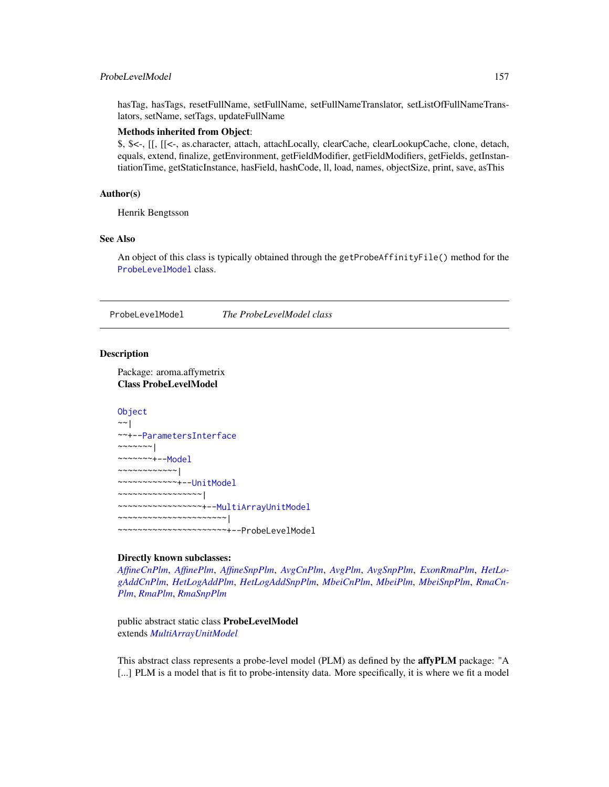## ProbeLevelModel 157

hasTag, hasTags, resetFullName, setFullName, setFullNameTranslator, setListOfFullNameTranslators, setName, setTags, updateFullName

## Methods inherited from Object:

\$, \$<-, [[, [[<-, as.character, attach, attachLocally, clearCache, clearLookupCache, clone, detach, equals, extend, finalize, getEnvironment, getFieldModifier, getFieldModifiers, getFields, getInstantiationTime, getStaticInstance, hasField, hashCode, ll, load, names, objectSize, print, save, asThis

## Author(s)

Henrik Bengtsson

## See Also

An object of this class is typically obtained through the getProbeAffinityFile() method for the [ProbeLevelModel](#page-156-0) class.

<span id="page-156-0"></span>ProbeLevelModel *The ProbeLevelModel class*

### **Description**

Package: aroma.affymetrix Class ProbeLevelModel

## **[Object](#page-0-0)** ~~| ~~+-[-ParametersInterface](#page-0-0)

~~~~~~~| ~~~~~~~+-[-Model](#page-141-0) ~~~~~~~~~~~~| ~~~~~~~~~~~~+-[-UnitModel](#page-207-0) ~~~~~~~~~~~~~~~~~| ~~~~~~~~~~~~~~~~~+-[-MultiArrayUnitModel](#page-143-0) ~~~~~~~~~~~~~~~~~~~~~~| ~~~~~~~~~~~~~~~~~~~~~~+--ProbeLevelModel

## Directly known subclasses:

*[AffineCnPlm](#page-9-0)*, *[AffinePlm](#page-11-0)*, *[AffineSnpPlm](#page-13-0)*, *[AvgCnPlm](#page-42-0)*, *[AvgPlm](#page-44-0)*, *[AvgSnpPlm](#page-46-0)*, *[ExonRmaPlm](#page-103-0)*, *[HetLo](#page-122-0)[gAddCnPlm](#page-122-0)*, *[HetLogAddPlm](#page-124-0)*, *[HetLogAddSnpPlm](#page-126-0)*, *[MbeiCnPlm](#page-136-0)*, *[MbeiPlm](#page-138-0)*, *[MbeiSnpPlm](#page-140-0)*, *[RmaCn-](#page-177-0)[Plm](#page-177-0)*, *[RmaPlm](#page-179-0)*, *[RmaSnpPlm](#page-181-0)*

public abstract static class ProbeLevelModel extends *[MultiArrayUnitModel](#page-143-0)*

This abstract class represents a probe-level model (PLM) as defined by the **affyPLM** package: "A [...] PLM is a model that is fit to probe-intensity data. More specifically, it is where we fit a model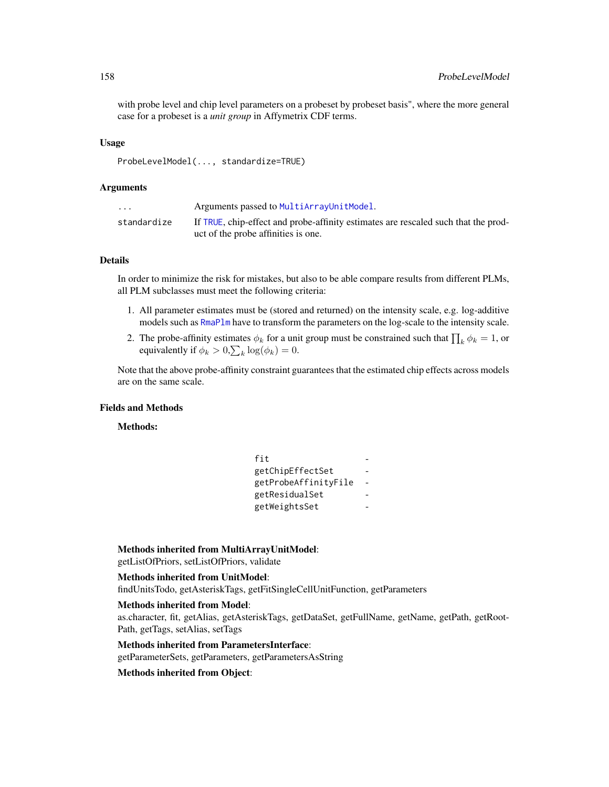with probe level and chip level parameters on a probeset by probeset basis", where the more general case for a probeset is a *unit group* in Affymetrix CDF terms.

## Usage

ProbeLevelModel(..., standardize=TRUE)

### Arguments

| $\cdot$ $\cdot$ $\cdot$ | Arguments passed to MultiArrayUnitModel.                                                                                  |
|-------------------------|---------------------------------------------------------------------------------------------------------------------------|
| standardize             | If TRUE, chip-effect and probe-affinity estimates are rescaled such that the prod-<br>uct of the probe affinities is one. |

## Details

In order to minimize the risk for mistakes, but also to be able compare results from different PLMs, all PLM subclasses must meet the following criteria:

- 1. All parameter estimates must be (stored and returned) on the intensity scale, e.g. log-additive models such as [RmaPlm](#page-179-0) have to transform the parameters on the log-scale to the intensity scale.
- 2. The probe-affinity estimates  $\phi_k$  for a unit group must be constrained such that  $\prod_k \phi_k = 1$ , or equivalently if  $\phi_k > 0$ ,  $\sum_k \log(\phi_k) = 0$ .

Note that the above probe-affinity constraint guarantees that the estimated chip effects across models are on the same scale.

## Fields and Methods

Methods:

| fit                  |  |
|----------------------|--|
| getChipEffectSet     |  |
| getProbeAffinityFile |  |
| getResidualSet       |  |
| getWeightsSet        |  |

### Methods inherited from MultiArrayUnitModel:

getListOfPriors, setListOfPriors, validate

### Methods inherited from UnitModel:

findUnitsTodo, getAsteriskTags, getFitSingleCellUnitFunction, getParameters

## Methods inherited from Model:

as.character, fit, getAlias, getAsteriskTags, getDataSet, getFullName, getName, getPath, getRoot-Path, getTags, setAlias, setTags

# Methods inherited from ParametersInterface:

getParameterSets, getParameters, getParametersAsString

## Methods inherited from Object: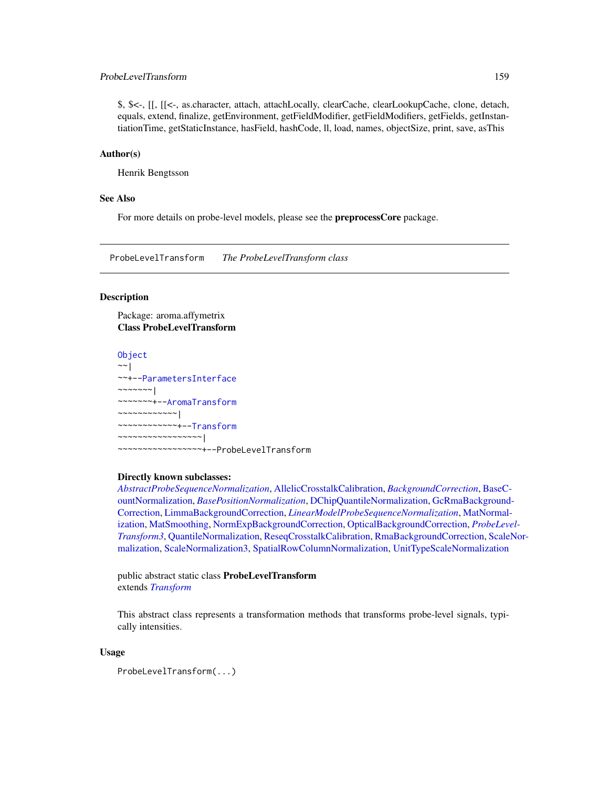## ProbeLevelTransform 159

\$, \$<-, [[, [[<-, as.character, attach, attachLocally, clearCache, clearLookupCache, clone, detach, equals, extend, finalize, getEnvironment, getFieldModifier, getFieldModifiers, getFields, getInstantiationTime, getStaticInstance, hasField, hashCode, ll, load, names, objectSize, print, save, asThis

## Author(s)

Henrik Bengtsson

## See Also

For more details on probe-level models, please see the **preprocessCore** package.

<span id="page-158-0"></span>ProbeLevelTransform *The ProbeLevelTransform class*

## Description

Package: aroma.affymetrix Class ProbeLevelTransform

**[Object](#page-0-0)**  $~\sim~$ | ~~+-[-ParametersInterface](#page-0-0) ~~~~~~~| ~~~~~~~+-[-AromaTransform](#page-0-0) ~~~~~~~~~~~~| ~~~~~~~~~~~~+-[-Transform](#page-0-0) ~~~~~~~~~~~~~~~~~| ~~~~~~~~~~~~~~~~~+--ProbeLevelTransform

## Directly known subclasses:

*[AbstractProbeSequenceNormalization](#page-5-0)*, [AllelicCrosstalkCalibration,](#page-36-0) *[BackgroundCorrection](#page-47-0)*, [BaseC](#page-49-0)[ountNormalization,](#page-49-0) *[BasePositionNormalization](#page-51-0)*, [DChipQuantileNormalization,](#page-86-0) [GcRmaBackground](#page-118-0)-[Correction,](#page-118-0) [LimmaBackgroundCorrection,](#page-129-0) *[LinearModelProbeSequenceNormalization](#page-131-0)*, [MatNormal](#page-133-0)[ization,](#page-133-0) [MatSmoothing,](#page-135-0) [NormExpBackgroundCorrection,](#page-145-0) [OpticalBackgroundCorrection,](#page-147-0) *[ProbeLeve](#page-159-0)l-[Transform3](#page-159-0)*, [QuantileNormalization,](#page-166-0) [ReseqCrosstalkCalibration,](#page-168-0) [RmaBackgroundCorrection,](#page-175-0) [Scale](#page-182-0)Nor[malization,](#page-182-0) [ScaleNormalization3,](#page-184-0) [SpatialRowColumnNormalization,](#page-0-0) [UnitTypeScaleNormalization](#page-208-0)

public abstract static class ProbeLevelTransform extends *[Transform](#page-0-0)*

This abstract class represents a transformation methods that transforms probe-level signals, typically intensities.

### Usage

ProbeLevelTransform(...)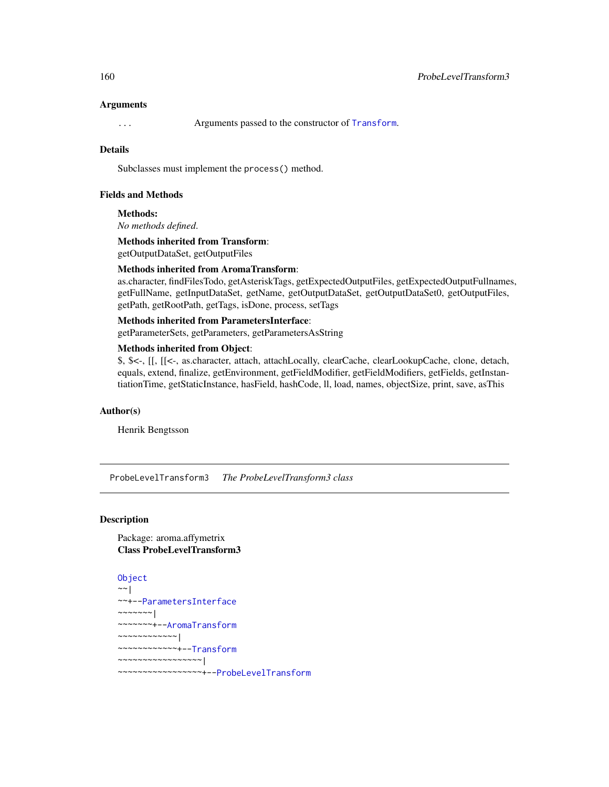### Arguments

... Arguments passed to the constructor of [Transform](#page-0-0).

## Details

Subclasses must implement the process() method.

## Fields and Methods

Methods:

*No methods defined*.

Methods inherited from Transform: getOutputDataSet, getOutputFiles

### Methods inherited from AromaTransform:

as.character, findFilesTodo, getAsteriskTags, getExpectedOutputFiles, getExpectedOutputFullnames, getFullName, getInputDataSet, getName, getOutputDataSet, getOutputDataSet0, getOutputFiles, getPath, getRootPath, getTags, isDone, process, setTags

## Methods inherited from ParametersInterface:

getParameterSets, getParameters, getParametersAsString

### Methods inherited from Object:

\$, \$<-, [[, [[<-, as.character, attach, attachLocally, clearCache, clearLookupCache, clone, detach, equals, extend, finalize, getEnvironment, getFieldModifier, getFieldModifiers, getFields, getInstantiationTime, getStaticInstance, hasField, hashCode, ll, load, names, objectSize, print, save, asThis

### Author(s)

Henrik Bengtsson

<span id="page-159-0"></span>ProbeLevelTransform3 *The ProbeLevelTransform3 class*

## **Description**

Package: aroma.affymetrix Class ProbeLevelTransform3

```
Object
~~|
~~+--ParametersInterface
~~~~~~~|~~~~~~~+--AromaTransform
~~~~~~~~~~~~|
~~~~~~~~~~~~+--Transform
~~~~~~~~~~~~~~~~~|
~~~~~~~~~~~~~~~~~+--ProbeLevelTransform
```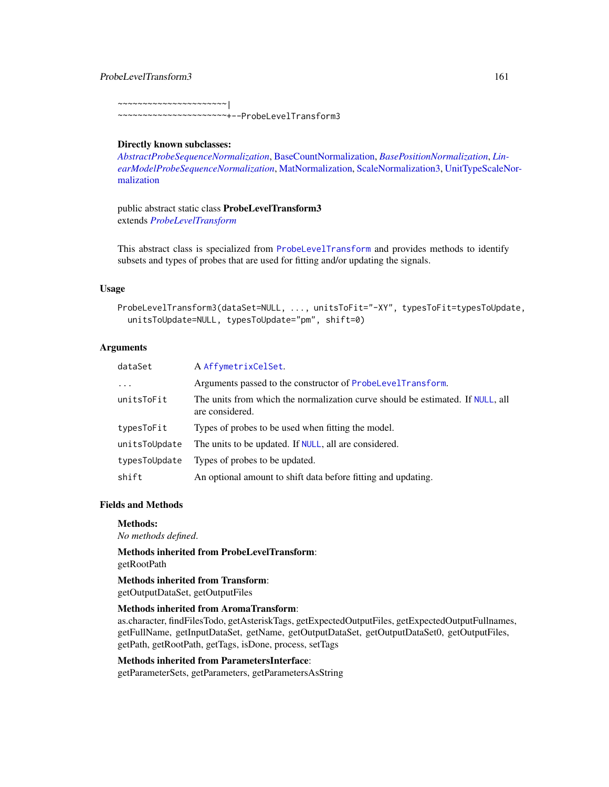## ProbeLevelTransform3 161

~~~~~~~~~~~~~~~~~~~~~~|

~~~~~~~~~~~~~~~~~~~~~~+--ProbeLevelTransform3

### Directly known subclasses:

*[AbstractProbeSequenceNormalization](#page-5-0)*, [BaseCountNormalization,](#page-49-0) *[BasePositionNormalization](#page-51-0)*, *[Lin](#page-131-0)[earModelProbeSequenceNormalization](#page-131-0)*, [MatNormalization,](#page-133-0) [ScaleNormalization3,](#page-184-0) [UnitTypeScaleN](#page-208-0)or[malization](#page-208-0)

public abstract static class ProbeLevelTransform3 extends *[ProbeLevelTransform](#page-158-0)*

This abstract class is specialized from [ProbeLevelTransform](#page-158-0) and provides methods to identify subsets and types of probes that are used for fitting and/or updating the signals.

## Usage

```
ProbeLevelTransform3(dataSet=NULL, ..., unitsToFit="-XY", typesToFit=typesToUpdate,
  unitsToUpdate=NULL, typesToUpdate="pm", shift=0)
```
## Arguments

| dataSet       | A AffymetrixCelSet.                                                                               |
|---------------|---------------------------------------------------------------------------------------------------|
| $\ddotsc$     | Arguments passed to the constructor of ProbeLevelTransform.                                       |
| unitsToFit    | The units from which the normalization curve should be estimated. If NULL, all<br>are considered. |
| typesToFit    | Types of probes to be used when fitting the model.                                                |
| unitsToUpdate | The units to be updated. If NULL, all are considered.                                             |
| typesToUpdate | Types of probes to be updated.                                                                    |
| shift         | An optional amount to shift data before fitting and updating.                                     |

## Fields and Methods

Methods:

*No methods defined*.

Methods inherited from ProbeLevelTransform: getRootPath

Methods inherited from Transform: getOutputDataSet, getOutputFiles

### Methods inherited from AromaTransform:

as.character, findFilesTodo, getAsteriskTags, getExpectedOutputFiles, getExpectedOutputFullnames, getFullName, getInputDataSet, getName, getOutputDataSet, getOutputDataSet0, getOutputFiles, getPath, getRootPath, getTags, isDone, process, setTags

## Methods inherited from ParametersInterface:

getParameterSets, getParameters, getParametersAsString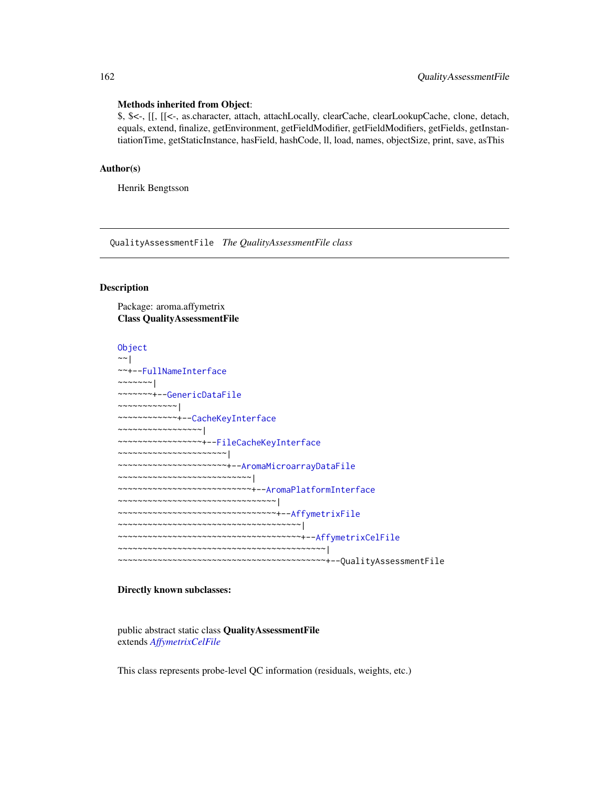### Methods inherited from Object:

\$, \$<-, [[, [[<-, as.character, attach, attachLocally, clearCache, clearLookupCache, clone, detach, equals, extend, finalize, getEnvironment, getFieldModifier, getFieldModifiers, getFields, getInstantiationTime, getStaticInstance, hasField, hashCode, ll, load, names, objectSize, print, save, asThis

## Author(s)

Henrik Bengtsson

QualityAssessmentFile *The QualityAssessmentFile class*

## Description

Package: aroma.affymetrix Class QualityAssessmentFile

[Object](#page-0-0) ~~| ~~+-[-FullNameInterface](#page-0-0) ~~~~~~~ $|$ ~~~~~~~+-[-GenericDataFile](#page-0-0) ~~~~~~~~~~~~| ~~~~~~~~~~~~+-[-CacheKeyInterface](#page-0-0) ~~~~~~~~~~~~~~~~~| ~~~~~~~~~~~~~~~~~+-[-FileCacheKeyInterface](#page-0-0) ~~~~~~~~~~~~~~~~~~~~~~| ~~~~~~~~~~~~~~~~~~~~~~+-[-AromaMicroarrayDataFile](#page-0-0) ~~~~~~~~~~~~~~~~~~~~~~~~~~~| ~~~~~~~~~~~~~~~~~~~~~~~~~~~+-[-AromaPlatformInterface](#page-0-0) ~~~~~~~~~~~~~~~~~~~~~~~~~~~~~~~~| ~~~~~~~~~~~~~~~~~~~~~~~~~~~~~~~~+-[-AffymetrixFile](#page-27-0) ~~~~~~~~~~~~~~~~~~~~~~~~~~~~~~~~~~~~~| ~~~~~~~~~~~~~~~~~~~~~~~~~~~~~~~~~~~~~+-[-AffymetrixCelFile](#page-17-0) ~~~~~~~~~~~~~~~~~~~~~~~~~~~~~~~~~~~~~~~~~~| ~~~~~~~~~~~~~~~~~~~~~~~~~~~~~~~~~~~~~~~~~~+--QualityAssessmentFile

## Directly known subclasses:

public abstract static class QualityAssessmentFile extends *[AffymetrixCelFile](#page-17-0)*

This class represents probe-level QC information (residuals, weights, etc.)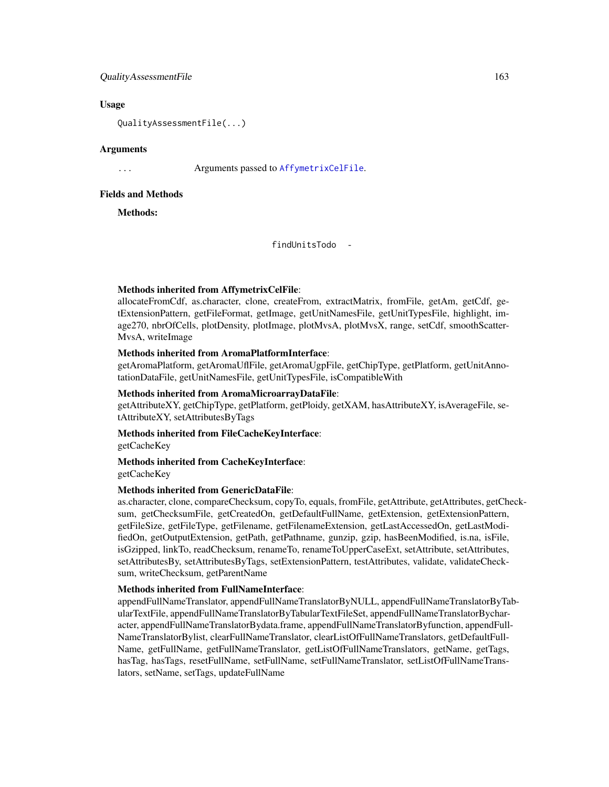### QualityAssessmentFile 163

### Usage

QualityAssessmentFile(...)

## Arguments

... Arguments passed to [AffymetrixCelFile](#page-17-0).

## Fields and Methods

Methods:

findUnitsTodo -

## Methods inherited from AffymetrixCelFile:

allocateFromCdf, as.character, clone, createFrom, extractMatrix, fromFile, getAm, getCdf, getExtensionPattern, getFileFormat, getImage, getUnitNamesFile, getUnitTypesFile, highlight, image270, nbrOfCells, plotDensity, plotImage, plotMvsA, plotMvsX, range, setCdf, smoothScatter-MvsA, writeImage

## Methods inherited from AromaPlatformInterface:

getAromaPlatform, getAromaUflFile, getAromaUgpFile, getChipType, getPlatform, getUnitAnnotationDataFile, getUnitNamesFile, getUnitTypesFile, isCompatibleWith

## Methods inherited from AromaMicroarrayDataFile:

getAttributeXY, getChipType, getPlatform, getPloidy, getXAM, hasAttributeXY, isAverageFile, setAttributeXY, setAttributesByTags

## Methods inherited from FileCacheKeyInterface:

getCacheKey

# Methods inherited from CacheKeyInterface:

getCacheKey

### Methods inherited from GenericDataFile:

as.character, clone, compareChecksum, copyTo, equals, fromFile, getAttribute, getAttributes, getChecksum, getChecksumFile, getCreatedOn, getDefaultFullName, getExtension, getExtensionPattern, getFileSize, getFileType, getFilename, getFilenameExtension, getLastAccessedOn, getLastModifiedOn, getOutputExtension, getPath, getPathname, gunzip, gzip, hasBeenModified, is.na, isFile, isGzipped, linkTo, readChecksum, renameTo, renameToUpperCaseExt, setAttribute, setAttributes, setAttributesBy, setAttributesByTags, setExtensionPattern, testAttributes, validate, validateChecksum, writeChecksum, getParentName

## Methods inherited from FullNameInterface:

appendFullNameTranslator, appendFullNameTranslatorByNULL, appendFullNameTranslatorByTabularTextFile, appendFullNameTranslatorByTabularTextFileSet, appendFullNameTranslatorBycharacter, appendFullNameTranslatorBydata.frame, appendFullNameTranslatorByfunction, appendFull-NameTranslatorBylist, clearFullNameTranslator, clearListOfFullNameTranslators, getDefaultFull-Name, getFullName, getFullNameTranslator, getListOfFullNameTranslators, getName, getTags, hasTag, hasTags, resetFullName, setFullName, setFullNameTranslator, setListOfFullNameTranslators, setName, setTags, updateFullName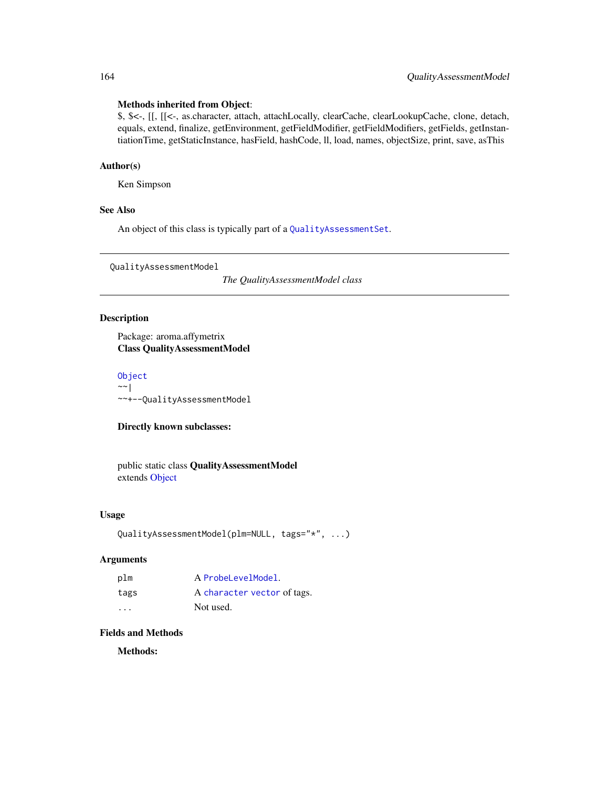## Methods inherited from Object:

\$, \$<-, [[, [[<-, as.character, attach, attachLocally, clearCache, clearLookupCache, clone, detach, equals, extend, finalize, getEnvironment, getFieldModifier, getFieldModifiers, getFields, getInstantiationTime, getStaticInstance, hasField, hashCode, ll, load, names, objectSize, print, save, asThis

## Author(s)

Ken Simpson

## See Also

An object of this class is typically part of a [QualityAssessmentSet](#page-164-0).

QualityAssessmentModel

*The QualityAssessmentModel class*

## Description

Package: aroma.affymetrix Class QualityAssessmentModel

[Object](#page-0-0)  $~\sim~$ ~~+--QualityAssessmentModel

## Directly known subclasses:

public static class QualityAssessmentModel extends [Object](#page-0-0)

## Usage

```
QualityAssessmentModel(plm=NULL, tags="*", ...)
```
## Arguments

| plm     | A ProbeLevelModel.          |
|---------|-----------------------------|
| tags    | A character vector of tags. |
| $\cdot$ | Not used.                   |

## Fields and Methods

Methods: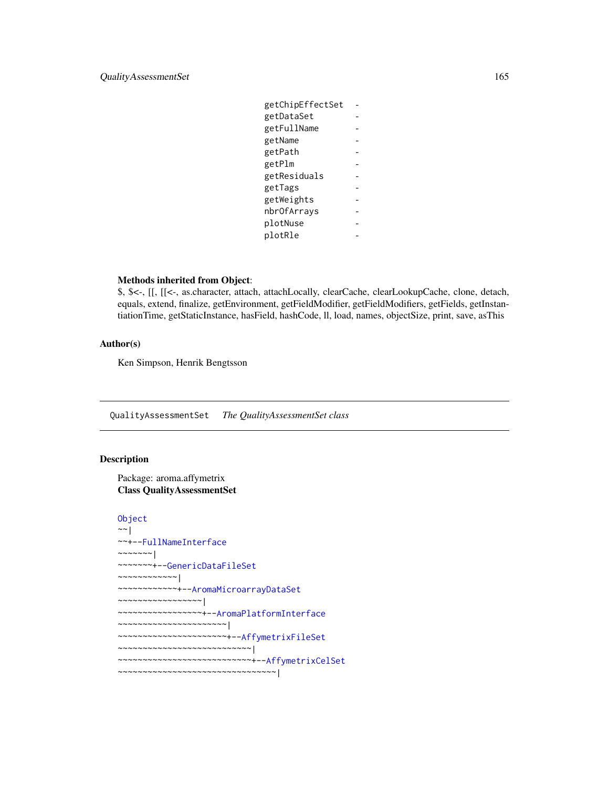| getChipEffectSet |  |
|------------------|--|
| getDataSet       |  |
| getFullName      |  |
| getName          |  |
| getPath          |  |
| getPlm           |  |
| getResiduals     |  |
| getTags          |  |
| getWeights       |  |
| nbr0fArrays      |  |
| plotNuse         |  |
| plotRle          |  |
|                  |  |

### Methods inherited from Object:

\$, \$<-, [[, [[<-, as.character, attach, attachLocally, clearCache, clearLookupCache, clone, detach, equals, extend, finalize, getEnvironment, getFieldModifier, getFieldModifiers, getFields, getInstantiationTime, getStaticInstance, hasField, hashCode, ll, load, names, objectSize, print, save, asThis

## Author(s)

Ken Simpson, Henrik Bengtsson

<span id="page-164-0"></span>QualityAssessmentSet *The QualityAssessmentSet class*

## Description

Package: aroma.affymetrix Class QualityAssessmentSet

```
Object
~\sim |
~~+--FullNameInterface
~\sim ~\sim ~\sim ~\sim ~\sim ~\sim ~\sim~~~~~~~+--GenericDataFileSet
~~~~~~~~~~~~|
~~~~~~~~~~~~+--AromaMicroarrayDataSet
~~~~~~~~~~~~~~~~~|
~~~~~~~~~~~~~~~~~+--AromaPlatformInterface
~~~~~~~~~~~~~~~~~~~~~~|
~~~~~~~~~~~~~~~~~~~~~~+--AffymetrixFileSet
~~~~~~~~~~~~~~~~~~~~~~~~~~~|
~~~~~~~~~~~~~~~~~~~~~~~~~~~+--AffymetrixCelSet
~~~~~~~~~~~~~~~~~~~~~~~~~~~~~~~~|
```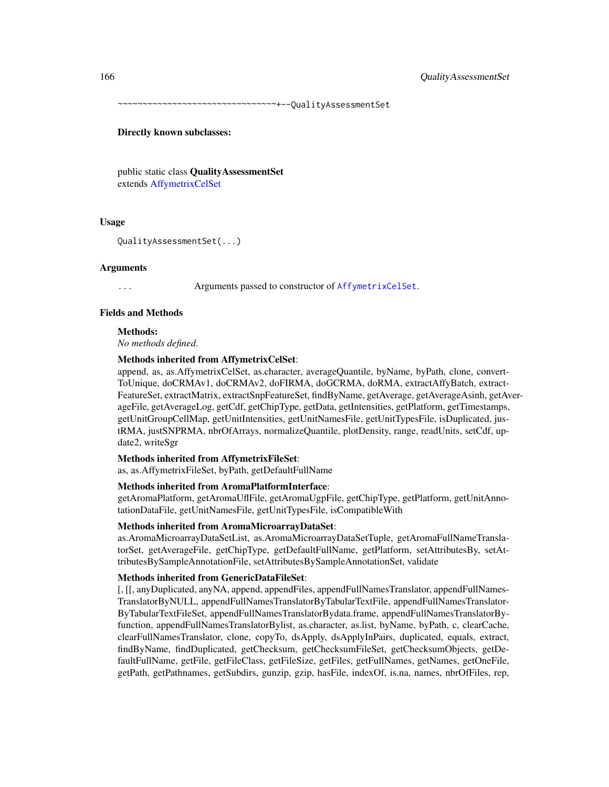~~~~~~~~~~~~~~~~~~~~~~~~~~~~~~~~+--QualityAssessmentSet

### Directly known subclasses:

public static class QualityAssessmentSet extends [AffymetrixCelSet](#page-20-0)

### Usage

QualityAssessmentSet(...)

### Arguments

Arguments passed to constructor of [AffymetrixCelSet](#page-20-0).

### Fields and Methods

Methods:

*No methods defined*.

### Methods inherited from AffymetrixCelSet:

append, as, as.AffymetrixCelSet, as.character, averageQuantile, byName, byPath, clone, convert-ToUnique, doCRMAv1, doCRMAv2, doFIRMA, doGCRMA, doRMA, extractAffyBatch, extract-FeatureSet, extractMatrix, extractSnpFeatureSet, findByName, getAverage, getAverageAsinh, getAverageFile, getAverageLog, getCdf, getChipType, getData, getIntensities, getPlatform, getTimestamps, getUnitGroupCellMap, getUnitIntensities, getUnitNamesFile, getUnitTypesFile, isDuplicated, justRMA, justSNPRMA, nbrOfArrays, normalizeQuantile, plotDensity, range, readUnits, setCdf, update2, writeSgr

### Methods inherited from AffymetrixFileSet:

as, as.AffymetrixFileSet, byPath, getDefaultFullName

## Methods inherited from AromaPlatformInterface:

getAromaPlatform, getAromaUflFile, getAromaUgpFile, getChipType, getPlatform, getUnitAnnotationDataFile, getUnitNamesFile, getUnitTypesFile, isCompatibleWith

### Methods inherited from AromaMicroarrayDataSet:

as.AromaMicroarrayDataSetList, as.AromaMicroarrayDataSetTuple, getAromaFullNameTranslatorSet, getAverageFile, getChipType, getDefaultFullName, getPlatform, setAttributesBy, setAttributesBySampleAnnotationFile, setAttributesBySampleAnnotationSet, validate

### Methods inherited from GenericDataFileSet:

[, [[, anyDuplicated, anyNA, append, appendFiles, appendFullNamesTranslator, appendFullNames-TranslatorByNULL, appendFullNamesTranslatorByTabularTextFile, appendFullNamesTranslator-ByTabularTextFileSet, appendFullNamesTranslatorBydata.frame, appendFullNamesTranslatorByfunction, appendFullNamesTranslatorBylist, as.character, as.list, byName, byPath, c, clearCache, clearFullNamesTranslator, clone, copyTo, dsApply, dsApplyInPairs, duplicated, equals, extract, findByName, findDuplicated, getChecksum, getChecksumFileSet, getChecksumObjects, getDefaultFullName, getFile, getFileClass, getFileSize, getFiles, getFullNames, getNames, getOneFile, getPath, getPathnames, getSubdirs, gunzip, gzip, hasFile, indexOf, is.na, names, nbrOfFiles, rep,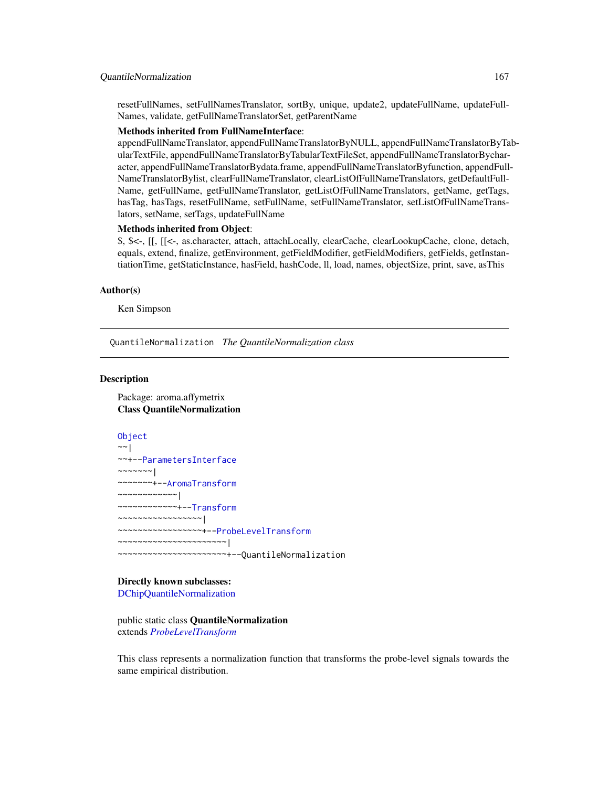### QuantileNormalization 167

resetFullNames, setFullNamesTranslator, sortBy, unique, update2, updateFullName, updateFull-Names, validate, getFullNameTranslatorSet, getParentName

## Methods inherited from FullNameInterface:

appendFullNameTranslator, appendFullNameTranslatorByNULL, appendFullNameTranslatorByTabularTextFile, appendFullNameTranslatorByTabularTextFileSet, appendFullNameTranslatorBycharacter, appendFullNameTranslatorBydata.frame, appendFullNameTranslatorByfunction, appendFull-NameTranslatorBylist, clearFullNameTranslator, clearListOfFullNameTranslators, getDefaultFull-Name, getFullName, getFullNameTranslator, getListOfFullNameTranslators, getName, getTags, hasTag, hasTags, resetFullName, setFullName, setFullNameTranslator, setListOfFullNameTranslators, setName, setTags, updateFullName

## Methods inherited from Object:

\$, \$<-, [[, [[<-, as.character, attach, attachLocally, clearCache, clearLookupCache, clone, detach, equals, extend, finalize, getEnvironment, getFieldModifier, getFieldModifiers, getFields, getInstantiationTime, getStaticInstance, hasField, hashCode, ll, load, names, objectSize, print, save, asThis

## Author(s)

Ken Simpson

<span id="page-166-0"></span>QuantileNormalization *The QuantileNormalization class*

### Description

Package: aroma.affymetrix Class QuantileNormalization

```
Object
~\sim~~~+--ParametersInterface
~~~~~~~\vert~~~~~~~+--AromaTransform
~~~~~~~~~~~~|
~~~~~~~~~~~~+--Transform
~~~~~~~~~~~~~~~~~|
  ~~~~~~~~~~~~~~~~~+--ProbeLevelTransform
~~~~~~~~~~~~~~~~~~~~~~|
~~~~~~~~~~~~~~~~~~~~~~+--QuantileNormalization
```
### Directly known subclasses:

[DChipQuantileNormalization](#page-86-0)

public static class QuantileNormalization extends *[ProbeLevelTransform](#page-158-0)*

This class represents a normalization function that transforms the probe-level signals towards the same empirical distribution.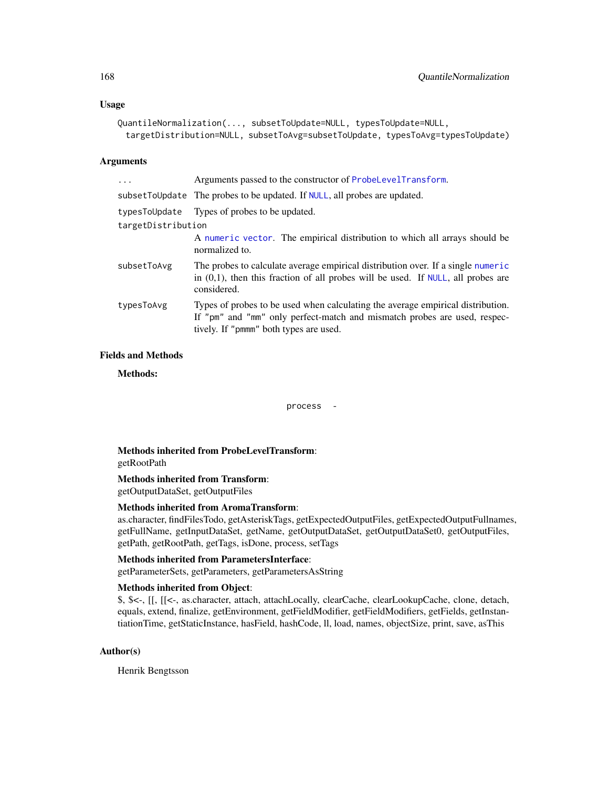## Usage

```
QuantileNormalization(..., subsetToUpdate=NULL, typesToUpdate=NULL,
 targetDistribution=NULL, subsetToAvg=subsetToUpdate, typesToAvg=typesToUpdate)
```
## Arguments

| $\ddots$ .         | Arguments passed to the constructor of ProbeLevelTransform.                                                                                                                                            |  |
|--------------------|--------------------------------------------------------------------------------------------------------------------------------------------------------------------------------------------------------|--|
|                    | subsetToUpdate The probes to be updated. If NULL, all probes are updated.                                                                                                                              |  |
|                    | typesToUpdate Types of probes to be updated.                                                                                                                                                           |  |
| targetDistribution |                                                                                                                                                                                                        |  |
|                    | A numeric vector. The empirical distribution to which all arrays should be<br>normalized to.                                                                                                           |  |
| subsetToAvg        | The probes to calculate average empirical distribution over. If a single numeric<br>in $(0,1)$ , then this fraction of all probes will be used. If NULL, all probes are<br>considered.                 |  |
| typesToAvg         | Types of probes to be used when calculating the average empirical distribution.<br>If "pm" and "mm" only perfect-match and mismatch probes are used, respec-<br>tively. If "pmmm" both types are used. |  |

## Fields and Methods

Methods:

process -

Methods inherited from ProbeLevelTransform: getRootPath

## Methods inherited from Transform:

getOutputDataSet, getOutputFiles

## Methods inherited from AromaTransform:

as.character, findFilesTodo, getAsteriskTags, getExpectedOutputFiles, getExpectedOutputFullnames, getFullName, getInputDataSet, getName, getOutputDataSet, getOutputDataSet0, getOutputFiles, getPath, getRootPath, getTags, isDone, process, setTags

## Methods inherited from ParametersInterface:

getParameterSets, getParameters, getParametersAsString

## Methods inherited from Object:

\$, \$<-, [[, [[<-, as.character, attach, attachLocally, clearCache, clearLookupCache, clone, detach, equals, extend, finalize, getEnvironment, getFieldModifier, getFieldModifiers, getFields, getInstantiationTime, getStaticInstance, hasField, hashCode, ll, load, names, objectSize, print, save, asThis

## Author(s)

Henrik Bengtsson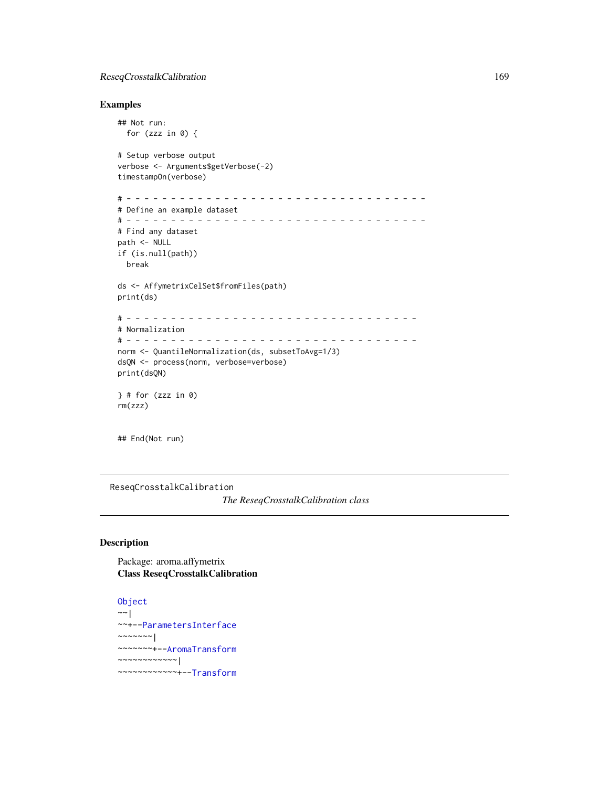## ReseqCrosstalkCalibration 169

## Examples

```
## Not run:
  for (zzz in \emptyset) {
# Setup verbose output
verbose <- Arguments$getVerbose(-2)
timestampOn(verbose)
# - - - - - - - - - - - - - - - - - - - - - - - - - - - - - - - - - -
# Define an example dataset
# - - - - - - - - - - - - - - - - - - - - - - - - - - - - - - - - - -
# Find any dataset
path <- NULL
if (is.null(path))
 break
ds <- AffymetrixCelSet$fromFiles(path)
print(ds)
# - - - - - - - - - - - - - - - - - - - - - - - - - - - - - - - - -
# Normalization
# - - - - - - - - - - - - - - - - - - - - - - - - - - - - - - - - -
norm <- QuantileNormalization(ds, subsetToAvg=1/3)
dsQN <- process(norm, verbose=verbose)
print(dsQN)
} # for (zzz in 0)
rm(zzz)
```
## End(Not run)

<span id="page-168-0"></span>ReseqCrosstalkCalibration

*The ReseqCrosstalkCalibration class*

## Description

Package: aroma.affymetrix Class ReseqCrosstalkCalibration

```
Object
\sim |
~~+--ParametersInterface
~~~~~~~|
~~~~~~~+--AromaTransform
~~~~~~~~~~~~|
~~~~~~~~~~~~+--Transform
```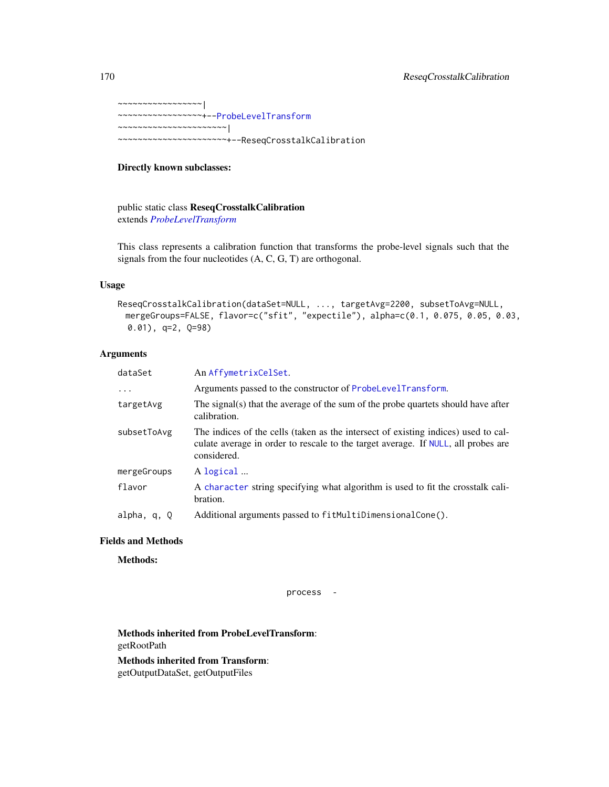~~~~~~~~~~~~~~~~~| ~~~~~~~~~~~~~~~~~+-[-ProbeLevelTransform](#page-158-0) ~~~~~~~~~~~~~~~~~~~~~~| ~~~~~~~~~~~~~~~~~~~~~~+--ReseqCrosstalkCalibration

## Directly known subclasses:

public static class ReseqCrosstalkCalibration extends *[ProbeLevelTransform](#page-158-0)*

This class represents a calibration function that transforms the probe-level signals such that the signals from the four nucleotides (A, C, G, T) are orthogonal.

## Usage

```
ReseqCrosstalkCalibration(dataSet=NULL, ..., targetAvg=2200, subsetToAvg=NULL,
 mergeGroups=FALSE, flavor=c("sfit", "expectile"), alpha=c(0.1, 0.075, 0.05, 0.03,
 0.01), q=2, Q=98)
```
## Arguments

| dataSet     | An AffymetrixCelSet.                                                                                                                                                                   |
|-------------|----------------------------------------------------------------------------------------------------------------------------------------------------------------------------------------|
| $\ddots$ .  | Arguments passed to the constructor of ProbeLevelTransform.                                                                                                                            |
| targetAvg   | The signal(s) that the average of the sum of the probe quartets should have after<br>calibration.                                                                                      |
| subsetToAvg | The indices of the cells (taken as the intersect of existing indices) used to cal-<br>culate average in order to rescale to the target average. If NULL, all probes are<br>considered. |
| mergeGroups | A logical                                                                                                                                                                              |
| flavor      | A character string specifying what algorithm is used to fit the crosstalk cali-<br>bration.                                                                                            |
| alpha, q, Q | Additional arguments passed to fitMultiDimensionalCone().                                                                                                                              |

## Fields and Methods

Methods:

process -

Methods inherited from ProbeLevelTransform: getRootPath

Methods inherited from Transform: getOutputDataSet, getOutputFiles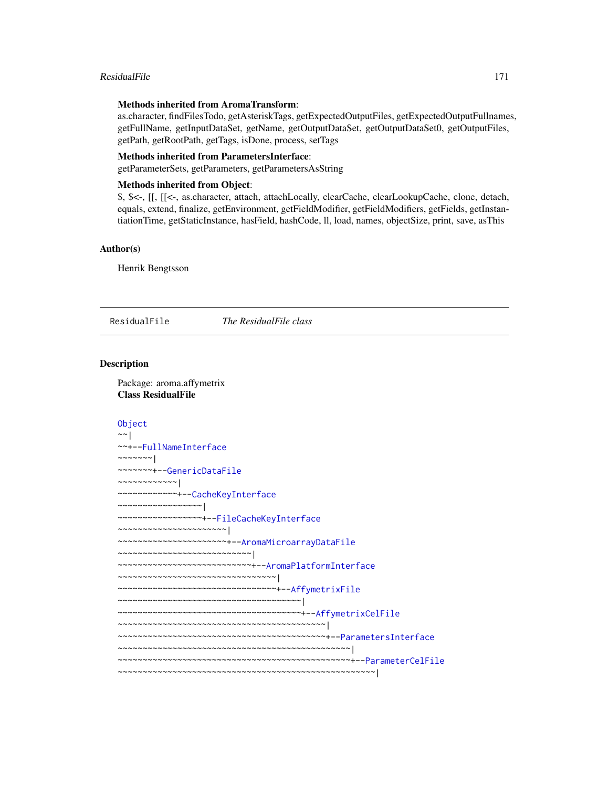### ResidualFile 2008 171

### Methods inherited from AromaTransform:

as.character, findFilesTodo, getAsteriskTags, getExpectedOutputFiles, getExpectedOutputFullnames, getFullName, getInputDataSet, getName, getOutputDataSet, getOutputDataSet0, getOutputFiles, getPath, getRootPath, getTags, isDone, process, setTags

### Methods inherited from ParametersInterface:

getParameterSets, getParameters, getParametersAsString

### Methods inherited from Object:

\$, \$<-, [[, [[<-, as.character, attach, attachLocally, clearCache, clearLookupCache, clone, detach, equals, extend, finalize, getEnvironment, getFieldModifier, getFieldModifiers, getFields, getInstantiationTime, getStaticInstance, hasField, hashCode, ll, load, names, objectSize, print, save, asThis

## Author(s)

Henrik Bengtsson

<span id="page-170-0"></span>ResidualFile *The ResidualFile class*

### Description

Package: aroma.affymetrix Class ResidualFile

```
Object
\sim \sim |
~~+--FullNameInterface
~\sim ~\sim ~\sim ~\sim ~\sim ~\sim ~\sim~~~~~~~+--GenericDataFile
~~~~~~~~~~~~|
~~~~~~~~~~~~+--CacheKeyInterface
~~~~~~~~~~~~~~~~~|
~~~~~~~~~~~~~~~~~+--FileCacheKeyInterface
~~~~~~~~~~~~~~~~~~~~~~|
~~~~~~~~~~~~~~~~~~~~~~+--AromaMicroarrayDataFile
~~~~~~~~~~~~~~~~~~~~~~~~~~~|
~~~~~~~~~~~~~~~~~~~~~~~~~~~+--AromaPlatformInterface
~~~~~~~~~~~~~~~~~~~~~~~~~~~~~~~~
~~~~~~~~~~~~~~~~~~~~~~~~~~~~~~~~+--AffymetrixFile
~~~~~~~~~~~~~~~~~~~~~~~~~~~~~~~~~~~~~|
~~~~~~~~~~~~~~~~~~~~~~~~~~~~~~~~~~~~~+--AffymetrixCelFile
~~~~~~~~~~~~~~~~~~~~~~~~~~~~~~~~~~~~~~~~~~|
~~~~~~~~~~~~~~~~~~~~~~~~~~~~~~~~~~~~~~~~~~+--ParametersInterface
~~~~~~~~~~~~~~~~~~~~~~~~~~~~~~~~~~~~~~~~~~~~~~~|
~~~~~~~~~~~~~~~~~~~~~~~~~~~~~~~~~~~~~~~~~~~~~~~+--ParameterCelFile
~~~~~~~~~~~~~~~~~~~~~~~~~~~~~~~~~~~~~~~~~~~~~~~~~~~~|
```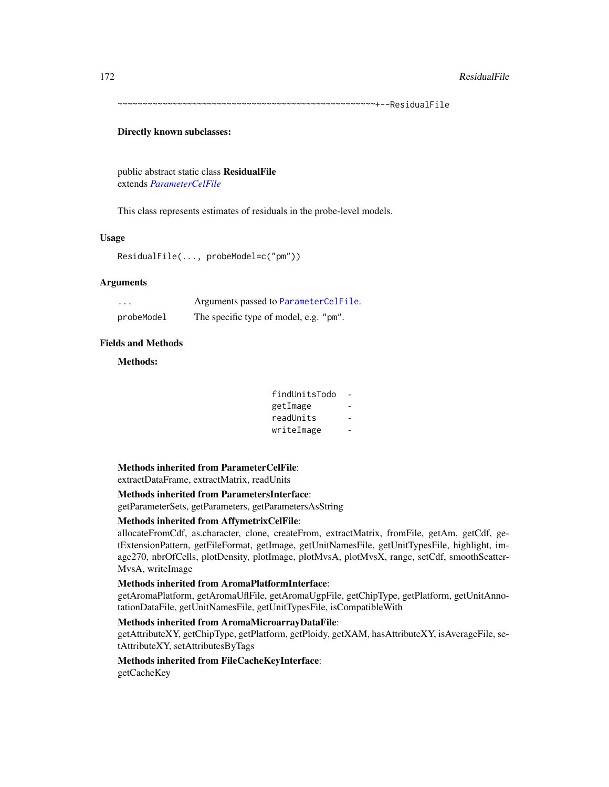~~~~~~~~~~~~~~~~~~~~~~~~~~~~~~~~~~~~~~~~~~~~~~~~~~~~+--ResidualFile

### Directly known subclasses:

public abstract static class ResidualFile extends *[ParameterCelFile](#page-149-0)*

This class represents estimates of residuals in the probe-level models.

### Usage

ResidualFile(..., probeModel=c("pm"))

## Arguments

| $\cdots$   | Arguments passed to ParameterCelFile.  |
|------------|----------------------------------------|
| probeModel | The specific type of model, e.g. "pm". |

## Fields and Methods

Methods:

| findUnitsTodo |  |
|---------------|--|
| getImage      |  |
| readUnits     |  |
| writeImage    |  |

## Methods inherited from ParameterCelFile:

extractDataFrame, extractMatrix, readUnits

## Methods inherited from ParametersInterface:

getParameterSets, getParameters, getParametersAsString

## Methods inherited from AffymetrixCelFile:

allocateFromCdf, as.character, clone, createFrom, extractMatrix, fromFile, getAm, getCdf, getExtensionPattern, getFileFormat, getImage, getUnitNamesFile, getUnitTypesFile, highlight, image270, nbrOfCells, plotDensity, plotImage, plotMvsA, plotMvsX, range, setCdf, smoothScatter-MvsA, writeImage

## Methods inherited from AromaPlatformInterface:

getAromaPlatform, getAromaUflFile, getAromaUgpFile, getChipType, getPlatform, getUnitAnnotationDataFile, getUnitNamesFile, getUnitTypesFile, isCompatibleWith

## Methods inherited from AromaMicroarrayDataFile:

getAttributeXY, getChipType, getPlatform, getPloidy, getXAM, hasAttributeXY, isAverageFile, setAttributeXY, setAttributesByTags

## Methods inherited from FileCacheKeyInterface:

getCacheKey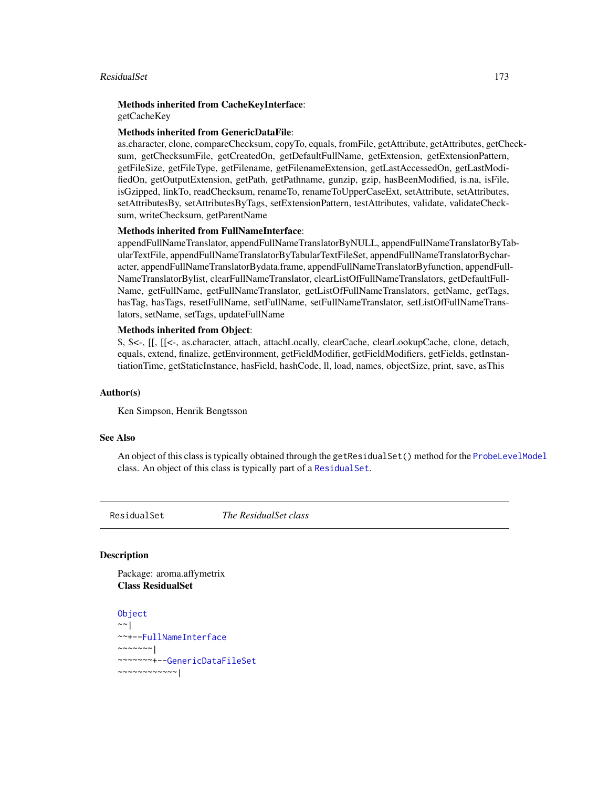## ResidualSet 173

# Methods inherited from CacheKeyInterface:

getCacheKey

## Methods inherited from GenericDataFile:

as.character, clone, compareChecksum, copyTo, equals, fromFile, getAttribute, getAttributes, getChecksum, getChecksumFile, getCreatedOn, getDefaultFullName, getExtension, getExtensionPattern, getFileSize, getFileType, getFilename, getFilenameExtension, getLastAccessedOn, getLastModifiedOn, getOutputExtension, getPath, getPathname, gunzip, gzip, hasBeenModified, is.na, isFile, isGzipped, linkTo, readChecksum, renameTo, renameToUpperCaseExt, setAttribute, setAttributes, setAttributesBy, setAttributesByTags, setExtensionPattern, testAttributes, validate, validateChecksum, writeChecksum, getParentName

## Methods inherited from FullNameInterface:

appendFullNameTranslator, appendFullNameTranslatorByNULL, appendFullNameTranslatorByTabularTextFile, appendFullNameTranslatorByTabularTextFileSet, appendFullNameTranslatorBycharacter, appendFullNameTranslatorBydata.frame, appendFullNameTranslatorByfunction, appendFull-NameTranslatorBylist, clearFullNameTranslator, clearListOfFullNameTranslators, getDefaultFull-Name, getFullName, getFullNameTranslator, getListOfFullNameTranslators, getName, getTags, hasTag, hasTags, resetFullName, setFullName, setFullNameTranslator, setListOfFullNameTranslators, setName, setTags, updateFullName

### Methods inherited from Object:

\$, \$<-, [[, [[<-, as.character, attach, attachLocally, clearCache, clearLookupCache, clone, detach, equals, extend, finalize, getEnvironment, getFieldModifier, getFieldModifiers, getFields, getInstantiationTime, getStaticInstance, hasField, hashCode, ll, load, names, objectSize, print, save, asThis

## Author(s)

Ken Simpson, Henrik Bengtsson

### See Also

An object of this class is typically obtained through the getResidualSet() method for the [ProbeLevelModel](#page-156-0) class. An object of this class is typically part of a [ResidualSet](#page-172-0).

<span id="page-172-0"></span>

ResidualSet *The ResidualSet class*

## Description

Package: aroma.affymetrix Class ResidualSet

```
Object
~~|
~~+--FullNameInterface
~~~~~~~|
~~~~~~~+--GenericDataFileSet
~~~~~~~~~~~~|
```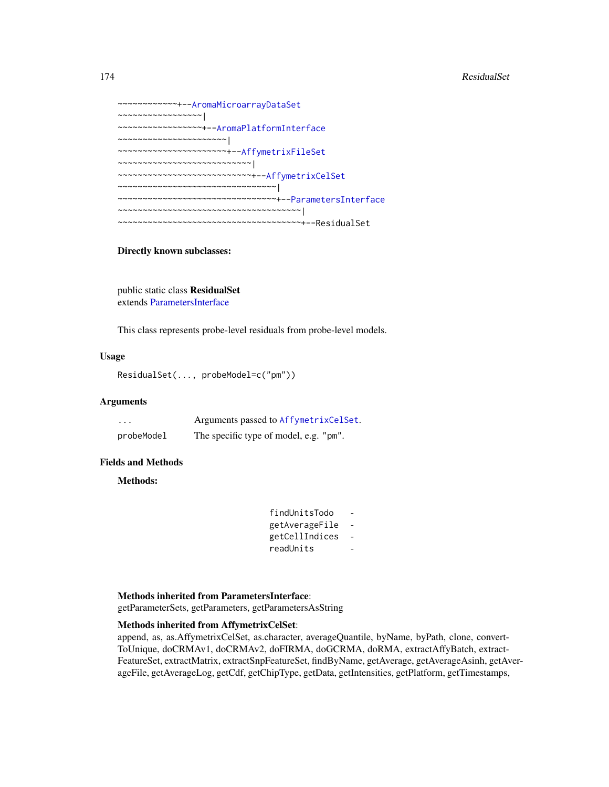```
~~~~~~~~~~~~+--AromaMicroarrayDataSet
~~~~~~~~~~~~~~~~~|
~~~~~~~~~~~~~~~~~+--AromaPlatformInterface
~~~~~~~~~~~~~~~~~~~~~~|
~~~~~~~~~~~~~~~~~~~~~~+--AffymetrixFileSet
~~~~~~~~~~~~~~~~~~~~~~~~~~~|
~~~~~~~~~~~~~~~~~~~~~~~~~~~+--AffymetrixCelSet
~~~~~~~~~~~~~~~~~~~~~~~~~~~~~~~~
~~~~~~~~~~~~~~~~~~~~~~~~~~~~~~~~+--ParametersInterface
~~~~~~~~~~~~~~~~~~~~~~~~~~~~~~~~~~~~~|
~~~~~~~~~~~~~~~~~~~~~~~~~~~~~~~~~~~~~+--ResidualSet
```
## Directly known subclasses:

public static class ResidualSet extends [ParametersInterface](#page-0-0)

This class represents probe-level residuals from probe-level models.

## Usage

ResidualSet(..., probeModel=c("pm"))

### Arguments

| .          | Arguments passed to AffymetrixCelSet.  |
|------------|----------------------------------------|
| probeModel | The specific type of model, e.g. "pm". |

### Fields and Methods

Methods:

| findUnitsTodo  |  |
|----------------|--|
| getAverageFile |  |
| getCellIndices |  |
| readUnits      |  |

## Methods inherited from ParametersInterface:

getParameterSets, getParameters, getParametersAsString

## Methods inherited from AffymetrixCelSet:

append, as, as.AffymetrixCelSet, as.character, averageQuantile, byName, byPath, clone, convert-ToUnique, doCRMAv1, doCRMAv2, doFIRMA, doGCRMA, doRMA, extractAffyBatch, extract-FeatureSet, extractMatrix, extractSnpFeatureSet, findByName, getAverage, getAverageAsinh, getAverageFile, getAverageLog, getCdf, getChipType, getData, getIntensities, getPlatform, getTimestamps,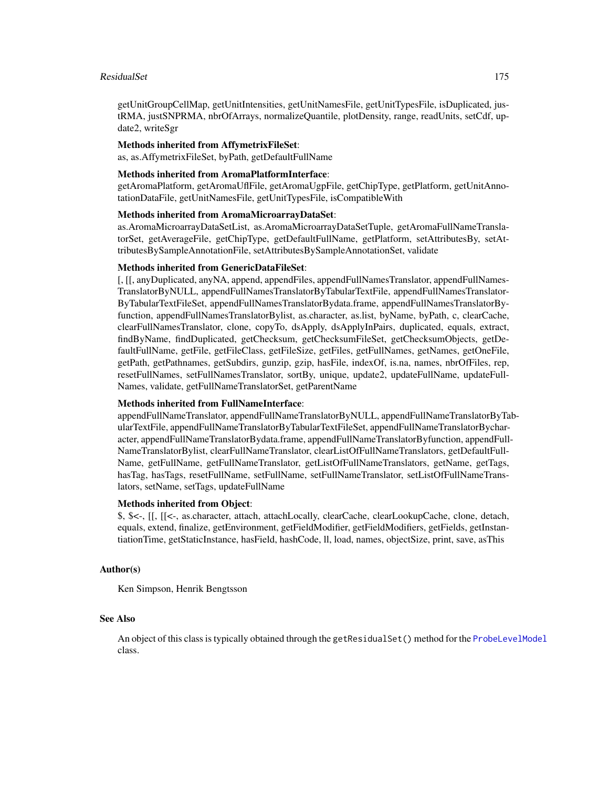### ResidualSet 175

getUnitGroupCellMap, getUnitIntensities, getUnitNamesFile, getUnitTypesFile, isDuplicated, justRMA, justSNPRMA, nbrOfArrays, normalizeQuantile, plotDensity, range, readUnits, setCdf, update2, writeSgr

## Methods inherited from AffymetrixFileSet:

as, as.AffymetrixFileSet, byPath, getDefaultFullName

## Methods inherited from AromaPlatformInterface:

getAromaPlatform, getAromaUflFile, getAromaUgpFile, getChipType, getPlatform, getUnitAnnotationDataFile, getUnitNamesFile, getUnitTypesFile, isCompatibleWith

## Methods inherited from AromaMicroarrayDataSet:

as.AromaMicroarrayDataSetList, as.AromaMicroarrayDataSetTuple, getAromaFullNameTranslatorSet, getAverageFile, getChipType, getDefaultFullName, getPlatform, setAttributesBy, setAttributesBySampleAnnotationFile, setAttributesBySampleAnnotationSet, validate

## Methods inherited from GenericDataFileSet:

[, [[, anyDuplicated, anyNA, append, appendFiles, appendFullNamesTranslator, appendFullNames-TranslatorByNULL, appendFullNamesTranslatorByTabularTextFile, appendFullNamesTranslator-ByTabularTextFileSet, appendFullNamesTranslatorBydata.frame, appendFullNamesTranslatorByfunction, appendFullNamesTranslatorBylist, as.character, as.list, byName, byPath, c, clearCache, clearFullNamesTranslator, clone, copyTo, dsApply, dsApplyInPairs, duplicated, equals, extract, findByName, findDuplicated, getChecksum, getChecksumFileSet, getChecksumObjects, getDefaultFullName, getFile, getFileClass, getFileSize, getFiles, getFullNames, getNames, getOneFile, getPath, getPathnames, getSubdirs, gunzip, gzip, hasFile, indexOf, is.na, names, nbrOfFiles, rep, resetFullNames, setFullNamesTranslator, sortBy, unique, update2, updateFullName, updateFull-Names, validate, getFullNameTranslatorSet, getParentName

## Methods inherited from FullNameInterface:

appendFullNameTranslator, appendFullNameTranslatorByNULL, appendFullNameTranslatorByTabularTextFile, appendFullNameTranslatorByTabularTextFileSet, appendFullNameTranslatorBycharacter, appendFullNameTranslatorBydata.frame, appendFullNameTranslatorByfunction, appendFull-NameTranslatorBylist, clearFullNameTranslator, clearListOfFullNameTranslators, getDefaultFull-Name, getFullName, getFullNameTranslator, getListOfFullNameTranslators, getName, getTags, hasTag, hasTags, resetFullName, setFullName, setFullNameTranslator, setListOfFullNameTranslators, setName, setTags, updateFullName

### Methods inherited from Object:

\$, \$<-, [[, [[<-, as.character, attach, attachLocally, clearCache, clearLookupCache, clone, detach, equals, extend, finalize, getEnvironment, getFieldModifier, getFieldModifiers, getFields, getInstantiationTime, getStaticInstance, hasField, hashCode, ll, load, names, objectSize, print, save, asThis

## Author(s)

Ken Simpson, Henrik Bengtsson

## See Also

An object of this class is typically obtained through the getResidualSet() method for the [ProbeLevelModel](#page-156-0) class.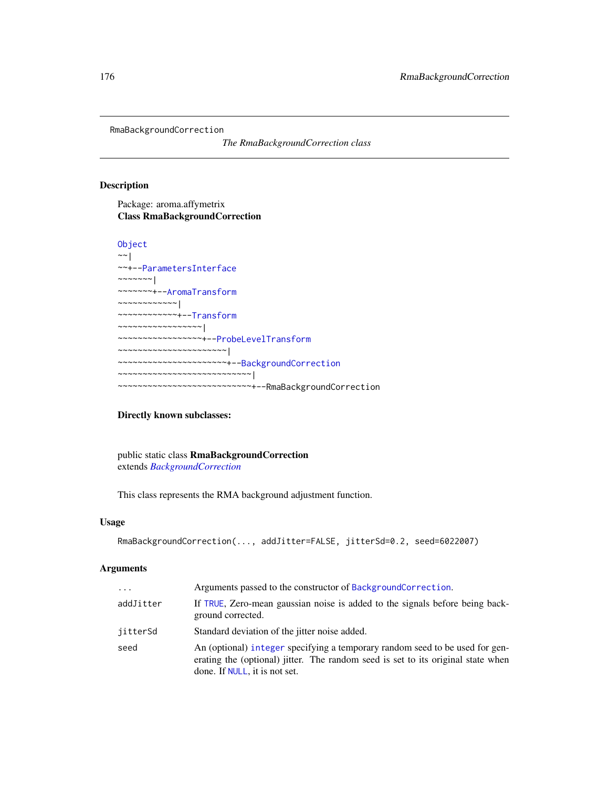<span id="page-175-0"></span>RmaBackgroundCorrection

*The RmaBackgroundCorrection class*

## Description

Package: aroma.affymetrix Class RmaBackgroundCorrection

```
Object
~\sim |
~~+--ParametersInterface
~~~~~~~|~~~~~~~+--AromaTransform
~~~~~~~~~~~~|
 ~~~~~~~~~~~~+--Transform
~~~~~~~~~~~~~~~~~|
~~~~~~~~~~~~~~~~~+--ProbeLevelTransform
  ~~~~~~~~~~~~~~~~~~~~~~|
   ~~~~~~~~~~~~~~~~~~~~~~+--BackgroundCorrection
  ~~~~~~~~~~~~~~~~~~~~~~~~~~~|
    ~~~~~~~~~~~~~~~~~~~~~~~~~~~+--RmaBackgroundCorrection
```
## Directly known subclasses:

public static class RmaBackgroundCorrection extends *[BackgroundCorrection](#page-47-0)*

This class represents the RMA background adjustment function.

### Usage

```
RmaBackgroundCorrection(..., addJitter=FALSE, jitterSd=0.2, seed=6022007)
```
## Arguments

| $\cdots$  | Arguments passed to the constructor of BackgroundCorrection.                                                                                                                                      |
|-----------|---------------------------------------------------------------------------------------------------------------------------------------------------------------------------------------------------|
| addJitter | If TRUE, Zero-mean gaussian noise is added to the signals before being back-<br>ground corrected.                                                                                                 |
| iitterSd  | Standard deviation of the jitter noise added.                                                                                                                                                     |
| seed      | An (optional) integer specifying a temporary random seed to be used for gen-<br>erating the (optional) jitter. The random seed is set to its original state when<br>done. If NULL, it is not set. |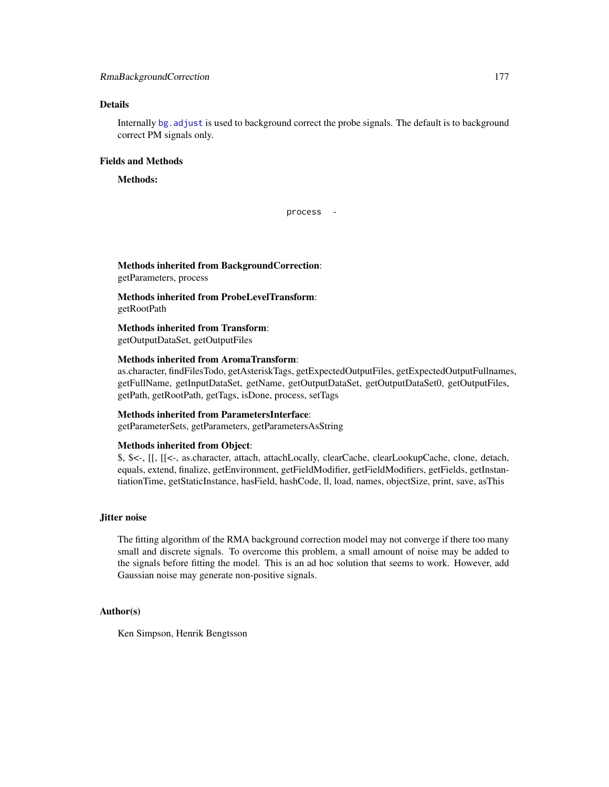## RmaBackgroundCorrection 177

## Details

Internally [bg.adjust](#page-0-0) is used to background correct the probe signals. The default is to background correct PM signals only.

## Fields and Methods

## Methods:

process -

Methods inherited from BackgroundCorrection: getParameters, process

Methods inherited from ProbeLevelTransform: getRootPath

Methods inherited from Transform: getOutputDataSet, getOutputFiles

## Methods inherited from AromaTransform:

as.character, findFilesTodo, getAsteriskTags, getExpectedOutputFiles, getExpectedOutputFullnames, getFullName, getInputDataSet, getName, getOutputDataSet, getOutputDataSet0, getOutputFiles, getPath, getRootPath, getTags, isDone, process, setTags

## Methods inherited from ParametersInterface:

getParameterSets, getParameters, getParametersAsString

### Methods inherited from Object:

\$, \$<-, [[, [[<-, as.character, attach, attachLocally, clearCache, clearLookupCache, clone, detach, equals, extend, finalize, getEnvironment, getFieldModifier, getFieldModifiers, getFields, getInstantiationTime, getStaticInstance, hasField, hashCode, ll, load, names, objectSize, print, save, asThis

## Jitter noise

The fitting algorithm of the RMA background correction model may not converge if there too many small and discrete signals. To overcome this problem, a small amount of noise may be added to the signals before fitting the model. This is an ad hoc solution that seems to work. However, add Gaussian noise may generate non-positive signals.

## Author(s)

Ken Simpson, Henrik Bengtsson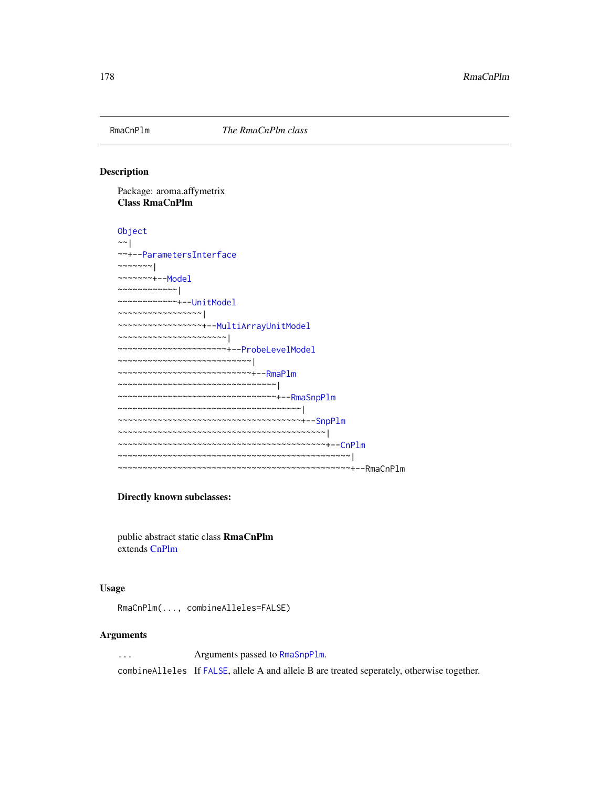<span id="page-177-0"></span>

### Description

Package: aroma.affymetrix Class RmaCnPlm

```
Object
~~|
~~+--ParametersInterface
~~~~~~~|~~~~~~~+--Model
~~~~~~~~~~~~|
~~~~~~~~~~~~+--UnitModel
 ~~~~~~~~~~~~~~~~~|
  ~~~~~~~~~~~~~~~~~+--MultiArrayUnitModel
~~~~~~~~~~~~~~~~~~~~~~|
~~~~~~~~~~~~~~~~~~~~~~+--ProbeLevelModel
~~~~~~~~~~~~~~~~~~~~~~~~~~~|
~~~~~~~~~~~~~~~~~~~~~~~~~~~+--RmaPlm
~~~~~~~~~~~~~~~~~~~~~~~~~~~~~~~~
~~~~~~~~~~~~~~~~~~~~~~~~~~~~~~~~+--RmaSnpPlm
~~~~~~~~~~~~~~~~~~~~~~~~~~~~~~~~~~~~~|
~~~~~~~~~~~~~~~~~~~~~~~~~~~~~~~~~~~~~+--SnpPlm
~~~~~~~~~~~~~~~~~~~~~~~~~~~~~~~~~~~~~~~~~~|
~~~~~~~~~~~~~~~~~~~~~~~~~~~~~~~~~~~~~~~~~~+--CnPlm
   ~~~~~~~~~~~~~~~~~~~~~~~~~~~~~~~~~~~~~~~~~~~~~~~|
~~~~~~~~~~~~~~~~~~~~~~~~~~~~~~~~~~~~~~~~~~~~~~~+--RmaCnPlm
```
## Directly known subclasses:

public abstract static class RmaCnPlm extends [CnPlm](#page-69-0)

## Usage

RmaCnPlm(..., combineAlleles=FALSE)

## Arguments

... Arguments passed to [RmaSnpPlm](#page-181-0).

combineAlleles If [FALSE](#page-0-0), allele A and allele B are treated seperately, otherwise together.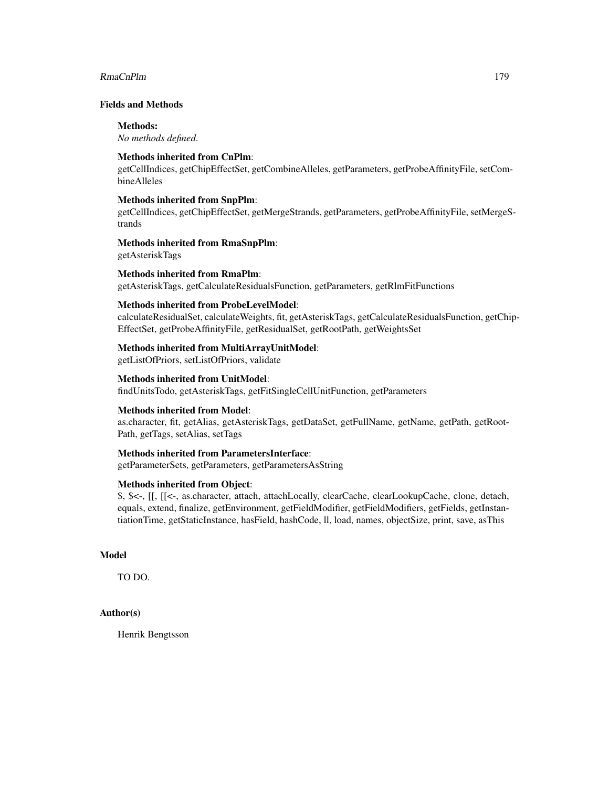## RmaCnPlm 279

## Fields and Methods

## Methods:

*No methods defined*.

## Methods inherited from CnPlm:

getCellIndices, getChipEffectSet, getCombineAlleles, getParameters, getProbeAffinityFile, setCombineAlleles

## Methods inherited from SnpPlm:

getCellIndices, getChipEffectSet, getMergeStrands, getParameters, getProbeAffinityFile, setMergeStrands

# Methods inherited from RmaSnpPlm:

getAsteriskTags

## Methods inherited from RmaPlm:

getAsteriskTags, getCalculateResidualsFunction, getParameters, getRlmFitFunctions

## Methods inherited from ProbeLevelModel:

calculateResidualSet, calculateWeights, fit, getAsteriskTags, getCalculateResidualsFunction, getChip-EffectSet, getProbeAffinityFile, getResidualSet, getRootPath, getWeightsSet

### Methods inherited from MultiArrayUnitModel:

getListOfPriors, setListOfPriors, validate

## Methods inherited from UnitModel:

findUnitsTodo, getAsteriskTags, getFitSingleCellUnitFunction, getParameters

## Methods inherited from Model:

as.character, fit, getAlias, getAsteriskTags, getDataSet, getFullName, getName, getPath, getRoot-Path, getTags, setAlias, setTags

## Methods inherited from ParametersInterface:

getParameterSets, getParameters, getParametersAsString

### Methods inherited from Object:

\$, \$<-, [[, [[<-, as.character, attach, attachLocally, clearCache, clearLookupCache, clone, detach, equals, extend, finalize, getEnvironment, getFieldModifier, getFieldModifiers, getFields, getInstantiationTime, getStaticInstance, hasField, hashCode, ll, load, names, objectSize, print, save, asThis

### Model

TO DO.

## Author(s)

Henrik Bengtsson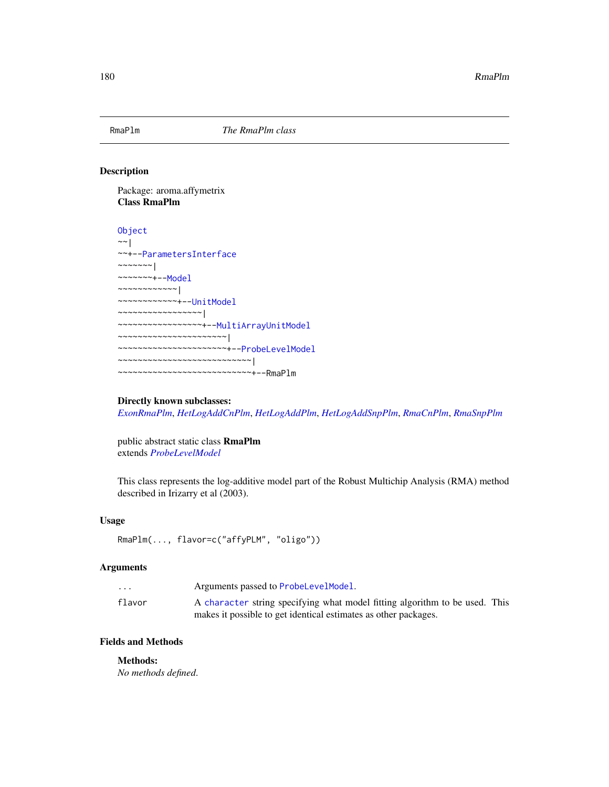<span id="page-179-0"></span>

### Description

Package: aroma.affymetrix Class RmaPlm

```
Object
~\sim~|
~~+--ParametersInterface
~\sim ~\sim ~\sim ~\sim ~\sim ~\sim ~\sim~~~~~~~+--Model
~~~~~~~~~~~~|
~~~~~~~~~~~~+--UnitModel
 ~~~~~~~~~~~~~~~~~|
  ~~~~~~~~~~~~~~~~~+--MultiArrayUnitModel
~~~~~~~~~~~~~~~~~~~~~~|
~~~~~~~~~~~~~~~~~~~~~~+--ProbeLevelModel
~~~~~~~~~~~~~~~~~~~~~~~~~~~|
   ~~~~~~~~~~~~~~~~~~~~~~~~~~~+--RmaPlm
```
## Directly known subclasses:

*[ExonRmaPlm](#page-103-0)*, *[HetLogAddCnPlm](#page-122-0)*, *[HetLogAddPlm](#page-124-0)*, *[HetLogAddSnpPlm](#page-126-0)*, *[RmaCnPlm](#page-177-0)*, *[RmaSnpPlm](#page-181-0)*

public abstract static class RmaPlm extends *[ProbeLevelModel](#page-156-0)*

This class represents the log-additive model part of the Robust Multichip Analysis (RMA) method described in Irizarry et al (2003).

### Usage

```
RmaPlm(..., flavor=c("affyPLM", "oligo"))
```
### Arguments

| $\cdot$ $\cdot$ $\cdot$ | Arguments passed to ProbeLevelModel.                                        |
|-------------------------|-----------------------------------------------------------------------------|
| flavor                  | A character string specifying what model fitting algorithm to be used. This |
|                         | makes it possible to get identical estimates as other packages.             |

## Fields and Methods

### Methods:

*No methods defined*.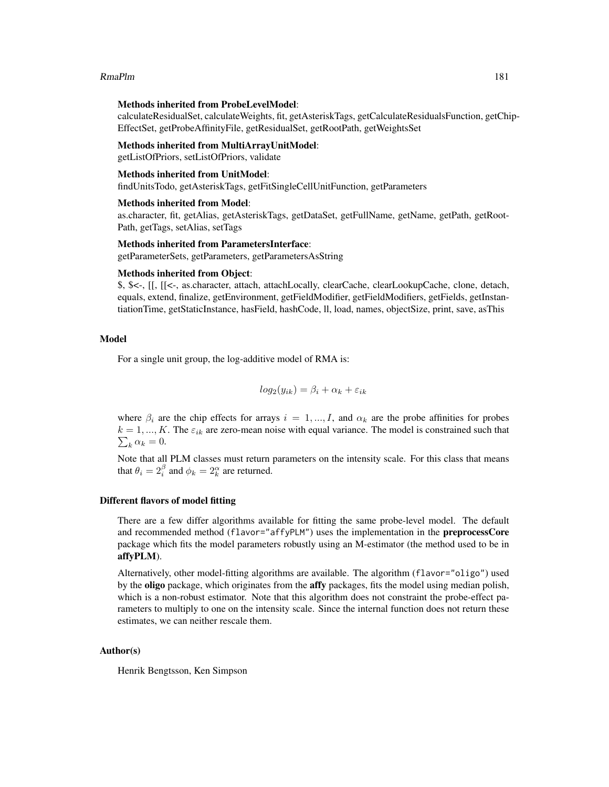# RmaPlm 181

#### Methods inherited from ProbeLevelModel:

calculateResidualSet, calculateWeights, fit, getAsteriskTags, getCalculateResidualsFunction, getChip-EffectSet, getProbeAffinityFile, getResidualSet, getRootPath, getWeightsSet

#### Methods inherited from MultiArrayUnitModel:

getListOfPriors, setListOfPriors, validate

#### Methods inherited from UnitModel:

findUnitsTodo, getAsteriskTags, getFitSingleCellUnitFunction, getParameters

#### Methods inherited from Model:

as.character, fit, getAlias, getAsteriskTags, getDataSet, getFullName, getName, getPath, getRoot-Path, getTags, setAlias, setTags

#### Methods inherited from ParametersInterface:

getParameterSets, getParameters, getParametersAsString

#### Methods inherited from Object:

\$, \$<-, [[, [[<-, as.character, attach, attachLocally, clearCache, clearLookupCache, clone, detach, equals, extend, finalize, getEnvironment, getFieldModifier, getFieldModifiers, getFields, getInstantiationTime, getStaticInstance, hasField, hashCode, ll, load, names, objectSize, print, save, asThis

# Model

For a single unit group, the log-additive model of RMA is:

$$
log_2(y_{ik}) = \beta_i + \alpha_k + \varepsilon_{ik}
$$

where  $\beta_i$  are the chip effects for arrays  $i = 1, ..., I$ , and  $\alpha_k$  are the probe affinities for probes  $\sum_k \alpha_k = 0.$  $k = 1, ..., K$ . The  $\varepsilon_{ik}$  are zero-mean noise with equal variance. The model is constrained such that

Note that all PLM classes must return parameters on the intensity scale. For this class that means that  $\theta_i = 2_i^{\beta}$  and  $\phi_k = 2_i^{\alpha}$  are returned.

#### Different flavors of model fitting

There are a few differ algorithms available for fitting the same probe-level model. The default and recommended method (flavor="affyPLM") uses the implementation in the **preprocessCore** package which fits the model parameters robustly using an M-estimator (the method used to be in affyPLM).

Alternatively, other model-fitting algorithms are available. The algorithm (flavor="oligo") used by the oligo package, which originates from the affy packages, fits the model using median polish, which is a non-robust estimator. Note that this algorithm does not constraint the probe-effect parameters to multiply to one on the intensity scale. Since the internal function does not return these estimates, we can neither rescale them.

# Author(s)

Henrik Bengtsson, Ken Simpson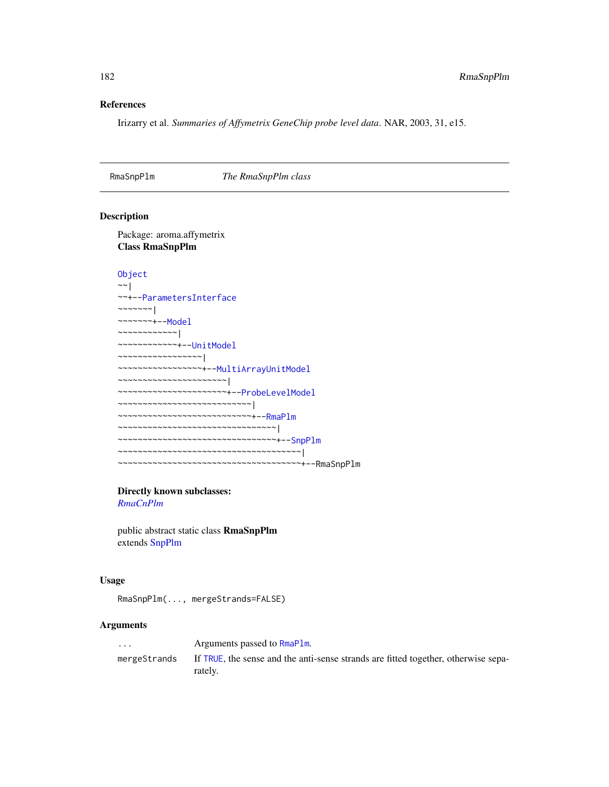# References

Irizarry et al. *Summaries of Affymetrix GeneChip probe level data*. NAR, 2003, 31, e15.

<span id="page-181-0"></span>RmaSnpPlm *The RmaSnpPlm class*

# Description

Package: aroma.affymetrix Class RmaSnpPlm

```
Object
```

```
~\sim~~~+--ParametersInterface
~~~~~~~|~~~~~~~+--Model
~~~~~~~~~~~~|
~~~~~~~~~~~~+--UnitModel
~~~~~~~~~~~~~~~~~|
~~~~~~~~~~~~~~~~~+--MultiArrayUnitModel
~~~~~~~~~~~~~~~~~~~~~~|
~~~~~~~~~~~~~~~~~~~~~~+--ProbeLevelModel
~~~~~~~~~~~~~~~~~~~~~~~~~~~|
~~~~~~~~~~~~~~~~~~~~~~~~~~~+--RmaPlm
~~~~~~~~~~~~~~~~~~~~~~~~~~~~~~~~|
~~~~~~~~~~~~~~~~~~~~~~~~~~~~~~~~+--SnpPlm
~~~~~~~~~~~~~~~~~~~~~~~~~~~~~~~~~~~~~|
~~~~~~~~~~~~~~~~~~~~~~~~~~~~~~~~~~~~~+--RmaSnpPlm
```
# Directly known subclasses:

*[RmaCnPlm](#page-177-0)*

public abstract static class RmaSnpPlm extends [SnpPlm](#page-196-0)

#### Usage

RmaSnpPlm(..., mergeStrands=FALSE)

# Arguments

| $\cdots$     | Arguments passed to RmaPlm.                                                                   |
|--------------|-----------------------------------------------------------------------------------------------|
| mergeStrands | If TRUE, the sense and the anti-sense strands are fitted together, otherwise sepa-<br>rately. |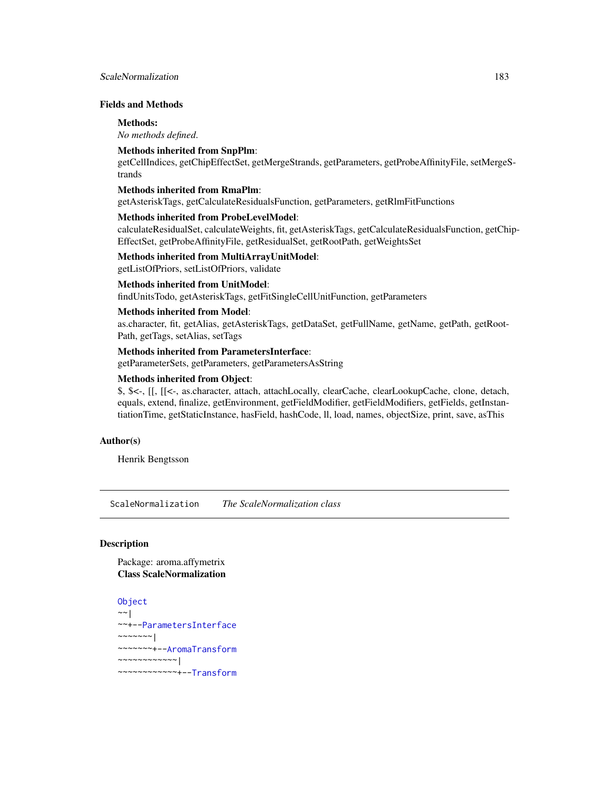# ScaleNormalization 183

# Fields and Methods

#### Methods:

*No methods defined*.

# Methods inherited from SnpPlm:

getCellIndices, getChipEffectSet, getMergeStrands, getParameters, getProbeAffinityFile, setMergeStrands

#### Methods inherited from RmaPlm:

getAsteriskTags, getCalculateResidualsFunction, getParameters, getRlmFitFunctions

#### Methods inherited from ProbeLevelModel:

calculateResidualSet, calculateWeights, fit, getAsteriskTags, getCalculateResidualsFunction, getChip-EffectSet, getProbeAffinityFile, getResidualSet, getRootPath, getWeightsSet

# Methods inherited from MultiArrayUnitModel:

getListOfPriors, setListOfPriors, validate

# Methods inherited from UnitModel:

findUnitsTodo, getAsteriskTags, getFitSingleCellUnitFunction, getParameters

# Methods inherited from Model:

as.character, fit, getAlias, getAsteriskTags, getDataSet, getFullName, getName, getPath, getRoot-Path, getTags, setAlias, setTags

# Methods inherited from ParametersInterface:

getParameterSets, getParameters, getParametersAsString

# Methods inherited from Object:

\$, \$<-, [[, [[<-, as.character, attach, attachLocally, clearCache, clearLookupCache, clone, detach, equals, extend, finalize, getEnvironment, getFieldModifier, getFieldModifiers, getFields, getInstantiationTime, getStaticInstance, hasField, hashCode, ll, load, names, objectSize, print, save, asThis

# Author(s)

Henrik Bengtsson

ScaleNormalization *The ScaleNormalization class*

# Description

Package: aroma.affymetrix Class ScaleNormalization

```
Object
~~|
~~+--ParametersInterface
~\sim~\sim~\sim~\sim~\sim~~~~~~~~+--AromaTransform
~~~~~~~~~~~~|
~~~~~~~~~~~~+--Transform
```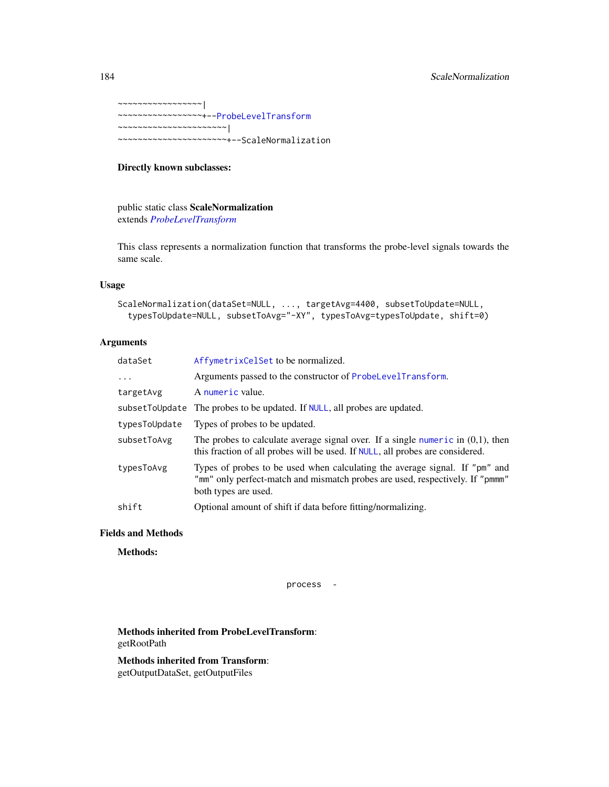~~~~~~~~~~~~~~~~~| ~~~~~~~~~~~~~~~~~+-[-ProbeLevelTransform](#page-158-0) ~~~~~~~~~~~~~~~~~~~~~~| ~~~~~~~~~~~~~~~~~~~~~~+--ScaleNormalization

# Directly known subclasses:

public static class ScaleNormalization extends *[ProbeLevelTransform](#page-158-0)*

This class represents a normalization function that transforms the probe-level signals towards the same scale.

# Usage

```
ScaleNormalization(dataSet=NULL, ..., targetAvg=4400, subsetToUpdate=NULL,
  typesToUpdate=NULL, subsetToAvg="-XY", typesToAvg=typesToUpdate, shift=0)
```
# Arguments

| dataSet        | AffymetrixCelSet to be normalized.                                                                                                                                                   |
|----------------|--------------------------------------------------------------------------------------------------------------------------------------------------------------------------------------|
| $\cdots$       | Arguments passed to the constructor of ProbeLevelTransform.                                                                                                                          |
| targetAvg      | A numeric value.                                                                                                                                                                     |
| subsetToUpdate | The probes to be updated. If NULL, all probes are updated.                                                                                                                           |
| typesToUpdate  | Types of probes to be updated.                                                                                                                                                       |
| subsetToAvg    | The probes to calculate average signal over. If a single numeric in $(0,1)$ , then<br>this fraction of all probes will be used. If NULL, all probes are considered.                  |
| typesToAvg     | Types of probes to be used when calculating the average signal. If "pm" and<br>"mm" only perfect-match and mismatch probes are used, respectively. If "pmmm"<br>both types are used. |
| shift          | Optional amount of shift if data before fitting/normalizing.                                                                                                                         |
|                |                                                                                                                                                                                      |

# Fields and Methods

Methods:

process -

Methods inherited from ProbeLevelTransform: getRootPath

Methods inherited from Transform: getOutputDataSet, getOutputFiles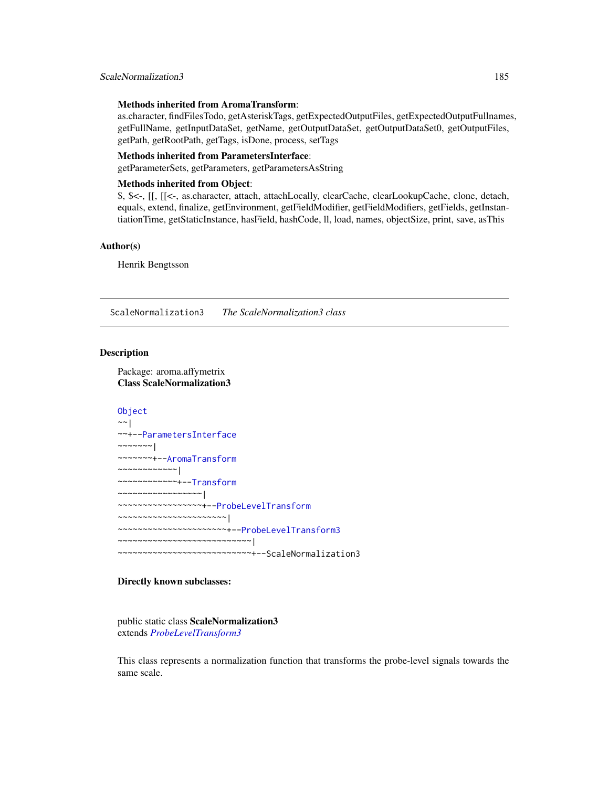#### Methods inherited from AromaTransform:

as.character, findFilesTodo, getAsteriskTags, getExpectedOutputFiles, getExpectedOutputFullnames, getFullName, getInputDataSet, getName, getOutputDataSet, getOutputDataSet0, getOutputFiles, getPath, getRootPath, getTags, isDone, process, setTags

#### Methods inherited from ParametersInterface:

getParameterSets, getParameters, getParametersAsString

# Methods inherited from Object:

\$, \$<-, [[, [[<-, as.character, attach, attachLocally, clearCache, clearLookupCache, clone, detach, equals, extend, finalize, getEnvironment, getFieldModifier, getFieldModifiers, getFields, getInstantiationTime, getStaticInstance, hasField, hashCode, ll, load, names, objectSize, print, save, asThis

#### Author(s)

Henrik Bengtsson

ScaleNormalization3 *The ScaleNormalization3 class*

# Description

Package: aroma.affymetrix Class ScaleNormalization3

#### [Object](#page-0-0)

```
~~|
~~+--ParametersInterface
~~~~~~~|~~~~~~~+--AromaTransform
~~~~~~~~~~~~|
~~~~~~~~~~~~+--Transform
~~~~~~~~~~~~~~~~~|
~~~~~~~~~~~~~~~~~+--ProbeLevelTransform
~~~~~~~~~~~~~~~~~~~~~~|
~~~~~~~~~~~~~~~~~~~~~~+--ProbeLevelTransform3
~~~~~~~~~~~~~~~~~~~~~~~~~~~|
  ~~~~~~~~~~~~~~~~~~~~~~~~~~~+--ScaleNormalization3
```
# Directly known subclasses:

public static class ScaleNormalization3 extends *[ProbeLevelTransform3](#page-159-0)*

This class represents a normalization function that transforms the probe-level signals towards the same scale.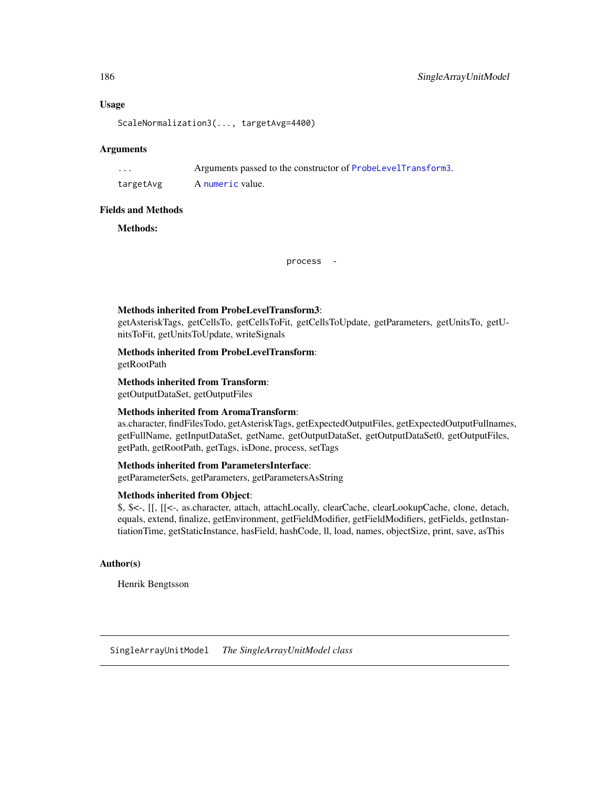# Usage

ScaleNormalization3(..., targetAvg=4400)

# Arguments

... Arguments passed to the constructor of [ProbeLevelTransform3](#page-159-0).

targetAvg A [numeric](#page-0-0) value.

#### Fields and Methods

Methods:

process -

# Methods inherited from ProbeLevelTransform3:

getAsteriskTags, getCellsTo, getCellsToFit, getCellsToUpdate, getParameters, getUnitsTo, getUnitsToFit, getUnitsToUpdate, writeSignals

Methods inherited from ProbeLevelTransform:

getRootPath

Methods inherited from Transform:

getOutputDataSet, getOutputFiles

# Methods inherited from AromaTransform:

as.character, findFilesTodo, getAsteriskTags, getExpectedOutputFiles, getExpectedOutputFullnames, getFullName, getInputDataSet, getName, getOutputDataSet, getOutputDataSet0, getOutputFiles, getPath, getRootPath, getTags, isDone, process, setTags

# Methods inherited from ParametersInterface:

getParameterSets, getParameters, getParametersAsString

# Methods inherited from Object:

\$, \$<-, [[, [[<-, as.character, attach, attachLocally, clearCache, clearLookupCache, clone, detach, equals, extend, finalize, getEnvironment, getFieldModifier, getFieldModifiers, getFields, getInstantiationTime, getStaticInstance, hasField, hashCode, ll, load, names, objectSize, print, save, asThis

# Author(s)

Henrik Bengtsson

<span id="page-185-0"></span>SingleArrayUnitModel *The SingleArrayUnitModel class*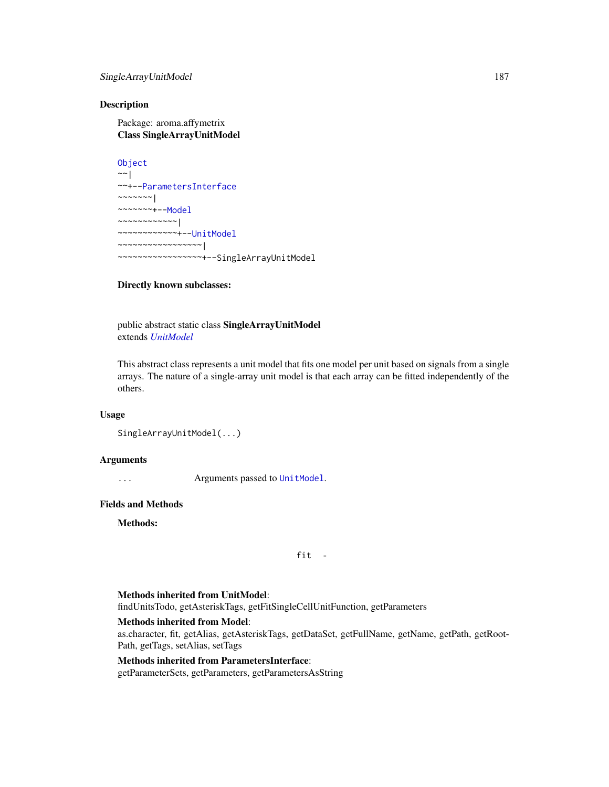# SingleArrayUnitModel 187

# **Description**

Package: aroma.affymetrix Class SingleArrayUnitModel

**[Object](#page-0-0)**  $~\sim~$ ~~+-[-ParametersInterface](#page-0-0)  $~\sim$   $~\sim$   $~\sim$   $~\sim$   $~\sim$   $~\sim$   $~\sim$ ~~~~~~~+-[-Model](#page-141-0) ~~~~~~~~~~~~| ~~~~~~~~~~~~+-[-UnitModel](#page-207-0) ~~~~~~~~~~~~~~~~~| ~~~~~~~~~~~~~~~~~+--SingleArrayUnitModel

# Directly known subclasses:

public abstract static class SingleArrayUnitModel extends *[UnitModel](#page-207-0)*

This abstract class represents a unit model that fits one model per unit based on signals from a single arrays. The nature of a single-array unit model is that each array can be fitted independently of the others.

# Usage

```
SingleArrayUnitModel(...)
```
# Arguments

... Arguments passed to [UnitModel](#page-207-0).

# Fields and Methods

Methods:

fit -

#### Methods inherited from UnitModel:

findUnitsTodo, getAsteriskTags, getFitSingleCellUnitFunction, getParameters

# Methods inherited from Model:

as.character, fit, getAlias, getAsteriskTags, getDataSet, getFullName, getName, getPath, getRoot-Path, getTags, setAlias, setTags

# Methods inherited from ParametersInterface:

getParameterSets, getParameters, getParametersAsString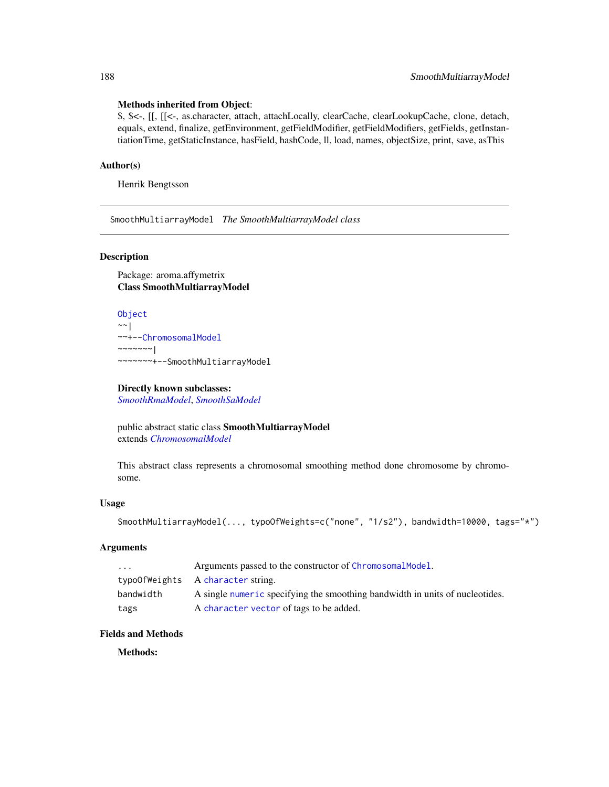# Methods inherited from Object:

\$, \$<-, [[, [[<-, as.character, attach, attachLocally, clearCache, clearLookupCache, clone, detach, equals, extend, finalize, getEnvironment, getFieldModifier, getFieldModifiers, getFields, getInstantiationTime, getStaticInstance, hasField, hashCode, ll, load, names, objectSize, print, save, asThis

# Author(s)

Henrik Bengtsson

<span id="page-187-0"></span>SmoothMultiarrayModel *The SmoothMultiarrayModel class*

# Description

Package: aroma.affymetrix Class SmoothMultiarrayModel

```
Object
~~|
~~+--ChromosomalModel
~\sim~\sim~\sim~\sim~\sim~~~~~~~~+--SmoothMultiarrayModel
```
# Directly known subclasses:

*[SmoothRmaModel](#page-188-0)*, *[SmoothSaModel](#page-0-0)*

public abstract static class SmoothMultiarrayModel extends *[ChromosomalModel](#page-0-0)*

This abstract class represents a chromosomal smoothing method done chromosome by chromosome.

# Usage

```
SmoothMultiarrayModel(..., typoOfWeights=c("none", "1/s2"), bandwidth=10000, tags="*")
```
# Arguments

| $\cdots$  | Arguments passed to the constructor of ChromosomalModel.                     |
|-----------|------------------------------------------------------------------------------|
|           | typo0fWeights A character string.                                            |
| bandwidth | A single numeric specifying the smoothing bandwidth in units of nucleotides. |
| tags      | A character vector of tags to be added.                                      |

# Fields and Methods

Methods: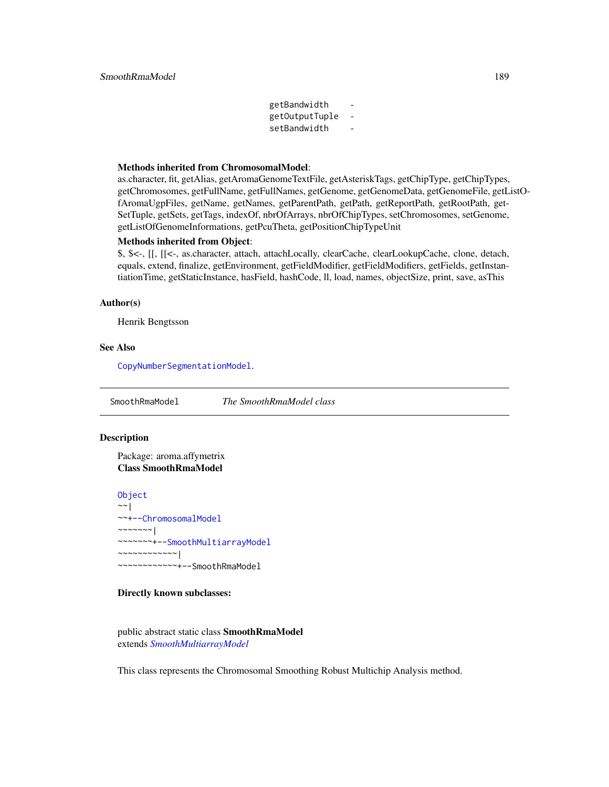getBandwidth getOutputTuple setBandwidth

#### Methods inherited from ChromosomalModel:

as.character, fit, getAlias, getAromaGenomeTextFile, getAsteriskTags, getChipType, getChipTypes, getChromosomes, getFullName, getFullNames, getGenome, getGenomeData, getGenomeFile, getListOfAromaUgpFiles, getName, getNames, getParentPath, getPath, getReportPath, getRootPath, get-SetTuple, getSets, getTags, indexOf, nbrOfArrays, nbrOfChipTypes, setChromosomes, setGenome, getListOfGenomeInformations, getPcuTheta, getPositionChipTypeUnit

# Methods inherited from Object:

\$, \$<-, [[, [[<-, as.character, attach, attachLocally, clearCache, clearLookupCache, clone, detach, equals, extend, finalize, getEnvironment, getFieldModifier, getFieldModifiers, getFields, getInstantiationTime, getStaticInstance, hasField, hashCode, ll, load, names, objectSize, print, save, asThis

#### Author(s)

Henrik Bengtsson

# See Also

[CopyNumberSegmentationModel](#page-0-0).

<span id="page-188-0"></span>SmoothRmaModel *The SmoothRmaModel class*

# **Description**

Package: aroma.affymetrix Class SmoothRmaModel

**[Object](#page-0-0)**  $\sim$   $\sim$  | ~~+-[-ChromosomalModel](#page-0-0) ~~~~~~~| ~~~~~~~+-[-SmoothMultiarrayModel](#page-187-0) ~~~~~~~~~~~~| ~~~~~~~~~~~~+--SmoothRmaModel

# Directly known subclasses:

public abstract static class SmoothRmaModel extends *[SmoothMultiarrayModel](#page-187-0)*

This class represents the Chromosomal Smoothing Robust Multichip Analysis method.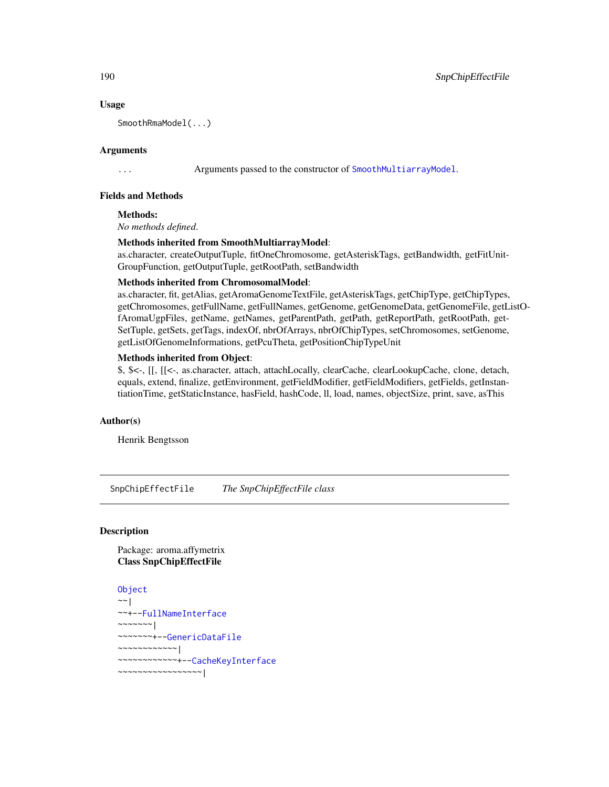# Usage

SmoothRmaModel(...)

# Arguments

... Arguments passed to the constructor of [SmoothMultiarrayModel](#page-187-0).

# Fields and Methods

Methods:

*No methods defined*.

# Methods inherited from SmoothMultiarrayModel:

as.character, createOutputTuple, fitOneChromosome, getAsteriskTags, getBandwidth, getFitUnit-GroupFunction, getOutputTuple, getRootPath, setBandwidth

#### Methods inherited from ChromosomalModel:

as.character, fit, getAlias, getAromaGenomeTextFile, getAsteriskTags, getChipType, getChipTypes, getChromosomes, getFullName, getFullNames, getGenome, getGenomeData, getGenomeFile, getListOfAromaUgpFiles, getName, getNames, getParentPath, getPath, getReportPath, getRootPath, get-SetTuple, getSets, getTags, indexOf, nbrOfArrays, nbrOfChipTypes, setChromosomes, setGenome, getListOfGenomeInformations, getPcuTheta, getPositionChipTypeUnit

# Methods inherited from Object:

\$, \$<-, [[, [[<-, as.character, attach, attachLocally, clearCache, clearLookupCache, clone, detach, equals, extend, finalize, getEnvironment, getFieldModifier, getFieldModifiers, getFields, getInstantiationTime, getStaticInstance, hasField, hashCode, ll, load, names, objectSize, print, save, asThis

# Author(s)

Henrik Bengtsson

SnpChipEffectFile *The SnpChipEffectFile class*

# **Description**

Package: aroma.affymetrix Class SnpChipEffectFile

```
Object
\sim |
~~+--FullNameInterface
~\sim ~\sim ~\sim ~\sim ~\sim ~\sim ~\sim~~~~~~~+--GenericDataFile
~~~~~~~~~~~~|
~~~~~~~~~~~~+--CacheKeyInterface
~~~~~~~~~~~~~~~~~|
```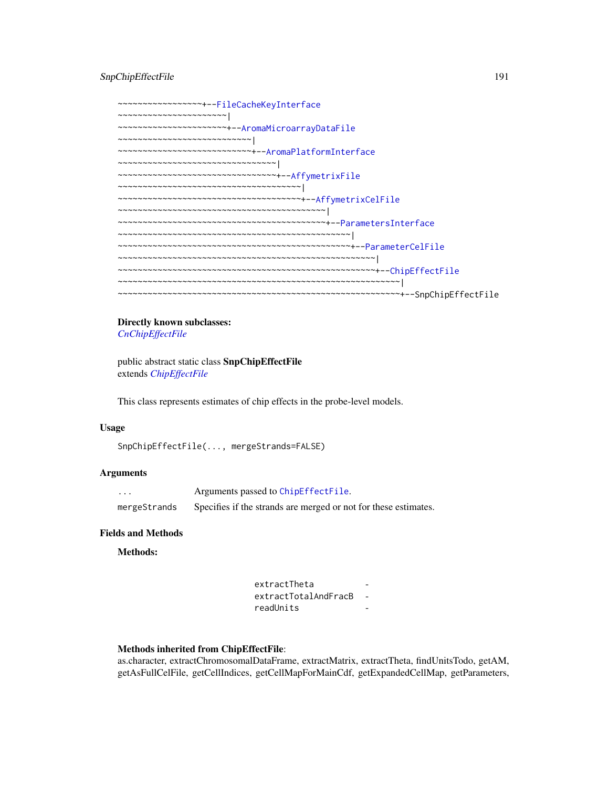# SnpChipEffectFile 191

~~~~~~~~~~~~~~~~~+-[-FileCacheKeyInterface](#page-0-0) ~~~~~~~~~~~~~~~~~~~~~~| ~~~~~~~~~~~~~~~~~~~~~~+-[-AromaMicroarrayDataFile](#page-0-0) ~~~~~~~~~~~~~~~~~~~~~~~~~~~| ~~~~~~~~~~~~~~~~~~~~~~~~~~~+-[-AromaPlatformInterface](#page-0-0) ~~~~~~~~~~~~~~~~~~~~~~~~~~~~~~~~| ~~~~~~~~~~~~~~~~~~~~~~~~~~~~~~~~+-[-AffymetrixFile](#page-27-0) ~~~~~~~~~~~~~~~~~~~~~~~~~~~~~~~~~~~~~| ~~~~~~~~~~~~~~~~~~~~~~~~~~~~~~~~~~~~~+-[-AffymetrixCelFile](#page-17-0) ~~~~~~~~~~~~~~~~~~~~~~~~~~~~~~~~~~~~~~~~~~| ~~~~~~~~~~~~~~~~~~~~~~~~~~~~~~~~~~~~~~~~~~+-[-ParametersInterface](#page-0-0) ~~~~~~~~~~~~~~~~~~~~~~~~~~~~~~~~~~~~~~~~~~~~~~~| ~~~~~~~~~~~~~~~~~~~~~~~~~~~~~~~~~~~~~~~~~~~~~~~+-[-ParameterCelFile](#page-149-0) ~~~~~~~~~~~~~~~~~~~~~~~~~~~~~~~~~~~~~~~~~~~~~~~~~~~~| ~~~~~~~~~~~~~~~~~~~~~~~~~~~~~~~~~~~~~~~~~~~~~~~~~~~~+-[-ChipEffectFile](#page-52-0) ~~~~~~~~~~~~~~~~~~~~~~~~~~~~~~~~~~~~~~~~~~~~~~~~~~~~~~~~~| ~~~~~~~~~~~~~~~~~~~~~~~~~~~~~~~~~~~~~~~~~~~~~~~~~~~~~~~~~+--SnpChipEffectFile

# Directly known subclasses: *[CnChipEffectFile](#page-63-0)*

public abstract static class SnpChipEffectFile extends *[ChipEffectFile](#page-52-0)*

This class represents estimates of chip effects in the probe-level models.

#### Usage

SnpChipEffectFile(..., mergeStrands=FALSE)

# Arguments

| $\cdots$     | Arguments passed to ChipEffectFile.                             |
|--------------|-----------------------------------------------------------------|
| mergeStrands | Specifies if the strands are merged or not for these estimates. |

# Fields and Methods

Methods:

extractTheta extractTotalAndFracB readUnits -

#### Methods inherited from ChipEffectFile:

as.character, extractChromosomalDataFrame, extractMatrix, extractTheta, findUnitsTodo, getAM, getAsFullCelFile, getCellIndices, getCellMapForMainCdf, getExpandedCellMap, getParameters,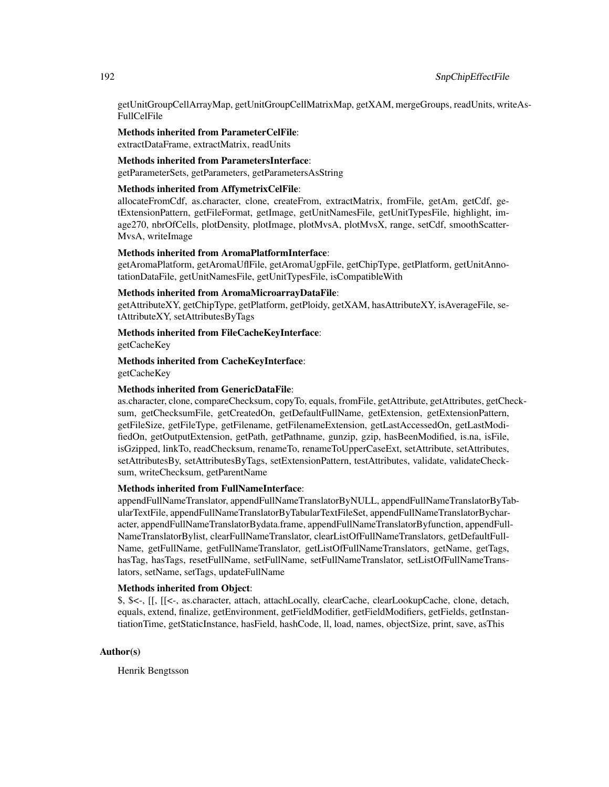getUnitGroupCellArrayMap, getUnitGroupCellMatrixMap, getXAM, mergeGroups, readUnits, writeAs-FullCelFile

Methods inherited from ParameterCelFile: extractDataFrame, extractMatrix, readUnits

# Methods inherited from ParametersInterface:

getParameterSets, getParameters, getParametersAsString

# Methods inherited from AffymetrixCelFile:

allocateFromCdf, as.character, clone, createFrom, extractMatrix, fromFile, getAm, getCdf, getExtensionPattern, getFileFormat, getImage, getUnitNamesFile, getUnitTypesFile, highlight, image270, nbrOfCells, plotDensity, plotImage, plotMvsA, plotMvsX, range, setCdf, smoothScatter-MvsA, writeImage

# Methods inherited from AromaPlatformInterface:

getAromaPlatform, getAromaUflFile, getAromaUgpFile, getChipType, getPlatform, getUnitAnnotationDataFile, getUnitNamesFile, getUnitTypesFile, isCompatibleWith

#### Methods inherited from AromaMicroarrayDataFile:

getAttributeXY, getChipType, getPlatform, getPloidy, getXAM, hasAttributeXY, isAverageFile, setAttributeXY, setAttributesByTags

Methods inherited from FileCacheKeyInterface:

getCacheKey

# Methods inherited from CacheKeyInterface: getCacheKey

# Methods inherited from GenericDataFile:

as.character, clone, compareChecksum, copyTo, equals, fromFile, getAttribute, getAttributes, getChecksum, getChecksumFile, getCreatedOn, getDefaultFullName, getExtension, getExtensionPattern, getFileSize, getFileType, getFilename, getFilenameExtension, getLastAccessedOn, getLastModifiedOn, getOutputExtension, getPath, getPathname, gunzip, gzip, hasBeenModified, is.na, isFile, isGzipped, linkTo, readChecksum, renameTo, renameToUpperCaseExt, setAttribute, setAttributes, setAttributesBy, setAttributesByTags, setExtensionPattern, testAttributes, validate, validateChecksum, writeChecksum, getParentName

#### Methods inherited from FullNameInterface:

appendFullNameTranslator, appendFullNameTranslatorByNULL, appendFullNameTranslatorByTabularTextFile, appendFullNameTranslatorByTabularTextFileSet, appendFullNameTranslatorBycharacter, appendFullNameTranslatorBydata.frame, appendFullNameTranslatorByfunction, appendFull-NameTranslatorBylist, clearFullNameTranslator, clearListOfFullNameTranslators, getDefaultFull-Name, getFullName, getFullNameTranslator, getListOfFullNameTranslators, getName, getTags, hasTag, hasTags, resetFullName, setFullName, setFullNameTranslator, setListOfFullNameTranslators, setName, setTags, updateFullName

# Methods inherited from Object:

\$, \$<-, [[, [[<-, as.character, attach, attachLocally, clearCache, clearLookupCache, clone, detach, equals, extend, finalize, getEnvironment, getFieldModifier, getFieldModifiers, getFields, getInstantiationTime, getStaticInstance, hasField, hashCode, ll, load, names, objectSize, print, save, asThis

# Author(s)

Henrik Bengtsson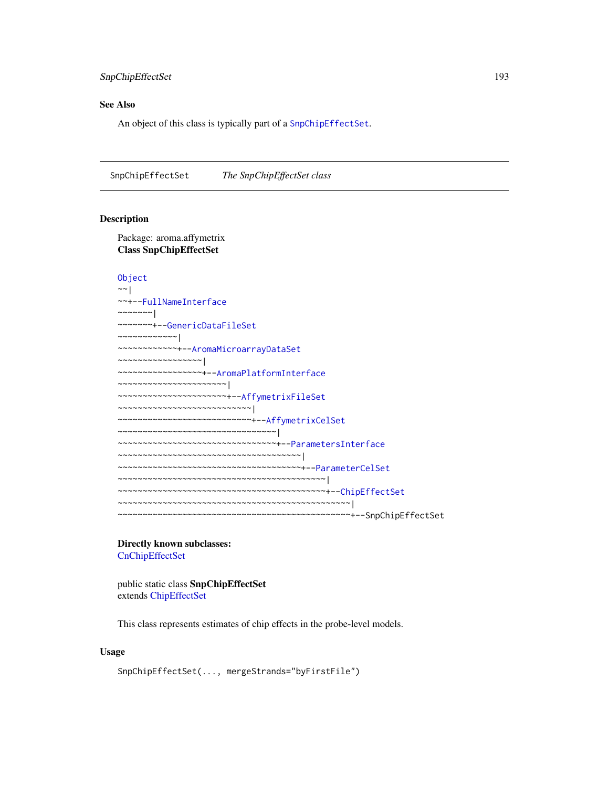# SnpChipEffectSet 193

# See Also

An object of this class is typically part of a [SnpChipEffectSet](#page-192-0).

<span id="page-192-0"></span>SnpChipEffectSet *The SnpChipEffectSet class*

# Description

Package: aroma.affymetrix Class SnpChipEffectSet

```
Object
~\sim~|
~~+--FullNameInterface
~~~~~~~|
~~~~~~~+--GenericDataFileSet
~~~~~~~~~~~~|
~~~~~~~~~~~~+--AromaMicroarrayDataSet
~~~~~~~~~~~~~~~~~|
~~~~~~~~~~~~~~~~~+--AromaPlatformInterface
  ~~~~~~~~~~~~~~~~~~~~~~|
~~~~~~~~~~~~~~~~~~~~~~+--AffymetrixFileSet
~~~~~~~~~~~~~~~~~~~~~~~~~~~|
~~~~~~~~~~~~~~~~~~~~~~~~~~~+--AffymetrixCelSet
~~~~~~~~~~~~~~~~~~~~~~~~~~~~~~~~|
~~~~~~~~~~~~~~~~~~~~~~~~~~~~~~~~+--ParametersInterface
~~~~~~~~~~~~~~~~~~~~~~~~~~~~~~~~~~~~~|
~~~~~~~~~~~~~~~~~~~~~~~~~~~~~~~~~~~~~+--ParameterCelSet
~~~~~~~~~~~~~~~~~~~~~~~~~~~~~~~~~~~~~~~~~~|
~~~~~~~~~~~~~~~~~~~~~~~~~~~~~~~~~~~~~~~~~~+--ChipEffectSet
~~~~~~~~~~~~~~~~~~~~~~~~~~~~~~~~~~~~~~~~~~~~~~~|
~~~~~~~~~~~~~~~~~~~~~~~~~~~~~~~~~~~~~~~~~~~~~~~+--SnpChipEffectSet
```
Directly known subclasses: [CnChipEffectSet](#page-66-0)

public static class SnpChipEffectSet extends [ChipEffectSet](#page-55-0)

This class represents estimates of chip effects in the probe-level models.

# Usage

```
SnpChipEffectSet(..., mergeStrands="byFirstFile")
```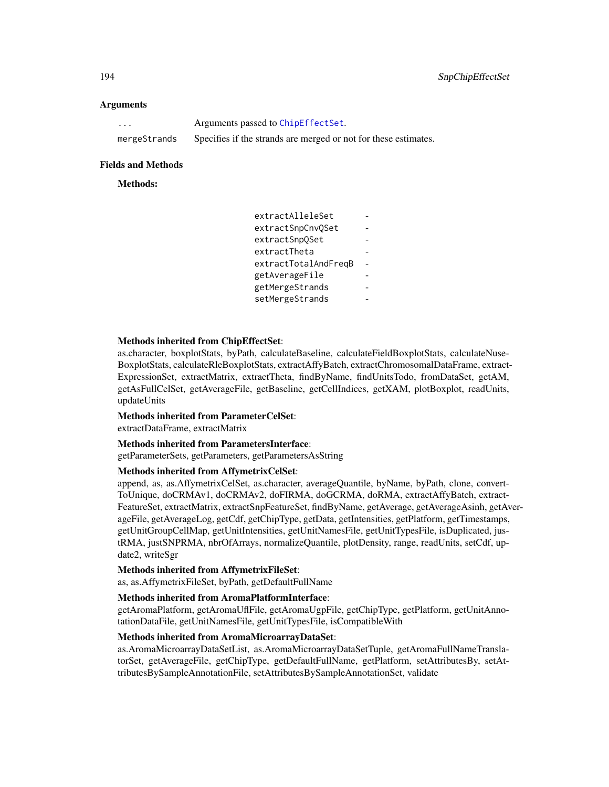# **Arguments**

| $\cdots$     | Arguments passed to ChipEffectSet.                              |
|--------------|-----------------------------------------------------------------|
| mergeStrands | Specifies if the strands are merged or not for these estimates. |

#### Fields and Methods

# Methods:

| extractAlleleSet     |  |
|----------------------|--|
| extractSnpCnvOSet    |  |
| extractSnpOSet       |  |
| extractTheta         |  |
| extractTotalAndFreqB |  |
| getAverageFile       |  |
| getMergeStrands      |  |
| setMergeStrands      |  |

# Methods inherited from ChipEffectSet:

as.character, boxplotStats, byPath, calculateBaseline, calculateFieldBoxplotStats, calculateNuse-BoxplotStats, calculateRleBoxplotStats, extractAffyBatch, extractChromosomalDataFrame, extract-ExpressionSet, extractMatrix, extractTheta, findByName, findUnitsTodo, fromDataSet, getAM, getAsFullCelSet, getAverageFile, getBaseline, getCellIndices, getXAM, plotBoxplot, readUnits, updateUnits

#### Methods inherited from ParameterCelSet:

extractDataFrame, extractMatrix

# Methods inherited from ParametersInterface:

getParameterSets, getParameters, getParametersAsString

# Methods inherited from AffymetrixCelSet:

append, as, as.AffymetrixCelSet, as.character, averageQuantile, byName, byPath, clone, convert-ToUnique, doCRMAv1, doCRMAv2, doFIRMA, doGCRMA, doRMA, extractAffyBatch, extract-FeatureSet, extractMatrix, extractSnpFeatureSet, findByName, getAverage, getAverageAsinh, getAverageFile, getAverageLog, getCdf, getChipType, getData, getIntensities, getPlatform, getTimestamps, getUnitGroupCellMap, getUnitIntensities, getUnitNamesFile, getUnitTypesFile, isDuplicated, justRMA, justSNPRMA, nbrOfArrays, normalizeQuantile, plotDensity, range, readUnits, setCdf, update2, writeSgr

# Methods inherited from AffymetrixFileSet:

as, as.AffymetrixFileSet, byPath, getDefaultFullName

#### Methods inherited from AromaPlatformInterface:

getAromaPlatform, getAromaUflFile, getAromaUgpFile, getChipType, getPlatform, getUnitAnnotationDataFile, getUnitNamesFile, getUnitTypesFile, isCompatibleWith

#### Methods inherited from AromaMicroarrayDataSet:

as.AromaMicroarrayDataSetList, as.AromaMicroarrayDataSetTuple, getAromaFullNameTranslatorSet, getAverageFile, getChipType, getDefaultFullName, getPlatform, setAttributesBy, setAttributesBySampleAnnotationFile, setAttributesBySampleAnnotationSet, validate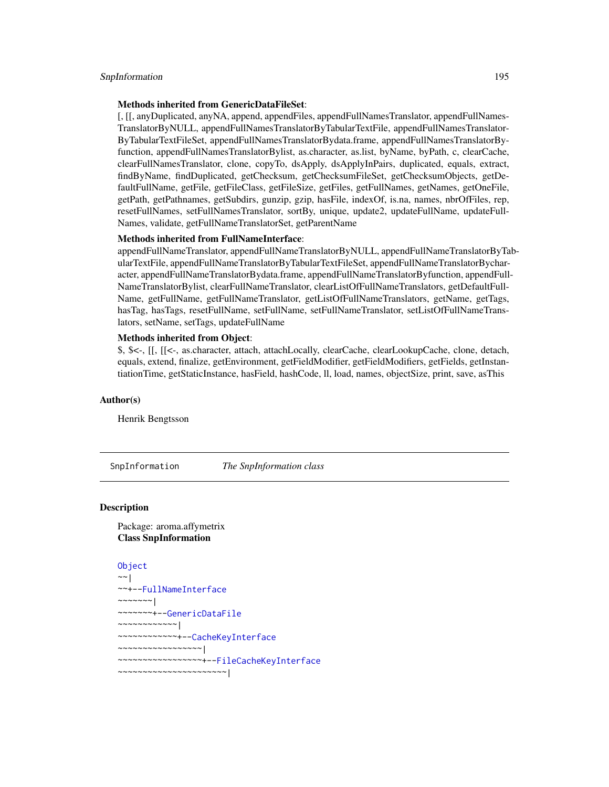#### SnpInformation 195

# Methods inherited from GenericDataFileSet:

[, [[, anyDuplicated, anyNA, append, appendFiles, appendFullNamesTranslator, appendFullNames-TranslatorByNULL, appendFullNamesTranslatorByTabularTextFile, appendFullNamesTranslator-ByTabularTextFileSet, appendFullNamesTranslatorBydata.frame, appendFullNamesTranslatorByfunction, appendFullNamesTranslatorBylist, as.character, as.list, byName, byPath, c, clearCache, clearFullNamesTranslator, clone, copyTo, dsApply, dsApplyInPairs, duplicated, equals, extract, findByName, findDuplicated, getChecksum, getChecksumFileSet, getChecksumObjects, getDefaultFullName, getFile, getFileClass, getFileSize, getFiles, getFullNames, getNames, getOneFile, getPath, getPathnames, getSubdirs, gunzip, gzip, hasFile, indexOf, is.na, names, nbrOfFiles, rep, resetFullNames, setFullNamesTranslator, sortBy, unique, update2, updateFullName, updateFull-Names, validate, getFullNameTranslatorSet, getParentName

# Methods inherited from FullNameInterface:

appendFullNameTranslator, appendFullNameTranslatorByNULL, appendFullNameTranslatorByTabularTextFile, appendFullNameTranslatorByTabularTextFileSet, appendFullNameTranslatorBycharacter, appendFullNameTranslatorBydata.frame, appendFullNameTranslatorByfunction, appendFull-NameTranslatorBylist, clearFullNameTranslator, clearListOfFullNameTranslators, getDefaultFull-Name, getFullName, getFullNameTranslator, getListOfFullNameTranslators, getName, getTags, hasTag, hasTags, resetFullName, setFullName, setFullNameTranslator, setListOfFullNameTranslators, setName, setTags, updateFullName

# Methods inherited from Object:

\$, \$<-, [[, [[<-, as.character, attach, attachLocally, clearCache, clearLookupCache, clone, detach, equals, extend, finalize, getEnvironment, getFieldModifier, getFieldModifiers, getFields, getInstantiationTime, getStaticInstance, hasField, hashCode, ll, load, names, objectSize, print, save, asThis

# Author(s)

Henrik Bengtsson

SnpInformation *The SnpInformation class*

# Description

Package: aroma.affymetrix Class SnpInformation

```
Object
~~|
~~+--FullNameInterface
~~~~~~~|
~~~~~~~+--GenericDataFile
~~~~~~~~~~~~|
~~~~~~~~~~~~+--CacheKeyInterface
  ~~~~~~~~~~~~~~~~~|
  ~~~~~~~~~~~~~~~~~+--FileCacheKeyInterface
 ~~~~~~~~~~~~~~~~~~~~~~|
```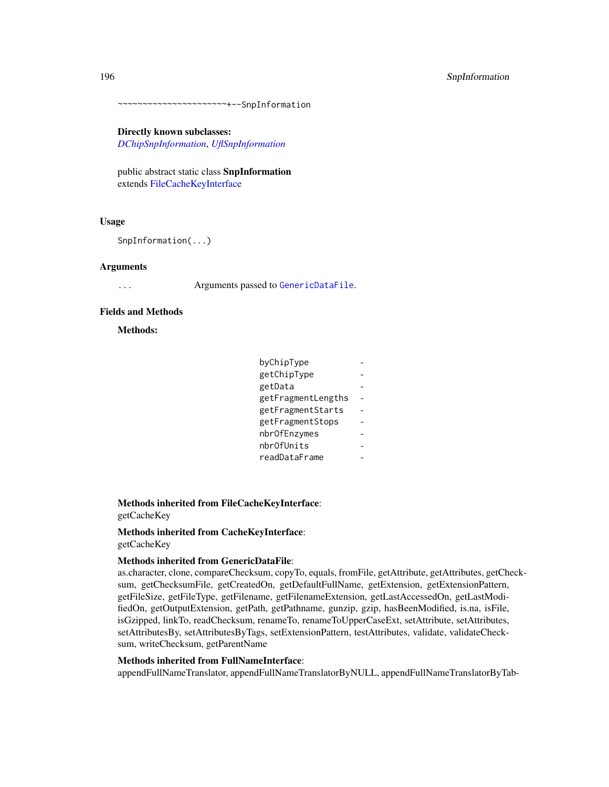~~~~~~~~~~~~~~~~~~~~~~+--SnpInformation

Directly known subclasses:

*[DChipSnpInformation](#page-87-0)*, *[UflSnpInformation](#page-0-0)*

public abstract static class SnpInformation extends [FileCacheKeyInterface](#page-0-0)

# Usage

SnpInformation(...)

#### **Arguments**

... Arguments passed to [GenericDataFile](#page-0-0).

## Fields and Methods

Methods:

| byChipType         |  |
|--------------------|--|
| getChipType        |  |
| getData            |  |
| getFragmentLengths |  |
| getFragmentStarts  |  |
| getFragmentStops   |  |
| nbrOfEnzymes       |  |
| nbrOfUnits         |  |
| readDataFrame      |  |

Methods inherited from FileCacheKeyInterface: getCacheKey

# Methods inherited from CacheKeyInterface: getCacheKey

#### Methods inherited from GenericDataFile:

as.character, clone, compareChecksum, copyTo, equals, fromFile, getAttribute, getAttributes, getChecksum, getChecksumFile, getCreatedOn, getDefaultFullName, getExtension, getExtensionPattern, getFileSize, getFileType, getFilename, getFilenameExtension, getLastAccessedOn, getLastModifiedOn, getOutputExtension, getPath, getPathname, gunzip, gzip, hasBeenModified, is.na, isFile, isGzipped, linkTo, readChecksum, renameTo, renameToUpperCaseExt, setAttribute, setAttributes, setAttributesBy, setAttributesByTags, setExtensionPattern, testAttributes, validate, validateChecksum, writeChecksum, getParentName

# Methods inherited from FullNameInterface:

appendFullNameTranslator, appendFullNameTranslatorByNULL, appendFullNameTranslatorByTab-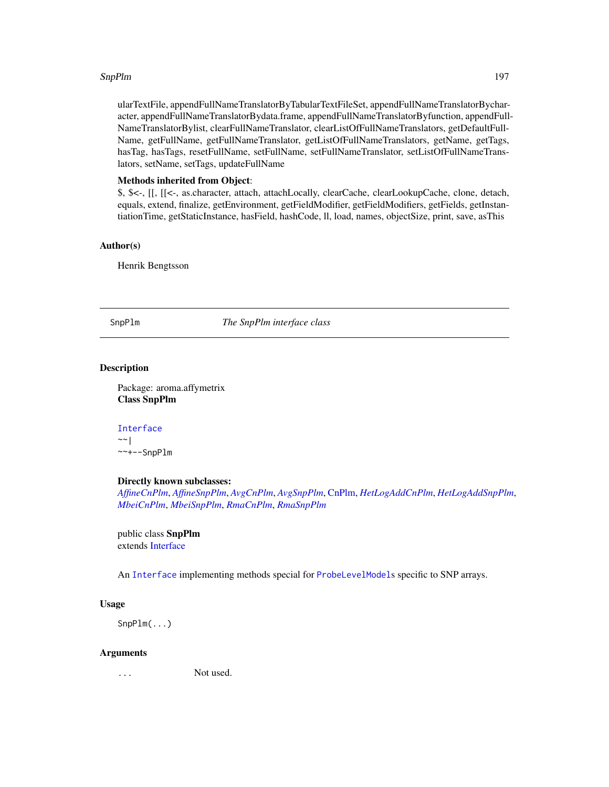# SnpPlm and the state of the state of the state of the state of the state of the state of the state of the state of the state of the state of the state of the state of the state of the state of the state of the state of the

ularTextFile, appendFullNameTranslatorByTabularTextFileSet, appendFullNameTranslatorBycharacter, appendFullNameTranslatorBydata.frame, appendFullNameTranslatorByfunction, appendFull-NameTranslatorBylist, clearFullNameTranslator, clearListOfFullNameTranslators, getDefaultFull-Name, getFullName, getFullNameTranslator, getListOfFullNameTranslators, getName, getTags, hasTag, hasTags, resetFullName, setFullName, setFullNameTranslator, setListOfFullNameTranslators, setName, setTags, updateFullName

# Methods inherited from Object:

\$, \$<-, [[, [[<-, as.character, attach, attachLocally, clearCache, clearLookupCache, clone, detach, equals, extend, finalize, getEnvironment, getFieldModifier, getFieldModifiers, getFields, getInstantiationTime, getStaticInstance, hasField, hashCode, ll, load, names, objectSize, print, save, asThis

# Author(s)

Henrik Bengtsson

<span id="page-196-0"></span>SnpPlm *The SnpPlm interface class*

# **Description**

Package: aroma.affymetrix Class SnpPlm

```
Interface
~\sim~|
~~+--SnpPlm
```
# Directly known subclasses:

*[AffineCnPlm](#page-9-0)*, *[AffineSnpPlm](#page-13-0)*, *[AvgCnPlm](#page-42-0)*, *[AvgSnpPlm](#page-46-0)*, [CnPlm,](#page-69-0) *[HetLogAddCnPlm](#page-122-0)*, *[HetLogAddSnpPlm](#page-126-0)*, *[MbeiCnPlm](#page-136-0)*, *[MbeiSnpPlm](#page-140-0)*, *[RmaCnPlm](#page-177-0)*, *[RmaSnpPlm](#page-181-0)*

public class SnpPlm extends [Interface](#page-0-0)

An [Interface](#page-0-0) implementing methods special for [ProbeLevelModel](#page-156-0)s specific to SNP arrays.

# Usage

SnpPlm(...)

#### Arguments

... Not used.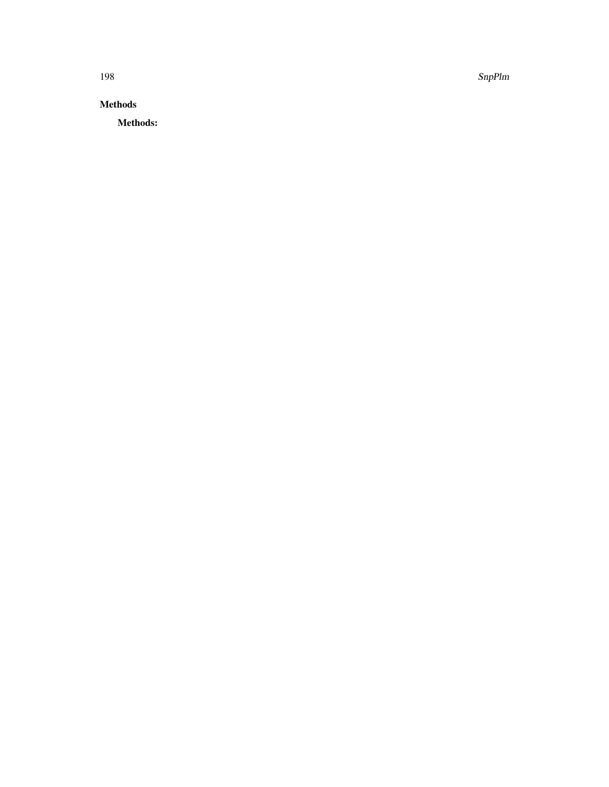198 SnpPlm

# Methods

Methods: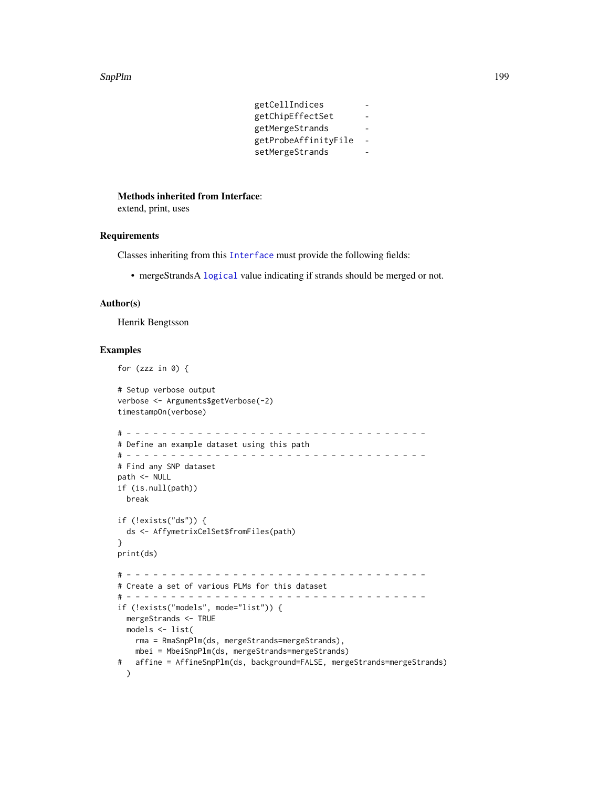#### SnpPlm 199

getCellIndices getChipEffectSet getMergeStrands getProbeAffinityFile setMergeStrands

#### Methods inherited from Interface:

extend, print, uses

# Requirements

Classes inheriting from this [Interface](#page-0-0) must provide the following fields:

• mergeStrandsA [logical](#page-0-0) value indicating if strands should be merged or not.

#### Author(s)

Henrik Bengtsson

# Examples

```
for (zzz in \theta) {
# Setup verbose output
verbose <- Arguments$getVerbose(-2)
timestampOn(verbose)
# - - - - - - - - - - - - - - - - - - - - - - - - - - - - - - - - - -
# Define an example dataset using this path
# - - - - - - - - - - - - - - - - - - - - - - - - - - - - - - - - - -
# Find any SNP dataset
path <- NULL
if (is.null(path))
 break
if (!exists("ds")) {
  ds <- AffymetrixCelSet$fromFiles(path)
}
print(ds)
# - - - - - - - - - - - - - - - - - - - - - - - - - - - - - - - - - -
# Create a set of various PLMs for this dataset
# - - - - - - - - - - - - - - - - - - - - - - - - - - - - - - - - - -
if (!exists("models", mode="list")) {
  mergeStrands <- TRUE
 models <- list(
   rma = RmaSnpPlm(ds, mergeStrands=mergeStrands),
   mbei = MbeiSnpPlm(ds, mergeStrands=mergeStrands)
# affine = AffineSnpPlm(ds, background=FALSE, mergeStrands=mergeStrands)
  )
```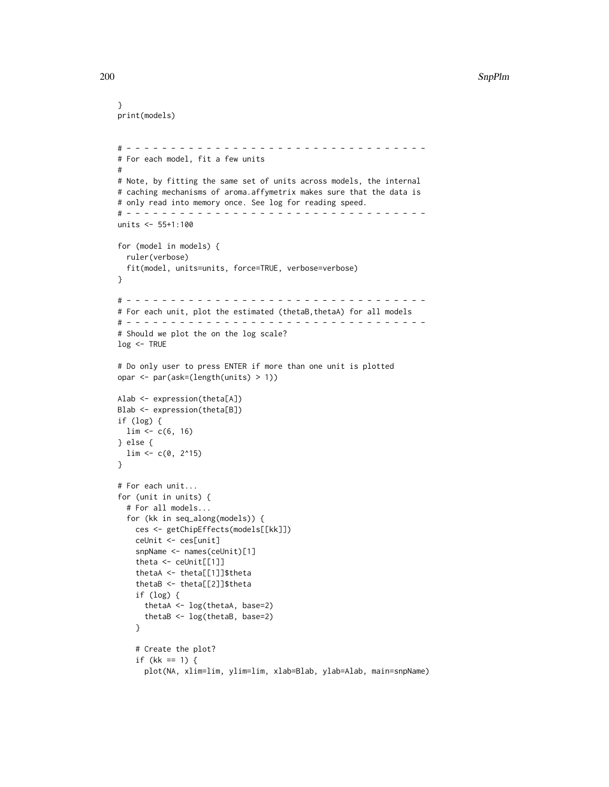# 200 SnpPlm

```
}
print(models)
# - - - - - - - - - - - - - - - - - - - - - - - - - - - - - - - - - -
# For each model, fit a few units
#
# Note, by fitting the same set of units across models, the internal
# caching mechanisms of aroma.affymetrix makes sure that the data is
# only read into memory once. See log for reading speed.
# - - - - - - - - - - - - - - - - - - - - - - - - - - - - - - - - - -
units <- 55+1:100
for (model in models) {
  ruler(verbose)
  fit(model, units=units, force=TRUE, verbose=verbose)
}
# - - - - - - - - - - - - - - - - - - - - - - - - - - - - - - - - - -
# For each unit, plot the estimated (thetaB,thetaA) for all models
# - - - - - - - - - - - - - - - - - - - - - - - - - - - - - - - - - -
# Should we plot the on the log scale?
log <- TRUE
# Do only user to press ENTER if more than one unit is plotted
opar <- par(ask=(length(units) > 1))
Alab <- expression(theta[A])
Blab <- expression(theta[B])
if (log) {
 \lim <- c(6, 16)
} else {
  \lim <- c(0, 2^15)
}
# For each unit...
for (unit in units) {
  # For all models...
  for (kk in seq_along(models)) {
    ces <- getChipEffects(models[[kk]])
    ceUnit <- ces[unit]
    snpName <- names(ceUnit)[1]
    theta <- ceUnit[[1]]
    thetaA <- theta[[1]]$theta
    thetaB <- theta[[2]]$theta
    if (log) {
      thetaA <- log(thetaA, base=2)
      thetaB <- log(thetaB, base=2)
    }
    # Create the plot?
    if (kk == 1) {
      plot(NA, xlim=lim, ylim=lim, xlab=Blab, ylab=Alab, main=snpName)
```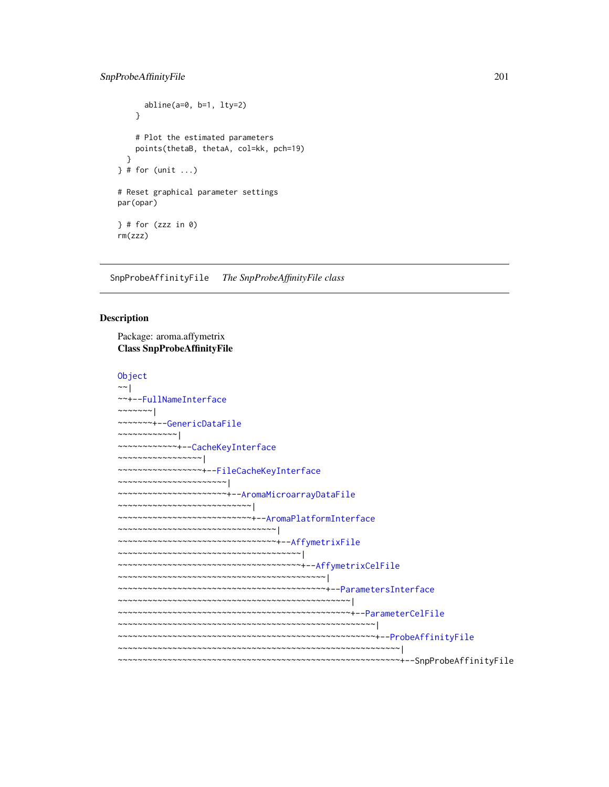```
abline(a=0, b=1, lty=2)
    }
    # Plot the estimated parameters
   points(thetaB, thetaA, col=kk, pch=19)
 }
} # for (unit ...)
# Reset graphical parameter settings
par(opar)
} # for (zzz in 0)
rm(zzz)
```
SnpProbeAffinityFile *The SnpProbeAffinityFile class*

# Description

Package: aroma.affymetrix Class SnpProbeAffinityFile

```
Object
~~|
~~+--FullNameInterface
~\sim ~\sim ~\sim ~\sim ~\sim ~\sim ~\sim ~\sim ~\sim ~\sim ~\sim ~\sim ~\sim ~\sim ~\sim ~\sim ~\sim ~\sim ~\sim ~\sim ~\sim ~\sim ~\sim ~\sim ~\sim ~\sim ~\sim ~\sim ~\sim ~\sim ~\sim ~\sim ~\sim ~\sim ~\sim ~\sim ~\sim~~~~~~~+--GenericDataFile
~~~~~~~~~~~~|
~~~~~~~~~~~~+--CacheKeyInterface
~~~~~~~~~~~~~~~~~|
~~~~~~~~~~~~~~~~~+--FileCacheKeyInterface
~~~~~~~~~~~~~~~~~~~~~~|
~~~~~~~~~~~~~~~~~~~~~~+--AromaMicroarrayDataFile
~~~~~~~~~~~~~~~~~~~~~~~~~~~|
~~~~~~~~~~~~~~~~~~~~~~~~~~~+--AromaPlatformInterface
~~~~~~~~~~~~~~~~~~~~~~~~~~~~~~~~|
~~~~~~~~~~~~~~~~~~~~~~~~~~~~~~~~+--AffymetrixFile
~~~~~~~~~~~~~~~~~~~~~~~~~~~~~~~~~~~~~|
~~~~~~~~~~~~~~~~~~~~~~~~~~~~~~~~~~~~~+--AffymetrixCelFile
  ~~~~~~~~~~~~~~~~~~~~~~~~~~~~~~~~~~~~~~~~~~|
~~~~~~~~~~~~~~~~~~~~~~~~~~~~~~~~~~~~~~~~~~+--ParametersInterface
~~~~~~~~~~~~~~~~~~~~~~~~~~~~~~~~~~~~~~~~~~~~~~~|
 ~~~~~~~~~~~~~~~~~~~~~~~~~~~~~~~~~~~~~~~~~~~~~~~+--ParameterCelFile
    ~~~~~~~~~~~~~~~~~~~~~~~~~~~~~~~~~~~~~~~~~~~~~~~~~~~~|
  ~~~~~~~~~~~~~~~~~~~~~~~~~~~~~~~~~~~~~~~~~~~~~~~~~~~~+--ProbeAffinityFile
    ~~~~~~~~~~~~~~~~~~~~~~~~~~~~~~~~~~~~~~~~~~~~~~~~~~~~~~~~~|
  ~~~~~~~~~~~~~~~~~~~~~~~~~~~~~~~~~~~~~~~~~~~~~~~~~~~~~~~~~+--SnpProbeAffinityFile
```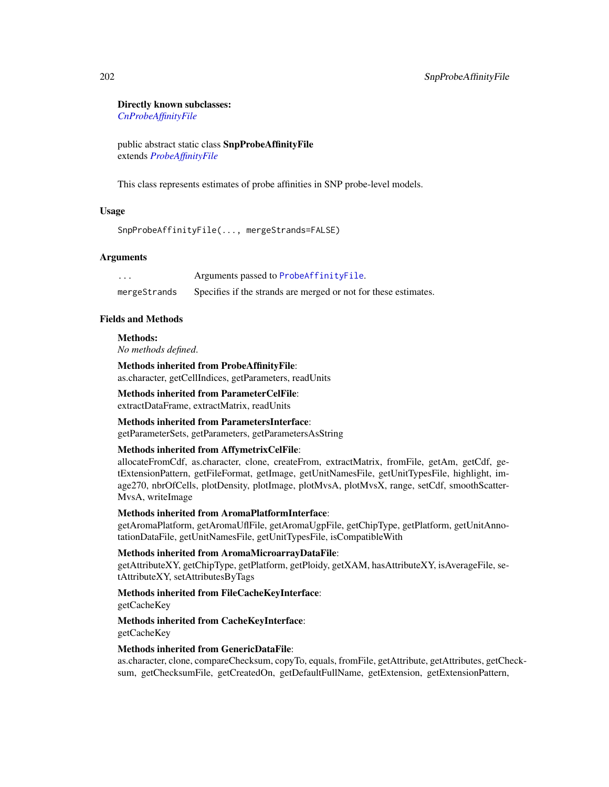#### Directly known subclasses:

*[CnProbeAffinityFile](#page-71-0)*

public abstract static class SnpProbeAffinityFile extends *[ProbeAffinityFile](#page-154-0)*

This class represents estimates of probe affinities in SNP probe-level models.

# Usage

SnpProbeAffinityFile(..., mergeStrands=FALSE)

# Arguments

... Arguments passed to [ProbeAffinityFile](#page-154-0). mergeStrands Specifies if the strands are merged or not for these estimates.

# Fields and Methods

Methods:

*No methods defined*.

Methods inherited from ProbeAffinityFile: as.character, getCellIndices, getParameters, readUnits

Methods inherited from ParameterCelFile: extractDataFrame, extractMatrix, readUnits

Methods inherited from ParametersInterface: getParameterSets, getParameters, getParametersAsString

#### Methods inherited from AffymetrixCelFile:

allocateFromCdf, as.character, clone, createFrom, extractMatrix, fromFile, getAm, getCdf, getExtensionPattern, getFileFormat, getImage, getUnitNamesFile, getUnitTypesFile, highlight, image270, nbrOfCells, plotDensity, plotImage, plotMvsA, plotMvsX, range, setCdf, smoothScatter-MvsA, writeImage

Methods inherited from AromaPlatformInterface:

getAromaPlatform, getAromaUflFile, getAromaUgpFile, getChipType, getPlatform, getUnitAnnotationDataFile, getUnitNamesFile, getUnitTypesFile, isCompatibleWith

# Methods inherited from AromaMicroarrayDataFile:

getAttributeXY, getChipType, getPlatform, getPloidy, getXAM, hasAttributeXY, isAverageFile, setAttributeXY, setAttributesByTags

# Methods inherited from FileCacheKeyInterface:

getCacheKey

# Methods inherited from CacheKeyInterface: getCacheKey

Methods inherited from GenericDataFile:

as.character, clone, compareChecksum, copyTo, equals, fromFile, getAttribute, getAttributes, getChecksum, getChecksumFile, getCreatedOn, getDefaultFullName, getExtension, getExtensionPattern,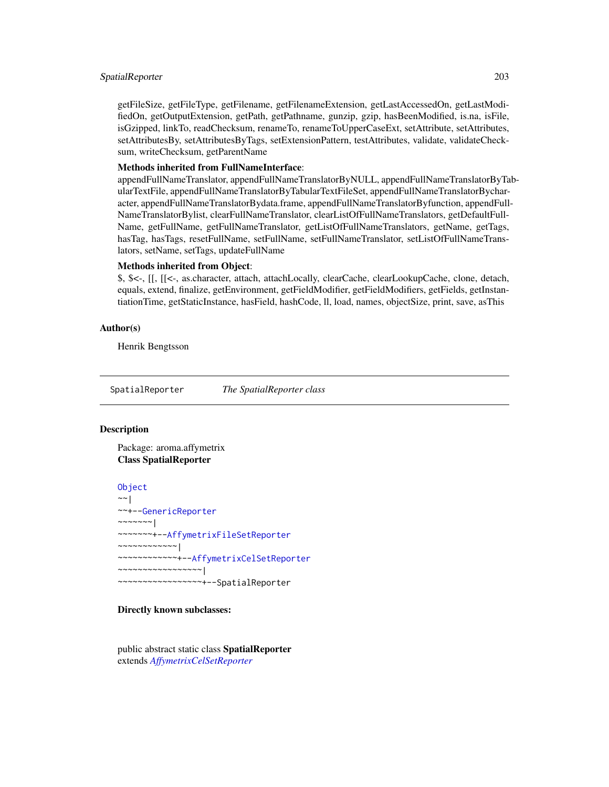# SpatialReporter 203

getFileSize, getFileType, getFilename, getFilenameExtension, getLastAccessedOn, getLastModifiedOn, getOutputExtension, getPath, getPathname, gunzip, gzip, hasBeenModified, is.na, isFile, isGzipped, linkTo, readChecksum, renameTo, renameToUpperCaseExt, setAttribute, setAttributes, setAttributesBy, setAttributesByTags, setExtensionPattern, testAttributes, validate, validateChecksum, writeChecksum, getParentName

#### Methods inherited from FullNameInterface:

appendFullNameTranslator, appendFullNameTranslatorByNULL, appendFullNameTranslatorByTabularTextFile, appendFullNameTranslatorByTabularTextFileSet, appendFullNameTranslatorBycharacter, appendFullNameTranslatorBydata.frame, appendFullNameTranslatorByfunction, appendFull-NameTranslatorBylist, clearFullNameTranslator, clearListOfFullNameTranslators, getDefaultFull-Name, getFullName, getFullNameTranslator, getListOfFullNameTranslators, getName, getTags, hasTag, hasTags, resetFullName, setFullName, setFullNameTranslator, setListOfFullNameTranslators, setName, setTags, updateFullName

#### Methods inherited from Object:

\$, \$<-, [[, [[<-, as.character, attach, attachLocally, clearCache, clearLookupCache, clone, detach, equals, extend, finalize, getEnvironment, getFieldModifier, getFieldModifiers, getFields, getInstantiationTime, getStaticInstance, hasField, hashCode, ll, load, names, objectSize, print, save, asThis

# Author(s)

Henrik Bengtsson

SpatialReporter *The SpatialReporter class*

# **Description**

Package: aroma.affymetrix Class SpatialReporter

[Object](#page-0-0) ~~| ~~+-[-GenericReporter](#page-120-0)  $~\sim$   $~\sim$   $~\sim$   $~\sim$   $~\sim$   $~\sim$   $~\sim$ ~~~~~~~+-[-AffymetrixFileSetReporter](#page-31-0) ~~~~~~~~~~~~| ~~~~~~~~~~~~+-[-AffymetrixCelSetReporter](#page-23-0) ~~~~~~~~~~~~~~~~~| ~~~~~~~~~~~~~~~~~+--SpatialReporter

#### Directly known subclasses:

public abstract static class SpatialReporter extends *[AffymetrixCelSetReporter](#page-23-0)*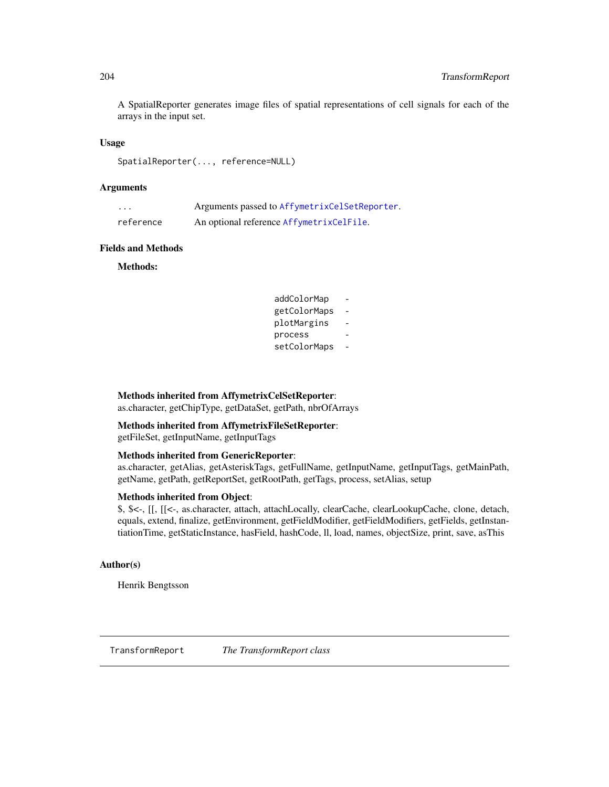A SpatialReporter generates image files of spatial representations of cell signals for each of the arrays in the input set.

# Usage

SpatialReporter(..., reference=NULL)

# **Arguments**

| .         | Arguments passed to AffymetrixCelSetReporter. |
|-----------|-----------------------------------------------|
| reference | An optional reference AffymetrixCelFile.      |

#### Fields and Methods

Methods:

| addColorMap  |  |
|--------------|--|
| getColorMaps |  |
| plotMargins  |  |
| process      |  |
| setColorMaps |  |

# Methods inherited from AffymetrixCelSetReporter:

as.character, getChipType, getDataSet, getPath, nbrOfArrays

# Methods inherited from AffymetrixFileSetReporter:

getFileSet, getInputName, getInputTags

# Methods inherited from GenericReporter:

as.character, getAlias, getAsteriskTags, getFullName, getInputName, getInputTags, getMainPath, getName, getPath, getReportSet, getRootPath, getTags, process, setAlias, setup

# Methods inherited from Object:

\$, \$<-, [[, [[<-, as.character, attach, attachLocally, clearCache, clearLookupCache, clone, detach, equals, extend, finalize, getEnvironment, getFieldModifier, getFieldModifiers, getFields, getInstantiationTime, getStaticInstance, hasField, hashCode, ll, load, names, objectSize, print, save, asThis

# Author(s)

Henrik Bengtsson

TransformReport *The TransformReport class*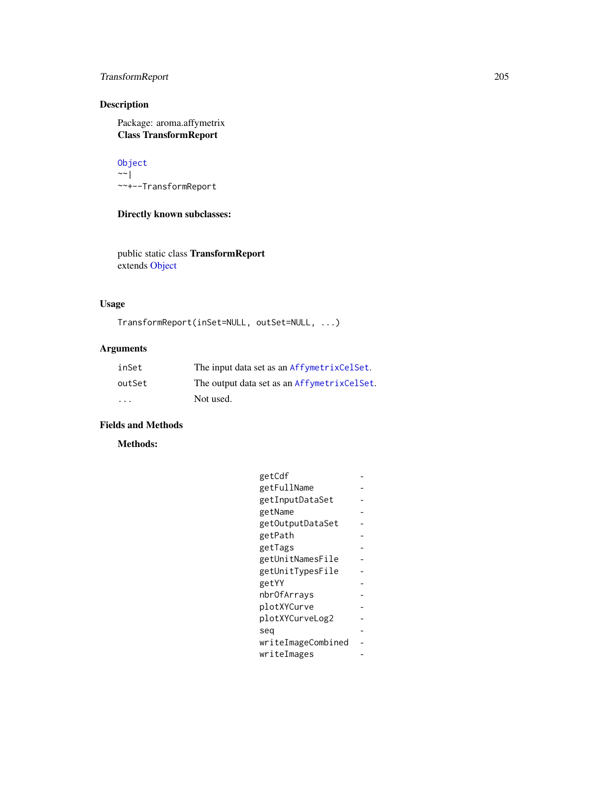# TransformReport 205

# Description

Package: aroma.affymetrix Class TransformReport

[Object](#page-0-0)  $~\sim$  | ~~+--TransformReport

Directly known subclasses:

public static class TransformReport extends [Object](#page-0-0)

# Usage

```
TransformReport(inSet=NULL, outSet=NULL, ...)
```
# Arguments

| inSet                   | The input data set as an AffymetrixCelSet.  |
|-------------------------|---------------------------------------------|
| outSet                  | The output data set as an AffymetrixCelSet. |
| $\cdot$ $\cdot$ $\cdot$ | Not used.                                   |

# Fields and Methods

Methods:

| getCdf             |  |
|--------------------|--|
| getFullName        |  |
| getInputDataSet    |  |
| getName            |  |
| getOutputDataSet   |  |
| getPath            |  |
| getTags            |  |
| getUnitNamesFile   |  |
| getUnitTypesFile   |  |
| getYY              |  |
| nbrOfArrays        |  |
| plotXYCurve        |  |
| plotXYCurveLog2    |  |
| seg                |  |
| writeImageCombined |  |
| writeImages        |  |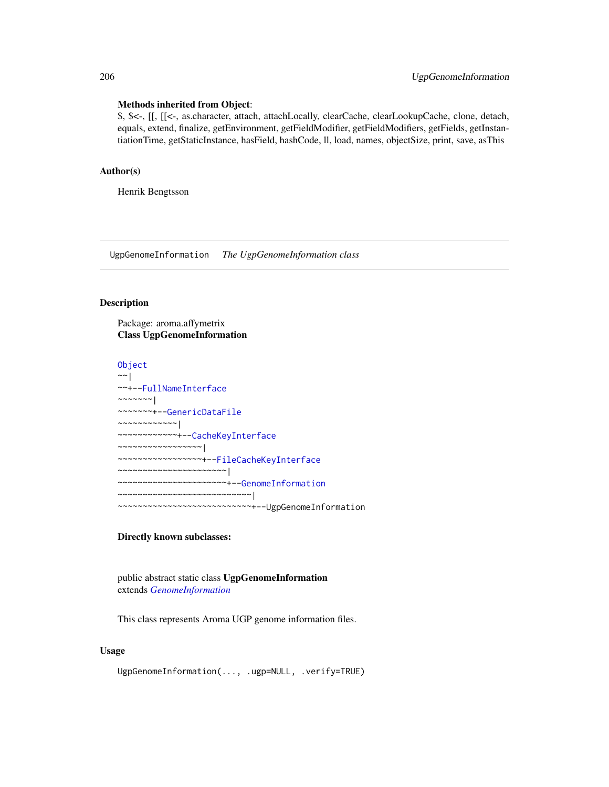#### Methods inherited from Object:

\$, \$<-, [[, [[<-, as.character, attach, attachLocally, clearCache, clearLookupCache, clone, detach, equals, extend, finalize, getEnvironment, getFieldModifier, getFieldModifiers, getFields, getInstantiationTime, getStaticInstance, hasField, hashCode, ll, load, names, objectSize, print, save, asThis

# Author(s)

Henrik Bengtsson

UgpGenomeInformation *The UgpGenomeInformation class*

# Description

Package: aroma.affymetrix Class UgpGenomeInformation

```
Object
~\sim~|
~~+--FullNameInterface
~~~~~~~|
~~~~~~~+--GenericDataFile
~~~~~~~~~~~~|
~~~~~~~~~~~~+--CacheKeyInterface
~~~~~~~~~~~~~~~~~|
~~~~~~~~~~~~~~~~~+--FileCacheKeyInterface
  ~~~~~~~~~~~~~~~~~~~~~~|
  ~~~~~~~~~~~~~~~~~~~~~~+--GenomeInformation
~~~~~~~~~~~~~~~~~~~~~~~~~~~|
  ~~~~~~~~~~~~~~~~~~~~~~~~~~~+--UgpGenomeInformation
```
# Directly known subclasses:

public abstract static class UgpGenomeInformation extends *[GenomeInformation](#page-121-0)*

This class represents Aroma UGP genome information files.

# Usage

UgpGenomeInformation(..., .ugp=NULL, .verify=TRUE)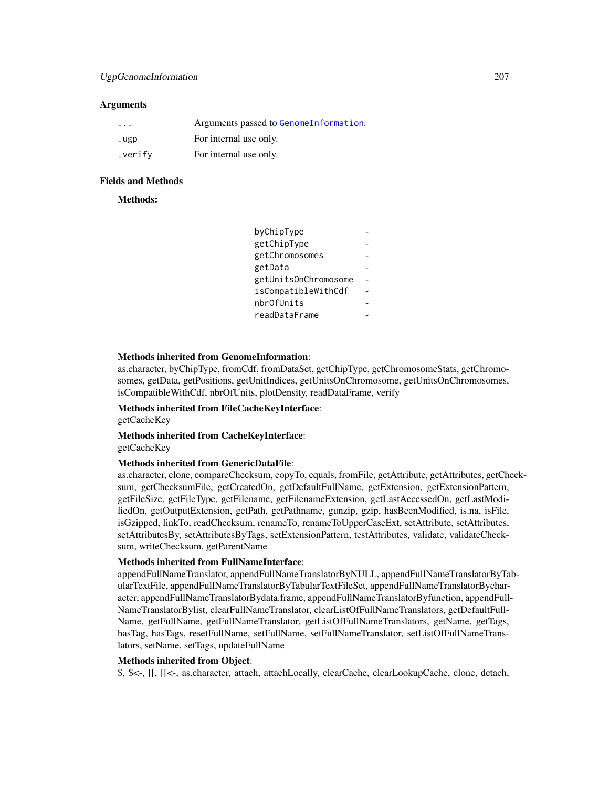# UgpGenomeInformation 207

#### **Arguments**

| $\cdot$ $\cdot$ $\cdot$ | Arguments passed to GenomeInformation. |
|-------------------------|----------------------------------------|
| .ugp                    | For internal use only.                 |
| .verify                 | For internal use only.                 |

# Fields and Methods

Methods:

| byChipType           |  |
|----------------------|--|
| getChipType          |  |
| getChromosomes       |  |
| getData              |  |
| getUnitsOnChromosome |  |
| isCompatibleWithCdf  |  |
| nbr0fUnits           |  |
| readDataFrame        |  |
|                      |  |

# Methods inherited from GenomeInformation:

as.character, byChipType, fromCdf, fromDataSet, getChipType, getChromosomeStats, getChromosomes, getData, getPositions, getUnitIndices, getUnitsOnChromosome, getUnitsOnChromosomes, isCompatibleWithCdf, nbrOfUnits, plotDensity, readDataFrame, verify

# Methods inherited from FileCacheKeyInterface:

getCacheKey

# Methods inherited from CacheKeyInterface:

getCacheKey

# Methods inherited from GenericDataFile:

as.character, clone, compareChecksum, copyTo, equals, fromFile, getAttribute, getAttributes, getChecksum, getChecksumFile, getCreatedOn, getDefaultFullName, getExtension, getExtensionPattern, getFileSize, getFileType, getFilename, getFilenameExtension, getLastAccessedOn, getLastModifiedOn, getOutputExtension, getPath, getPathname, gunzip, gzip, hasBeenModified, is.na, isFile, isGzipped, linkTo, readChecksum, renameTo, renameToUpperCaseExt, setAttribute, setAttributes, setAttributesBy, setAttributesByTags, setExtensionPattern, testAttributes, validate, validateChecksum, writeChecksum, getParentName

# Methods inherited from FullNameInterface:

appendFullNameTranslator, appendFullNameTranslatorByNULL, appendFullNameTranslatorByTabularTextFile, appendFullNameTranslatorByTabularTextFileSet, appendFullNameTranslatorBycharacter, appendFullNameTranslatorBydata.frame, appendFullNameTranslatorByfunction, appendFull-NameTranslatorBylist, clearFullNameTranslator, clearListOfFullNameTranslators, getDefaultFull-Name, getFullName, getFullNameTranslator, getListOfFullNameTranslators, getName, getTags, hasTag, hasTags, resetFullName, setFullName, setFullNameTranslator, setListOfFullNameTranslators, setName, setTags, updateFullName

#### Methods inherited from Object:

\$, \$<-, [[, [[<-, as.character, attach, attachLocally, clearCache, clearLookupCache, clone, detach,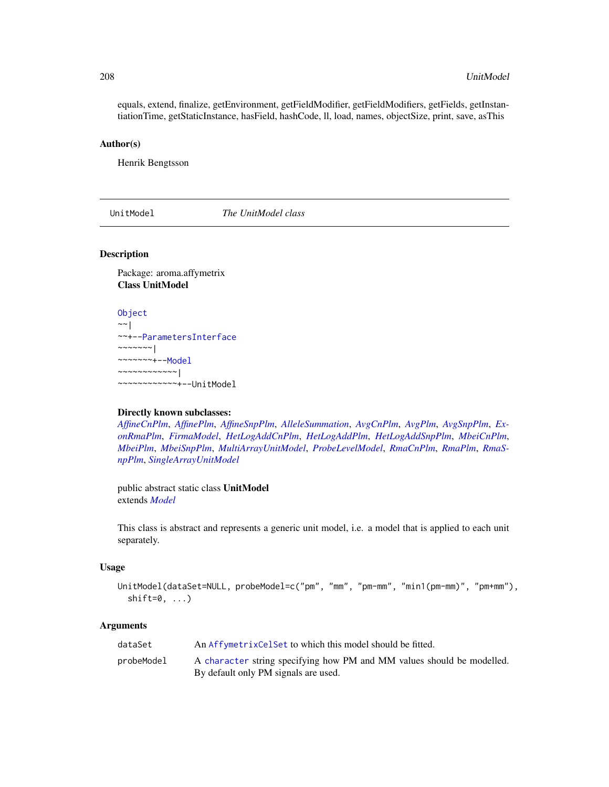equals, extend, finalize, getEnvironment, getFieldModifier, getFieldModifiers, getFields, getInstantiationTime, getStaticInstance, hasField, hashCode, ll, load, names, objectSize, print, save, asThis

#### Author(s)

Henrik Bengtsson

<span id="page-207-0"></span>UnitModel *The UnitModel class*

#### Description

Package: aroma.affymetrix Class UnitModel

```
Object
\sim |
~~+--ParametersInterface
~\sim~\sim~\sim~\sim~\sim~~~~~~~~+--Model
~~~~~~~~~~~~|
~~~~~~~~~~~~+--UnitModel
```
#### Directly known subclasses:

*[AffineCnPlm](#page-9-0)*, *[AffinePlm](#page-11-0)*, *[AffineSnpPlm](#page-13-0)*, *[AlleleSummation](#page-35-0)*, *[AvgCnPlm](#page-42-0)*, *[AvgPlm](#page-44-0)*, *[AvgSnpPlm](#page-46-0)*, *[Ex](#page-103-0)[onRmaPlm](#page-103-0)*, *[FirmaModel](#page-107-0)*, *[HetLogAddCnPlm](#page-122-0)*, *[HetLogAddPlm](#page-124-0)*, *[HetLogAddSnpPlm](#page-126-0)*, *[MbeiCnPlm](#page-136-0)*, *[MbeiPlm](#page-138-0)*, *[MbeiSnpPlm](#page-140-0)*, *[MultiArrayUnitModel](#page-143-0)*, *[ProbeLevelModel](#page-156-0)*, *[RmaCnPlm](#page-177-0)*, *[RmaPlm](#page-179-0)*, *[RmaS](#page-181-0)[npPlm](#page-181-0)*, *[SingleArrayUnitModel](#page-185-0)*

public abstract static class UnitModel extends *[Model](#page-141-0)*

This class is abstract and represents a generic unit model, i.e. a model that is applied to each unit separately.

# Usage

```
UnitModel(dataSet=NULL, probeModel=c("pm", "mm", "pm-mm", "min1(pm-mm)", "pm+mm"),
  shift=0, ...)
```
#### Arguments

| dataSet    | An AffymetrixCelSet to which this model should be fitted.                                                      |
|------------|----------------------------------------------------------------------------------------------------------------|
| probeModel | A character string specifying how PM and MM values should be modelled.<br>By default only PM signals are used. |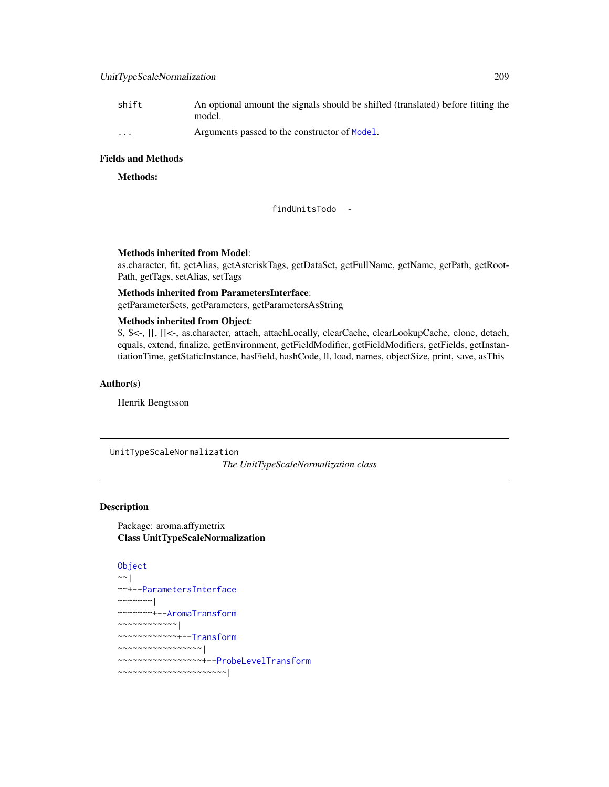# UnitTypeScaleNormalization 209

| shift                   | An optional amount the signals should be shifted (translated) before fitting the<br>model. |
|-------------------------|--------------------------------------------------------------------------------------------|
| $\cdot$ $\cdot$ $\cdot$ | Arguments passed to the constructor of Model.                                              |

# Fields and Methods

Methods:

findUnitsTodo -

# Methods inherited from Model:

as.character, fit, getAlias, getAsteriskTags, getDataSet, getFullName, getName, getPath, getRoot-Path, getTags, setAlias, setTags

# Methods inherited from ParametersInterface: getParameterSets, getParameters, getParametersAsString

#### Methods inherited from Object:

\$, \$<-, [[, [[<-, as.character, attach, attachLocally, clearCache, clearLookupCache, clone, detach, equals, extend, finalize, getEnvironment, getFieldModifier, getFieldModifiers, getFields, getInstantiationTime, getStaticInstance, hasField, hashCode, ll, load, names, objectSize, print, save, asThis

# Author(s)

Henrik Bengtsson

UnitTypeScaleNormalization

*The UnitTypeScaleNormalization class*

# Description

Package: aroma.affymetrix Class UnitTypeScaleNormalization

```
Object
~~|
~~+--ParametersInterface
~\sim ~\sim ~\sim ~\sim ~\sim ~\sim ~\sim~~~~~~~+--AromaTransform
~~~~~~~~~~~~|
~~~~~~~~~~~~+--Transform
~~~~~~~~~~~~~~~~~|
~~~~~~~~~~~~~~~~~+--ProbeLevelTransform
~~~~~~~~~~~~~~~~~~~~~~|
```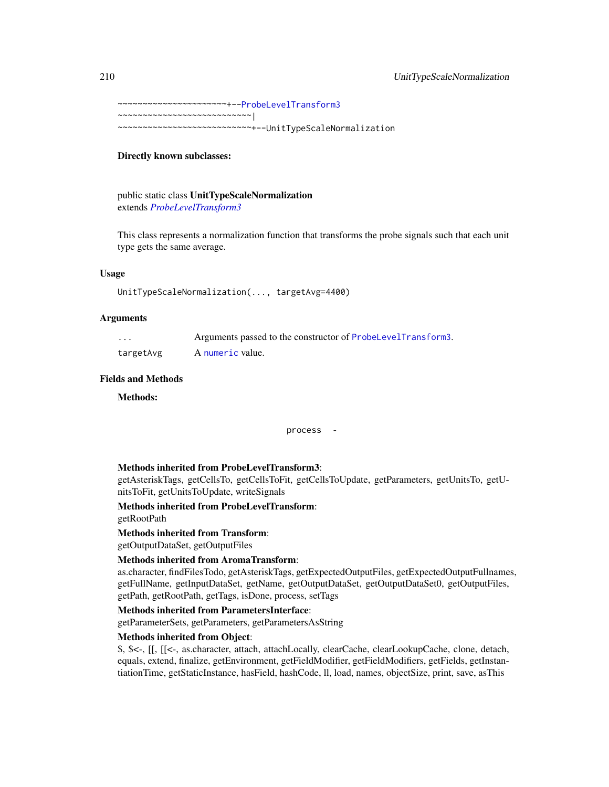~~~~~~~~~~~~~~~~~~~~~~+-[-ProbeLevelTransform3](#page-159-0) ~~~~~~~~~~~~~~~~~~~~~~ $\sim$ ~~~~~~~~~~~~~~~~~~~~~~~~~~~+--UnitTypeScaleNormalization

# Directly known subclasses:

public static class UnitTypeScaleNormalization extends *[ProbeLevelTransform3](#page-159-0)*

This class represents a normalization function that transforms the probe signals such that each unit type gets the same average.

# Usage

```
UnitTypeScaleNormalization(..., targetAvg=4400)
```
#### **Arguments**

| .         | Arguments passed to the constructor of ProbeLevelTransform3. |
|-----------|--------------------------------------------------------------|
| targetAvg | A numeric value.                                             |

# Fields and Methods

Methods:

process -

#### Methods inherited from ProbeLevelTransform3:

getAsteriskTags, getCellsTo, getCellsToFit, getCellsToUpdate, getParameters, getUnitsTo, getUnitsToFit, getUnitsToUpdate, writeSignals

# Methods inherited from ProbeLevelTransform:

getRootPath

# Methods inherited from Transform:

getOutputDataSet, getOutputFiles

# Methods inherited from AromaTransform:

as.character, findFilesTodo, getAsteriskTags, getExpectedOutputFiles, getExpectedOutputFullnames, getFullName, getInputDataSet, getName, getOutputDataSet, getOutputDataSet0, getOutputFiles, getPath, getRootPath, getTags, isDone, process, setTags

#### Methods inherited from ParametersInterface:

getParameterSets, getParameters, getParametersAsString

# Methods inherited from Object:

\$, \$<-, [[, [[<-, as.character, attach, attachLocally, clearCache, clearLookupCache, clone, detach, equals, extend, finalize, getEnvironment, getFieldModifier, getFieldModifiers, getFields, getInstantiationTime, getStaticInstance, hasField, hashCode, ll, load, names, objectSize, print, save, asThis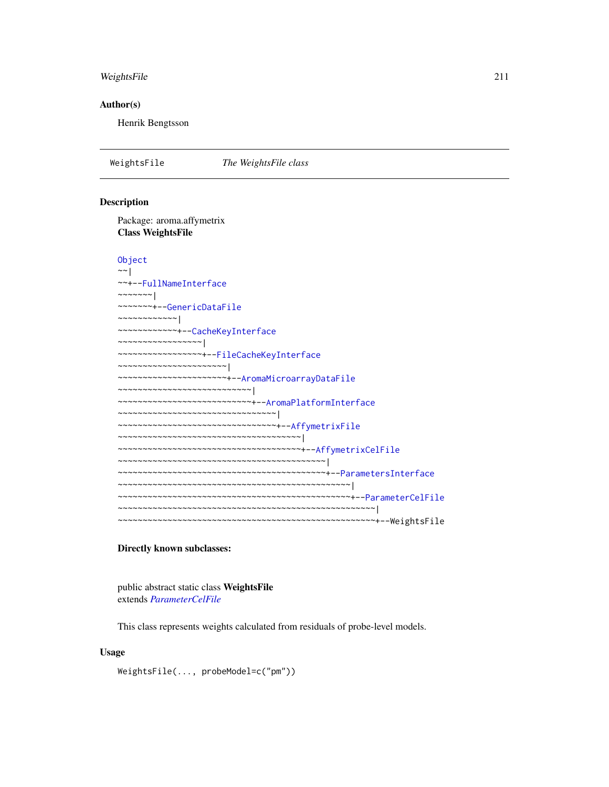# WeightsFile 211

# Author(s)

Henrik Bengtsson

WeightsFile *The WeightsFile class*

# Description

Package: aroma.affymetrix Class WeightsFile

#### [Object](#page-0-0)

```
~\sim~|
~~+--FullNameInterface
~~~~~~~|
~~~~~~~+--GenericDataFile
~~~~~~~~~~~~|
~~~~~~~~~~~~+--CacheKeyInterface
~~~~~~~~~~~~~~~~~|
~~~~~~~~~~~~~~~~~+--FileCacheKeyInterface
  ~~~~~~~~~~~~~~~~~~~~~~|
  ~~~~~~~~~~~~~~~~~~~~~~+--AromaMicroarrayDataFile
~~~~~~~~~~~~~~~~~~~~~~~~~~~|
~~~~~~~~~~~~~~~~~~~~~~~~~~~+--AromaPlatformInterface
~~~~~~~~~~~~~~~~~~~~~~~~~~~~~~~~|
  ~~~~~~~~~~~~~~~~~~~~~~~~~~~~~~~~+--AffymetrixFile
~~~~~~~~~~~~~~~~~~~~~~~~~~~~~~~~~~~~~|
~~~~~~~~~~~~~~~~~~~~~~~~~~~~~~~~~~~~~+--AffymetrixCelFile
~~~~~~~~~~~~~~~~~~~~~~~~~~~~~~~~~~~~~~~~~~|
~~~~~~~~~~~~~~~~~~~~~~~~~~~~~~~~~~~~~~~~~~+--ParametersInterface
~~~~~~~~~~~~~~~~~~~~~~~~~~~~~~~~~~~~~~~~~~~~~~~|
~~~~~~~~~~~~~~~~~~~~~~~~~~~~~~~~~~~~~~~~~~~~~~~+--ParameterCelFile
    ~~~~~~~~~~~~~~~~~~~~~~~~~~~~~~~~~~~~~~~~~~~~~~~~~~~~|
  ~~~~~~~~~~~~~~~~~~~~~~~~~~~~~~~~~~~~~~~~~~~~~~~~~~~~+--WeightsFile
```
# Directly known subclasses:

public abstract static class WeightsFile extends *[ParameterCelFile](#page-149-0)*

This class represents weights calculated from residuals of probe-level models.

# Usage

WeightsFile(..., probeModel=c("pm"))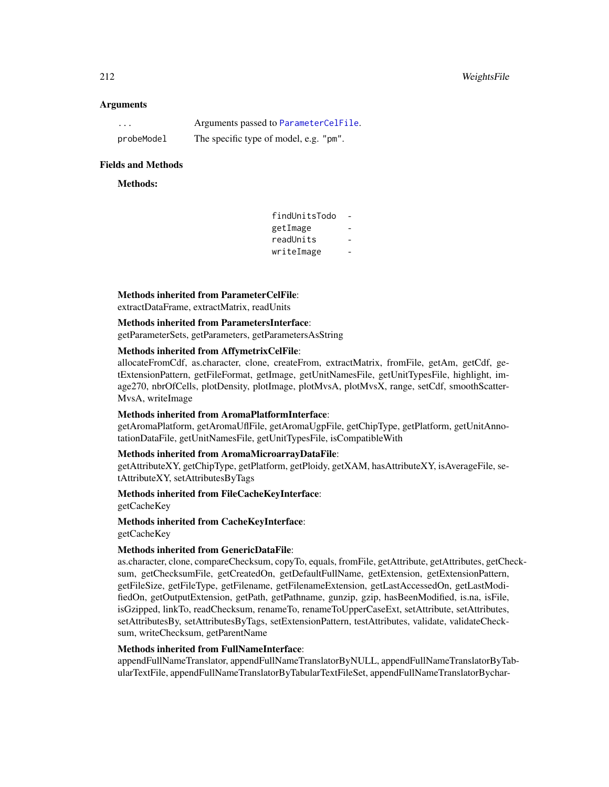# **Arguments**

| $\cdots$   | Arguments passed to ParameterCelFile.  |
|------------|----------------------------------------|
| probeModel | The specific type of model, e.g. "pm". |

# Fields and Methods

# Methods:

| findUnitsTodo |  |
|---------------|--|
| getImage      |  |
| readUnits     |  |
| writeImage    |  |
|               |  |

# Methods inherited from ParameterCelFile:

extractDataFrame, extractMatrix, readUnits

# Methods inherited from ParametersInterface:

getParameterSets, getParameters, getParametersAsString

# Methods inherited from AffymetrixCelFile:

allocateFromCdf, as.character, clone, createFrom, extractMatrix, fromFile, getAm, getCdf, getExtensionPattern, getFileFormat, getImage, getUnitNamesFile, getUnitTypesFile, highlight, image270, nbrOfCells, plotDensity, plotImage, plotMvsA, plotMvsX, range, setCdf, smoothScatter-MvsA, writeImage

# Methods inherited from AromaPlatformInterface:

getAromaPlatform, getAromaUflFile, getAromaUgpFile, getChipType, getPlatform, getUnitAnnotationDataFile, getUnitNamesFile, getUnitTypesFile, isCompatibleWith

# Methods inherited from AromaMicroarrayDataFile:

getAttributeXY, getChipType, getPlatform, getPloidy, getXAM, hasAttributeXY, isAverageFile, setAttributeXY, setAttributesByTags

# Methods inherited from FileCacheKeyInterface:

getCacheKey

# Methods inherited from CacheKeyInterface:

getCacheKey

# Methods inherited from GenericDataFile:

as.character, clone, compareChecksum, copyTo, equals, fromFile, getAttribute, getAttributes, getChecksum, getChecksumFile, getCreatedOn, getDefaultFullName, getExtension, getExtensionPattern, getFileSize, getFileType, getFilename, getFilenameExtension, getLastAccessedOn, getLastModifiedOn, getOutputExtension, getPath, getPathname, gunzip, gzip, hasBeenModified, is.na, isFile, isGzipped, linkTo, readChecksum, renameTo, renameToUpperCaseExt, setAttribute, setAttributes, setAttributesBy, setAttributesByTags, setExtensionPattern, testAttributes, validate, validateChecksum, writeChecksum, getParentName

#### Methods inherited from FullNameInterface:

appendFullNameTranslator, appendFullNameTranslatorByNULL, appendFullNameTranslatorByTabularTextFile, appendFullNameTranslatorByTabularTextFileSet, appendFullNameTranslatorBychar-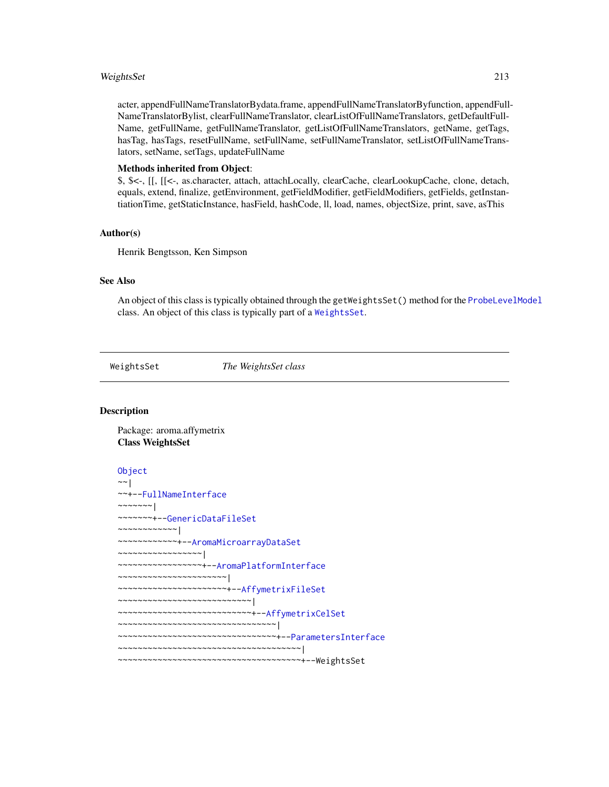# WeightsSet 213

acter, appendFullNameTranslatorBydata.frame, appendFullNameTranslatorByfunction, appendFull-NameTranslatorBylist, clearFullNameTranslator, clearListOfFullNameTranslators, getDefaultFull-Name, getFullName, getFullNameTranslator, getListOfFullNameTranslators, getName, getTags, hasTag, hasTags, resetFullName, setFullName, setFullNameTranslator, setListOfFullNameTranslators, setName, setTags, updateFullName

# Methods inherited from Object:

\$, \$<-, [[, [[<-, as.character, attach, attachLocally, clearCache, clearLookupCache, clone, detach, equals, extend, finalize, getEnvironment, getFieldModifier, getFieldModifiers, getFields, getInstantiationTime, getStaticInstance, hasField, hashCode, ll, load, names, objectSize, print, save, asThis

#### Author(s)

Henrik Bengtsson, Ken Simpson

#### See Also

An object of this class is typically obtained through the getWeightsSet() method for the [ProbeLevelModel](#page-156-0) class. An object of this class is typically part of a [WeightsSet](#page-212-0).

<span id="page-212-0"></span>WeightsSet *The WeightsSet class*

# **Description**

Package: aroma.affymetrix Class WeightsSet

#### [Object](#page-0-0)

```
~~|
~~+--FullNameInterface
~~~~~~~|~~~~~~~+--GenericDataFileSet
~~~~~~~~~~~~|
~~~~~~~~~~~~+--AromaMicroarrayDataSet
~~~~~~~~~~~~~~~~~|
~~~~~~~~~~~~~~~~~+--AromaPlatformInterface
~~~~~~~~~~~~~~~~~~~~~~|
~~~~~~~~~~~~~~~~~~~~~~+--AffymetrixFileSet
~~~~~~~~~~~~~~~~~~~~~~~~~~~|
~~~~~~~~~~~~~~~~~~~~~~~~~~~+--AffymetrixCelSet
~~~~~~~~~~~~~~~~~~~~~~~~~~~~~~~~|
~~~~~~~~~~~~~~~~~~~~~~~~~~~~~~~~+--ParametersInterface
~~~~~~~~~~~~~~~~~~~~~~~~~~~~~~~~~~~~~|
~~~~~~~~~~~~~~~~~~~~~~~~~~~~~~~~~~~~~+--WeightsSet
```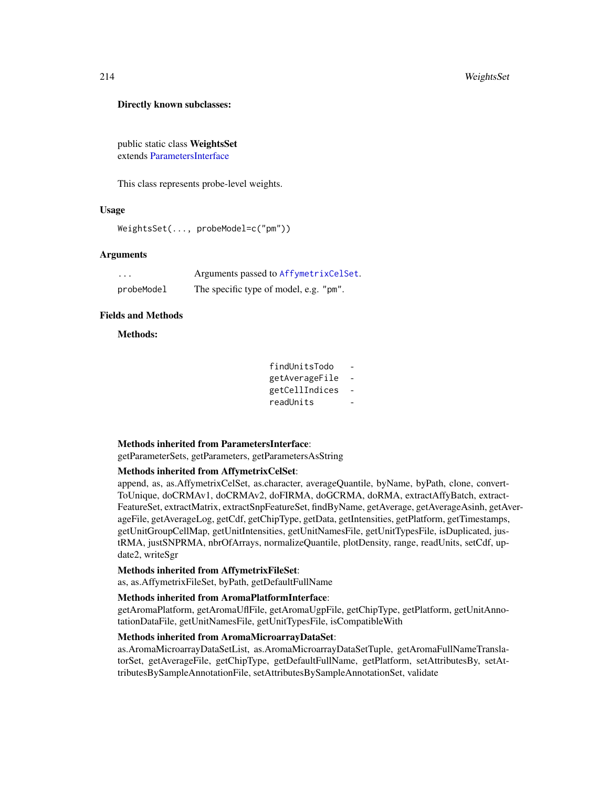# Directly known subclasses:

public static class WeightsSet extends [ParametersInterface](#page-0-0)

This class represents probe-level weights.

# Usage

WeightsSet(..., probeModel=c("pm"))

# Arguments

| $\cdots$   | Arguments passed to AffymetrixCelSet.  |
|------------|----------------------------------------|
| probeModel | The specific type of model, e.g. "pm". |

#### Fields and Methods

Methods:

| findUnitsTodo  |  |
|----------------|--|
| getAverageFile |  |
| getCellIndices |  |
| readUnits      |  |
|                |  |

# Methods inherited from ParametersInterface:

getParameterSets, getParameters, getParametersAsString

# Methods inherited from AffymetrixCelSet:

append, as, as.AffymetrixCelSet, as.character, averageQuantile, byName, byPath, clone, convert-ToUnique, doCRMAv1, doCRMAv2, doFIRMA, doGCRMA, doRMA, extractAffyBatch, extract-FeatureSet, extractMatrix, extractSnpFeatureSet, findByName, getAverage, getAverageAsinh, getAverageFile, getAverageLog, getCdf, getChipType, getData, getIntensities, getPlatform, getTimestamps, getUnitGroupCellMap, getUnitIntensities, getUnitNamesFile, getUnitTypesFile, isDuplicated, justRMA, justSNPRMA, nbrOfArrays, normalizeQuantile, plotDensity, range, readUnits, setCdf, update2, writeSgr

# Methods inherited from AffymetrixFileSet:

as, as.AffymetrixFileSet, byPath, getDefaultFullName

# Methods inherited from AromaPlatformInterface:

getAromaPlatform, getAromaUflFile, getAromaUgpFile, getChipType, getPlatform, getUnitAnnotationDataFile, getUnitNamesFile, getUnitTypesFile, isCompatibleWith

#### Methods inherited from AromaMicroarrayDataSet:

as.AromaMicroarrayDataSetList, as.AromaMicroarrayDataSetTuple, getAromaFullNameTranslatorSet, getAverageFile, getChipType, getDefaultFullName, getPlatform, setAttributesBy, setAttributesBySampleAnnotationFile, setAttributesBySampleAnnotationSet, validate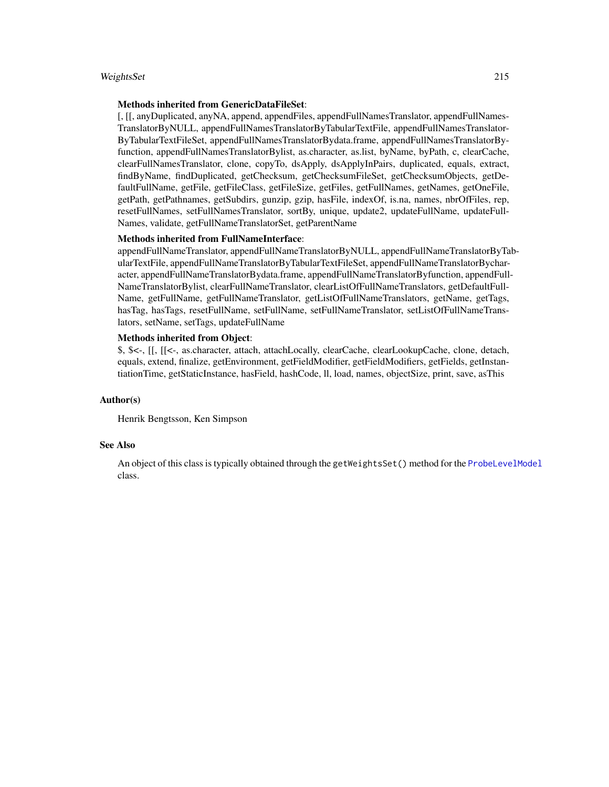#### WeightsSet 215

#### Methods inherited from GenericDataFileSet:

[, [[, anyDuplicated, anyNA, append, appendFiles, appendFullNamesTranslator, appendFullNames-TranslatorByNULL, appendFullNamesTranslatorByTabularTextFile, appendFullNamesTranslator-ByTabularTextFileSet, appendFullNamesTranslatorBydata.frame, appendFullNamesTranslatorByfunction, appendFullNamesTranslatorBylist, as.character, as.list, byName, byPath, c, clearCache, clearFullNamesTranslator, clone, copyTo, dsApply, dsApplyInPairs, duplicated, equals, extract, findByName, findDuplicated, getChecksum, getChecksumFileSet, getChecksumObjects, getDefaultFullName, getFile, getFileClass, getFileSize, getFiles, getFullNames, getNames, getOneFile, getPath, getPathnames, getSubdirs, gunzip, gzip, hasFile, indexOf, is.na, names, nbrOfFiles, rep, resetFullNames, setFullNamesTranslator, sortBy, unique, update2, updateFullName, updateFull-Names, validate, getFullNameTranslatorSet, getParentName

# Methods inherited from FullNameInterface:

appendFullNameTranslator, appendFullNameTranslatorByNULL, appendFullNameTranslatorByTabularTextFile, appendFullNameTranslatorByTabularTextFileSet, appendFullNameTranslatorBycharacter, appendFullNameTranslatorBydata.frame, appendFullNameTranslatorByfunction, appendFull-NameTranslatorBylist, clearFullNameTranslator, clearListOfFullNameTranslators, getDefaultFull-Name, getFullName, getFullNameTranslator, getListOfFullNameTranslators, getName, getTags, hasTag, hasTags, resetFullName, setFullName, setFullNameTranslator, setListOfFullNameTranslators, setName, setTags, updateFullName

# Methods inherited from Object:

\$, \$<-, [[, [[<-, as.character, attach, attachLocally, clearCache, clearLookupCache, clone, detach, equals, extend, finalize, getEnvironment, getFieldModifier, getFieldModifiers, getFields, getInstantiationTime, getStaticInstance, hasField, hashCode, ll, load, names, objectSize, print, save, asThis

#### Author(s)

Henrik Bengtsson, Ken Simpson

# See Also

An object of this class is typically obtained through the getWeightsSet() method for the [ProbeLevelModel](#page-156-0) class.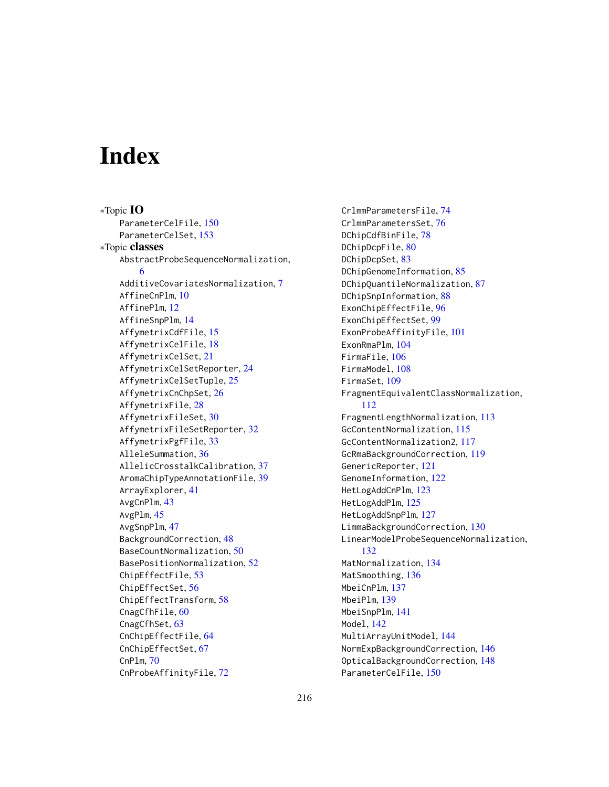# **Index**

∗Topic IO ParameterCelFile, [150](#page-149-1) ParameterCelSet, [153](#page-152-1) ∗Topic classes AbstractProbeSequenceNormalization, [6](#page-5-0) AdditiveCovariatesNormalization, [7](#page-6-0) AffineCnPlm, [10](#page-9-1) AffinePlm, [12](#page-11-1) AffineSnpPlm, [14](#page-13-1) AffymetrixCdfFile, [15](#page-14-0) AffymetrixCelFile, [18](#page-17-1) AffymetrixCelSet, [21](#page-20-1) AffymetrixCelSetReporter, [24](#page-23-1) AffymetrixCelSetTuple, [25](#page-24-0) AffymetrixCnChpSet, [26](#page-25-0) AffymetrixFile, [28](#page-27-1) AffymetrixFileSet, [30](#page-29-1) AffymetrixFileSetReporter, [32](#page-31-1) AffymetrixPgfFile, [33](#page-32-0) AlleleSummation, [36](#page-35-1) AllelicCrosstalkCalibration, [37](#page-36-0) AromaChipTypeAnnotationFile, [39](#page-38-0) ArrayExplorer, [41](#page-40-0) AvgCnPlm, [43](#page-42-1) AvgPlm, [45](#page-44-1) AvgSnpPlm, [47](#page-46-1) BackgroundCorrection, [48](#page-47-0) BaseCountNormalization, [50](#page-49-0) BasePositionNormalization, [52](#page-51-0) ChipEffectFile, [53](#page-52-1) ChipEffectSet, [56](#page-55-1) ChipEffectTransform, [58](#page-57-0) CnagCfhFile, [60](#page-59-0) CnagCfhSet, [63](#page-62-0) CnChipEffectFile, [64](#page-63-1) CnChipEffectSet, [67](#page-66-1) CnPlm, [70](#page-69-1) CnProbeAffinityFile, [72](#page-71-1)

CrlmmParametersFile, [74](#page-73-0) CrlmmParametersSet, [76](#page-75-0) DChipCdfBinFile, [78](#page-77-0) DChipDcpFile, [80](#page-79-0) DChipDcpSet, [83](#page-82-0) DChipGenomeInformation, [85](#page-84-0) DChipQuantileNormalization, [87](#page-86-0) DChipSnpInformation, [88](#page-87-1) ExonChipEffectFile, [96](#page-95-0) ExonChipEffectSet, [99](#page-98-0) ExonProbeAffinityFile, [101](#page-100-0) ExonRmaPlm, [104](#page-103-1) FirmaFile, [106](#page-105-0) FirmaModel, [108](#page-107-1) FirmaSet, [109](#page-108-0) FragmentEquivalentClassNormalization, [112](#page-111-0) FragmentLengthNormalization, [113](#page-112-0) GcContentNormalization, [115](#page-114-0) GcContentNormalization2, [117](#page-116-0) GcRmaBackgroundCorrection, [119](#page-118-0) GenericReporter, [121](#page-120-1) GenomeInformation, [122](#page-121-1) HetLogAddCnPlm, [123](#page-122-1) HetLogAddPlm, [125](#page-124-1) HetLogAddSnpPlm, [127](#page-126-1) LimmaBackgroundCorrection, [130](#page-129-0) LinearModelProbeSequenceNormalization, [132](#page-131-0) MatNormalization, [134](#page-133-0) MatSmoothing, [136](#page-135-0) MbeiCnPlm, [137](#page-136-1) MbeiPlm, [139](#page-138-1) MbeiSnpPlm, [141](#page-140-1) Model, [142](#page-141-1) MultiArrayUnitModel, [144](#page-143-1) NormExpBackgroundCorrection, [146](#page-145-0) OpticalBackgroundCorrection, [148](#page-147-0) ParameterCelFile, [150](#page-149-1)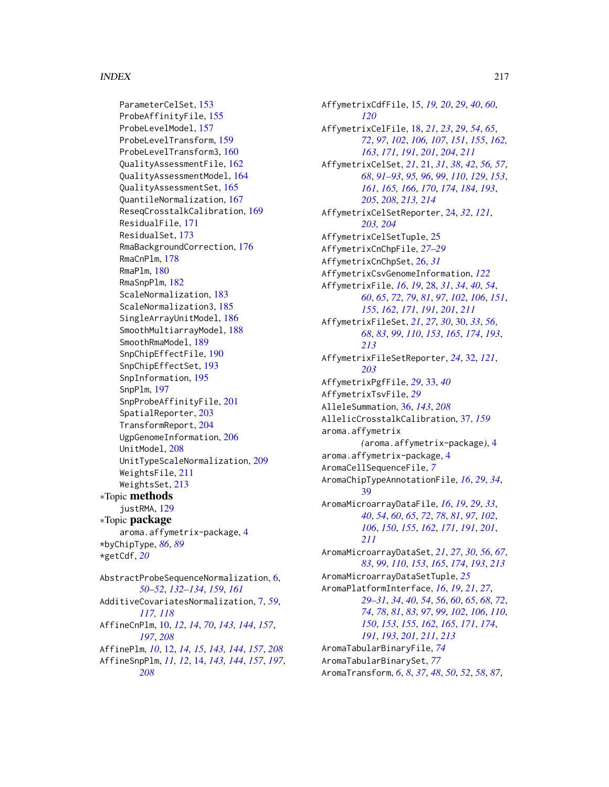## INDEX  $217$

ParameterCelSet, [153](#page-152-0) ProbeAffinityFile, [155](#page-154-0) ProbeLevelModel, [157](#page-156-0) ProbeLevelTransform, [159](#page-158-0) ProbeLevelTransform3, [160](#page-159-0) QualityAssessmentFile, [162](#page-161-0) QualityAssessmentModel, [164](#page-163-0) QualityAssessmentSet, [165](#page-164-0) QuantileNormalization, [167](#page-166-0) ReseqCrosstalkCalibration, [169](#page-168-0) ResidualFile, [171](#page-170-0) ResidualSet, [173](#page-172-0) RmaBackgroundCorrection, [176](#page-175-0) RmaCnPlm, [178](#page-177-0) RmaPlm, [180](#page-179-0) RmaSnpPlm, [182](#page-181-0) ScaleNormalization, [183](#page-182-0) ScaleNormalization3, [185](#page-184-0) SingleArrayUnitModel, [186](#page-185-0) SmoothMultiarrayModel, [188](#page-187-0) SmoothRmaModel, [189](#page-188-0) SnpChipEffectFile, [190](#page-189-0) SnpChipEffectSet, [193](#page-192-0) SnpInformation, [195](#page-194-0) SnpPlm, [197](#page-196-0) SnpProbeAffinityFile, [201](#page-200-0) SpatialReporter, [203](#page-202-0) TransformReport, [204](#page-203-0) UgpGenomeInformation, [206](#page-205-0) UnitModel, [208](#page-207-0) UnitTypeScaleNormalization, [209](#page-208-0) WeightsFile, [211](#page-210-0) WeightsSet, [213](#page-212-0) ∗Topic methods justRMA, [129](#page-128-0) ∗Topic package aroma.affymetrix-package, [4](#page-3-0) \*byChipType, *[86](#page-85-0)*, *[89](#page-88-0)* \*getCdf, *[20](#page-19-0)* AbstractProbeSequenceNormalization, [6,](#page-5-0) *[50](#page-49-0)[–52](#page-51-0)*, *[132](#page-131-0)[–134](#page-133-0)*, *[159](#page-158-0)*, *[161](#page-160-0)*

AdditiveCovariatesNormalization, [7,](#page-6-0) *[59](#page-58-0)*, *[117,](#page-116-0) [118](#page-117-0)* AffineCnPlm, [10,](#page-9-0) *[12](#page-11-0)*, *[14](#page-13-0)*, *[70](#page-69-0)*, *[143,](#page-142-0) [144](#page-143-0)*, *[157](#page-156-0)*, *[197](#page-196-0)*, *[208](#page-207-0)* AffinePlm, *[10](#page-9-0)*, [12,](#page-11-0) *[14,](#page-13-0) [15](#page-14-0)*, *[143,](#page-142-0) [144](#page-143-0)*, *[157](#page-156-0)*, *[208](#page-207-0)* AffineSnpPlm, *[11,](#page-10-0) [12](#page-11-0)*, [14,](#page-13-0) *[143,](#page-142-0) [144](#page-143-0)*, *[157](#page-156-0)*, *[197](#page-196-0)*, *[208](#page-207-0)*

AffymetrixCdfFile, [15,](#page-14-0) *[19,](#page-18-0) [20](#page-19-0)*, *[29](#page-28-0)*, *[40](#page-39-0)*, *[60](#page-59-0)*, *[120](#page-119-0)* AffymetrixCelFile, [18,](#page-17-0) *[21](#page-20-0)*, *[23](#page-22-0)*, *[29](#page-28-0)*, *[54](#page-53-0)*, *[65](#page-64-0)*, *[72](#page-71-0)*, *[97](#page-96-0)*, *[102](#page-101-0)*, *[106,](#page-105-0) [107](#page-106-0)*, *[151](#page-150-0)*, *[155](#page-154-0)*, *[162,](#page-161-0) [163](#page-162-0)*, *[171](#page-170-0)*, *[191](#page-190-0)*, *[201](#page-200-0)*, *[204](#page-203-0)*, *[211](#page-210-0)* AffymetrixCelSet, *[21](#page-20-0)*, [21,](#page-20-0) *[31](#page-30-0)*, *[38](#page-37-0)*, *[42](#page-41-0)*, *[56,](#page-55-0) [57](#page-56-0)*, *[68](#page-67-0)*, *[91](#page-90-0)[–93](#page-92-0)*, *[95,](#page-94-0) [96](#page-95-0)*, *[99](#page-98-0)*, *[110](#page-109-0)*, *[129](#page-128-0)*, *[153](#page-152-0)*, *[161](#page-160-0)*, *[165,](#page-164-0) [166](#page-165-0)*, *[170](#page-169-0)*, *[174](#page-173-0)*, *[184](#page-183-0)*, *[193](#page-192-0)*, *[205](#page-204-0)*, *[208](#page-207-0)*, *[213,](#page-212-0) [214](#page-213-0)* AffymetrixCelSetReporter, [24,](#page-23-0) *[32](#page-31-0)*, *[121](#page-120-0)*, *[203,](#page-202-0) [204](#page-203-0)* AffymetrixCelSetTuple, [25](#page-24-0) AffymetrixCnChpFile, *[27](#page-26-0)[–29](#page-28-0)* AffymetrixCnChpSet, [26,](#page-25-0) *[31](#page-30-0)* AffymetrixCsvGenomeInformation, *[122](#page-121-0)* AffymetrixFile, *[16](#page-15-0)*, *[19](#page-18-0)*, [28,](#page-27-0) *[31](#page-30-0)*, *[34](#page-33-0)*, *[40](#page-39-0)*, *[54](#page-53-0)*, *[60](#page-59-0)*, *[65](#page-64-0)*, *[72](#page-71-0)*, *[79](#page-78-0)*, *[81](#page-80-0)*, *[97](#page-96-0)*, *[102](#page-101-0)*, *[106](#page-105-0)*, *[151](#page-150-0)*, *[155](#page-154-0)*, *[162](#page-161-0)*, *[171](#page-170-0)*, *[191](#page-190-0)*, *[201](#page-200-0)*, *[211](#page-210-0)* AffymetrixFileSet, *[21](#page-20-0)*, *[27](#page-26-0)*, *[30](#page-29-0)*, [30,](#page-29-0) *[33](#page-32-0)*, *[56](#page-55-0)*, *[68](#page-67-0)*, *[83](#page-82-0)*, *[99](#page-98-0)*, *[110](#page-109-0)*, *[153](#page-152-0)*, *[165](#page-164-0)*, *[174](#page-173-0)*, *[193](#page-192-0)*, *[213](#page-212-0)* AffymetrixFileSetReporter, *[24](#page-23-0)*, [32,](#page-31-0) *[121](#page-120-0)*, *[203](#page-202-0)* AffymetrixPgfFile, *[29](#page-28-0)*, [33,](#page-32-0) *[40](#page-39-0)* AffymetrixTsvFile, *[29](#page-28-0)* AlleleSummation, [36,](#page-35-0) *[143](#page-142-0)*, *[208](#page-207-0)* AllelicCrosstalkCalibration, [37,](#page-36-0) *[159](#page-158-0)* aroma.affymetrix *(*aroma.affymetrix-package*)*, [4](#page-3-0) aroma.affymetrix-package, [4](#page-3-0) AromaCellSequenceFile, *[7](#page-6-0)* AromaChipTypeAnnotationFile, *[16](#page-15-0)*, *[29](#page-28-0)*, *[34](#page-33-0)*, [39](#page-38-0) AromaMicroarrayDataFile, *[16](#page-15-0)*, *[19](#page-18-0)*, *[29](#page-28-0)*, *[33](#page-32-0)*, *[40](#page-39-0)*, *[54](#page-53-0)*, *[60](#page-59-0)*, *[65](#page-64-0)*, *[72](#page-71-0)*, *[78](#page-77-0)*, *[81](#page-80-0)*, *[97](#page-96-0)*, *[102](#page-101-0)*, *[106](#page-105-0)*, *[150](#page-149-0)*, *[155](#page-154-0)*, *[162](#page-161-0)*, *[171](#page-170-0)*, *[191](#page-190-0)*, *[201](#page-200-0)*, *[211](#page-210-0)* AromaMicroarrayDataSet, *[21](#page-20-0)*, *[27](#page-26-0)*, *[30](#page-29-0)*, *[56](#page-55-0)*, *[67](#page-66-0)*, *[83](#page-82-0)*, *[99](#page-98-0)*, *[110](#page-109-0)*, *[153](#page-152-0)*, *[165](#page-164-0)*, *[174](#page-173-0)*, *[193](#page-192-0)*, *[213](#page-212-0)* AromaMicroarrayDataSetTuple, *[25](#page-24-0)* AromaPlatformInterface, *[16](#page-15-0)*, *[19](#page-18-0)*, *[21](#page-20-0)*, *[27](#page-26-0)*, *[29](#page-28-0)[–31](#page-30-0)*, *[34](#page-33-0)*, *[40](#page-39-0)*, *[54](#page-53-0)*, *[56](#page-55-0)*, *[60](#page-59-0)*, *[65](#page-64-0)*, *[68](#page-67-0)*, *[72](#page-71-0)*, *[74](#page-73-0)*, *[78](#page-77-0)*, *[81](#page-80-0)*, *[83](#page-82-0)*, *[97](#page-96-0)*, *[99](#page-98-0)*, *[102](#page-101-0)*, *[106](#page-105-0)*, *[110](#page-109-0)*, *[150](#page-149-0)*, *[153](#page-152-0)*, *[155](#page-154-0)*, *[162](#page-161-0)*, *[165](#page-164-0)*, *[171](#page-170-0)*, *[174](#page-173-0)*, *[191](#page-190-0)*, *[193](#page-192-0)*, *[201](#page-200-0)*, *[211](#page-210-0)*, *[213](#page-212-0)* AromaTabularBinaryFile, *[74](#page-73-0)* AromaTabularBinarySet, *[77](#page-76-0)* AromaTransform, *[6](#page-5-0)*, *[8](#page-7-0)*, *[37](#page-36-0)*, *[48](#page-47-0)*, *[50](#page-49-0)*, *[52](#page-51-0)*, *[58](#page-57-0)*, *[87](#page-86-0)*,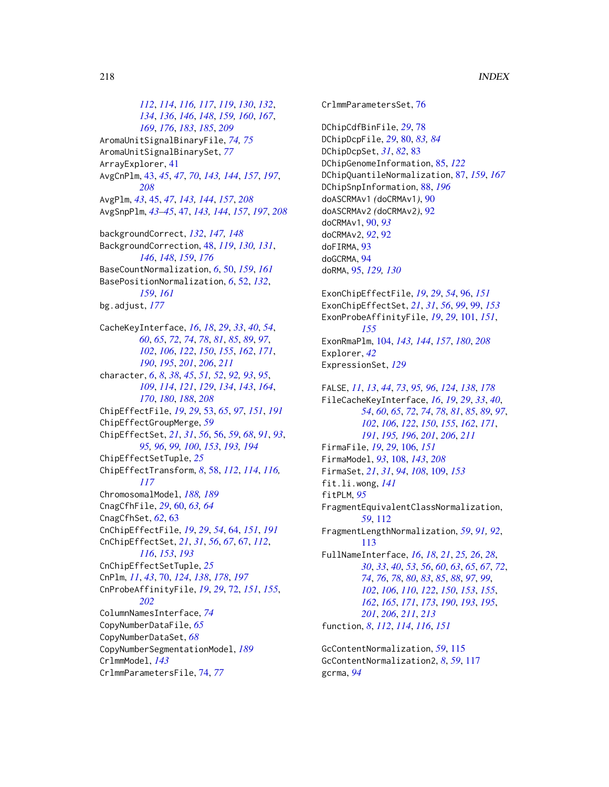*[112](#page-111-0)*, *[114](#page-113-0)*, *[116,](#page-115-0) [117](#page-116-0)*, *[119](#page-118-0)*, *[130](#page-129-0)*, *[132](#page-131-0)*, *[134](#page-133-0)*, *[136](#page-135-0)*, *[146](#page-145-0)*, *[148](#page-147-0)*, *[159,](#page-158-0) [160](#page-159-0)*, *[167](#page-166-0)*, *[169](#page-168-0)*, *[176](#page-175-0)*, *[183](#page-182-0)*, *[185](#page-184-0)*, *[209](#page-208-0)* AromaUnitSignalBinaryFile, *[74,](#page-73-0) [75](#page-74-0)* AromaUnitSignalBinarySet, *[77](#page-76-0)* ArrayExplorer, [41](#page-40-0) AvgCnPlm, [43,](#page-42-0) *[45](#page-44-0)*, *[47](#page-46-0)*, *[70](#page-69-0)*, *[143,](#page-142-0) [144](#page-143-0)*, *[157](#page-156-0)*, *[197](#page-196-0)*, *[208](#page-207-0)* AvgPlm, *[43](#page-42-0)*, [45,](#page-44-0) *[47](#page-46-0)*, *[143,](#page-142-0) [144](#page-143-0)*, *[157](#page-156-0)*, *[208](#page-207-0)* AvgSnpPlm, *[43–](#page-42-0)[45](#page-44-0)*, [47,](#page-46-0) *[143,](#page-142-0) [144](#page-143-0)*, *[157](#page-156-0)*, *[197](#page-196-0)*, *[208](#page-207-0)* backgroundCorrect, *[132](#page-131-0)*, *[147,](#page-146-0) [148](#page-147-0)* BackgroundCorrection, [48,](#page-47-0) *[119](#page-118-0)*, *[130,](#page-129-0) [131](#page-130-0)*, *[146](#page-145-0)*, *[148](#page-147-0)*, *[159](#page-158-0)*, *[176](#page-175-0)* BaseCountNormalization, *[6](#page-5-0)*, [50,](#page-49-0) *[159](#page-158-0)*, *[161](#page-160-0)* BasePositionNormalization, *[6](#page-5-0)*, [52,](#page-51-0) *[132](#page-131-0)*, *[159](#page-158-0)*, *[161](#page-160-0)* bg.adjust, *[177](#page-176-0)* CacheKeyInterface, *[16](#page-15-0)*, *[18](#page-17-0)*, *[29](#page-28-0)*, *[33](#page-32-0)*, *[40](#page-39-0)*, *[54](#page-53-0)*, *[60](#page-59-0)*, *[65](#page-64-0)*, *[72](#page-71-0)*, *[74](#page-73-0)*, *[78](#page-77-0)*, *[81](#page-80-0)*, *[85](#page-84-0)*, *[89](#page-88-0)*, *[97](#page-96-0)*, *[102](#page-101-0)*, *[106](#page-105-0)*, *[122](#page-121-0)*, *[150](#page-149-0)*, *[155](#page-154-0)*, *[162](#page-161-0)*, *[171](#page-170-0)*, *[190](#page-189-0)*, *[195](#page-194-0)*, *[201](#page-200-0)*, *[206](#page-205-0)*, *[211](#page-210-0)* character, *[6](#page-5-0)*, *[8](#page-7-0)*, *[38](#page-37-0)*, *[45](#page-44-0)*, *[51,](#page-50-0) [52](#page-51-0)*, *[92,](#page-91-0) [93](#page-92-0)*, *[95](#page-94-0)*, *[109](#page-108-0)*, *[114](#page-113-0)*, *[121](#page-120-0)*, *[129](#page-128-0)*, *[134](#page-133-0)*, *[143](#page-142-0)*, *[164](#page-163-0)*, *[170](#page-169-0)*, *[180](#page-179-0)*, *[188](#page-187-0)*, *[208](#page-207-0)* ChipEffectFile, *[19](#page-18-0)*, *[29](#page-28-0)*, [53,](#page-52-0) *[65](#page-64-0)*, *[97](#page-96-0)*, *[151](#page-150-0)*, *[191](#page-190-0)* ChipEffectGroupMerge, *[59](#page-58-0)* ChipEffectSet, *[21](#page-20-0)*, *[31](#page-30-0)*, *[56](#page-55-0)*, [56,](#page-55-0) *[59](#page-58-0)*, *[68](#page-67-0)*, *[91](#page-90-0)*, *[93](#page-92-0)*, *[95,](#page-94-0) [96](#page-95-0)*, *[99,](#page-98-0) [100](#page-99-0)*, *[153](#page-152-0)*, *[193,](#page-192-0) [194](#page-193-0)* ChipEffectSetTuple, *[25](#page-24-0)* ChipEffectTransform, *[8](#page-7-0)*, [58,](#page-57-0) *[112](#page-111-0)*, *[114](#page-113-0)*, *[116,](#page-115-0) [117](#page-116-0)* ChromosomalModel, *[188,](#page-187-0) [189](#page-188-0)* CnagCfhFile, *[29](#page-28-0)*, [60,](#page-59-0) *[63,](#page-62-0) [64](#page-63-0)*

CnagCfhSet, *[62](#page-61-0)*, [63](#page-62-0) CnChipEffectFile, *[19](#page-18-0)*, *[29](#page-28-0)*, *[54](#page-53-0)*, [64,](#page-63-0) *[151](#page-150-0)*, *[191](#page-190-0)* CnChipEffectSet, *[21](#page-20-0)*, *[31](#page-30-0)*, *[56](#page-55-0)*, *[67](#page-66-0)*, [67,](#page-66-0) *[112](#page-111-0)*, *[116](#page-115-0)*, *[153](#page-152-0)*, *[193](#page-192-0)* CnChipEffectSetTuple, *[25](#page-24-0)* CnPlm, *[11](#page-10-0)*, *[43](#page-42-0)*, [70,](#page-69-0) *[124](#page-123-0)*, *[138](#page-137-0)*, *[178](#page-177-0)*, *[197](#page-196-0)* CnProbeAffinityFile, *[19](#page-18-0)*, *[29](#page-28-0)*, [72,](#page-71-0) *[151](#page-150-0)*, *[155](#page-154-0)*, *[202](#page-201-0)* ColumnNamesInterface, *[74](#page-73-0)* CopyNumberDataFile, *[65](#page-64-0)* CopyNumberDataSet, *[68](#page-67-0)* CopyNumberSegmentationModel, *[189](#page-188-0)* CrlmmModel, *[143](#page-142-0)*

CrlmmParametersFile, [74,](#page-73-0) *[77](#page-76-0)*

CrlmmParametersSet, [76](#page-75-0) DChipCdfBinFile, *[29](#page-28-0)*, [78](#page-77-0) DChipDcpFile, *[29](#page-28-0)*, [80,](#page-79-0) *[83,](#page-82-0) [84](#page-83-0)* DChipDcpSet, *[31](#page-30-0)*, *[82](#page-81-0)*, [83](#page-82-0) DChipGenomeInformation, [85,](#page-84-0) *[122](#page-121-0)* DChipQuantileNormalization, [87,](#page-86-0) *[159](#page-158-0)*, *[167](#page-166-0)* DChipSnpInformation, [88,](#page-87-0) *[196](#page-195-0)* doASCRMAv1 *(*doCRMAv1*)*, [90](#page-89-0) doASCRMAv2 *(*doCRMAv2*)*, [92](#page-91-0) doCRMAv1, [90,](#page-89-0) *[93](#page-92-0)* doCRMAv2, *[92](#page-91-0)*, [92](#page-91-0) doFIRMA, [93](#page-92-0) doGCRMA, [94](#page-93-0) doRMA, [95,](#page-94-0) *[129,](#page-128-0) [130](#page-129-0)* ExonChipEffectFile, *[19](#page-18-0)*, *[29](#page-28-0)*, *[54](#page-53-0)*, [96,](#page-95-0) *[151](#page-150-0)* ExonChipEffectSet, *[21](#page-20-0)*, *[31](#page-30-0)*, *[56](#page-55-0)*, *[99](#page-98-0)*, [99,](#page-98-0) *[153](#page-152-0)* ExonProbeAffinityFile, *[19](#page-18-0)*, *[29](#page-28-0)*, [101,](#page-100-0) *[151](#page-150-0)*, *[155](#page-154-0)* ExonRmaPlm, [104,](#page-103-0) *[143,](#page-142-0) [144](#page-143-0)*, *[157](#page-156-0)*, *[180](#page-179-0)*, *[208](#page-207-0)* Explorer, *[42](#page-41-0)* ExpressionSet, *[129](#page-128-0)* FALSE, *[11](#page-10-0)*, *[13](#page-12-0)*, *[44](#page-43-0)*, *[73](#page-72-0)*, *[95,](#page-94-0) [96](#page-95-0)*, *[124](#page-123-0)*, *[138](#page-137-0)*, *[178](#page-177-0)* FileCacheKeyInterface, *[16](#page-15-0)*, *[19](#page-18-0)*, *[29](#page-28-0)*, *[33](#page-32-0)*, *[40](#page-39-0)*, *[54](#page-53-0)*, *[60](#page-59-0)*, *[65](#page-64-0)*, *[72](#page-71-0)*, *[74](#page-73-0)*, *[78](#page-77-0)*, *[81](#page-80-0)*, *[85](#page-84-0)*, *[89](#page-88-0)*, *[97](#page-96-0)*, *[102](#page-101-0)*, *[106](#page-105-0)*, *[122](#page-121-0)*, *[150](#page-149-0)*, *[155](#page-154-0)*, *[162](#page-161-0)*, *[171](#page-170-0)*, *[191](#page-190-0)*, *[195,](#page-194-0) [196](#page-195-0)*, *[201](#page-200-0)*, *[206](#page-205-0)*, *[211](#page-210-0)* FirmaFile, *[19](#page-18-0)*, *[29](#page-28-0)*, [106,](#page-105-0) *[151](#page-150-0)* FirmaModel, *[93](#page-92-0)*, [108,](#page-107-0) *[143](#page-142-0)*, *[208](#page-207-0)* FirmaSet, *[21](#page-20-0)*, *[31](#page-30-0)*, *[94](#page-93-0)*, *[108](#page-107-0)*, [109,](#page-108-0) *[153](#page-152-0)* fit.li.wong, *[141](#page-140-0)* fitPLM, *[95](#page-94-0)* FragmentEquivalentClassNormalization, *[59](#page-58-0)*, [112](#page-111-0) FragmentLengthNormalization, *[59](#page-58-0)*, *[91,](#page-90-0) [92](#page-91-0)*, [113](#page-112-0) FullNameInterface, *[16](#page-15-0)*, *[18](#page-17-0)*, *[21](#page-20-0)*, *[25,](#page-24-0) [26](#page-25-0)*, *[28](#page-27-0)*, *[30](#page-29-0)*, *[33](#page-32-0)*, *[40](#page-39-0)*, *[53](#page-52-0)*, *[56](#page-55-0)*, *[60](#page-59-0)*, *[63](#page-62-0)*, *[65](#page-64-0)*, *[67](#page-66-0)*, *[72](#page-71-0)*, *[74](#page-73-0)*, *[76](#page-75-0)*, *[78](#page-77-0)*, *[80](#page-79-0)*, *[83](#page-82-0)*, *[85](#page-84-0)*, *[88](#page-87-0)*, *[97](#page-96-0)*, *[99](#page-98-0)*, *[102](#page-101-0)*, *[106](#page-105-0)*, *[110](#page-109-0)*, *[122](#page-121-0)*, *[150](#page-149-0)*, *[153](#page-152-0)*, *[155](#page-154-0)*, *[162](#page-161-0)*, *[165](#page-164-0)*, *[171](#page-170-0)*, *[173](#page-172-0)*, *[190](#page-189-0)*, *[193](#page-192-0)*, *[195](#page-194-0)*, *[201](#page-200-0)*, *[206](#page-205-0)*, *[211](#page-210-0)*, *[213](#page-212-0)* function, *[8](#page-7-0)*, *[112](#page-111-0)*, *[114](#page-113-0)*, *[116](#page-115-0)*, *[151](#page-150-0)* GcContentNormalization, *[59](#page-58-0)*, [115](#page-114-0) GcContentNormalization2, *[8](#page-7-0)*, *[59](#page-58-0)*, [117](#page-116-0)

gcrma, *[94](#page-93-0)*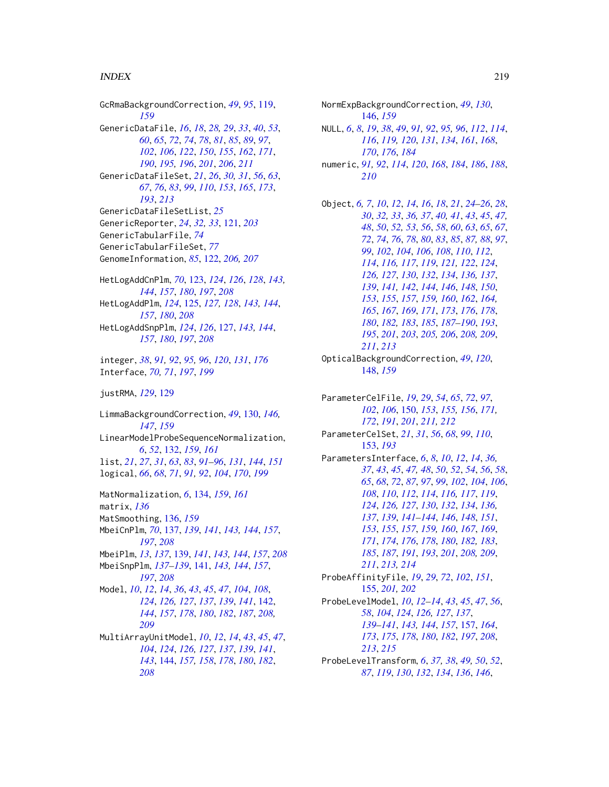## INDEX 219

GcRmaBackgroundCorrection, *[49](#page-48-0)*, *[95](#page-94-0)*, [119,](#page-118-0) *[159](#page-158-0)* GenericDataFile, *[16](#page-15-0)*, *[18](#page-17-0)*, *[28,](#page-27-0) [29](#page-28-0)*, *[33](#page-32-0)*, *[40](#page-39-0)*, *[53](#page-52-0)*, *[60](#page-59-0)*, *[65](#page-64-0)*, *[72](#page-71-0)*, *[74](#page-73-0)*, *[78](#page-77-0)*, *[81](#page-80-0)*, *[85](#page-84-0)*, *[89](#page-88-0)*, *[97](#page-96-0)*, *[102](#page-101-0)*, *[106](#page-105-0)*, *[122](#page-121-0)*, *[150](#page-149-0)*, *[155](#page-154-0)*, *[162](#page-161-0)*, *[171](#page-170-0)*, *[190](#page-189-0)*, *[195,](#page-194-0) [196](#page-195-0)*, *[201](#page-200-0)*, *[206](#page-205-0)*, *[211](#page-210-0)* GenericDataFileSet, *[21](#page-20-0)*, *[26](#page-25-0)*, *[30,](#page-29-0) [31](#page-30-0)*, *[56](#page-55-0)*, *[63](#page-62-0)*, *[67](#page-66-0)*, *[76](#page-75-0)*, *[83](#page-82-0)*, *[99](#page-98-0)*, *[110](#page-109-0)*, *[153](#page-152-0)*, *[165](#page-164-0)*, *[173](#page-172-0)*, *[193](#page-192-0)*, *[213](#page-212-0)* GenericDataFileSetList, *[25](#page-24-0)* GenericReporter, *[24](#page-23-0)*, *[32,](#page-31-0) [33](#page-32-0)*, [121,](#page-120-0) *[203](#page-202-0)* GenericTabularFile, *[74](#page-73-0)* GenericTabularFileSet, *[77](#page-76-0)* GenomeInformation, *[85](#page-84-0)*, [122,](#page-121-0) *[206,](#page-205-0) [207](#page-206-0)* HetLogAddCnPlm, *[70](#page-69-0)*, [123,](#page-122-0) *[124](#page-123-0)*, *[126](#page-125-0)*, *[128](#page-127-0)*, *[143,](#page-142-0) [144](#page-143-0)*, *[157](#page-156-0)*, *[180](#page-179-0)*, *[197](#page-196-0)*, *[208](#page-207-0)* HetLogAddPlm, *[124](#page-123-0)*, [125,](#page-124-0) *[127,](#page-126-0) [128](#page-127-0)*, *[143,](#page-142-0) [144](#page-143-0)*, *[157](#page-156-0)*, *[180](#page-179-0)*, *[208](#page-207-0)*

HetLogAddSnpPlm, *[124](#page-123-0)*, *[126](#page-125-0)*, [127,](#page-126-0) *[143,](#page-142-0) [144](#page-143-0)*, *[157](#page-156-0)*, *[180](#page-179-0)*, *[197](#page-196-0)*, *[208](#page-207-0)*

integer, *[38](#page-37-0)*, *[91,](#page-90-0) [92](#page-91-0)*, *[95,](#page-94-0) [96](#page-95-0)*, *[120](#page-119-0)*, *[131](#page-130-0)*, *[176](#page-175-0)* Interface, *[70,](#page-69-0) [71](#page-70-0)*, *[197](#page-196-0)*, *[199](#page-198-0)*

justRMA, *[129](#page-128-0)*, [129](#page-128-0)

LimmaBackgroundCorrection, *[49](#page-48-0)*, [130,](#page-129-0) *[146,](#page-145-0) [147](#page-146-0)*, *[159](#page-158-0)* LinearModelProbeSequenceNormalization, *[6](#page-5-0)*, *[52](#page-51-0)*, [132,](#page-131-0) *[159](#page-158-0)*, *[161](#page-160-0)* list, *[21](#page-20-0)*, *[27](#page-26-0)*, *[31](#page-30-0)*, *[63](#page-62-0)*, *[83](#page-82-0)*, *[91–](#page-90-0)[96](#page-95-0)*, *[131](#page-130-0)*, *[144](#page-143-0)*, *[151](#page-150-0)* logical, *[66](#page-65-0)*, *[68](#page-67-0)*, *[71](#page-70-0)*, *[91,](#page-90-0) [92](#page-91-0)*, *[104](#page-103-0)*, *[170](#page-169-0)*, *[199](#page-198-0)*

MatNormalization, *[6](#page-5-0)*, [134,](#page-133-0) *[159](#page-158-0)*, *[161](#page-160-0)* matrix, *[136](#page-135-0)* MatSmoothing, [136,](#page-135-0) *[159](#page-158-0)* MbeiCnPlm, *[70](#page-69-0)*, [137,](#page-136-0) *[139](#page-138-0)*, *[141](#page-140-0)*, *[143,](#page-142-0) [144](#page-143-0)*, *[157](#page-156-0)*, *[197](#page-196-0)*, *[208](#page-207-0)* MbeiPlm, *[13](#page-12-0)*, *[137](#page-136-0)*, [139,](#page-138-0) *[141](#page-140-0)*, *[143,](#page-142-0) [144](#page-143-0)*, *[157](#page-156-0)*, *[208](#page-207-0)* MbeiSnpPlm, *[137](#page-136-0)[–139](#page-138-0)*, [141,](#page-140-0) *[143,](#page-142-0) [144](#page-143-0)*, *[157](#page-156-0)*, *[197](#page-196-0)*, *[208](#page-207-0)* Model, *[10](#page-9-0)*, *[12](#page-11-0)*, *[14](#page-13-0)*, *[36](#page-35-0)*, *[43](#page-42-0)*, *[45](#page-44-0)*, *[47](#page-46-0)*, *[104](#page-103-0)*, *[108](#page-107-0)*, *[124](#page-123-0)*, *[126,](#page-125-0) [127](#page-126-0)*, *[137](#page-136-0)*, *[139](#page-138-0)*, *[141](#page-140-0)*, [142,](#page-141-0) *[144](#page-143-0)*, *[157](#page-156-0)*, *[178](#page-177-0)*, *[180](#page-179-0)*, *[182](#page-181-0)*, *[187](#page-186-0)*, *[208,](#page-207-0) [209](#page-208-0)* MultiArrayUnitModel, *[10](#page-9-0)*, *[12](#page-11-0)*, *[14](#page-13-0)*, *[43](#page-42-0)*, *[45](#page-44-0)*, *[47](#page-46-0)*, *[104](#page-103-0)*, *[124](#page-123-0)*, *[126,](#page-125-0) [127](#page-126-0)*, *[137](#page-136-0)*, *[139](#page-138-0)*, *[141](#page-140-0)*, *[143](#page-142-0)*, [144,](#page-143-0) *[157,](#page-156-0) [158](#page-157-0)*, *[178](#page-177-0)*, *[180](#page-179-0)*, *[182](#page-181-0)*, *[208](#page-207-0)*

NormExpBackgroundCorrection, *[49](#page-48-0)*, *[130](#page-129-0)*, [146,](#page-145-0) *[159](#page-158-0)* NULL, *[6](#page-5-0)*, *[8](#page-7-0)*, *[19](#page-18-0)*, *[38](#page-37-0)*, *[49](#page-48-0)*, *[91,](#page-90-0) [92](#page-91-0)*, *[95,](#page-94-0) [96](#page-95-0)*, *[112](#page-111-0)*, *[114](#page-113-0)*, , *[119,](#page-118-0) [120](#page-119-0)*, *[131](#page-130-0)*, *[134](#page-133-0)*, *[161](#page-160-0)*, *[168](#page-167-0)*, , *[176](#page-175-0)*, *[184](#page-183-0)* numeric, *[91,](#page-90-0) [92](#page-91-0)*, *[114](#page-113-0)*, *[120](#page-119-0)*, *[168](#page-167-0)*, *[184](#page-183-0)*, *[186](#page-185-0)*, *[188](#page-187-0)*, *[210](#page-209-0)* Object, *[6,](#page-5-0) [7](#page-6-0)*, *[10](#page-9-0)*, *[12](#page-11-0)*, *[14](#page-13-0)*, *[16](#page-15-0)*, *[18](#page-17-0)*, *[21](#page-20-0)*, *[24](#page-23-0)[–26](#page-25-0)*, *[28](#page-27-0)*, , *[32,](#page-31-0) [33](#page-32-0)*, *[36,](#page-35-0) [37](#page-36-0)*, *[40,](#page-39-0) [41](#page-40-0)*, *[43](#page-42-0)*, *[45](#page-44-0)*, *[47,](#page-46-0)* , *[50](#page-49-0)*, *[52,](#page-51-0) [53](#page-52-0)*, *[56](#page-55-0)*, *[58](#page-57-0)*, *[60](#page-59-0)*, *[63](#page-62-0)*, *[65](#page-64-0)*, *[67](#page-66-0)*, , *[74](#page-73-0)*, *[76](#page-75-0)*, *[78](#page-77-0)*, *[80](#page-79-0)*, *[83](#page-82-0)*, *[85](#page-84-0)*, *[87,](#page-86-0) [88](#page-87-0)*, *[97](#page-96-0)*, , *[102](#page-101-0)*, *[104](#page-103-0)*, *[106](#page-105-0)*, *[108](#page-107-0)*, *[110](#page-109-0)*, *[112](#page-111-0)*, , *[116,](#page-115-0) [117](#page-116-0)*, *[119](#page-118-0)*, *[121,](#page-120-0) [122](#page-121-0)*, *[124](#page-123-0)*, *[126,](#page-125-0) [127](#page-126-0)*, *[130](#page-129-0)*, *[132](#page-131-0)*, *[134](#page-133-0)*, *[136,](#page-135-0) [137](#page-136-0)*, , *[141,](#page-140-0) [142](#page-141-0)*, *[144](#page-143-0)*, *[146](#page-145-0)*, *[148](#page-147-0)*, *[150](#page-149-0)*, , *[155](#page-154-0)*, *[157](#page-156-0)*, *[159,](#page-158-0) [160](#page-159-0)*, *[162](#page-161-0)*, *[164,](#page-163-0)* , *[167](#page-166-0)*, *[169](#page-168-0)*, *[171](#page-170-0)*, *[173](#page-172-0)*, *[176](#page-175-0)*, *[178](#page-177-0)*, , *[182,](#page-181-0) [183](#page-182-0)*, *[185](#page-184-0)*, *[187](#page-186-0)[–190](#page-189-0)*, *[193](#page-192-0)*, , *[201](#page-200-0)*, *[203](#page-202-0)*, *[205,](#page-204-0) [206](#page-205-0)*, *[208,](#page-207-0) [209](#page-208-0)*, *[211](#page-210-0)*, *[213](#page-212-0)* OpticalBackgroundCorrection, *[49](#page-48-0)*, *[120](#page-119-0)*, [148,](#page-147-0) *[159](#page-158-0)* ParameterCelFile, *[19](#page-18-0)*, *[29](#page-28-0)*, *[54](#page-53-0)*, *[65](#page-64-0)*, *[72](#page-71-0)*, *[97](#page-96-0)*, , *[106](#page-105-0)*, [150,](#page-149-0) *[153](#page-152-0)*, *[155,](#page-154-0) [156](#page-155-0)*, *[171,](#page-170-0)* , *[191](#page-190-0)*, *[201](#page-200-0)*, *[211,](#page-210-0) [212](#page-211-0)* ParameterCelSet, *[21](#page-20-0)*, *[31](#page-30-0)*, *[56](#page-55-0)*, *[68](#page-67-0)*, *[99](#page-98-0)*, *[110](#page-109-0)*, [153,](#page-152-0) *[193](#page-192-0)* ParametersInterface, *[6](#page-5-0)*, *[8](#page-7-0)*, *[10](#page-9-0)*, *[12](#page-11-0)*, *[14](#page-13-0)*, *[36,](#page-35-0)* , *[43](#page-42-0)*, *[45](#page-44-0)*, *[47,](#page-46-0) [48](#page-47-0)*, *[50](#page-49-0)*, *[52](#page-51-0)*, *[54](#page-53-0)*, *[56](#page-55-0)*, *[58](#page-57-0)*, , *[68](#page-67-0)*, *[72](#page-71-0)*, *[87](#page-86-0)*, *[97](#page-96-0)*, *[99](#page-98-0)*, *[102](#page-101-0)*, *[104](#page-103-0)*, *[106](#page-105-0)*, , *[110](#page-109-0)*, *[112](#page-111-0)*, *[114](#page-113-0)*, *[116,](#page-115-0) [117](#page-116-0)*, *[119](#page-118-0)*, , *[126,](#page-125-0) [127](#page-126-0)*, *[130](#page-129-0)*, *[132](#page-131-0)*, *[134](#page-133-0)*, *[136,](#page-135-0)* , *[139](#page-138-0)*, *[141](#page-140-0)[–144](#page-143-0)*, *[146](#page-145-0)*, *[148](#page-147-0)*, *[151](#page-150-0)*, , *[155](#page-154-0)*, *[157](#page-156-0)*, *[159,](#page-158-0) [160](#page-159-0)*, *[167](#page-166-0)*, *[169](#page-168-0)*, , *[174](#page-173-0)*, *[176](#page-175-0)*, *[178](#page-177-0)*, *[180](#page-179-0)*, *[182,](#page-181-0) [183](#page-182-0)*, , *[187](#page-186-0)*, *[191](#page-190-0)*, *[193](#page-192-0)*, *[201](#page-200-0)*, *[208,](#page-207-0) [209](#page-208-0)*, , *[213,](#page-212-0) [214](#page-213-0)* ProbeAffinityFile, *[19](#page-18-0)*, *[29](#page-28-0)*, *[72](#page-71-0)*, *[102](#page-101-0)*, *[151](#page-150-0)*,

[155,](#page-154-0) *[201,](#page-200-0) [202](#page-201-0)* ProbeLevelModel, *[10](#page-9-0)*, *[12](#page-11-0)[–14](#page-13-0)*, *[43](#page-42-0)*, *[45](#page-44-0)*, *[47](#page-46-0)*, *[56](#page-55-0)*, *[58](#page-57-0)*, *[104](#page-103-0)*, *[124](#page-123-0)*, *[126,](#page-125-0) [127](#page-126-0)*, *[137](#page-136-0)*, *[139](#page-138-0)[–141](#page-140-0)*, *[143,](#page-142-0) [144](#page-143-0)*, *[157](#page-156-0)*, [157,](#page-156-0) *[164](#page-163-0)*, *[173](#page-172-0)*, *[175](#page-174-0)*, *[178](#page-177-0)*, *[180](#page-179-0)*, *[182](#page-181-0)*, *[197](#page-196-0)*, *[208](#page-207-0)*,

*[213](#page-212-0)*, *[215](#page-214-0)* ProbeLevelTransform, *[6](#page-5-0)*, *[37,](#page-36-0) [38](#page-37-0)*, *[49,](#page-48-0) [50](#page-49-0)*, *[52](#page-51-0)*, *[87](#page-86-0)*, *[119](#page-118-0)*, *[130](#page-129-0)*, *[132](#page-131-0)*, *[134](#page-133-0)*, *[136](#page-135-0)*, *[146](#page-145-0)*,